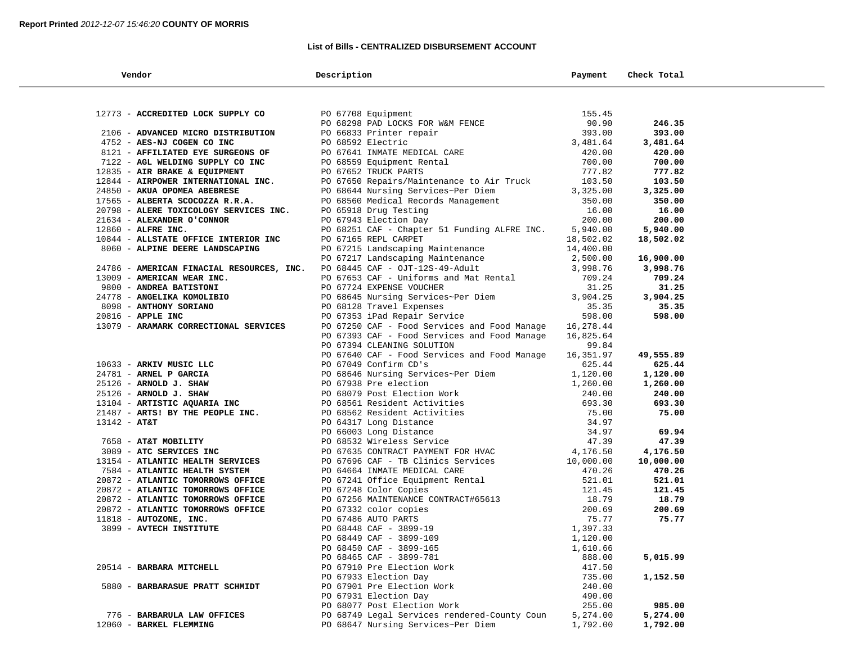### **List of Bills - CENTRALIZED DISBURSEMENT ACCOUNT**

| Vendor                                                 | Description                                                                                                                                                                                                                                | Payment            | Check Total     |  |
|--------------------------------------------------------|--------------------------------------------------------------------------------------------------------------------------------------------------------------------------------------------------------------------------------------------|--------------------|-----------------|--|
|                                                        |                                                                                                                                                                                                                                            |                    |                 |  |
| 12773 - ACCREDITED LOCK SUPPLY CO                      | PO 67708 Equipment<br>PO 68298 PAD LOCKS FOR W&M FENCE<br>PO 66833 Printer repair                                                                                                                                                          | 155.45             |                 |  |
|                                                        |                                                                                                                                                                                                                                            | 90.90              | 246.35          |  |
| 2106 - ADVANCED MICRO DISTRIBUTION                     |                                                                                                                                                                                                                                            | 393.00             | 393.00          |  |
| 4752 - AES-NJ COGEN CO INC                             | PO 68592 Electric                                                                                                                                                                                                                          | 393.00<br>3,481.64 | 3,481.64        |  |
| 8121 - AFFILIATED EYE SURGEONS OF                      |                                                                                                                                                                                                                                            | 420.00             | 420.00          |  |
| 7122 - AGL WELDING SUPPLY CO INC                       |                                                                                                                                                                                                                                            | 700.00             | 700.00          |  |
| 12835 - AIR BRAKE & EQUIPMENT                          |                                                                                                                                                                                                                                            | 777.82             | 777.82          |  |
| 12844 - AIRPOWER INTERNATIONAL INC.                    | PO 67641 INMATE MEDICAL CARE<br>PO 68559 Equipment Rental<br>PO 67652 TRUCK PARTS<br>PO 67650 Repairs/Maintenance to Air Truck                                                                                                             | 103.50             | 103.50          |  |
| 24850 - AKUA OPOMEA ABEBRESE                           | PO 68644 Nursing Services~Per Diem                                                                                                                                                                                                         | 3,325.00           | 3,325.00        |  |
| 17565 - ALBERTA SCOCOZZA R.R.A.                        | PO 68560 Medical Records Management                                                                                                                                                                                                        | 350.00             | 350.00          |  |
| 20798 - ALERE TOXICOLOGY SERVICES INC.                 | PO 65918 Drug Testing                                                                                                                                                                                                                      | 16.00              | 16.00           |  |
| 21634 - ALEXANDER O'CONNOR                             | PO 67943 Election Day                                                                                                                                                                                                                      | 200.00             | 200.00          |  |
| 12860 - ALFRE INC.                                     | PO 68251 CAF - Chapter 51 Funding ALFRE INC. 5,940.00                                                                                                                                                                                      |                    | 5,940.00        |  |
| 10844 - ALLSTATE OFFICE INTERIOR INC                   | PO 67165 REPL CARPET                                                                                                                                                                                                                       | 18,502.02          | 18,502.02       |  |
| 8060 - ALPINE DEERE LANDSCAPING                        | 14,400.00<br>PO 67215 Landscaping Maintenance                                                                                                                                                                                              |                    |                 |  |
|                                                        | PO 67217 Landscaping Maintenance $2,500.00$<br>PO 68445 CAF - OJT-12S-49-Adult $3,998.76$<br>PO 67653 CAF - Uniforms and Mat Rental $709.24$<br>PO 67724 EXPENSE VOUCHER $31.25$                                                           |                    | 16,900.00       |  |
| 24786 - AMERICAN FINACIAL RESOURCES, INC.              |                                                                                                                                                                                                                                            |                    | 3,998.76        |  |
| 13009 - AMERICAN WEAR INC.                             |                                                                                                                                                                                                                                            |                    | 709.24          |  |
| 9800 - ANDREA BATISTONI                                |                                                                                                                                                                                                                                            |                    | 31.25           |  |
| 24778 - ANGELIKA KOMOLIBIO                             |                                                                                                                                                                                                                                            |                    | 3,904.25        |  |
| 8098 - ANTHONY SORIANO                                 | PO 68645 Nursing Services~Per Diem 3,904.25<br>PO 68645 Nursing Services~Per Diem 3,904.25<br>PO 68128 Travel Expenses 35.35<br>PO 67353 iPad Repair Service 598.00                                                                        |                    | 35.35           |  |
| 20816 - APPLE INC                                      | PO 67353 iPad Repair Service                                                                                                                                                                                                               |                    | 598.00          |  |
| 13079 - ARAMARK CORRECTIONAL SERVICES                  | PO 67250 CAF - Food Services and Food Manage                                                                                                                                                                                               | 16,278.44          |                 |  |
|                                                        | PO 67393 CAF - Food Services and Food Manage                                                                                                                                                                                               | 16,825.64          |                 |  |
|                                                        | PO 67394 CLEANING SOLUTION                                                                                                                                                                                                                 | 99.84              |                 |  |
|                                                        | PO 67640 CAF - Food Services and Food Manage                                                                                                                                                                                               | 16,351.97          | 49,555.89       |  |
| 10633 - ARKIV MUSIC LLC                                | PO 67049 Confirm CD's                                                                                                                                                                                                                      | 625.44             | 625.44          |  |
| 24781 - ARNEL P GARCIA                                 | PO 68646 Nursing Services~Per Diem<br>PO 68646 Nursing Services~Per Diem<br>1,260.00<br>1,260.00                                                                                                                                           |                    | 1,120.00        |  |
| 25126 - ARNOLD J. SHAW                                 |                                                                                                                                                                                                                                            |                    | 1,260.00        |  |
| 25126 - ARNOLD J. SHAW<br>13104 - ARTISTIC AQUARIA INC |                                                                                                                                                                                                                                            |                    | 240.00          |  |
| 21487 - ARTS! BY THE PEOPLE INC.                       |                                                                                                                                                                                                                                            |                    | 693.30<br>75.00 |  |
| $13142 - AT&T$                                         |                                                                                                                                                                                                                                            |                    |                 |  |
|                                                        |                                                                                                                                                                                                                                            |                    | 69.94           |  |
| 7658 - AT&T MOBILITY                                   |                                                                                                                                                                                                                                            |                    | 47.39           |  |
| 3089 - ATC SERVICES INC                                |                                                                                                                                                                                                                                            |                    | 4,176.50        |  |
| 13154 - ATLANTIC HEALTH SERVICES                       |                                                                                                                                                                                                                                            |                    | 10,000.00       |  |
| 7584 - ATLANTIC HEALTH SYSTEM                          |                                                                                                                                                                                                                                            |                    | 470.26          |  |
| 20872 - ATLANTIC TOMORROWS OFFICE                      |                                                                                                                                                                                                                                            |                    | 521.01          |  |
| 20872 - ATLANTIC TOMORROWS OFFICE                      |                                                                                                                                                                                                                                            |                    | 121.45          |  |
| 20872 - ATLANTIC TOMORROWS OFFICE                      |                                                                                                                                                                                                                                            |                    | 18.79           |  |
| 20872 - ATLANTIC TOMORROWS OFFICE                      | PO 67938 Pre election Work 240.00<br>PO 68079 Post Election Work 240.00<br>PO 68562 Resident Activities 693.30<br>PO 68562 Resident Activities 693.30<br>PO 64317 Long Distance 34.97<br>PO 66003 Long Distance 34.97<br>PO 667635 CONTRAC |                    | 200.69          |  |
| 11818 - AUTOZONE, INC.                                 |                                                                                                                                                                                                                                            |                    | 75.77           |  |
| 3899 - AVTECH INSTITUTE                                | PO 68448 CAF - 3899-19                                                                                                                                                                                                                     | 1,397.33           |                 |  |
|                                                        | PO 68449 CAF - 3899-109                                                                                                                                                                                                                    | 1,120.00           |                 |  |
|                                                        | PO 68450 CAF - 3899-165                                                                                                                                                                                                                    | 1,610.66           |                 |  |
|                                                        | PO 68465 CAF - 3899-781                                                                                                                                                                                                                    | 888.00             | 5,015.99        |  |
| 20514 - BARBARA MITCHELL                               | PO 67910 Pre Election Work                                                                                                                                                                                                                 | 417.50             |                 |  |
|                                                        | PO 67933 Election Day                                                                                                                                                                                                                      | 735.00             | 1,152.50        |  |
| 5880 - BARBARASUE PRATT SCHMIDT                        | PO 67901 Pre Election Work                                                                                                                                                                                                                 | 240.00             |                 |  |
|                                                        | PO 67931 Election Day                                                                                                                                                                                                                      | 490.00             |                 |  |
|                                                        | PO 68077 Post Election Work                                                                                                                                                                                                                | 255.00             | 985.00          |  |
| 776 - BARBARULA LAW OFFICES                            | PO 68749 Legal Services rendered-County Coun                                                                                                                                                                                               | 5,274.00           | 5,274.00        |  |
| 12060 - BARKEL FLEMMING                                | PO 68647 Nursing Services~Per Diem                                                                                                                                                                                                         | 1,792.00           | 1,792.00        |  |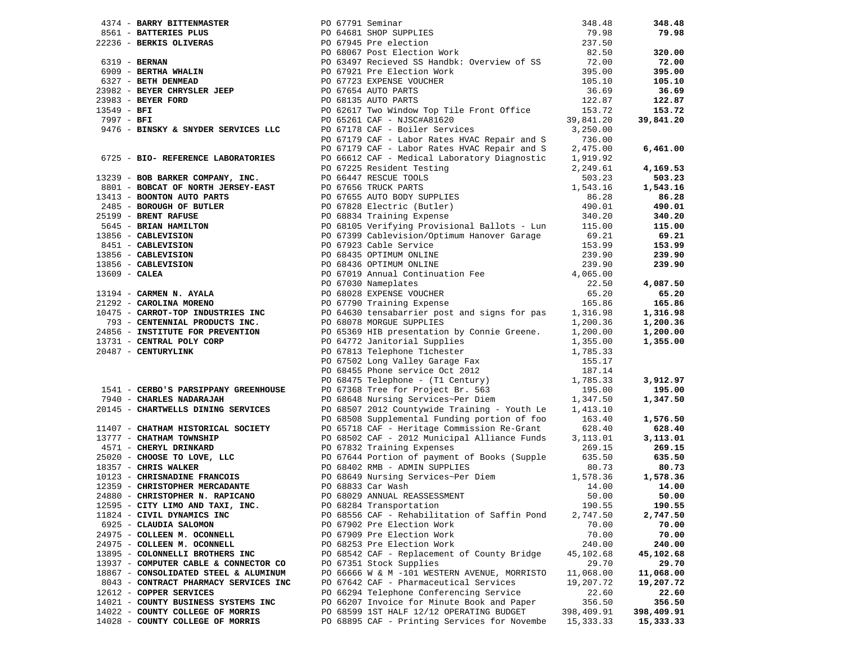|                                                         |                                                                                                                                                                                                                                                                                         | 348.48     | 348.48     |
|---------------------------------------------------------|-----------------------------------------------------------------------------------------------------------------------------------------------------------------------------------------------------------------------------------------------------------------------------------------|------------|------------|
|                                                         | 4374 - BARKI BITTENMASTER<br>2561 - <b>BATTERIES PLUS</b><br>2651 - <b>BATTERIES PLUS</b><br>27236 - <b>BERKIS OLIVERAS</b><br>27236 - <b>BERKIS OLIVERAS</b><br>27236 - <b>BERKIS OLIVERAS</b><br>2799 - <b>BERTHA WHALIN</b><br>27997 - <b>BERTH DERINGAN</b><br>27987 - <b>BERTH</b> | 79.98      | 79.98      |
|                                                         |                                                                                                                                                                                                                                                                                         | 237.50     |            |
|                                                         |                                                                                                                                                                                                                                                                                         | 82.50      | 320.00     |
|                                                         |                                                                                                                                                                                                                                                                                         | 72.00      | 72.00      |
|                                                         |                                                                                                                                                                                                                                                                                         | 395.00     | 395.00     |
|                                                         |                                                                                                                                                                                                                                                                                         | 105.10     | 105.10     |
|                                                         |                                                                                                                                                                                                                                                                                         | 36.69      | 36.69      |
|                                                         |                                                                                                                                                                                                                                                                                         | 122.87     | 122.87     |
|                                                         |                                                                                                                                                                                                                                                                                         | 153.72     | 153.72     |
|                                                         |                                                                                                                                                                                                                                                                                         | 39,841.20  | 39,841.20  |
| 9476 - BINSKY & SNYDER SERVICES LLC                     | PO 67178 CAF - Boiler Services                                                                                                                                                                                                                                                          | 3,250.00   |            |
|                                                         | PO 67179 CAF - Labor Rates HVAC Repair and S                                                                                                                                                                                                                                            | 736.00     |            |
|                                                         | PO 67179 CAF - Labor Rates HVAC Repair and S                                                                                                                                                                                                                                            | 2,475.00   | 6,461.00   |
| 6725 - BIO- REFERENCE LABORATORIES                      | PO 66612 CAF - Medical Laboratory Diagnostic                                                                                                                                                                                                                                            | 1,919.92   |            |
|                                                         |                                                                                                                                                                                                                                                                                         |            | 4,169.53   |
|                                                         | 6725 - BIO- REFERENCE LABORATORIES PO 6612 CAF - Medical Laboratory Diagnostic 1,919.62<br>13239 - BOB BARKER COMPANY, INC. PO 67225 Resident Testing<br>13239 - BOB BARKER COMPANY, INC. PO 67655 RUTCHS<br>153.32<br>13413 - BOONTO                                                   |            | 503.23     |
|                                                         |                                                                                                                                                                                                                                                                                         |            | 1,543.16   |
|                                                         |                                                                                                                                                                                                                                                                                         |            | 86.28      |
|                                                         |                                                                                                                                                                                                                                                                                         |            | 490.01     |
|                                                         |                                                                                                                                                                                                                                                                                         |            | 340.20     |
|                                                         |                                                                                                                                                                                                                                                                                         |            | 115.00     |
|                                                         |                                                                                                                                                                                                                                                                                         |            | 69.21      |
|                                                         |                                                                                                                                                                                                                                                                                         |            | 153.99     |
|                                                         |                                                                                                                                                                                                                                                                                         |            | 239.90     |
|                                                         |                                                                                                                                                                                                                                                                                         |            | 239.90     |
|                                                         |                                                                                                                                                                                                                                                                                         |            |            |
|                                                         |                                                                                                                                                                                                                                                                                         |            | 4,087.50   |
|                                                         |                                                                                                                                                                                                                                                                                         |            | 65.20      |
|                                                         |                                                                                                                                                                                                                                                                                         |            | 165.86     |
|                                                         |                                                                                                                                                                                                                                                                                         |            | 1,316.98   |
| 793 - CENTENNIAL PRODUCTS INC. PO 68078 MORGUE SUPPLIES |                                                                                                                                                                                                                                                                                         | 1,200.36   | 1,200.36   |
| 24856 - INSTITUTE FOR PREVENTION                        | PO 68078 MORGUE SUPPLIES<br>PO 65369 HIB presentation by Connie Greene.<br>PO 64772 Janitorial Supplies                                                                                                                                                                                 | 1,200.00   | 1,200.00   |
| 13731 - CENTRAL POLY CORP                               |                                                                                                                                                                                                                                                                                         | 1,355.00   | 1,355.00   |
| 20487 - CENTURYLINK                                     |                                                                                                                                                                                                                                                                                         | 1,785.33   |            |
|                                                         | PO 63309 HIL PRESENSIONER TV<br>PO 67813 Telephone Tichester<br>PO 67502 Long Valley Garage Fax                                                                                                                                                                                         | 155.17     |            |
|                                                         |                                                                                                                                                                                                                                                                                         |            |            |
|                                                         | PO 68455 Phone service Oct 2012<br>PO 68475 Telephone - (T1 Century)<br>PO 67368 Tree for Project Br. 563<br>PO 68648 Nursing Services~Per Diem<br>1,347.50                                                                                                                             |            | 3,912.97   |
| 1541 - CERBO'S PARSIPPANY GREENHOUSE                    |                                                                                                                                                                                                                                                                                         |            | 195.00     |
| 7940 - CHARLES NADARAJAH                                |                                                                                                                                                                                                                                                                                         |            | 1,347.50   |
| 20145 - CHARTWELLS DINING SERVICES                      | PO 68507 2012 Countywide Training - Youth Le                                                                                                                                                                                                                                            | 1,413.10   |            |
|                                                         | PO 68508 Supplemental Funding portion of foo 163.40                                                                                                                                                                                                                                     |            | 1,576.50   |
| 11407 - CHATHAM HISTORICAL SOCIETY                      | PO 65718 CAF - Heritage Commission Re-Grant                                                                                                                                                                                                                                             | 628.40     | 628.40     |
| 13777 - CHATHAM TOWNSHIP                                | PO 68502 CAF - 2012 Municipal Alliance Funds                                                                                                                                                                                                                                            | 3,113.01   | 3,113.01   |
| 4571 - CHERYL DRINKARD                                  | PO 67832 Training Expenses                                                                                                                                                                                                                                                              | 269.15     | 269.15     |
|                                                         | PO 67644 Portion of payment of Books (Supple                                                                                                                                                                                                                                            | 635.50     | 635.50     |
|                                                         | 25020 - CHOOSE TO LOVE, LLC<br>25020 - CHOOSE TO LOVE, LLC<br>25020 - CHRIS WALKER<br>25020 - CHRIS WALKER<br>260649 Nursing Services~Per Diem                                                                                                                                          | 80.73      | 80.73      |
|                                                         |                                                                                                                                                                                                                                                                                         | 1,578.36   | 1,578.36   |
| 12359 - CHRISTOPHER MERCADANTE                          | PO 68833 Car Wash                                                                                                                                                                                                                                                                       | 14.00      | 14.00      |
| 24880 - CHRISTOPHER N. RAPICANO                         | PO 68029 ANNUAL REASSESSMENT                                                                                                                                                                                                                                                            | 50.00      | 50.00      |
| 12595 - CITY LIMO AND TAXI, INC.                        | PO 68284 Transportation                                                                                                                                                                                                                                                                 | 190.55     | 190.55     |
| 11824 - CIVIL DYNAMICS INC                              | PO 68556 CAF - Rehabilitation of Saffin Pond                                                                                                                                                                                                                                            | 2,747.50   | 2,747.50   |
| 6925 - CLAUDIA SALOMON                                  | PO 67902 Pre Election Work                                                                                                                                                                                                                                                              | 70.00      | 70.00      |
| 24975 - COLLEEN M. OCONNELL                             | PO 67909 Pre Election Work                                                                                                                                                                                                                                                              | 70.00      | 70.00      |
| 24975 - COLLEEN M. OCONNELL                             | PO 68253 Pre Election Work                                                                                                                                                                                                                                                              | 240.00     | 240.00     |
| 13895 - COLONNELLI BROTHERS INC                         | PO 68542 CAF - Replacement of County Bridge                                                                                                                                                                                                                                             | 45,102.68  | 45,102.68  |
| 13937 - COMPUTER CABLE & CONNECTOR CO                   | PO 67351 Stock Supplies                                                                                                                                                                                                                                                                 | 29.70      | 29.70      |
| 18867 - CONSOLIDATED STEEL & ALUMINUM                   | PO 66666 W & M -101 WESTERN AVENUE, MORRISTO                                                                                                                                                                                                                                            | 11,068.00  | 11,068.00  |
| 8043 - CONTRACT PHARMACY SERVICES INC                   | PO 67642 CAF - Pharmaceutical Services                                                                                                                                                                                                                                                  | 19,207.72  | 19,207.72  |
| 12612 - COPPER SERVICES                                 | PO 66294 Telephone Conferencing Service                                                                                                                                                                                                                                                 | 22.60      | 22.60      |
| 14021 - COUNTY BUSINESS SYSTEMS INC                     | PO 66207 Invoice for Minute Book and Paper                                                                                                                                                                                                                                              | 356.50     | 356.50     |
| 14022 - COUNTY COLLEGE OF MORRIS                        | PO 68599 1ST HALF 12/12 OPERATING BUDGET                                                                                                                                                                                                                                                | 398,409.91 | 398,409.91 |
| 14028 - COUNTY COLLEGE OF MORRIS                        | PO 68895 CAF - Printing Services for Novembe                                                                                                                                                                                                                                            | 15,333.33  | 15,333.33  |
|                                                         |                                                                                                                                                                                                                                                                                         |            |            |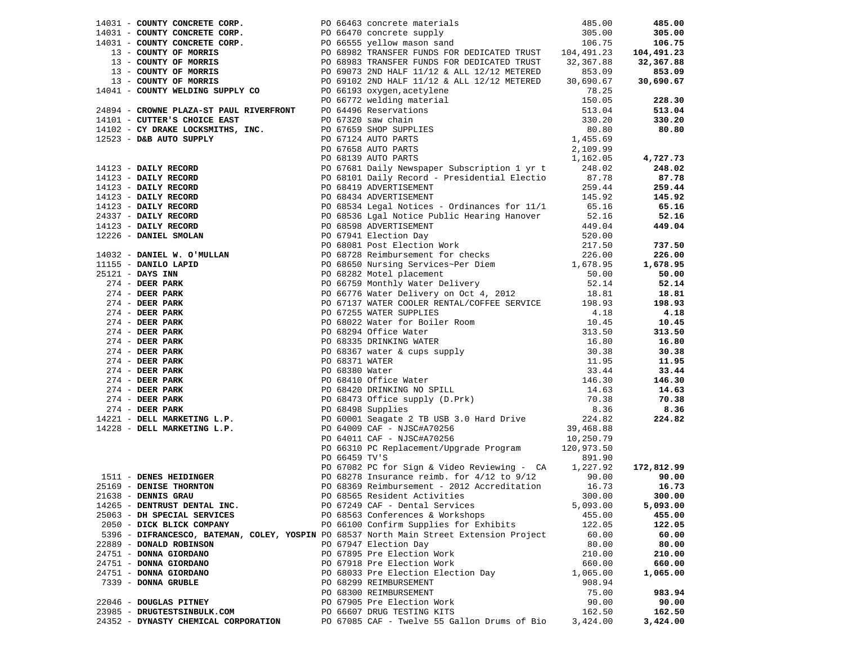|                                                                                         |  |                                                                                                                                                                                                                                                                                         |          | 228.30     |
|-----------------------------------------------------------------------------------------|--|-----------------------------------------------------------------------------------------------------------------------------------------------------------------------------------------------------------------------------------------------------------------------------------------|----------|------------|
|                                                                                         |  |                                                                                                                                                                                                                                                                                         |          |            |
|                                                                                         |  |                                                                                                                                                                                                                                                                                         |          | 513.04     |
|                                                                                         |  |                                                                                                                                                                                                                                                                                         |          | 330.20     |
|                                                                                         |  |                                                                                                                                                                                                                                                                                         |          | 80.80      |
|                                                                                         |  |                                                                                                                                                                                                                                                                                         |          |            |
|                                                                                         |  |                                                                                                                                                                                                                                                                                         |          |            |
|                                                                                         |  |                                                                                                                                                                                                                                                                                         |          | 4,727.73   |
|                                                                                         |  |                                                                                                                                                                                                                                                                                         |          | 248.02     |
|                                                                                         |  |                                                                                                                                                                                                                                                                                         |          |            |
|                                                                                         |  |                                                                                                                                                                                                                                                                                         |          | 87.78      |
|                                                                                         |  |                                                                                                                                                                                                                                                                                         |          | 259.44     |
|                                                                                         |  |                                                                                                                                                                                                                                                                                         |          | 145.92     |
|                                                                                         |  |                                                                                                                                                                                                                                                                                         |          | 65.16      |
|                                                                                         |  |                                                                                                                                                                                                                                                                                         |          | 52.16      |
|                                                                                         |  |                                                                                                                                                                                                                                                                                         |          | 449.04     |
|                                                                                         |  |                                                                                                                                                                                                                                                                                         |          |            |
|                                                                                         |  | 13. COMPTY OF MORAIN 1991 1202 - DANIE 11/12 ALL 11/12 MITERIES 11/12 ALL 2013<br>13. COMPTY OF MORAIN SUPPLY COMPOSITION (1999) 2013 2013 11/12 S.K., 11/12 MITERIES 16, 690.67<br>1411 - COMPIT PALL 24-12 PART PART (1999) 201                                                       |          | 737.50     |
|                                                                                         |  |                                                                                                                                                                                                                                                                                         |          |            |
|                                                                                         |  |                                                                                                                                                                                                                                                                                         |          | 226.00     |
|                                                                                         |  |                                                                                                                                                                                                                                                                                         |          | 1,678.95   |
|                                                                                         |  |                                                                                                                                                                                                                                                                                         |          | 50.00      |
|                                                                                         |  |                                                                                                                                                                                                                                                                                         |          | 52.14      |
|                                                                                         |  |                                                                                                                                                                                                                                                                                         |          | 18.81      |
|                                                                                         |  |                                                                                                                                                                                                                                                                                         |          | 198.93     |
|                                                                                         |  |                                                                                                                                                                                                                                                                                         |          | 4.18       |
|                                                                                         |  |                                                                                                                                                                                                                                                                                         |          |            |
|                                                                                         |  |                                                                                                                                                                                                                                                                                         |          | 10.45      |
|                                                                                         |  |                                                                                                                                                                                                                                                                                         |          | 313.50     |
|                                                                                         |  |                                                                                                                                                                                                                                                                                         |          | 16.80      |
|                                                                                         |  |                                                                                                                                                                                                                                                                                         |          | 30.38      |
|                                                                                         |  |                                                                                                                                                                                                                                                                                         |          | 11.95      |
|                                                                                         |  |                                                                                                                                                                                                                                                                                         |          | 33.44      |
|                                                                                         |  |                                                                                                                                                                                                                                                                                         |          | 146.30     |
|                                                                                         |  |                                                                                                                                                                                                                                                                                         |          | 14.63      |
|                                                                                         |  |                                                                                                                                                                                                                                                                                         |          | 70.38      |
|                                                                                         |  |                                                                                                                                                                                                                                                                                         |          |            |
|                                                                                         |  |                                                                                                                                                                                                                                                                                         |          | 8.36       |
|                                                                                         |  |                                                                                                                                                                                                                                                                                         |          | 224.82     |
| 14228 - DELL MARKETING L.P.                                                             |  |                                                                                                                                                                                                                                                                                         |          |            |
|                                                                                         |  | PO 60001 Seagate 2 TB USB 3.0 Hard Drive 224.82<br>PO 64009 CAF - NJSC#A70256 39,468.88<br>PO 64011 CAF - NJSC#A70256 10,250.79                                                                                                                                                         |          |            |
|                                                                                         |  |                                                                                                                                                                                                                                                                                         |          |            |
|                                                                                         |  | 10,250.79<br>1511 - <b>DENES HEIDINGER</b><br>1638 - <b>DENES HEIDINGER</b><br>291.90<br>291.90<br>290.00<br>200.00<br>200.00<br>200.00<br>200.00<br>200.00<br>200.00<br>200.00<br>200.00<br>200.00<br>200.00<br>200.00<br>200.00<br>200.00<br>200.00<br>200.00<br>200.00<br>200.00<br> |          |            |
|                                                                                         |  |                                                                                                                                                                                                                                                                                         |          | 172,812.99 |
|                                                                                         |  |                                                                                                                                                                                                                                                                                         |          | 90.00      |
|                                                                                         |  |                                                                                                                                                                                                                                                                                         |          |            |
| 25169 - DENISE THORNTON                                                                 |  |                                                                                                                                                                                                                                                                                         |          | 16.73      |
| 21638 - DENNIS GRAU <b>Example 19 September 1986</b> PO 68565 Resident Activities       |  |                                                                                                                                                                                                                                                                                         | 300.00   | 300.00     |
| 14265 - DENTRUST DENTAL INC.                                                            |  | PO 67249 CAF - Dental Services                                                                                                                                                                                                                                                          | 5,093.00 | 5,093.00   |
| 25063 - DH SPECIAL SERVICES                                                             |  | PO 68563 Conferences & Workshops                                                                                                                                                                                                                                                        | 455.00   | 455.00     |
| 2050 - DICK BLICK COMPANY                                                               |  | PO 66100 Confirm Supplies for Exhibits                                                                                                                                                                                                                                                  | 122.05   | 122.05     |
| 5396 - DIFRANCESCO, BATEMAN, COLEY, YOSPIN PO 68537 North Main Street Extension Project |  |                                                                                                                                                                                                                                                                                         | 60.00    | 60.00      |
| 22889 - DONALD ROBINSON                                                                 |  | PO 67947 Election Day                                                                                                                                                                                                                                                                   | 80.00    | 80.00      |
| 24751 - DONNA GIORDANO                                                                  |  | PO 67895 Pre Election Work                                                                                                                                                                                                                                                              | 210.00   | 210.00     |
|                                                                                         |  |                                                                                                                                                                                                                                                                                         |          |            |
| 24751 - DONNA GIORDANO                                                                  |  | PO 67918 Pre Election Work                                                                                                                                                                                                                                                              | 660.00   | 660.00     |
| 24751 - DONNA GIORDANO                                                                  |  | PO 68033 Pre Election Election Day                                                                                                                                                                                                                                                      | 1,065.00 | 1,065.00   |
| 7339 - DONNA GRUBLE                                                                     |  | PO 68299 REIMBURSEMENT                                                                                                                                                                                                                                                                  | 908.94   |            |
|                                                                                         |  | PO 68300 REIMBURSEMENT                                                                                                                                                                                                                                                                  | 75.00    | 983.94     |
| 22046 - DOUGLAS PITNEY                                                                  |  | PO 67905 Pre Election Work                                                                                                                                                                                                                                                              | 90.00    | 90.00      |
| 23985 - DRUGTESTSINBULK.COM                                                             |  | PO 66607 DRUG TESTING KITS                                                                                                                                                                                                                                                              | 162.50   | 162.50     |
|                                                                                         |  | 24352 - DYNASTY CHEMICAL CORPORATION PO 67085 CAF - Twelve 55 Gallon Drums of Bio 3,424.00                                                                                                                                                                                              |          | 3,424.00   |
|                                                                                         |  |                                                                                                                                                                                                                                                                                         |          |            |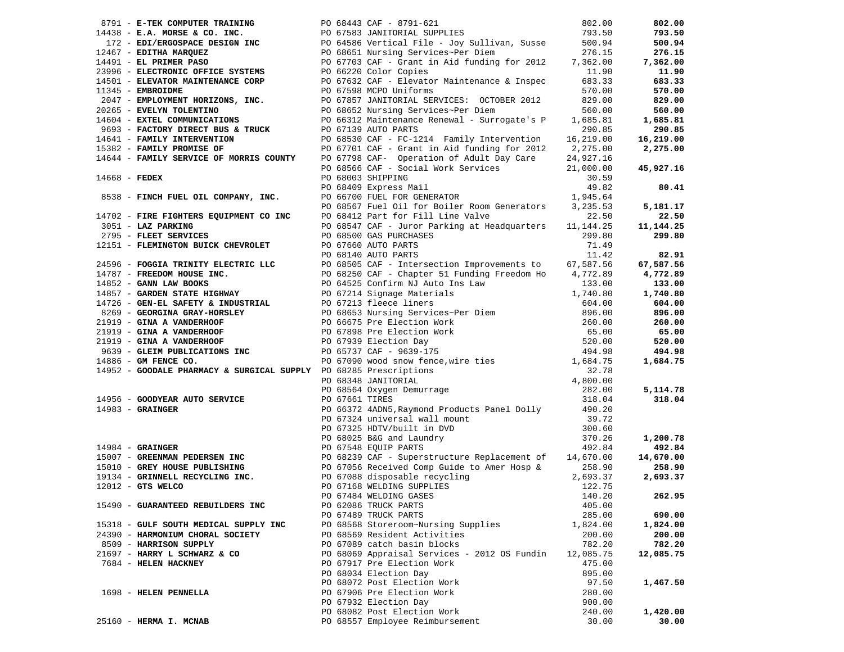|                 | 8791 - E-TEK COMPUTER TRAINING                                                     |                | PO 68443 CAF - 8791-621                                                                                                                                                                                                                                   | 802.00    | 802.00             |
|-----------------|------------------------------------------------------------------------------------|----------------|-----------------------------------------------------------------------------------------------------------------------------------------------------------------------------------------------------------------------------------------------------------|-----------|--------------------|
|                 |                                                                                    |                | 1438 - E.A. MORSE & CO. INC.<br>172 - EDI/ERGOSPACE DESIGN INC<br>172 - EDI/ERGOSPACE DESIGN INC<br>172 - EDIFIFIA MARQUEZ<br>172 - EDITHA MARQUEZ<br>176.15<br>1793.50<br>172 - EDITHA MARQUEZ<br>176.15<br>1793.50<br>1793.50<br>1793.50<br>1793.50<br> |           | 793.50             |
|                 |                                                                                    |                |                                                                                                                                                                                                                                                           |           | 500.94             |
|                 |                                                                                    |                |                                                                                                                                                                                                                                                           |           | 276.15             |
|                 |                                                                                    |                |                                                                                                                                                                                                                                                           |           | 7,362.00           |
|                 | 23996 - ELECTRONIC OFFICE SYSTEMS                                                  |                | PO 66220 Color Copies                                                                                                                                                                                                                                     | 11.90     | 11.90              |
|                 |                                                                                    |                |                                                                                                                                                                                                                                                           | 683.33    | 683.33             |
|                 |                                                                                    |                |                                                                                                                                                                                                                                                           | 570.00    | 570.00             |
|                 |                                                                                    |                |                                                                                                                                                                                                                                                           | 829.00    | 829.00             |
|                 |                                                                                    |                |                                                                                                                                                                                                                                                           | 560.00    | 560.00             |
|                 |                                                                                    |                |                                                                                                                                                                                                                                                           | 1,685.81  | 1,685.81           |
|                 | 9693 - FACTORY DIRECT BUS & TRUCK PO 67139 AUTO PARTS                              |                |                                                                                                                                                                                                                                                           | 290.85    | 290.85             |
|                 | 14641 - FAMILY INTERVENTION                                                        |                | PO 68530 CAF - FC-1214 Family Intervention 16,219.00                                                                                                                                                                                                      |           | 16,219.00          |
|                 | 14641 - FAMILY INTERVENTION<br>15382 - FAMILY PROMISE OF                           |                | PO $67701$ CAF - Grant in Aid funding for $2012$ 2, $275.00$                                                                                                                                                                                              |           | 2,275.00           |
|                 |                                                                                    |                | 14644 - FAMILY SERVICE OF MORRIS COUNTY PO 67798 CAF- Operation of Adult Day Care                                                                                                                                                                         | 24,927.16 |                    |
|                 |                                                                                    |                | PO 68566 CAF - Social Work Services                                                                                                                                                                                                                       | 21,000.00 | 45,927.16          |
| $14668$ - FEDEX |                                                                                    |                | PO 68003 SHIPPING                                                                                                                                                                                                                                         | 30.59     |                    |
|                 |                                                                                    |                | PO 68409 Express Mail                                                                                                                                                                                                                                     | 49.82     | 80.41              |
|                 |                                                                                    |                | PO 68409 Express Mail<br>PO 66700 FUEL FOR GENERATOR                                                                                                                                                                                                      | 1,945.64  |                    |
|                 | 8538 - FINCH FUEL OIL COMPANY, INC.                                                |                | PO 68567 Fuel Oil for Boiler Room Generators 3,235.53                                                                                                                                                                                                     |           | 5,181.17           |
|                 |                                                                                    |                | PO 68412 Part for Fill Line Valve                                                                                                                                                                                                                         | 22.50     | 22.50              |
|                 | 14702 - FIRE FIGHTERS EQUIPMENT CO INC<br>3051 - LAZ PARKING<br>3051 - LAZ PARKING |                | PO 68547 CAF - Juror Parking at Headquarters 11,144.25                                                                                                                                                                                                    |           | 11, 144. 25        |
|                 | 2795 - FLEET SERVICES                                                              |                | PO 68500 GAS PURCHASES                                                                                                                                                                                                                                    | 299.80    | 299.80             |
|                 | 12151 - FLEMINGTON BUICK CHEVROLET                                                 |                |                                                                                                                                                                                                                                                           |           |                    |
|                 |                                                                                    |                | PO 67660 AUTO PARTS                                                                                                                                                                                                                                       | 71.49     |                    |
|                 |                                                                                    |                | PO 68140 AUTO PARTS                                                                                                                                                                                                                                       | 11.42     | 82.91              |
|                 |                                                                                    |                | 24596 - FOGGIA TRINITY ELECTRIC LLC<br>14787 - FREEDOM HOUSE INC.<br>24596 - TREEDOM HOUSE INC.<br>24787 - TREEDOM HOUSE INC.<br>246525 Confirm NJ Auto Ins Law                                                                                           | 67,587.56 | 67,587.56          |
|                 |                                                                                    |                | PO 68250 CAF - Chapter 51 Funding Freedom Ho 4,772.89                                                                                                                                                                                                     |           | 4,772.89           |
|                 |                                                                                    |                |                                                                                                                                                                                                                                                           |           | 133.00             |
|                 |                                                                                    |                |                                                                                                                                                                                                                                                           |           | 1,740.80           |
|                 |                                                                                    |                |                                                                                                                                                                                                                                                           |           | 604.00             |
|                 |                                                                                    |                |                                                                                                                                                                                                                                                           |           | 896.00             |
|                 |                                                                                    |                |                                                                                                                                                                                                                                                           |           | 260.00             |
|                 |                                                                                    |                |                                                                                                                                                                                                                                                           |           | 65.00              |
|                 |                                                                                    |                |                                                                                                                                                                                                                                                           |           | 520.00             |
|                 |                                                                                    |                |                                                                                                                                                                                                                                                           |           | 494.98<br>1,684.75 |
|                 |                                                                                    |                |                                                                                                                                                                                                                                                           |           |                    |
|                 |                                                                                    |                |                                                                                                                                                                                                                                                           |           |                    |
|                 |                                                                                    |                |                                                                                                                                                                                                                                                           |           | 5,114.78           |
|                 |                                                                                    | PO 67661 TIRES |                                                                                                                                                                                                                                                           | 318.04    | 318.04             |
|                 | 14956 - GOODYEAR AUTO SERVICE<br>$14983$ - GRAINGER                                |                | PO 66372 4ADN5, Raymond Products Panel Dolly 490.20                                                                                                                                                                                                       |           |                    |
|                 |                                                                                    |                | PO 67324 universal wall mount                                                                                                                                                                                                                             | 39.72     |                    |
|                 |                                                                                    |                | PO 67325 HDTV/built in DVD                                                                                                                                                                                                                                | 300.60    |                    |
|                 |                                                                                    |                |                                                                                                                                                                                                                                                           | 370.26    | 1,200.78           |
|                 | $14984 -$ GRAINGER                                                                 |                | PO $68025$ B&G and Laundry<br>PO 67548 EQUIP PARTS                                                                                                                                                                                                        | 492.84    | 492.84             |
|                 | 15007 - GREENMAN PEDERSEN INC                                                      |                | PO 67548 EQUIP PARIS<br>PO 68239 CAF - Superstructure Replacement of 14,670.00<br>Also Danis Care Paris Theory Horn & 258.90                                                                                                                              |           | 14,670.00          |
|                 |                                                                                    |                |                                                                                                                                                                                                                                                           | 258.90    | 258.90             |
|                 |                                                                                    |                | 15010 - GREY HOUSE PUBLISHING<br>19134 - GRINNELL RECYCLING INC.<br>192012 - GTS WELCO<br>192012 - GTS WELCO<br>192012 - GTS WELCO<br>192012 - GTS WELCO<br>192012 - GTS WELCO<br>192012 - GTS WELCO<br>192012 - GTS WELCO<br>192012 - GTS WELCO          | 2,693.37  | 2,693.37           |
|                 |                                                                                    |                |                                                                                                                                                                                                                                                           | 122.75    |                    |
|                 |                                                                                    |                | PO 67484 WELDING GASES                                                                                                                                                                                                                                    | 140.20    | 262.95             |
|                 | 15490 - GUARANTEED REBUILDERS INC                                                  |                | PO 62086 TRUCK PARTS                                                                                                                                                                                                                                      | 405.00    |                    |
|                 |                                                                                    |                | PO 67489 TRUCK PARTS                                                                                                                                                                                                                                      | 285.00    | 690.00             |
|                 | 15318 - GULF SOUTH MEDICAL SUPPLY INC                                              |                | PO 68568 Storeroom~Nursing Supplies                                                                                                                                                                                                                       | 1,824.00  | 1,824.00           |
|                 | 24390 - HARMONIUM CHORAL SOCIETY                                                   |                | PO 68569 Resident Activities                                                                                                                                                                                                                              | 200.00    | 200.00             |
|                 | 8509 - HARRISON SUPPLY                                                             |                | PO 67089 catch basin blocks                                                                                                                                                                                                                               | 782.20    | 782.20             |
|                 | 21697 - HARRY L SCHWARZ & CO                                                       |                | PO 68069 Appraisal Services - 2012 OS Fundin                                                                                                                                                                                                              | 12,085.75 | 12,085.75          |
|                 | 7684 - HELEN HACKNEY                                                               |                | PO 67917 Pre Election Work                                                                                                                                                                                                                                | 475.00    |                    |
|                 |                                                                                    |                | PO 68034 Election Day                                                                                                                                                                                                                                     | 895.00    |                    |
|                 |                                                                                    |                | PO 68072 Post Election Work                                                                                                                                                                                                                               | 97.50     | 1,467.50           |
|                 | 1698 - HELEN PENNELLA                                                              |                | PO 67906 Pre Election Work                                                                                                                                                                                                                                | 280.00    |                    |
|                 |                                                                                    |                | PO 67932 Election Day                                                                                                                                                                                                                                     | 900.00    |                    |
|                 |                                                                                    |                | PO 68082 Post Election Work                                                                                                                                                                                                                               | 240.00    | 1,420.00           |
|                 | 25160 - HERMA I. MCNAB                                                             |                | PO 68557 Employee Reimbursement                                                                                                                                                                                                                           | 30.00     | 30.00              |
|                 |                                                                                    |                |                                                                                                                                                                                                                                                           |           |                    |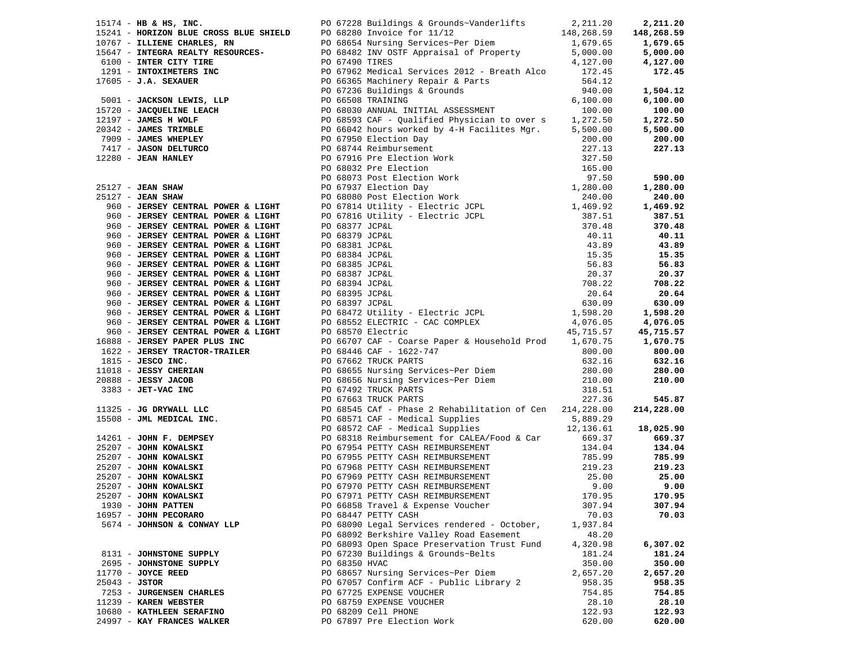|                 |                             |               |                                                                                                                                                                                                                               |          | 18,025.90 |
|-----------------|-----------------------------|---------------|-------------------------------------------------------------------------------------------------------------------------------------------------------------------------------------------------------------------------------|----------|-----------|
|                 |                             |               |                                                                                                                                                                                                                               |          |           |
|                 |                             |               | 1974-1984 E. The main constraints of constraints a constraints of the state of the state of the state of the state of the state of the state of the state of the state of the state of the state of the state of the state of |          |           |
|                 |                             |               |                                                                                                                                                                                                                               |          |           |
|                 |                             |               |                                                                                                                                                                                                                               |          |           |
|                 |                             |               |                                                                                                                                                                                                                               |          |           |
|                 |                             |               |                                                                                                                                                                                                                               |          |           |
|                 |                             |               |                                                                                                                                                                                                                               |          |           |
|                 | 1930 - JOHN PATTEN          |               | PO 66858 Travel & Expense Voucher                                                                                                                                                                                             | 307.94   | 307.94    |
|                 |                             |               |                                                                                                                                                                                                                               |          |           |
|                 | 16957 - JOHN PECORARO       |               | PO 68447 PETTY CASH                                                                                                                                                                                                           | 70.03    | 70.03     |
|                 | 5674 - JOHNSON & CONWAY LLP |               | PO 68090 Legal Services rendered - October,                                                                                                                                                                                   | 1,937.84 |           |
|                 |                             |               | PO 68092 Berkshire Valley Road Easement                                                                                                                                                                                       | 48.20    |           |
|                 |                             |               | PO 68093 Open Space Preservation Trust Fund                                                                                                                                                                                   | 4,320.98 | 6,307.02  |
|                 | 8131 - JOHNSTONE SUPPLY     |               | PO 67230 Buildings & Grounds~Belts                                                                                                                                                                                            | 181.24   | 181.24    |
|                 | 2695 - JOHNSTONE SUPPLY     | PO 68350 HVAC |                                                                                                                                                                                                                               | 350.00   | 350.00    |
|                 | $11770$ - JOYCE REED        |               | PO 68657 Nursing Services~Per Diem                                                                                                                                                                                            | 2,657.20 | 2,657.20  |
| $25043 - JSTOR$ |                             |               | PO 67057 Confirm ACF - Public Library 2                                                                                                                                                                                       | 958.35   | 958.35    |
|                 | 7253 - JURGENSEN CHARLES    |               | PO 67725 EXPENSE VOUCHER                                                                                                                                                                                                      | 754.85   | 754.85    |
|                 | 11239 - KAREN WEBSTER       |               | PO 68759 EXPENSE VOUCHER                                                                                                                                                                                                      | 28.10    | 28.10     |
|                 | 10680 - KATHLEEN SERAFINO   |               | PO 68209 Cell PHONE                                                                                                                                                                                                           | 122.93   | 122.93    |
|                 | 24997 - KAY FRANCES WALKER  |               | PO 67897 Pre Election Work                                                                                                                                                                                                    | 620.00   | 620.00    |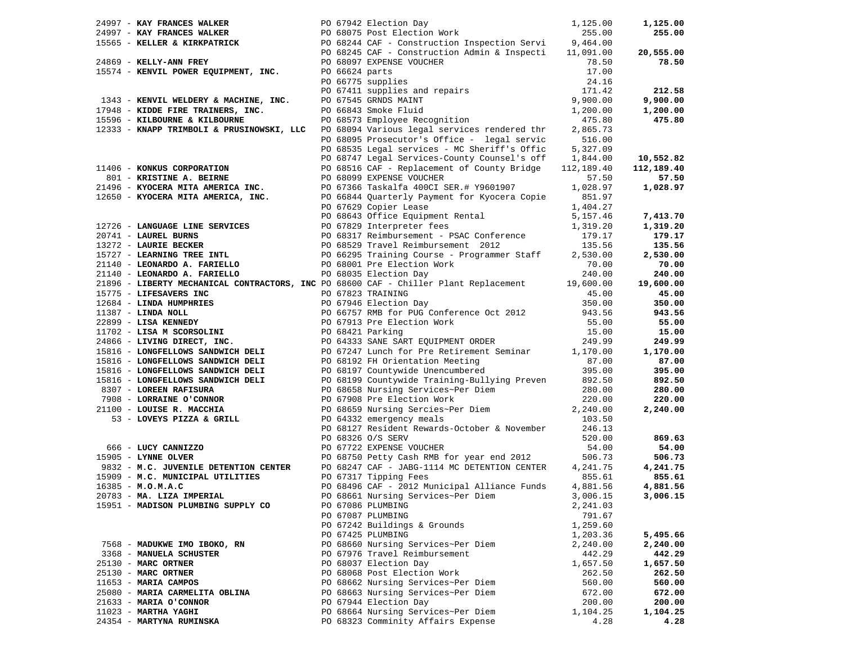| 24997 - KAY FRANCES WALKER THE RESERVING PO 67942 Election Day |  |                                                                                                                                                                                                                                                                             | 1,125.00 | 1,125.00   |
|----------------------------------------------------------------|--|-----------------------------------------------------------------------------------------------------------------------------------------------------------------------------------------------------------------------------------------------------------------------------|----------|------------|
|                                                                |  |                                                                                                                                                                                                                                                                             |          | 255.00     |
|                                                                |  |                                                                                                                                                                                                                                                                             |          |            |
|                                                                |  |                                                                                                                                                                                                                                                                             |          | 20,555.00  |
|                                                                |  | 24997 - KAI FRANCES WALKER<br>24997 - KAY FRANCES WALKER<br>255.00<br>24869 - KELLER & KIRKPATRICK<br>24869 - KELLY-ANN FREY<br>24869 - CONSUMER<br>24869 - CONSUMER<br>24869 - CONSUMER<br>24869 - CONSUMER<br>24869 - CONSUMER<br>24869 - CONSUM                          |          | 78.50      |
|                                                                |  |                                                                                                                                                                                                                                                                             |          |            |
| 15574 - KENVIL POWER EQUIPMENT, INC.                           |  | PO 66775 supplies<br>PO 67411 supplies and repairs<br>PO 67545 GRNDS MAINT<br>PO 66843 Smoke Fluid<br>PO 68573 Emplovee Becogniti                                                                                                                                           | 17.00    |            |
|                                                                |  |                                                                                                                                                                                                                                                                             | 24.16    |            |
|                                                                |  |                                                                                                                                                                                                                                                                             | 171.42   | 212.58     |
| 1343 - KENVIL WELDERY & MACHINE, INC.                          |  |                                                                                                                                                                                                                                                                             | 9,900.00 | 9,900.00   |
| 17948 - KIDDE FIRE TRAINERS, INC.                              |  |                                                                                                                                                                                                                                                                             | 1,200.00 | 1,200.00   |
| 15596 - KILBOURNE & KILBOURNE                                  |  | PO 68573 Employee Recognition                                                                                                                                                                                                                                               | 475.80   | 475.80     |
| 12333 - KNAPP TRIMBOLI & PRUSINOWSKI, LLC                      |  | PO 68094 Various legal services rendered thr                                                                                                                                                                                                                                | 2,865.73 |            |
|                                                                |  | PO 68095 Prosecutor's Office - legal servic                                                                                                                                                                                                                                 | 516.00   |            |
|                                                                |  | PO 68535 Legal services - MC Sheriff's Offic                                                                                                                                                                                                                                | 5,327.09 |            |
|                                                                |  | PO 68747 Legal Services-County Counsel's off 1,844.00                                                                                                                                                                                                                       |          | 10,552.82  |
| 11406 - KONKUS CORPORATION                                     |  | PO 68516 CAF - Replacement of County Bridge 112,189.40                                                                                                                                                                                                                      |          | 112,189.40 |
|                                                                |  | PO 68099 EXPENSE VOUCHER                                                                                                                                                                                                                                                    | 57.50    | 57.50      |
| 801 - KRISTINE A. BEIRNE                                       |  |                                                                                                                                                                                                                                                                             |          |            |
|                                                                |  | 21496 - KYOCERA MITA AMERICA INC.<br>12650 - KYOCERA MITA AMERICA, INC. PO 66844 Quarterly Payment for Kyocera Copie<br>PO 67629 Copier Lease                                                                                                                               | 1,028.97 | 1,028.97   |
| 12650 - KYOCERA MITA AMERICA, INC.                             |  |                                                                                                                                                                                                                                                                             | 851.97   |            |
|                                                                |  | PO 67629 Copier Lease                                                                                                                                                                                                                                                       | 1,404.27 |            |
|                                                                |  | PO 68643 Office Equipment Rental                                                                                                                                                                                                                                            | 5,157.46 | 7,413.70   |
|                                                                |  | PO 67829 Interpreter fees<br>1726 - LANGUAGE LINE SERVICES<br>20741 - LAUREL BURNS<br>20741 - LAUREL BURNS<br>20741 - LAUREL BURNS<br>20741 - LEONARDO A. FARIELLO<br>20741 - LEONARDO A. FARIELLO<br>2068035 Election Work<br>20140 - LEONARDO A. FARIELLO<br>2068035 Elec | 1,319.20 | 1,319.20   |
|                                                                |  |                                                                                                                                                                                                                                                                             | 179.17   | 179.17     |
|                                                                |  |                                                                                                                                                                                                                                                                             | 135.56   | 135.56     |
|                                                                |  |                                                                                                                                                                                                                                                                             | 2,530.00 | 2,530.00   |
|                                                                |  |                                                                                                                                                                                                                                                                             | 70.00    | 70.00      |
|                                                                |  |                                                                                                                                                                                                                                                                             | 240.00   | 240.00     |
|                                                                |  | 21896 - LIBERTY MECHANICAL CONTRACTORS, INC PO 68600 CAF - Chiller Plant Replacement 19,600.00                                                                                                                                                                              |          | 19,600.00  |
|                                                                |  |                                                                                                                                                                                                                                                                             | 45.00    | 45.00      |
|                                                                |  | 15775 - LIFESAVERS INC<br>15775 - LIFESAVERS INC<br>1684 - LINDA HUMPIRITES<br>11387 - LINDA NOLL<br>11387 - LINDA NOLL<br>1696 - LINDA NOLL<br>22899 - LISA KENNEDY<br>22899 - LISA KENNEDY<br>22899 - LISA KENNEDY<br>22899 - LISA KENNEDY<br>22                          | 350.00   | 350.00     |
|                                                                |  |                                                                                                                                                                                                                                                                             | 943.56   | 943.56     |
|                                                                |  |                                                                                                                                                                                                                                                                             | 55.00    | 55.00      |
|                                                                |  |                                                                                                                                                                                                                                                                             | 15.00    | 15.00      |
|                                                                |  |                                                                                                                                                                                                                                                                             |          |            |
|                                                                |  |                                                                                                                                                                                                                                                                             | 249.99   | 249.99     |
| 15816 - LONGFELLOWS SANDWICH DELI                              |  | PO 67247 Lunch for Pre Retirement Seminar                                                                                                                                                                                                                                   | 1,170.00 | 1,170.00   |
| 15816 - LONGFELLOWS SANDWICH DELI                              |  | PO 68192 FH Orientation Meeting<br>PO 68197 Countywide Unencumbered                                                                                                                                                                                                         | 87.00    | 87.00      |
| 15816 - LONGFELLOWS SANDWICH DELI                              |  |                                                                                                                                                                                                                                                                             | 395.00   | 395.00     |
| 15816 - LONGFELLOWS SANDWICH DELI                              |  | PO 68199 Countywide Training-Bullying Preven 892.50                                                                                                                                                                                                                         |          | 892.50     |
| 8307 - LOREEN RAFISURA                                         |  | PO 68658 Nursing Services~Per Diem                                                                                                                                                                                                                                          | 280.00   | 280.00     |
| 7908 - LORRAINE O'CONNOR                                       |  | PO 67908 Pre Election Work                                                                                                                                                                                                                                                  | 220.00   | 220.00     |
| 21100 - LOUISE R. MACCHIA                                      |  | PO 68659 Nursing Sercies~Per Diem<br>DO 68659 Nursing Sercies~Per Diem                                                                                                                                                                                                      | 2,240.00 | 2,240.00   |
| 00 - LOUISE R. MACCHIA<br>53 - LOVEYS PIZZA & GRILL            |  | PO 64332 emergency meals                                                                                                                                                                                                                                                    | 103.50   |            |
|                                                                |  | PO 68127 Resident Rewards-October & November                                                                                                                                                                                                                                | 246.13   |            |
|                                                                |  | PO 68326 O/S SERV                                                                                                                                                                                                                                                           | 520.00   | 869.63     |
| 666 - LUCY CANNIZZO                                            |  | PO 67722 EXPENSE VOUCHER                                                                                                                                                                                                                                                    | 54.00    | 54.00      |
| 15905 - LYNNE OLVER                                            |  | PO 68750 Petty Cash RMB for year end 2012                                                                                                                                                                                                                                   | 506.73   | 506.73     |
| 9832 - M.C. JUVENILE DETENTION CENTER                          |  | PO 68247 CAF - JABG-1114 MC DETENTION CENTER                                                                                                                                                                                                                                | 4,241.75 | 4,241.75   |
| 15909 - M.C. MUNICIPAL UTILITIES                               |  | PO 67317 Tipping Fees                                                                                                                                                                                                                                                       | 855.61   | 855.61     |
| $16385 - M.0.M.A.C$                                            |  | PO 68496 CAF - 2012 Municipal Alliance Funds                                                                                                                                                                                                                                | 4,881.56 | 4,881.56   |
| 20783 - MA. LIZA IMPERIAL                                      |  | PO 68661 Nursing Services~Per Diem                                                                                                                                                                                                                                          | 3,006.15 | 3,006.15   |
| 15951 - MADISON PLUMBING SUPPLY CO                             |  | PO 67086 PLUMBING                                                                                                                                                                                                                                                           |          |            |
|                                                                |  |                                                                                                                                                                                                                                                                             | 2,241.03 |            |
|                                                                |  | PO 67087 PLUMBING                                                                                                                                                                                                                                                           | 791.67   |            |
|                                                                |  | PO 67242 Buildings & Grounds                                                                                                                                                                                                                                                | 1,259.60 |            |
|                                                                |  | PO 67425 PLUMBING                                                                                                                                                                                                                                                           | 1,203.36 | 5,495.66   |
| 7568 - MADUKWE IMO IBOKO, RN                                   |  | PO 68660 Nursing Services~Per Diem                                                                                                                                                                                                                                          | 2,240.00 | 2,240.00   |
| 3368 - MANUELA SCHUSTER                                        |  | PO 67976 Travel Reimbursement                                                                                                                                                                                                                                               | 442.29   | 442.29     |
| 25130 - MARC ORTNER                                            |  | PO 68037 Election Day                                                                                                                                                                                                                                                       | 1,657.50 | 1,657.50   |
| 25130 - MARC ORTNER                                            |  | PO 68068 Post Election Work                                                                                                                                                                                                                                                 | 262.50   | 262.50     |
| 11653 - MARIA CAMPOS                                           |  | PO 68662 Nursing Services~Per Diem                                                                                                                                                                                                                                          | 560.00   | 560.00     |
| 25080 - MARIA CARMELITA OBLINA                                 |  | PO 68663 Nursing Services~Per Diem                                                                                                                                                                                                                                          | 672.00   | 672.00     |
| 21633 - MARIA O'CONNOR                                         |  | PO 67944 Election Day                                                                                                                                                                                                                                                       | 200.00   | 200.00     |
| $11023$ - MARTHA YAGHI                                         |  | PO 68664 Nursing Services~Per Diem                                                                                                                                                                                                                                          | 1,104.25 | 1,104.25   |
| 24354 - MARTYNA RUMINSKA                                       |  | PO 68323 Comminity Affairs Expense                                                                                                                                                                                                                                          | 4.28     | 4.28       |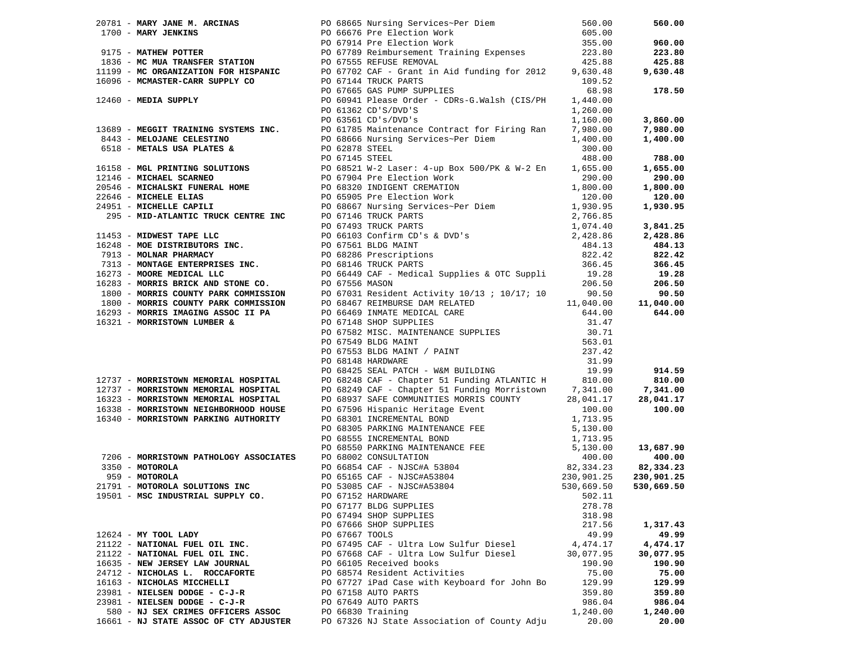|                                                                                                                                                                                                       |                | 20181 MARY JUME N. ARCHING 2018 Method Street Concerns and 2018 Method Street Concerns and 2018<br>1700 - MARY JUMENTS REPORT TO 2018 METHOD METHOD STREET 1899<br>1875 - MARY JUMENTS STATION 1992-2018 METHOD METHOD STREET 1899<br>                          |           | 560.00    |
|-------------------------------------------------------------------------------------------------------------------------------------------------------------------------------------------------------|----------------|-----------------------------------------------------------------------------------------------------------------------------------------------------------------------------------------------------------------------------------------------------------------|-----------|-----------|
|                                                                                                                                                                                                       |                |                                                                                                                                                                                                                                                                 |           |           |
|                                                                                                                                                                                                       |                |                                                                                                                                                                                                                                                                 |           | 960.00    |
|                                                                                                                                                                                                       |                |                                                                                                                                                                                                                                                                 |           | 223.80    |
|                                                                                                                                                                                                       |                |                                                                                                                                                                                                                                                                 |           | 425.88    |
|                                                                                                                                                                                                       |                |                                                                                                                                                                                                                                                                 |           | 9,630.48  |
|                                                                                                                                                                                                       |                |                                                                                                                                                                                                                                                                 |           |           |
|                                                                                                                                                                                                       |                |                                                                                                                                                                                                                                                                 |           | 178.50    |
|                                                                                                                                                                                                       |                |                                                                                                                                                                                                                                                                 |           |           |
|                                                                                                                                                                                                       |                |                                                                                                                                                                                                                                                                 |           |           |
|                                                                                                                                                                                                       |                |                                                                                                                                                                                                                                                                 |           |           |
|                                                                                                                                                                                                       |                |                                                                                                                                                                                                                                                                 |           | 3,860.00  |
|                                                                                                                                                                                                       |                |                                                                                                                                                                                                                                                                 |           | 7,980.00  |
|                                                                                                                                                                                                       |                |                                                                                                                                                                                                                                                                 |           | 1,400.00  |
|                                                                                                                                                                                                       |                |                                                                                                                                                                                                                                                                 |           |           |
|                                                                                                                                                                                                       |                |                                                                                                                                                                                                                                                                 |           | 788.00    |
|                                                                                                                                                                                                       |                |                                                                                                                                                                                                                                                                 |           | 1,655.00  |
|                                                                                                                                                                                                       |                |                                                                                                                                                                                                                                                                 |           | 290.00    |
|                                                                                                                                                                                                       |                |                                                                                                                                                                                                                                                                 |           | 1,800.00  |
|                                                                                                                                                                                                       |                |                                                                                                                                                                                                                                                                 |           | 120.00    |
|                                                                                                                                                                                                       |                |                                                                                                                                                                                                                                                                 |           | 1,930.95  |
|                                                                                                                                                                                                       |                |                                                                                                                                                                                                                                                                 |           |           |
|                                                                                                                                                                                                       |                |                                                                                                                                                                                                                                                                 |           |           |
|                                                                                                                                                                                                       |                |                                                                                                                                                                                                                                                                 |           | 3,841.25  |
|                                                                                                                                                                                                       |                |                                                                                                                                                                                                                                                                 |           | 2,428.86  |
|                                                                                                                                                                                                       |                |                                                                                                                                                                                                                                                                 |           | 484.13    |
|                                                                                                                                                                                                       |                |                                                                                                                                                                                                                                                                 |           | 822.42    |
|                                                                                                                                                                                                       |                |                                                                                                                                                                                                                                                                 |           | 366.45    |
|                                                                                                                                                                                                       |                |                                                                                                                                                                                                                                                                 |           | 19.28     |
|                                                                                                                                                                                                       |                |                                                                                                                                                                                                                                                                 |           | 206.50    |
|                                                                                                                                                                                                       |                |                                                                                                                                                                                                                                                                 |           | 90.50     |
|                                                                                                                                                                                                       |                |                                                                                                                                                                                                                                                                 |           | 11,040.00 |
|                                                                                                                                                                                                       |                |                                                                                                                                                                                                                                                                 |           | 644.00    |
|                                                                                                                                                                                                       |                |                                                                                                                                                                                                                                                                 |           |           |
|                                                                                                                                                                                                       |                |                                                                                                                                                                                                                                                                 |           |           |
|                                                                                                                                                                                                       |                |                                                                                                                                                                                                                                                                 |           |           |
|                                                                                                                                                                                                       |                |                                                                                                                                                                                                                                                                 |           |           |
|                                                                                                                                                                                                       |                |                                                                                                                                                                                                                                                                 |           |           |
|                                                                                                                                                                                                       |                |                                                                                                                                                                                                                                                                 |           |           |
|                                                                                                                                                                                                       |                |                                                                                                                                                                                                                                                                 |           | 914.59    |
| 12737 - MORRISTOWN MEMORIAL HOSPITAL<br>12737 - MORRISTOWN MEMORIAL HOSPITAL<br>16323 - MORRISTOWN MEMORIAL HOSPITAL<br>16338 - MORRISTOWN NEIGHBORHOOD HOUSE<br>16340 - MORRISTOWN PARKING AUTHORITY |                |                                                                                                                                                                                                                                                                 |           | 810.00    |
|                                                                                                                                                                                                       |                | PO 68249 CAF - Chapter 51 Funding Morristown 7,341.00 7,341.00<br>PO 68937 SAFE COMMUNITIES MORRIS COUNTY 28,041.17 28,041.17                                                                                                                                   |           |           |
|                                                                                                                                                                                                       |                |                                                                                                                                                                                                                                                                 |           |           |
|                                                                                                                                                                                                       |                |                                                                                                                                                                                                                                                                 |           |           |
|                                                                                                                                                                                                       |                |                                                                                                                                                                                                                                                                 |           |           |
|                                                                                                                                                                                                       |                |                                                                                                                                                                                                                                                                 |           |           |
|                                                                                                                                                                                                       |                |                                                                                                                                                                                                                                                                 |           |           |
|                                                                                                                                                                                                       |                |                                                                                                                                                                                                                                                                 |           |           |
|                                                                                                                                                                                                       |                | 16338 <b>MORRISTOWN MEMORIAL ROSPITAL</b> PO 68937 SAFE COMMUNITIES<br>16338 <b>MORRISTOWN MEMORIAL GORD HOUSE</b><br>16340 <b>MORRISTOWN PARKING AUTHORITY</b><br>16340 <b>MORRISTOWN PARKING AUTHORITY</b><br>16340 <b>MORRISTOWN PARKING AUTHORITY</b><br>PO |           |           |
|                                                                                                                                                                                                       |                |                                                                                                                                                                                                                                                                 |           |           |
|                                                                                                                                                                                                       |                |                                                                                                                                                                                                                                                                 |           |           |
|                                                                                                                                                                                                       |                |                                                                                                                                                                                                                                                                 |           |           |
|                                                                                                                                                                                                       |                |                                                                                                                                                                                                                                                                 |           |           |
|                                                                                                                                                                                                       |                |                                                                                                                                                                                                                                                                 |           |           |
|                                                                                                                                                                                                       |                | PO 67177 BLDG SUPPLIES                                                                                                                                                                                                                                          | 278.78    |           |
|                                                                                                                                                                                                       |                | PO 67494 SHOP SUPPLIES                                                                                                                                                                                                                                          | 318.98    |           |
|                                                                                                                                                                                                       |                | PO 67666 SHOP SUPPLIES                                                                                                                                                                                                                                          | 217.56    | 1,317.43  |
| 12624 - MY TOOL LADY                                                                                                                                                                                  | PO 67667 TOOLS |                                                                                                                                                                                                                                                                 | 49.99     | 49.99     |
| 21122 - NATIONAL FUEL OIL INC.                                                                                                                                                                        |                | PO 67495 CAF - Ultra Low Sulfur Diesel                                                                                                                                                                                                                          | 4,474.17  | 4,474.17  |
| 21122 - NATIONAL FUEL OIL INC.                                                                                                                                                                        |                | PO 67668 CAF - Ultra Low Sulfur Diesel                                                                                                                                                                                                                          | 30,077.95 | 30,077.95 |
| 16635 - NEW JERSEY LAW JOURNAL                                                                                                                                                                        |                | PO 66105 Received books                                                                                                                                                                                                                                         | 190.90    | 190.90    |
| 24712 - NICHOLAS L. ROCCAFORTE                                                                                                                                                                        |                | PO 68574 Resident Activities                                                                                                                                                                                                                                    | 75.00     | 75.00     |
| 16163 - NICHOLAS MICCHELLI                                                                                                                                                                            |                | PO 67727 iPad Case with Keyboard for John Bo                                                                                                                                                                                                                    | 129.99    | 129.99    |
| 23981 - NIELSEN DODGE - C-J-R                                                                                                                                                                         |                | PO 67158 AUTO PARTS                                                                                                                                                                                                                                             | 359.80    | 359.80    |
| 23981 - NIELSEN DODGE - C-J-R                                                                                                                                                                         |                | PO 67649 AUTO PARTS                                                                                                                                                                                                                                             | 986.04    | 986.04    |
|                                                                                                                                                                                                       |                |                                                                                                                                                                                                                                                                 |           |           |
| 580 - NJ SEX CRIMES OFFICERS ASSOC                                                                                                                                                                    |                | PO 66830 Training                                                                                                                                                                                                                                               | 1,240.00  | 1,240.00  |
| 16661 - NJ STATE ASSOC OF CTY ADJUSTER                                                                                                                                                                |                | PO 67326 NJ State Association of County Adju                                                                                                                                                                                                                    | 20.00     | 20.00     |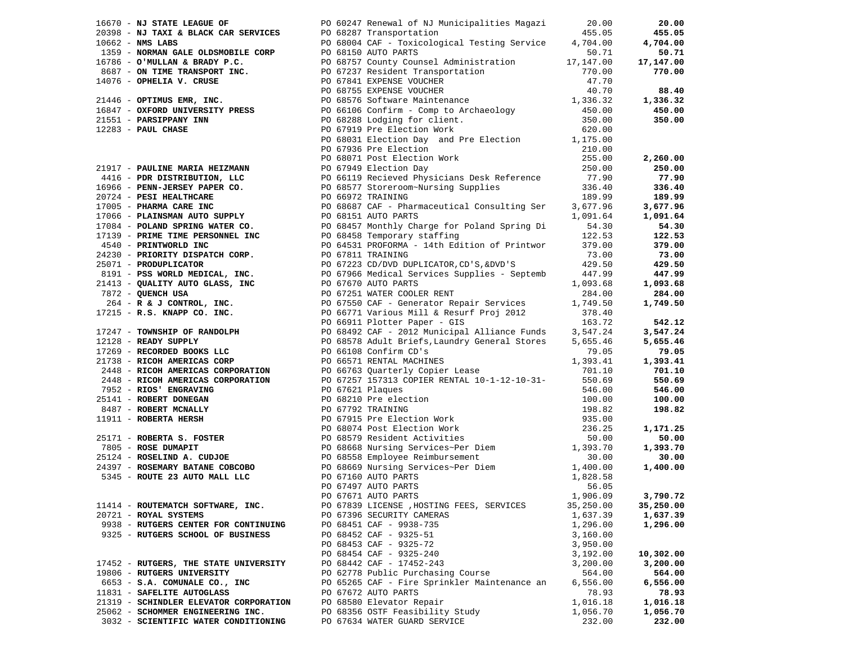|                                        |                                                                                                                                                                                                                                                                               |           | 20.00     |
|----------------------------------------|-------------------------------------------------------------------------------------------------------------------------------------------------------------------------------------------------------------------------------------------------------------------------------|-----------|-----------|
|                                        | 16670 - <b>NJ STATE LEAGUE OF</b><br>20.000<br>20.000<br>20.00062 - <b>NJ TAXI &amp; BLACK CAR SERVICES</b><br>PO 68287 - <b>NJ STATE OLDSMOBILE CORP</b><br>16672 - <b>NWS LABS</b><br>20.000<br>1359 - <b>NORMAN GALE OLDSMOBILE CORP</b><br>PO 68150 AUTO PARTS<br>PO 681  |           | 455.05    |
|                                        |                                                                                                                                                                                                                                                                               |           | 4,704.00  |
|                                        |                                                                                                                                                                                                                                                                               |           | 50.71     |
|                                        |                                                                                                                                                                                                                                                                               |           | 17,147.00 |
|                                        |                                                                                                                                                                                                                                                                               |           | 770.00    |
|                                        |                                                                                                                                                                                                                                                                               |           |           |
|                                        |                                                                                                                                                                                                                                                                               |           | 88.40     |
|                                        |                                                                                                                                                                                                                                                                               |           | 1,336.32  |
|                                        |                                                                                                                                                                                                                                                                               |           | 450.00    |
|                                        |                                                                                                                                                                                                                                                                               |           | 350.00    |
|                                        |                                                                                                                                                                                                                                                                               |           |           |
|                                        |                                                                                                                                                                                                                                                                               |           |           |
|                                        | PO 68031 Election Day<br>PO 67936 Pre Election<br>PO 68071 Post Election Work                                                                                                                                                                                                 |           |           |
|                                        |                                                                                                                                                                                                                                                                               | 210.00    |           |
|                                        |                                                                                                                                                                                                                                                                               | 255.00    | 2,260.00  |
|                                        |                                                                                                                                                                                                                                                                               |           | 250.00    |
|                                        |                                                                                                                                                                                                                                                                               |           | 77.90     |
|                                        |                                                                                                                                                                                                                                                                               |           | 336.40    |
|                                        |                                                                                                                                                                                                                                                                               |           | 189.99    |
|                                        |                                                                                                                                                                                                                                                                               |           | 3,677.96  |
|                                        |                                                                                                                                                                                                                                                                               |           | 1,091.64  |
|                                        |                                                                                                                                                                                                                                                                               |           | 54.30     |
|                                        |                                                                                                                                                                                                                                                                               |           | 122.53    |
|                                        |                                                                                                                                                                                                                                                                               |           | 379.00    |
|                                        |                                                                                                                                                                                                                                                                               |           |           |
|                                        |                                                                                                                                                                                                                                                                               |           | 73.00     |
|                                        |                                                                                                                                                                                                                                                                               |           | 429.50    |
|                                        |                                                                                                                                                                                                                                                                               |           | 447.99    |
|                                        |                                                                                                                                                                                                                                                                               |           | 1,093.68  |
|                                        |                                                                                                                                                                                                                                                                               |           | 284.00    |
|                                        |                                                                                                                                                                                                                                                                               |           | 1,749.50  |
|                                        |                                                                                                                                                                                                                                                                               |           |           |
|                                        |                                                                                                                                                                                                                                                                               |           | 542.12    |
|                                        | 21917 - <b>PAULINE MARIA HEIZANNY</b><br>21917 - <b>PAULINE MARIA HEIZANNY</b><br>2016 - <b>PRO DESTINETION, LLC</b><br>2016 - <b>PRO DESTINETION, LLC</b><br>2016 - <b>PRO DESTINETION (2016)</b><br>201724 - <b>PRO DESTINETION (2016)</b><br>201724 - <b>PRO DESTINE C</b> |           | 3,547.24  |
|                                        |                                                                                                                                                                                                                                                                               |           | 5,655.46  |
|                                        |                                                                                                                                                                                                                                                                               |           | 79.05     |
|                                        |                                                                                                                                                                                                                                                                               | 1,393.41  | 1,393.41  |
|                                        | 17209 - KEUNKUEL BUOKS LLU PO 66108 CONfirm CD's<br>21738 - RICOH AMERICAS CORP PO 66571 RENTAL MACHINES<br>2448 - RICOH AMERICAS CORPORATION PO 66763 Quarterly Copier Lease                                                                                                 | 701.10    | 701.10    |
|                                        |                                                                                                                                                                                                                                                                               |           | 550.69    |
|                                        |                                                                                                                                                                                                                                                                               |           | 546.00    |
|                                        |                                                                                                                                                                                                                                                                               |           |           |
|                                        |                                                                                                                                                                                                                                                                               |           | 100.00    |
|                                        |                                                                                                                                                                                                                                                                               |           | 198.82    |
|                                        |                                                                                                                                                                                                                                                                               |           |           |
|                                        |                                                                                                                                                                                                                                                                               |           | 1,171.25  |
|                                        |                                                                                                                                                                                                                                                                               |           | 50.00     |
|                                        |                                                                                                                                                                                                                                                                               |           | 1,393.70  |
|                                        |                                                                                                                                                                                                                                                                               |           | 30.00     |
|                                        |                                                                                                                                                                                                                                                                               |           | 1,400.00  |
|                                        |                                                                                                                                                                                                                                                                               |           |           |
|                                        |                                                                                                                                                                                                                                                                               |           |           |
|                                        |                                                                                                                                                                                                                                                                               |           | 3,790.72  |
| 11414 - ROUTEMATCH SOFTWARE, INC.      | PO 67839 LICENSE , HOSTING FEES, SERVICES                                                                                                                                                                                                                                     | 35,250.00 | 35,250.00 |
| 20721 - ROYAL SYSTEMS                  | PO 67396 SECURITY CAMERAS                                                                                                                                                                                                                                                     | 1,637.39  | 1,637.39  |
| 9938 - RUTGERS CENTER FOR CONTINUING   | PO 68451 CAF - 9938-735                                                                                                                                                                                                                                                       | 1,296.00  | 1,296.00  |
| 9325 - RUTGERS SCHOOL OF BUSINESS      | PO 68452 CAF - 9325-51                                                                                                                                                                                                                                                        | 3,160.00  |           |
|                                        | PO 68453 CAF - 9325-72                                                                                                                                                                                                                                                        | 3,950.00  |           |
|                                        |                                                                                                                                                                                                                                                                               |           |           |
|                                        | PO 68454 CAF - 9325-240                                                                                                                                                                                                                                                       | 3,192.00  | 10,302.00 |
| 17452 - RUTGERS, THE STATE UNIVERSITY  | PO 68442 CAF - 17452-243                                                                                                                                                                                                                                                      | 3,200.00  | 3,200.00  |
| 19806 - RUTGERS UNIVERSITY             | PO 62778 Public Purchasing Course                                                                                                                                                                                                                                             | 564.00    | 564.00    |
| 6653 - S.A. COMUNALE CO., INC          | PO 65265 CAF - Fire Sprinkler Maintenance an                                                                                                                                                                                                                                  | 6,556.00  | 6,556.00  |
| 11831 - SAFELITE AUTOGLASS             | PO 67672 AUTO PARTS                                                                                                                                                                                                                                                           | 78.93     | 78.93     |
| 21319 - SCHINDLER ELEVATOR CORPORATION | PO 68580 Elevator Repair                                                                                                                                                                                                                                                      | 1,016.18  | 1,016.18  |
| 25062 - SCHOMMER ENGINEERING INC.      | PO 68356 OSTF Feasibility Study                                                                                                                                                                                                                                               | 1,056.70  | 1,056.70  |
| 3032 - SCIENTIFIC WATER CONDITIONING   | PO 67634 WATER GUARD SERVICE                                                                                                                                                                                                                                                  | 232.00    | 232.00    |
|                                        |                                                                                                                                                                                                                                                                               |           |           |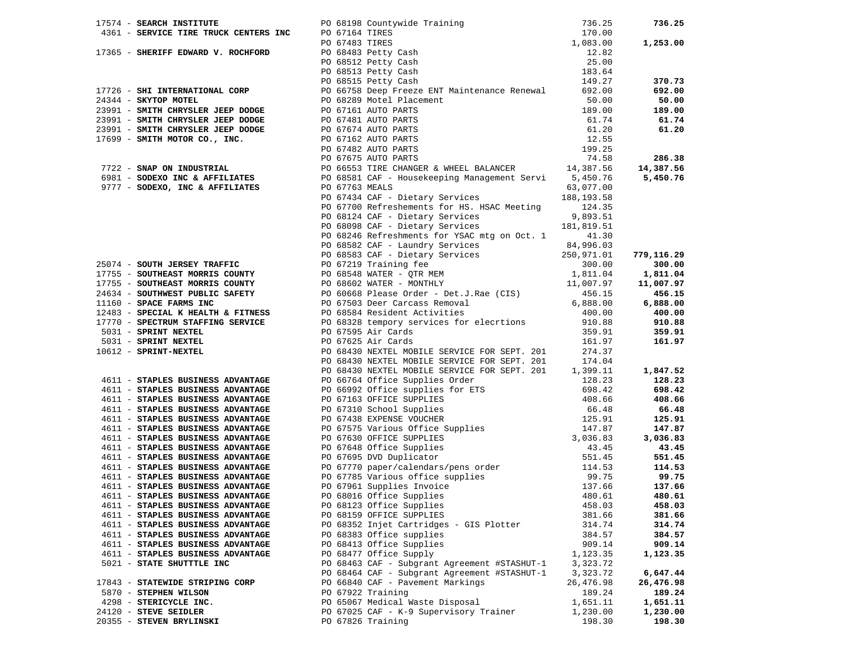|                                   | 17574 - SERRIFF EDIRIC INSTITUTE PO 61918 COULTURE PO 61164 TIRES<br>17365 - SHERIFF EDWARD V. ROCHFORD PO 67164 TIRES<br>17365 - SHERIFF EDWARD V. ROCHFORD PO 67483 TIRES<br>17726 - SHERIFF EDWARD V. ROCHFORD PO 66813 Petty Ca                                                                                                                                                                                                                                                          |           |            |
|-----------------------------------|----------------------------------------------------------------------------------------------------------------------------------------------------------------------------------------------------------------------------------------------------------------------------------------------------------------------------------------------------------------------------------------------------------------------------------------------------------------------------------------------|-----------|------------|
|                                   |                                                                                                                                                                                                                                                                                                                                                                                                                                                                                              |           |            |
|                                   |                                                                                                                                                                                                                                                                                                                                                                                                                                                                                              |           |            |
|                                   | PO 67434 CAF - Dietary Services 188,193.58                                                                                                                                                                                                                                                                                                                                                                                                                                                   |           |            |
|                                   |                                                                                                                                                                                                                                                                                                                                                                                                                                                                                              |           |            |
|                                   | PO 67700 Refreshements for HS. HSAC Meeting 124.35                                                                                                                                                                                                                                                                                                                                                                                                                                           |           |            |
|                                   | PO 68124 CAF - Dietary Services 9,893.51<br>PO 68098 CAF - Dietary Services 181,819.51                                                                                                                                                                                                                                                                                                                                                                                                       | 9,893.51  |            |
|                                   |                                                                                                                                                                                                                                                                                                                                                                                                                                                                                              |           |            |
|                                   | PO 68246 Refreshments for YSAC mtg on Oct. 1 41.30                                                                                                                                                                                                                                                                                                                                                                                                                                           |           |            |
|                                   |                                                                                                                                                                                                                                                                                                                                                                                                                                                                                              |           |            |
|                                   |                                                                                                                                                                                                                                                                                                                                                                                                                                                                                              |           | 779,116.29 |
|                                   |                                                                                                                                                                                                                                                                                                                                                                                                                                                                                              |           | 300.00     |
|                                   |                                                                                                                                                                                                                                                                                                                                                                                                                                                                                              |           | 1,811.04   |
|                                   |                                                                                                                                                                                                                                                                                                                                                                                                                                                                                              |           | 11,007.97  |
|                                   |                                                                                                                                                                                                                                                                                                                                                                                                                                                                                              |           | 456.15     |
|                                   |                                                                                                                                                                                                                                                                                                                                                                                                                                                                                              |           | 6,888.00   |
|                                   |                                                                                                                                                                                                                                                                                                                                                                                                                                                                                              |           | 400.00     |
|                                   |                                                                                                                                                                                                                                                                                                                                                                                                                                                                                              |           | 910.88     |
|                                   |                                                                                                                                                                                                                                                                                                                                                                                                                                                                                              |           | 359.91     |
|                                   |                                                                                                                                                                                                                                                                                                                                                                                                                                                                                              |           | 161.97     |
|                                   |                                                                                                                                                                                                                                                                                                                                                                                                                                                                                              |           |            |
|                                   |                                                                                                                                                                                                                                                                                                                                                                                                                                                                                              |           |            |
|                                   | 90 68246 Refreshments for YSAC mtg on Oct. 1 41.30<br>90 68246 Refreshments for YSAC mtg on Oct. 1 41.30<br>90 68583 CAF – Liedary Services<br>90 67219 Training fee 200.00<br>17755 – <b>SOUTHEAST MORRIS COUNTY</b><br>90 67219 Training fe                                                                                                                                                                                                                                                |           |            |
|                                   | PO 68430 NEXTEL MOBILE SERVICE FOR SEPT. 201 1,399.11<br>$\begin{tabular}{l c c c c c} \hline & \textbf{STAPLES BUSINES S DUNINASE} & & \textbf{PO 68430 NEXTEL MOBILE SERVICE FOR SEPT. 201} & 1,399.11 \\ \hline 4611 - STAPLES BUSINESS ADVANTAGE & & \textbf{PO 6674 O} Cifices supplies Order & & 128.23 \\ \hline 4611 - STAPLES BUSINESS ADVANTAGE & & \textbf{PO 67163 OFTICE SUPPILES} & & 69.42 \\ \hline 4611 - STAPLES BUSINESS ADVANTAGE & & \textbf{PO 67163 OFTICE SUPPILES}$ |           | 1,847.52   |
|                                   |                                                                                                                                                                                                                                                                                                                                                                                                                                                                                              |           | 128.23     |
|                                   |                                                                                                                                                                                                                                                                                                                                                                                                                                                                                              |           | 698.42     |
|                                   |                                                                                                                                                                                                                                                                                                                                                                                                                                                                                              |           | 408.66     |
|                                   |                                                                                                                                                                                                                                                                                                                                                                                                                                                                                              |           | 66.48      |
|                                   |                                                                                                                                                                                                                                                                                                                                                                                                                                                                                              |           | 125.91     |
|                                   |                                                                                                                                                                                                                                                                                                                                                                                                                                                                                              |           | 147.87     |
|                                   |                                                                                                                                                                                                                                                                                                                                                                                                                                                                                              |           | 3,036.83   |
|                                   |                                                                                                                                                                                                                                                                                                                                                                                                                                                                                              |           | 43.45      |
|                                   |                                                                                                                                                                                                                                                                                                                                                                                                                                                                                              |           | 551.45     |
|                                   |                                                                                                                                                                                                                                                                                                                                                                                                                                                                                              |           | 114.53     |
|                                   |                                                                                                                                                                                                                                                                                                                                                                                                                                                                                              |           | 99.75      |
|                                   |                                                                                                                                                                                                                                                                                                                                                                                                                                                                                              |           | 137.66     |
| 4611 - STAPLES BUSINESS ADVANTAGE | PO 68016 Office Supplies                                                                                                                                                                                                                                                                                                                                                                                                                                                                     | 480.61    | 480.61     |
| 4611 - STAPLES BUSINESS ADVANTAGE | PO 68123 Office Supplies                                                                                                                                                                                                                                                                                                                                                                                                                                                                     | 458.03    | 458.03     |
| 4611 - STAPLES BUSINESS ADVANTAGE | PO 68159 OFFICE SUPPLIES                                                                                                                                                                                                                                                                                                                                                                                                                                                                     | 381.66    | 381.66     |
| 4611 - STAPLES BUSINESS ADVANTAGE | PO 68352 Injet Cartridges - GIS Plotter                                                                                                                                                                                                                                                                                                                                                                                                                                                      | 314.74    | 314.74     |
| 4611 - STAPLES BUSINESS ADVANTAGE | PO 68383 Office supplies                                                                                                                                                                                                                                                                                                                                                                                                                                                                     | 384.57    | 384.57     |
| 4611 - STAPLES BUSINESS ADVANTAGE | PO 68413 Office Supplies                                                                                                                                                                                                                                                                                                                                                                                                                                                                     | 909.14    | 909.14     |
| 4611 - STAPLES BUSINESS ADVANTAGE | PO 68477 Office Supply                                                                                                                                                                                                                                                                                                                                                                                                                                                                       | 1,123.35  | 1,123.35   |
|                                   | PO 68463 CAF - Subgrant Agreement #STASHUT-1                                                                                                                                                                                                                                                                                                                                                                                                                                                 |           |            |
| 5021 - STATE SHUTTTLE INC         |                                                                                                                                                                                                                                                                                                                                                                                                                                                                                              | 3,323.72  |            |
|                                   | PO 68464 CAF - Subgrant Agreement #STASHUT-1                                                                                                                                                                                                                                                                                                                                                                                                                                                 | 3,323.72  | 6,647.44   |
| 17843 - STATEWIDE STRIPING CORP   | PO 66840 CAF - Pavement Markings                                                                                                                                                                                                                                                                                                                                                                                                                                                             | 26,476.98 | 26,476.98  |
| 5870 - STEPHEN WILSON             | PO 67922 Training                                                                                                                                                                                                                                                                                                                                                                                                                                                                            | 189.24    | 189.24     |
| 4298 - STERICYCLE INC.            | PO 65067 Medical Waste Disposal                                                                                                                                                                                                                                                                                                                                                                                                                                                              | 1,651.11  | 1,651.11   |
| 24120 - STEVE SEIDLER             | PO 67025 CAF - K-9 Supervisory Trainer                                                                                                                                                                                                                                                                                                                                                                                                                                                       | 1,230.00  | 1,230.00   |
| 20355 - STEVEN BRYLINSKI          | PO 67826 Training                                                                                                                                                                                                                                                                                                                                                                                                                                                                            | 198.30    | 198.30     |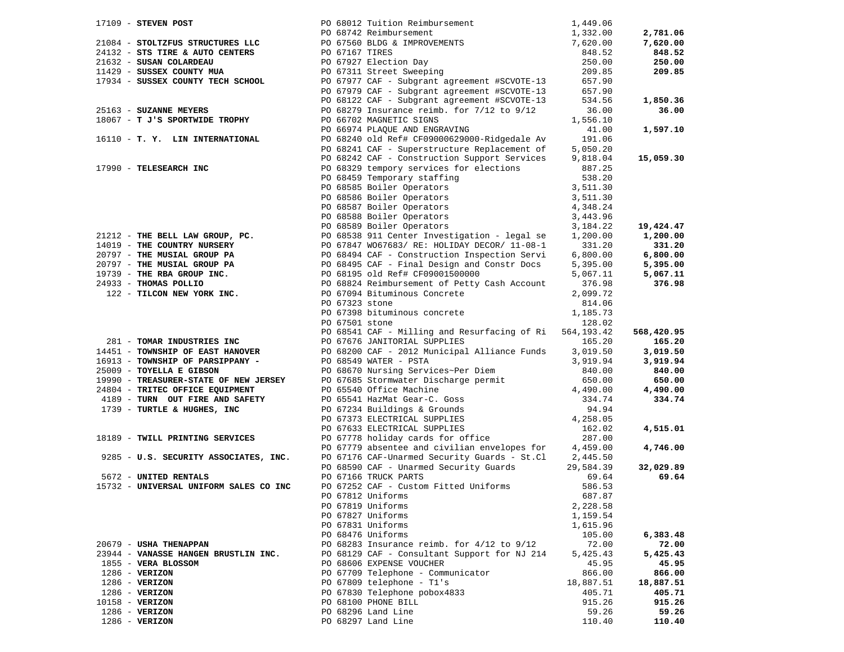| $17109$ - STEVEN POST                                                              |                | PO 68012 Tuition Reimbursement                                                                                                                                                                                                               | 1,449.06  |                    |
|------------------------------------------------------------------------------------|----------------|----------------------------------------------------------------------------------------------------------------------------------------------------------------------------------------------------------------------------------------------|-----------|--------------------|
|                                                                                    |                |                                                                                                                                                                                                                                              | 1,332.00  | 2,781.06           |
|                                                                                    |                |                                                                                                                                                                                                                                              | 7,620.00  | 7,620.00           |
|                                                                                    |                |                                                                                                                                                                                                                                              | 848.52    | 848.52             |
|                                                                                    |                | 21084 - STOLTZFUS STRUCTURES LLC<br>24132 - STS TIRE & AUTO CENTERS<br>24132 - STS TIRE & AUTO CENTERS<br>21632 - SUSAN COLARDEAU<br>21632 - SUSSEX COUNTY MUA<br>21429 - SUSSEX COUNTY MUA<br>21629 - SUSSEX COUNTY MUA<br>229 - SUSSEX COU | 250.00    | 250.00             |
|                                                                                    |                |                                                                                                                                                                                                                                              | 209.85    | 209.85             |
| 17934 - SUSSEX COUNTY TECH SCHOOL                                                  |                | PO 67977 CAF - Subgrant agreement #SCVOTE-13                                                                                                                                                                                                 | 657.90    |                    |
|                                                                                    |                | PO 67979 CAF - Subgrant agreement #SCVOTE-13                                                                                                                                                                                                 | 657.90    |                    |
|                                                                                    |                | PO 68122 CAF - Subgrant agreement #SCVOTE-13                                                                                                                                                                                                 | 534.56    | 1,850.36           |
| 25163 - SUZANNE MEYERS                                                             |                | PO 68279 Insurance reimb. for 7/12 to 9/12                                                                                                                                                                                                   | 36.00     | 36.00              |
| 18067 - T J'S SPORTWIDE TROPHY                                                     |                | PO 66702 MAGNETIC SIGNS                                                                                                                                                                                                                      | 1,556.10  |                    |
|                                                                                    |                | PO 66974 PLAQUE AND ENGRAVING                                                                                                                                                                                                                | 41.00     | 1,597.10           |
| 16110 - T. Y. LIN INTERNATIONAL                                                    |                | PO 68240 old Ref# CF09000629000-Ridgedale Av                                                                                                                                                                                                 | 191.06    |                    |
|                                                                                    |                | PO 68241 CAF - Superstructure Replacement of                                                                                                                                                                                                 | 5,050.20  |                    |
|                                                                                    |                | PO 68242 CAF - Construction Support Services                                                                                                                                                                                                 | 9,818.04  | 15,059.30          |
| 17990 - TELESEARCH INC                                                             |                | PO 68329 tempory services for elections                                                                                                                                                                                                      | 887.25    |                    |
|                                                                                    |                | PO 68459 Temporary staffing                                                                                                                                                                                                                  | 538.20    |                    |
|                                                                                    |                | PO 68585 Boiler Operators<br>PO 68586 Boiler Operators<br>PO 68587 Boiler Operators<br>PO 68589 Boiler Operators                                                                                                                             | 3,511.30  |                    |
|                                                                                    |                |                                                                                                                                                                                                                                              | 3,511.30  |                    |
|                                                                                    |                |                                                                                                                                                                                                                                              | 4,348.24  |                    |
|                                                                                    |                | PO 68588 Boiler Operators<br>20 60500 Boiler Operators                                                                                                                                                                                       | 3,443.96  |                    |
|                                                                                    |                |                                                                                                                                                                                                                                              | 3,184.22  | 19,424.47          |
| 21212 - THE BELL LAW GROUP, PC.                                                    |                | PO 68538 911 Center Investigation - legal se                                                                                                                                                                                                 | 1,200.00  | 1,200.00           |
| 14019 - THE COUNTRY NURSERY                                                        |                | PO 67847 WO67683/ RE: HOLIDAY DECOR/ 11-08-1                                                                                                                                                                                                 | 331.20    | 331.20             |
| 20797 - THE MUSIAL GROUP PA                                                        |                | PO 68494 CAF - Construction Inspection Servi                                                                                                                                                                                                 | 6,800.00  | 6,800.00           |
|                                                                                    |                | PO 68495 CAF - Final Design and Constr Docs                                                                                                                                                                                                  | 5,395.00  | 5,395.00           |
|                                                                                    |                | PO 68195 old Ref# CF09001500000                                                                                                                                                                                                              | 5,067.11  | 5,067.11           |
| 20797 - THE MUSIAL GROUP PA<br>19739 - THE RBA GROUP INC.<br>24933 - THOMAS POLLIO |                | PO 68824 Reimbursement of Petty Cash Account                                                                                                                                                                                                 | 376.98    | 376.98             |
| 122 - TILCON NEW YORK INC.                                                         |                | PO 67094 Bituminous Concrete                                                                                                                                                                                                                 | 2,099.72  |                    |
|                                                                                    | PO 67323 stone |                                                                                                                                                                                                                                              | 814.06    |                    |
|                                                                                    |                | PO 67398 bituminous concrete                                                                                                                                                                                                                 | 1,185.73  |                    |
|                                                                                    | PO 67501 stone |                                                                                                                                                                                                                                              | 128.02    |                    |
|                                                                                    |                | PO 68541 CAF - Milling and Resurfacing of Ri 564,193.42                                                                                                                                                                                      |           | 568,420.95         |
| 281 - TOMAR INDUSTRIES INC                                                         |                | PO 67676 JANITORIAL SUPPLIES                                                                                                                                                                                                                 | 165.20    | 165.20             |
| 14451 - TOWNSHIP OF EAST HANOVER                                                   |                | PO 68200 CAF - 2012 Municipal Alliance Funds                                                                                                                                                                                                 | 3,019.50  | 3,019.50           |
| 16913 - TOWNSHIP OF PARSIPPANY -                                                   |                | PO 68549 WATER - PSTA                                                                                                                                                                                                                        | 3,919.94  | 3,919.94           |
| 25009 - TOYELLA E GIBSON                                                           |                | PO 68670 Nursing Services~Per Diem                                                                                                                                                                                                           | 840.00    | 840.00             |
|                                                                                    |                | PO 67685 Stormwater Discharge permit                                                                                                                                                                                                         | 650.00    | 650.00             |
| 19990 - TREASURER-STATE OF NEW JERSEY<br>24804 - TRITEC OFFICE EQUIPMENT           |                |                                                                                                                                                                                                                                              | 4,490.00  |                    |
| 4189 - TURN OUT FIRE AND SAFETY                                                    |                | PO 65540 Office Machine<br>PO 65541 HazMat Gear-C. Goss                                                                                                                                                                                      | 334.74    | 4,490.00<br>334.74 |
| 1739 - TURTLE & HUGHES, INC                                                        |                |                                                                                                                                                                                                                                              |           |                    |
|                                                                                    |                | PO 67234 Buildings & Grounds<br>PO 67373 ELECTRICAL SUPPLIES<br>4,258.05                                                                                                                                                                     |           |                    |
|                                                                                    |                |                                                                                                                                                                                                                                              |           |                    |
|                                                                                    |                | PO 67633 ELECTRICAL SUPPLIES<br>PO 67778 holiday cards for office                                                                                                                                                                            | 162.02    | 4,515.01           |
| 18189 - TWILL PRINTING SERVICES                                                    |                |                                                                                                                                                                                                                                              | 287.00    |                    |
|                                                                                    |                | PO 67779 absentee and civilian envelopes for 4,459.00                                                                                                                                                                                        |           | 4,746.00           |
| 9285 - U.S. SECURITY ASSOCIATES, INC.                                              |                | PO 67176 CAF-Unarmed Security Guards - St.Cl 2,445.50                                                                                                                                                                                        |           |                    |
|                                                                                    |                | PO 68590 CAF - Unarmed Security Guards                                                                                                                                                                                                       | 29,584.39 | 32,029.89          |
| 5672 - UNITED RENTALS                                                              |                | PO 67166 TRUCK PARTS                                                                                                                                                                                                                         | 69.64     | 69.64              |
| 15732 - UNIVERSAL UNIFORM SALES CO INC                                             |                | PO 67252 CAF - Custom Fitted Uniforms                                                                                                                                                                                                        | 586.53    |                    |
|                                                                                    |                | PO 67812 Uniforms                                                                                                                                                                                                                            | 687.87    |                    |
|                                                                                    |                | PO 67819 Uniforms                                                                                                                                                                                                                            | 2,228.58  |                    |
|                                                                                    |                | PO 67827 Uniforms                                                                                                                                                                                                                            | 1,159.54  |                    |
|                                                                                    |                | PO 67831 Uniforms                                                                                                                                                                                                                            | 1,615.96  |                    |
|                                                                                    |                | PO 68476 Uniforms                                                                                                                                                                                                                            | 105.00    | 6,383.48           |
| 20679 - USHA THENAPPAN                                                             |                | PO 68283 Insurance reimb. for $4/12$ to $9/12$                                                                                                                                                                                               | 72.00     | 72.00              |
| 23944 - VANASSE HANGEN BRUSTLIN INC.                                               |                | PO 68129 CAF - Consultant Support for NJ 214                                                                                                                                                                                                 | 5,425.43  | 5,425.43           |
| 1855 - VERA BLOSSOM                                                                |                | PO 68606 EXPENSE VOUCHER                                                                                                                                                                                                                     | 45.95     | 45.95              |
| $1286 - VERIZON$                                                                   |                | PO 67709 Telephone - Communicator                                                                                                                                                                                                            | 866.00    | 866.00             |
| $1286$ - VERIZON                                                                   |                | PO 67809 telephone - T1's                                                                                                                                                                                                                    | 18,887.51 | 18,887.51          |
| $1286$ - VERIZON                                                                   |                | PO 67830 Telephone pobox4833                                                                                                                                                                                                                 | 405.71    | 405.71             |
| $10158 - VERTZON$                                                                  |                | PO 68100 PHONE BILL                                                                                                                                                                                                                          | 915.26    | 915.26             |
| $1286 - VERIZON$                                                                   |                | PO 68296 Land Line                                                                                                                                                                                                                           | 59.26     | 59.26              |
| $1286 - VERIZON$                                                                   |                | PO 68297 Land Line                                                                                                                                                                                                                           | 110.40    | 110.40             |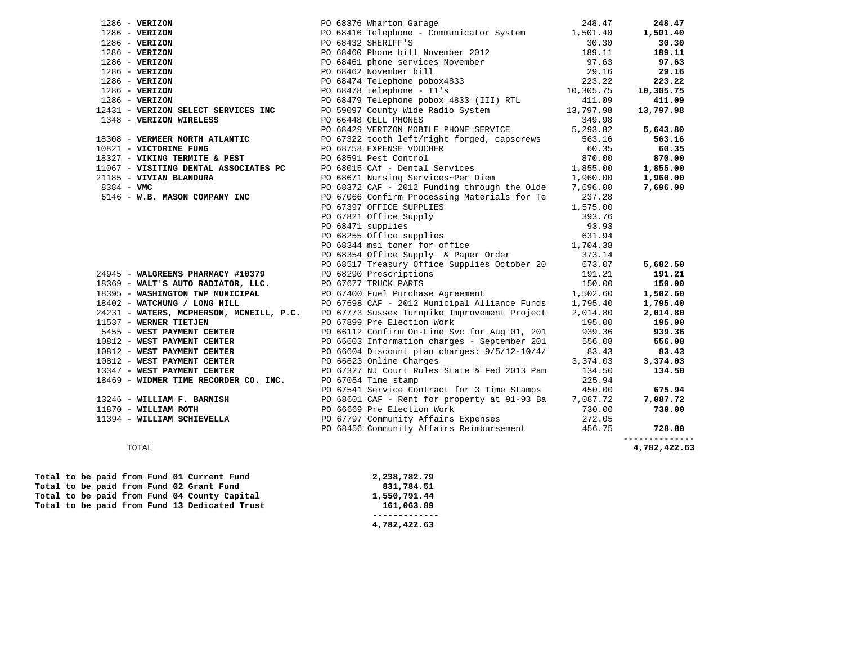| $1286 - VERIZON$                                                                                                                                                                                                                                 |  | 248.47<br>PO 68376 Wharton Garage                                                                                                                                                                                                              |          | 248.47         |
|--------------------------------------------------------------------------------------------------------------------------------------------------------------------------------------------------------------------------------------------------|--|------------------------------------------------------------------------------------------------------------------------------------------------------------------------------------------------------------------------------------------------|----------|----------------|
| $1286$ - VERIZON                                                                                                                                                                                                                                 |  | PO 68416 Telephone - Communicator System 1,501.40                                                                                                                                                                                              |          | 1,501.40       |
| $1286 - VERIZON$                                                                                                                                                                                                                                 |  |                                                                                                                                                                                                                                                |          | 30.30          |
| $1286$ - VERIZON                                                                                                                                                                                                                                 |  |                                                                                                                                                                                                                                                |          | 189.11         |
| $1286 - VERIZON$                                                                                                                                                                                                                                 |  |                                                                                                                                                                                                                                                |          | 97.63          |
| $1286$ - VERIZON                                                                                                                                                                                                                                 |  |                                                                                                                                                                                                                                                |          | 29.16          |
| $1286 - VERIZON$                                                                                                                                                                                                                                 |  |                                                                                                                                                                                                                                                |          | 223.22         |
| $1286 - VERIZON$                                                                                                                                                                                                                                 |  | PU 68432 SHERIFF'S<br>PO 68460 Phone bill November 2012<br>PO 68461 phone services November 97.63<br>PO 68462 November 97.63<br>PO 68474 Telephone pobox4833<br>PO 68478 telephone - Tl's 10,305.75<br>PO 68479 Telephone pobox 4833 (III)     |          | 10,305.75      |
| $1286 - VERIZON$                                                                                                                                                                                                                                 |  |                                                                                                                                                                                                                                                |          | 411.09         |
| 12431 - VERIZON SELECT SERVICES INC<br>1348 - VERIZON MIRELECT SERVICES INC<br>2348 - VERIZON MIRELECT SERVICES INC                                                                                                                              |  |                                                                                                                                                                                                                                                |          | 13,797.98      |
| 1348 - VERIZON WIRELESS                                                                                                                                                                                                                          |  | PO 66448 CELL PHONES                                                                                                                                                                                                                           | 349.98   |                |
|                                                                                                                                                                                                                                                  |  | PO 68429 VERIZON MOBILE PHONE SERVICE 5,293.82                                                                                                                                                                                                 |          | 5,643.80       |
| 18308 - <b>VERMEER NORTH ATLANTIC</b><br>10821 - DO 67322 tooth left/right forged, capscrews<br>10821 - <b>VICTORINE FUNG</b> PO 68758 EXPENSE VOUCHER                                                                                           |  |                                                                                                                                                                                                                                                |          | 563.16         |
|                                                                                                                                                                                                                                                  |  |                                                                                                                                                                                                                                                |          | 60.35          |
| 10821 - VICTORINE FUNG<br>10821 - VICTORINE FUNG<br>10821 - VICTORINE FUNG<br>1087 - VIKING TERMITE & PEST<br>1087 - VIKING TERMITE & PEST<br>1,855.00<br>21185 - VIVIAN BLANDURA<br>21185 - VIVIAN BLANDURA<br>21185 - VIVIAN BLANDURA<br>21185 |  |                                                                                                                                                                                                                                                |          | 870.00         |
|                                                                                                                                                                                                                                                  |  |                                                                                                                                                                                                                                                |          | 1,855.00       |
| 21185 - VIVIAN BLANDURA                                                                                                                                                                                                                          |  |                                                                                                                                                                                                                                                |          | 1,960.00       |
| $8384 - VMC$                                                                                                                                                                                                                                     |  | PO $68372$ CAF - 2012 Funding through the Olde 7,696.00                                                                                                                                                                                        |          | 7,696.00       |
| 6146 - W.B. MASON COMPANY INC                                                                                                                                                                                                                    |  | PO 67066 Confirm Processing Materials for Te 237.28                                                                                                                                                                                            |          |                |
|                                                                                                                                                                                                                                                  |  | 237.28<br>PO 67397 OFFICE SUPPLIES<br>PO 67821 Office Supply<br>PO 68255 Office supplies<br>PO 68255 Office supplies<br>PO 68344 msi toner for office<br>PO 68354 Office Supply & Paper Order<br>PO 68354 Office Supply & Paper Order<br>2373. |          |                |
|                                                                                                                                                                                                                                                  |  |                                                                                                                                                                                                                                                |          |                |
|                                                                                                                                                                                                                                                  |  |                                                                                                                                                                                                                                                |          |                |
|                                                                                                                                                                                                                                                  |  |                                                                                                                                                                                                                                                |          |                |
|                                                                                                                                                                                                                                                  |  |                                                                                                                                                                                                                                                |          |                |
|                                                                                                                                                                                                                                                  |  |                                                                                                                                                                                                                                                |          |                |
|                                                                                                                                                                                                                                                  |  | PO 68517 Treasury Office Supplies October 20 673.07                                                                                                                                                                                            |          | 5,682.50       |
| 24945 - WALGREENS PHARMACY #10379                                                                                                                                                                                                                |  | PO 68290 Prescriptions<br>PO 67677 TRUCK PARTS                                                                                                                                                                                                 | 191.21   | 191.21         |
| 18369 - WALT'S AUTO RADIATOR, LLC.                                                                                                                                                                                                               |  | PO 67677 TRUCK PARTS                                                                                                                                                                                                                           | 150.00   | 150.00         |
| 18395 - WASHINGTON TWP MUNICIPAL PO 67400 Fuel Purchase Agreement                                                                                                                                                                                |  |                                                                                                                                                                                                                                                | 1,502.60 | 1,502.60       |
| 18402 - WATCHUNG / LONG HILL                                                                                                                                                                                                                     |  | PO 67698 CAF - 2012 Municipal Alliance Funds 1,795.40                                                                                                                                                                                          |          | 1,795.40       |
| 24231 - WATERS, MCPHERSON, MCNEILL, P.C. PO 67773 Sussex Turnpike Improvement Project 2,014.80                                                                                                                                                   |  |                                                                                                                                                                                                                                                |          | 2,014.80       |
| 11537 - WERNER TIETJEN                                                                                                                                                                                                                           |  | PO 67899 Pre Election Work                                                                                                                                                                                                                     | 195.00   | 195.00         |
|                                                                                                                                                                                                                                                  |  |                                                                                                                                                                                                                                                |          | 939.36         |
|                                                                                                                                                                                                                                                  |  |                                                                                                                                                                                                                                                |          | 556.08         |
|                                                                                                                                                                                                                                                  |  |                                                                                                                                                                                                                                                |          | 83.43          |
| 11537 - WERNER TIETJEN<br>5455 - WEST PAYMENT CENTER<br>10812 - WEST PAYMENT CENTER<br>10812 - WEST PAYMENT CENTER<br>10812 - WEST PAYMENT CENTER<br>10812 - WEST PAYMENT CENTER<br>10812 - WEST PAYMENT CENTER<br>10812 - WEST PAYMENT CENT     |  |                                                                                                                                                                                                                                                | 3,374.03 | 3,374.03       |
|                                                                                                                                                                                                                                                  |  |                                                                                                                                                                                                                                                |          | 134.50         |
|                                                                                                                                                                                                                                                  |  |                                                                                                                                                                                                                                                |          |                |
|                                                                                                                                                                                                                                                  |  | PO 67541 Service Contract for 3 Time Stamps 450.00                                                                                                                                                                                             |          | 675.94         |
| 13246 - WILLIAM F. BARNISH $PQ$ 68601 CAF - Rent for property at 91-93 Ba $7,087.72$ 11870 - WILLIAM ROTH $PQ$ 66669 Pre Election Work $730.00$                                                                                                  |  |                                                                                                                                                                                                                                                |          | 7,087.72       |
|                                                                                                                                                                                                                                                  |  |                                                                                                                                                                                                                                                |          | 730.00         |
| 11394 - WILLIAM SCHIEVELLA                                                                                                                                                                                                                       |  | PO 67797 Community Affairs Expenses 272.05                                                                                                                                                                                                     |          |                |
|                                                                                                                                                                                                                                                  |  | PO 68456 Community Affairs Reimbursement                                                                                                                                                                                                       | 456.75   | 728.80         |
|                                                                                                                                                                                                                                                  |  |                                                                                                                                                                                                                                                |          | -------------- |

4,782,422.63 TOTAL **4,782,422.63** 

|  |  |  |  | Total to be paid from Fund 01 Current Fund    | 2,238,782.79 |  |
|--|--|--|--|-----------------------------------------------|--------------|--|
|  |  |  |  | Total to be paid from Fund 02 Grant Fund      | 831,784.51   |  |
|  |  |  |  | Total to be paid from Fund 04 County Capital  | 1,550,791.44 |  |
|  |  |  |  | Total to be paid from Fund 13 Dedicated Trust | 161,063.89   |  |
|  |  |  |  |                                               |              |  |
|  |  |  |  |                                               |              |  |

 **4,782,422.63**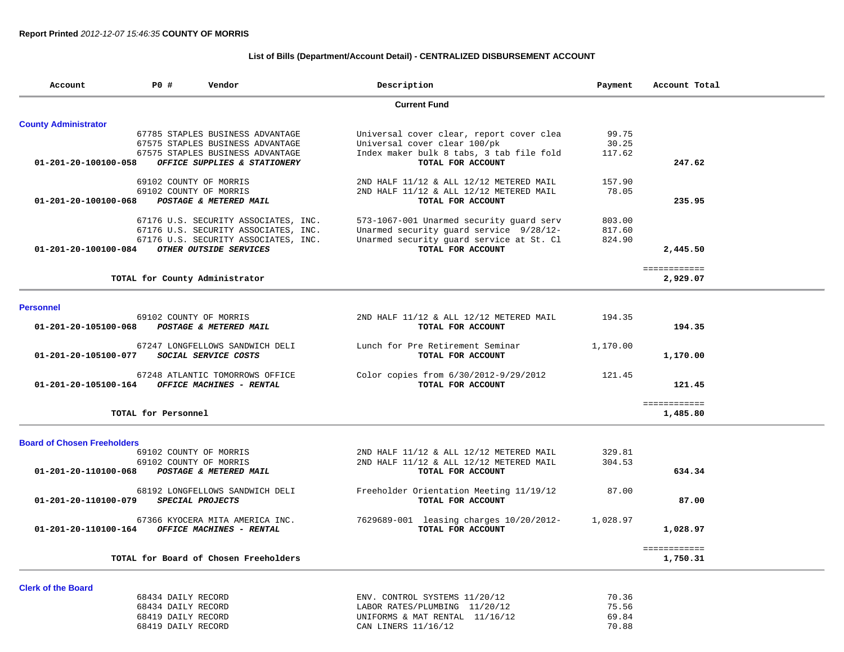## **List of Bills (Department/Account Detail) - CENTRALIZED DISBURSEMENT ACCOUNT**

| Account                            | P0 #                                     | Vendor                                | Description                                           | Payment        | Account Total            |
|------------------------------------|------------------------------------------|---------------------------------------|-------------------------------------------------------|----------------|--------------------------|
|                                    |                                          |                                       | <b>Current Fund</b>                                   |                |                          |
| <b>County Administrator</b>        |                                          |                                       |                                                       |                |                          |
|                                    |                                          | 67785 STAPLES BUSINESS ADVANTAGE      | Universal cover clear, report cover clea              | 99.75          |                          |
|                                    |                                          | 67575 STAPLES BUSINESS ADVANTAGE      | Universal cover clear 100/pk                          | 30.25          |                          |
|                                    |                                          | 67575 STAPLES BUSINESS ADVANTAGE      | Index maker bulk 8 tabs, 3 tab file fold              | 117.62         |                          |
| 01-201-20-100100-058               |                                          | OFFICE SUPPLIES & STATIONERY          | TOTAL FOR ACCOUNT                                     |                | 247.62                   |
|                                    |                                          | 69102 COUNTY OF MORRIS                | 2ND HALF 11/12 & ALL 12/12 METERED MAIL               | 157.90         |                          |
|                                    |                                          | 69102 COUNTY OF MORRIS                | 2ND HALF 11/12 & ALL 12/12 METERED MAIL               | 78.05          |                          |
| 01-201-20-100100-068               |                                          | POSTAGE & METERED MAIL                | TOTAL FOR ACCOUNT                                     |                | 235.95                   |
|                                    |                                          | 67176 U.S. SECURITY ASSOCIATES, INC.  | 573-1067-001 Unarmed security guard serv              | 803.00         |                          |
|                                    |                                          | 67176 U.S. SECURITY ASSOCIATES, INC.  | Unarmed security guard service 9/28/12-               | 817.60         |                          |
|                                    |                                          | 67176 U.S. SECURITY ASSOCIATES, INC.  | Unarmed security guard service at St. Cl              | 824.90         |                          |
| 01-201-20-100100-084               |                                          | OTHER OUTSIDE SERVICES                | TOTAL FOR ACCOUNT                                     |                | 2,445.50                 |
|                                    |                                          |                                       |                                                       |                | ============             |
|                                    |                                          | TOTAL for County Administrator        |                                                       |                | 2,929.07                 |
|                                    |                                          |                                       |                                                       |                |                          |
| <b>Personnel</b>                   |                                          | 69102 COUNTY OF MORRIS                | 2ND HALF 11/12 & ALL 12/12 METERED MAIL               | 194.35         |                          |
| 01-201-20-105100-068               |                                          | POSTAGE & METERED MAIL                | TOTAL FOR ACCOUNT                                     |                | 194.35                   |
|                                    |                                          |                                       |                                                       |                |                          |
|                                    |                                          | 67247 LONGFELLOWS SANDWICH DELI       | Lunch for Pre Retirement Seminar                      | 1,170.00       |                          |
| 01-201-20-105100-077               |                                          | SOCIAL SERVICE COSTS                  | TOTAL FOR ACCOUNT                                     |                | 1,170.00                 |
|                                    |                                          | 67248 ATLANTIC TOMORROWS OFFICE       | Color copies from 6/30/2012-9/29/2012                 | 121.45         |                          |
| 01-201-20-105100-164               |                                          | <b>OFFICE MACHINES - RENTAL</b>       | TOTAL FOR ACCOUNT                                     |                | 121.45                   |
|                                    |                                          |                                       |                                                       |                | ============             |
|                                    | TOTAL for Personnel                      |                                       |                                                       |                | 1,485.80                 |
|                                    |                                          |                                       |                                                       |                |                          |
| <b>Board of Chosen Freeholders</b> |                                          | 69102 COUNTY OF MORRIS                | 2ND HALF 11/12 & ALL 12/12 METERED MAIL               | 329.81         |                          |
|                                    |                                          | 69102 COUNTY OF MORRIS                | 2ND HALF 11/12 & ALL 12/12 METERED MAIL               | 304.53         |                          |
| 01-201-20-110100-068               |                                          | POSTAGE & METERED MAIL                | TOTAL FOR ACCOUNT                                     |                | 634.34                   |
|                                    |                                          | 68192 LONGFELLOWS SANDWICH DELI       | Freeholder Orientation Meeting 11/19/12               | 87.00          |                          |
| 01-201-20-110100-079               |                                          | SPECIAL PROJECTS                      | TOTAL FOR ACCOUNT                                     |                | 87.00                    |
|                                    |                                          | 67366 KYOCERA MITA AMERICA INC.       | 7629689-001 leasing charges $10/20/2012-$             | 1,028.97       |                          |
| 01-201-20-110100-164               |                                          | OFFICE MACHINES - RENTAL              | TOTAL FOR ACCOUNT                                     |                | 1,028.97                 |
|                                    |                                          |                                       |                                                       |                |                          |
|                                    |                                          | TOTAL for Board of Chosen Freeholders |                                                       |                | ============<br>1,750.31 |
|                                    |                                          |                                       |                                                       |                |                          |
| <b>Clerk of the Board</b>          |                                          |                                       |                                                       |                |                          |
|                                    | 68434 DAILY RECORD                       |                                       | ENV. CONTROL SYSTEMS 11/20/12                         | 70.36          |                          |
|                                    | 68434 DAILY RECORD                       |                                       | LABOR RATES/PLUMBING 11/20/12                         | 75.56          |                          |
|                                    | 68419 DAILY RECORD<br>68419 DAILY RECORD |                                       | UNIFORMS & MAT RENTAL 11/16/12<br>CAN LINERS 11/16/12 | 69.84<br>70.88 |                          |
|                                    |                                          |                                       |                                                       |                |                          |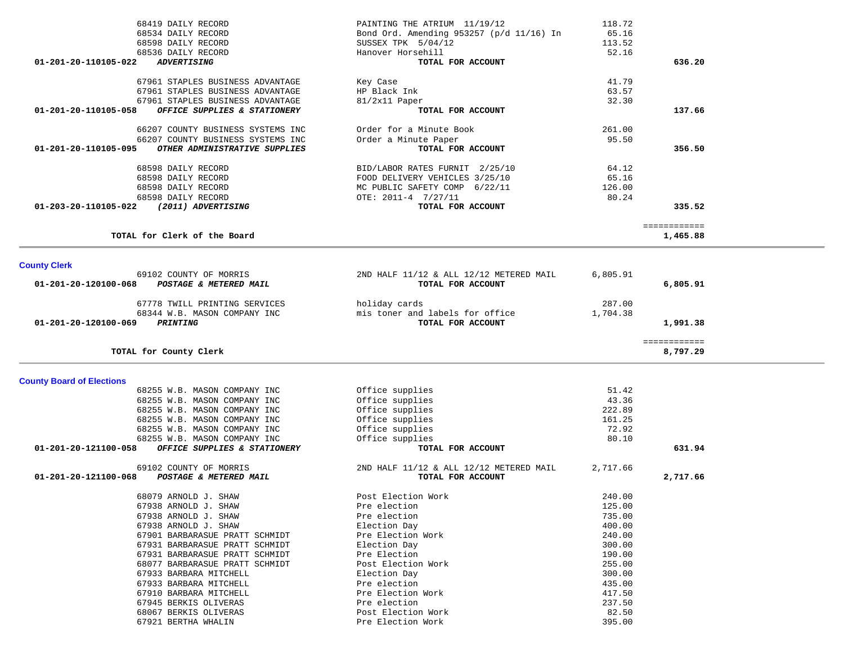|                                  | 68419 DAILY RECORD                | PAINTING THE ATRIUM 11/19/12              | 118.72   |              |  |
|----------------------------------|-----------------------------------|-------------------------------------------|----------|--------------|--|
|                                  | 68534 DAILY RECORD                | Bond Ord. Amending 953257 (p/d 11/16) In  | 65.16    |              |  |
|                                  | 68598 DAILY RECORD                | SUSSEX TPK 5/04/12                        | 113.52   |              |  |
|                                  | 68536 DAILY RECORD                | Hanover Horsehill                         | 52.16    |              |  |
| 01-201-20-110105-022             | <b>ADVERTISING</b>                | TOTAL FOR ACCOUNT                         |          | 636.20       |  |
|                                  |                                   |                                           |          |              |  |
|                                  | 67961 STAPLES BUSINESS ADVANTAGE  | Key Case                                  | 41.79    |              |  |
|                                  | 67961 STAPLES BUSINESS ADVANTAGE  | HP Black Ink                              | 63.57    |              |  |
|                                  | 67961 STAPLES BUSINESS ADVANTAGE  |                                           | 32.30    |              |  |
| 01-201-20-110105-058             |                                   | 81/2x11 Paper<br>TOTAL FOR ACCOUNT        |          | 137.66       |  |
|                                  | OFFICE SUPPLIES & STATIONERY      |                                           |          |              |  |
|                                  | 66207 COUNTY BUSINESS SYSTEMS INC | Order for a Minute Book                   | 261.00   |              |  |
|                                  | 66207 COUNTY BUSINESS SYSTEMS INC |                                           | 95.50    |              |  |
| 01-201-20-110105-095             |                                   | Order a Minute Paper<br>TOTAL FOR ACCOUNT |          |              |  |
|                                  | OTHER ADMINISTRATIVE SUPPLIES     |                                           |          | 356.50       |  |
|                                  | 68598 DAILY RECORD                |                                           | 64.12    |              |  |
|                                  |                                   | BID/LABOR RATES FURNIT 2/25/10            |          |              |  |
|                                  | 68598 DAILY RECORD                | FOOD DELIVERY VEHICLES 3/25/10            | 65.16    |              |  |
|                                  | 68598 DAILY RECORD                | MC PUBLIC SAFETY COMP 6/22/11             | 126.00   |              |  |
|                                  | 68598 DAILY RECORD                | OTE: 2011-4 7/27/11                       | 80.24    |              |  |
| 01-203-20-110105-022             | (2011) ADVERTISING                | TOTAL FOR ACCOUNT                         |          | 335.52       |  |
|                                  |                                   |                                           |          |              |  |
|                                  |                                   |                                           |          | ============ |  |
|                                  | TOTAL for Clerk of the Board      |                                           |          | 1,465.88     |  |
|                                  |                                   |                                           |          |              |  |
|                                  |                                   |                                           |          |              |  |
| <b>County Clerk</b>              |                                   |                                           |          |              |  |
|                                  | 69102 COUNTY OF MORRIS            | 2ND HALF 11/12 & ALL 12/12 METERED MAIL   | 6,805.91 |              |  |
| 01-201-20-120100-068             | POSTAGE & METERED MAIL            | TOTAL FOR ACCOUNT                         |          | 6,805.91     |  |
|                                  |                                   |                                           |          |              |  |
|                                  | 67778 TWILL PRINTING SERVICES     | holiday cards                             | 287.00   |              |  |
|                                  | 68344 W.B. MASON COMPANY INC      | mis toner and labels for office           | 1,704.38 |              |  |
| 01-201-20-120100-069             | <b>PRINTING</b>                   | TOTAL FOR ACCOUNT                         |          | 1,991.38     |  |
|                                  |                                   |                                           |          |              |  |
|                                  |                                   |                                           |          | ============ |  |
|                                  | TOTAL for County Clerk            |                                           |          | 8,797.29     |  |
|                                  |                                   |                                           |          |              |  |
|                                  |                                   |                                           |          |              |  |
|                                  |                                   |                                           |          |              |  |
|                                  |                                   |                                           |          |              |  |
|                                  | 68255 W.B. MASON COMPANY INC      | Office supplies                           | 51.42    |              |  |
|                                  | 68255 W.B. MASON COMPANY INC      | Office supplies                           | 43.36    |              |  |
|                                  | 68255 W.B. MASON COMPANY INC      | Office supplies                           | 222.89   |              |  |
|                                  | 68255 W.B. MASON COMPANY INC      | Office supplies                           | 161.25   |              |  |
|                                  | 68255 W.B. MASON COMPANY INC      | Office supplies                           | 72.92    |              |  |
|                                  | 68255 W.B. MASON COMPANY INC      | Office supplies                           | 80.10    |              |  |
| 01-201-20-121100-058             | OFFICE SUPPLIES & STATIONERY      | TOTAL FOR ACCOUNT                         |          | 631.94       |  |
|                                  |                                   |                                           |          |              |  |
|                                  | 69102 COUNTY OF MORRIS            | 2ND HALF 11/12 & ALL 12/12 METERED MAIL   | 2,717.66 |              |  |
| 01-201-20-121100-068             | POSTAGE & METERED MAIL            | TOTAL FOR ACCOUNT                         |          | 2,717.66     |  |
|                                  |                                   |                                           |          |              |  |
|                                  | 68079 ARNOLD J. SHAW              | Post Election Work                        | 240.00   |              |  |
|                                  | 67938 ARNOLD J. SHAW              | Pre election                              | 125.00   |              |  |
|                                  | 67938 ARNOLD J. SHAW              | Pre election                              | 735.00   |              |  |
|                                  | 67938 ARNOLD J. SHAW              | Election Day                              | 400.00   |              |  |
|                                  | 67901 BARBARASUE PRATT SCHMIDT    | Pre Election Work                         | 240.00   |              |  |
|                                  | 67931 BARBARASUE PRATT SCHMIDT    | Election Day                              | 300.00   |              |  |
|                                  | 67931 BARBARASUE PRATT SCHMIDT    | Pre Election                              | 190.00   |              |  |
|                                  | 68077 BARBARASUE PRATT SCHMIDT    | Post Election Work                        | 255.00   |              |  |
|                                  | 67933 BARBARA MITCHELL            | Election Day                              | 300.00   |              |  |
|                                  | 67933 BARBARA MITCHELL            | Pre election                              | 435.00   |              |  |
|                                  | 67910 BARBARA MITCHELL            | Pre Election Work                         | 417.50   |              |  |
|                                  | 67945 BERKIS OLIVERAS             | Pre election                              | 237.50   |              |  |
| <b>County Board of Elections</b> | 68067 BERKIS OLIVERAS             | Post Election Work                        | 82.50    |              |  |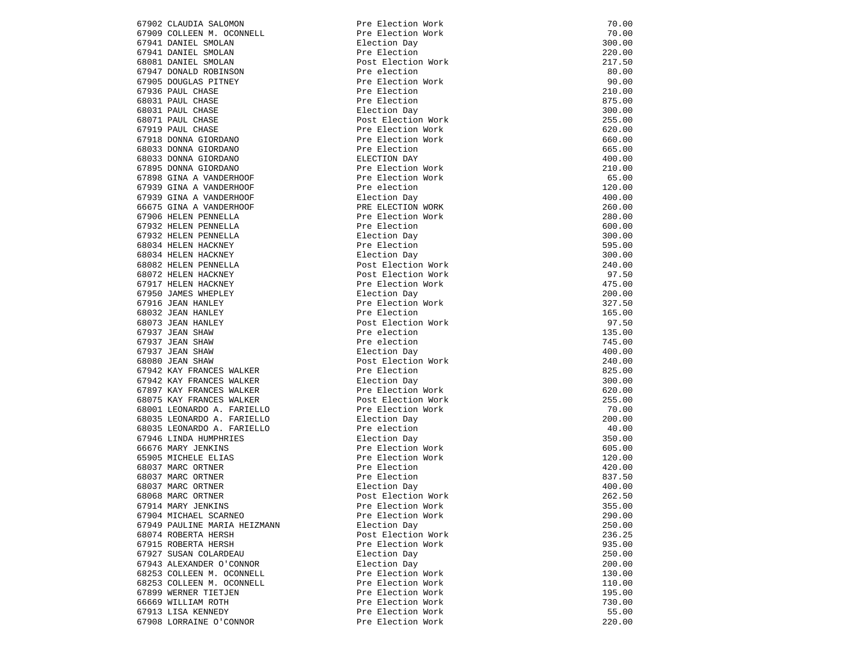| 67902 CLAUDIA SALOMON                   | Pre Election Work                       | 70.00  |
|-----------------------------------------|-----------------------------------------|--------|
| 67909 COLLEEN M. OCONNELL               | Pre Election Work                       | 70.00  |
| 67941 DANIEL SMOLAN                     | Election Day                            | 300.00 |
| 67941 DANIEL SMOLAN                     | Pre Election                            | 220.00 |
| 68081 DANIEL SMOLAN                     | Post Election Work                      | 217.50 |
| 67947 DONALD ROBINSON                   | Pre election                            | 80.00  |
| 67905 DOUGLAS PITNEY                    | Pre Election Work                       | 90.00  |
| 67936 PAUL CHASE                        | Pre Election                            | 210.00 |
| 68031 PAUL CHASE                        | Pre Election                            | 875.00 |
| 68031 PAUL CHASE                        | Election Day                            | 300.00 |
| 68071 PAUL CHASE                        | Post Election Work                      | 255.00 |
| 67919 PAUL CHASE                        | Pre Election Work                       | 620.00 |
| 67918 DONNA GIORDANO                    | Pre Election Work                       | 660.00 |
| 68033 DONNA GIORDANO                    | Pre Election                            | 665.00 |
| 68033 DONNA GIORDANO                    | ELECTION DAY                            | 400.00 |
| 67895 DONNA GIORDANO                    | Pre Election Work                       | 210.00 |
| 67898 GINA A VANDERHOOF                 | Pre Election Work                       | 65.00  |
| 67939 GINA A VANDERHOOF                 | Pre election                            | 120.00 |
| 67939 GINA A VANDERHOOF                 | Election Day                            | 400.00 |
| 66675 GINA A VANDERHOOF                 | PRE ELECTION WORK                       | 260.00 |
| 67906 HELEN PENNELLA                    | Pre Election Work                       | 280.00 |
| 67932 HELEN PENNELLA                    | Pre Election                            | 600.00 |
| 67932 HELEN PENNELLA                    | Election Day                            | 300.00 |
| 68034 HELEN HACKNEY                     | Pre Election                            | 595.00 |
| 68034 HELEN HACKNEY                     | Election Day                            | 300.00 |
| 68082 HELEN PENNELLA                    | Post Election Work                      | 240.00 |
| 68072 HELEN HACKNEY                     | Post Election Work                      | 97.50  |
| 67917 HELEN HACKNEY                     | Pre Election Work                       | 475.00 |
| 67950 JAMES WHEPLEY                     | Election Day                            | 200.00 |
| 67916 JEAN HANLEY                       | Pre Election Work                       | 327.50 |
| 68032 JEAN HANLEY                       | Pre Election                            | 165.00 |
| 68073 JEAN HANLEY                       | Post Election Work                      | 97.50  |
| 67937 JEAN SHAW                         | Pre election                            | 135.00 |
| 67937 JEAN SHAW                         | Pre election                            | 745.00 |
| 67937 JEAN SHAW                         | Election Day                            | 400.00 |
| 68080 JEAN SHAW                         | Post Election Work                      | 240.00 |
| 67942 KAY FRANCES WALKER                | Pre Election                            | 825.00 |
| 67942 KAY FRANCES WALKER                | Election Day                            | 300.00 |
| 67897 KAY FRANCES WALKER                | Pre Election Work                       | 620.00 |
| 68075 KAY FRANCES WALKER                | Post Election Work                      | 255.00 |
| 68001 LEONARDO A. FARIELLO              | Pre Election Work                       | 70.00  |
| 68035 LEONARDO A. FARIELLO              | Election Day                            | 200.00 |
| 68035 LEONARDO A. FARIELLO              | Pre election                            | 40.00  |
| 67946 LINDA HUMPHRIES                   | Election Day                            | 350.00 |
| 66676 MARY JENKINS                      | Pre Election Work                       | 605.00 |
| 65905 MICHELE ELIAS                     | Pre Election Work                       | 120.00 |
| 68037 MARC ORTNER                       | Pre Election                            | 420.00 |
| 68037 MARC ORTNER                       | Pre Election                            | 837.50 |
| 68037 MARC ORTNER                       | Election Day                            | 400.00 |
|                                         |                                         | 262.50 |
| 68068 MARC ORTNER<br>67914 MARY JENKINS | Post Election Work<br>Pre Election Work |        |
|                                         |                                         | 355.00 |
| 67904 MICHAEL SCARNEO                   | Pre Election Work                       | 290.00 |
| 67949 PAULINE MARIA HEIZMANN            | Election Day                            | 250.00 |
| 68074 ROBERTA HERSH                     | Post Election Work                      | 236.25 |
| 67915 ROBERTA HERSH                     | Pre Election Work                       | 935.00 |
| 67927 SUSAN COLARDEAU                   | Election Day                            | 250.00 |
| 67943 ALEXANDER O'CONNOR                | Election Day                            | 200.00 |
| 68253 COLLEEN M. OCONNELL               | Pre Election Work                       | 130.00 |
| 68253 COLLEEN M. OCONNELL               | Pre Election Work                       | 110.00 |
| 67899 WERNER TIETJEN                    | Pre Election Work                       | 195.00 |
| 66669 WILLIAM ROTH                      | Pre Election Work                       | 730.00 |
| 67913 LISA KENNEDY                      | Pre Election Work                       | 55.00  |
| 67908 LORRAINE O'CONNOR                 | Pre Election Work                       | 220.00 |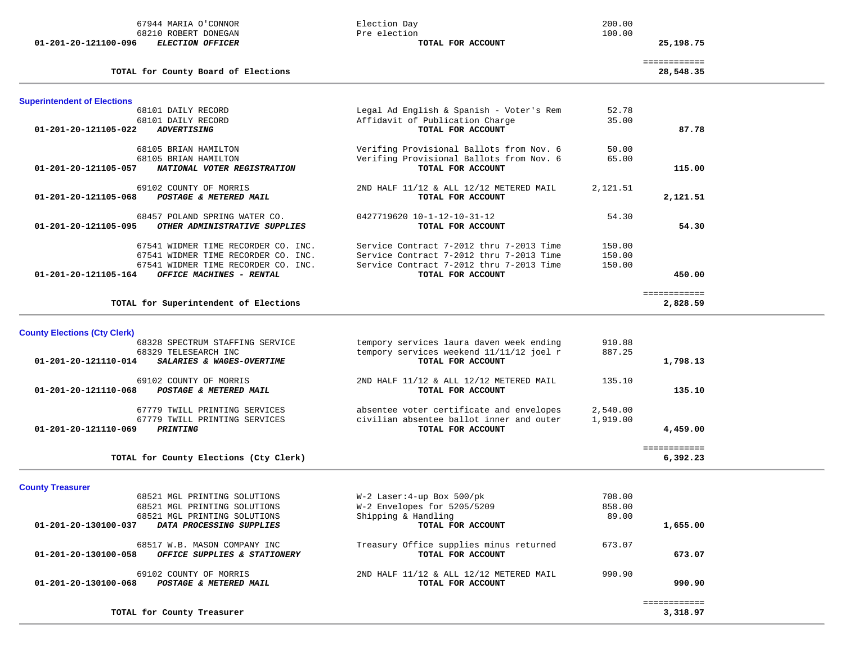| 67944 MARIA O'CONNOR<br>68210 ROBERT DONEGAN<br><b>ELECTION OFFICER</b><br>01-201-20-121100-096 | Election Day<br>Pre election<br>TOTAL FOR ACCOUNT             | 200.00<br>100.00 | 25,198.75                 |  |
|-------------------------------------------------------------------------------------------------|---------------------------------------------------------------|------------------|---------------------------|--|
| TOTAL for County Board of Elections                                                             |                                                               |                  | ============<br>28,548.35 |  |
| <b>Superintendent of Elections</b>                                                              |                                                               |                  |                           |  |
| 68101 DAILY RECORD                                                                              | Legal Ad English & Spanish - Voter's Rem                      | 52.78            |                           |  |
| 68101 DAILY RECORD                                                                              | Affidavit of Publication Charge                               | 35.00            |                           |  |
| <b>ADVERTISING</b><br>01-201-20-121105-022                                                      | TOTAL FOR ACCOUNT                                             |                  | 87.78                     |  |
| 68105 BRIAN HAMILTON                                                                            | Verifing Provisional Ballots from Nov. 6                      | 50.00            |                           |  |
| 68105 BRIAN HAMILTON                                                                            | Verifing Provisional Ballots from Nov. 6                      | 65.00            |                           |  |
| NATIONAL VOTER REGISTRATION<br>01-201-20-121105-057                                             | TOTAL FOR ACCOUNT                                             |                  | 115.00                    |  |
|                                                                                                 |                                                               |                  |                           |  |
| 69102 COUNTY OF MORRIS                                                                          | 2ND HALF 11/12 & ALL 12/12 METERED MAIL                       | 2,121.51         |                           |  |
| 01-201-20-121105-068<br>POSTAGE & METERED MAIL                                                  | TOTAL FOR ACCOUNT                                             |                  | 2,121.51                  |  |
| 68457 POLAND SPRING WATER CO.                                                                   | 0427719620 10-1-12-10-31-12                                   | 54.30            |                           |  |
| OTHER ADMINISTRATIVE SUPPLIES<br>01-201-20-121105-095                                           | TOTAL FOR ACCOUNT                                             |                  | 54.30                     |  |
|                                                                                                 |                                                               |                  |                           |  |
| 67541 WIDMER TIME RECORDER CO. INC.                                                             | Service Contract 7-2012 thru 7-2013 Time                      | 150.00           |                           |  |
| 67541 WIDMER TIME RECORDER CO. INC.                                                             | Service Contract 7-2012 thru 7-2013 Time                      | 150.00           |                           |  |
| 67541 WIDMER TIME RECORDER CO. INC.                                                             | Service Contract 7-2012 thru 7-2013 Time                      | 150.00           |                           |  |
| OFFICE MACHINES - RENTAL<br>01-201-20-121105-164                                                | TOTAL FOR ACCOUNT                                             |                  | 450.00                    |  |
|                                                                                                 |                                                               |                  | ============              |  |
| TOTAL for Superintendent of Elections                                                           |                                                               |                  | 2,828.59                  |  |
|                                                                                                 |                                                               |                  |                           |  |
| <b>County Elections (Cty Clerk)</b>                                                             |                                                               |                  |                           |  |
| 68328 SPECTRUM STAFFING SERVICE                                                                 | tempory services laura daven week ending                      | 910.88           |                           |  |
| 68329 TELESEARCH INC<br>SALARIES & WAGES-OVERTIME<br>01-201-20-121110-014                       | tempory services weekend 11/11/12 joel r<br>TOTAL FOR ACCOUNT | 887.25           | 1,798.13                  |  |
|                                                                                                 |                                                               |                  |                           |  |
| 69102 COUNTY OF MORRIS                                                                          | 2ND HALF 11/12 & ALL 12/12 METERED MAIL                       | 135.10           |                           |  |
| POSTAGE & METERED MAIL<br>01-201-20-121110-068                                                  | TOTAL FOR ACCOUNT                                             |                  | 135.10                    |  |
|                                                                                                 |                                                               |                  |                           |  |
| 67779 TWILL PRINTING SERVICES                                                                   | absentee voter certificate and envelopes                      | 2,540.00         |                           |  |
| 67779 TWILL PRINTING SERVICES                                                                   | civilian absentee ballot inner and outer                      | 1,919.00         |                           |  |
| PRINTING<br>01-201-20-121110-069                                                                | TOTAL FOR ACCOUNT                                             |                  | 4,459.00                  |  |
|                                                                                                 |                                                               |                  | ============              |  |
| TOTAL for County Elections (Cty Clerk)                                                          |                                                               |                  | 6,392.23                  |  |
| <b>County Treasurer</b>                                                                         |                                                               |                  |                           |  |
| 68521 MGL PRINTING SOLUTIONS                                                                    | W-2 Laser: 4-up Box 500/pk                                    | 708.00           |                           |  |
| 68521 MGL PRINTING SOLUTIONS                                                                    | W-2 Envelopes for 5205/5209                                   | 858.00           |                           |  |
| 68521 MGL PRINTING SOLUTIONS                                                                    | Shipping & Handling                                           | 89.00            |                           |  |
| 01-201-20-130100-037<br>DATA PROCESSING SUPPLIES                                                | TOTAL FOR ACCOUNT                                             |                  | 1,655.00                  |  |
|                                                                                                 |                                                               |                  |                           |  |
| 68517 W.B. MASON COMPANY INC                                                                    | Treasury Office supplies minus returned                       | 673.07           |                           |  |
| 01-201-20-130100-058<br>OFFICE SUPPLIES & STATIONERY                                            | TOTAL FOR ACCOUNT                                             |                  | 673.07                    |  |
|                                                                                                 |                                                               |                  |                           |  |
| 69102 COUNTY OF MORRIS<br>POSTAGE & METERED MAIL<br>01-201-20-130100-068                        | 2ND HALF 11/12 & ALL 12/12 METERED MAIL<br>TOTAL FOR ACCOUNT  | 990.90           | 990.90                    |  |
|                                                                                                 |                                                               |                  |                           |  |
|                                                                                                 |                                                               |                  | ============              |  |
| TOTAL for County Treasurer                                                                      |                                                               |                  | 3,318.97                  |  |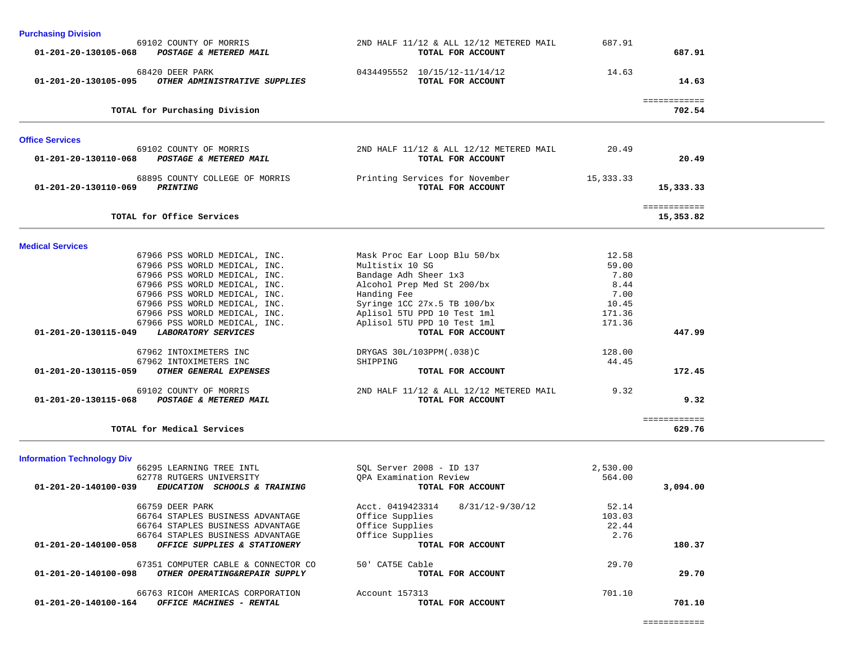| <b>Purchasing Division</b>                                               |                                                              |              |                           |  |
|--------------------------------------------------------------------------|--------------------------------------------------------------|--------------|---------------------------|--|
| 69102 COUNTY OF MORRIS<br>01-201-20-130105-068 POSTAGE & METERED MAIL    | 2ND HALF 11/12 & ALL 12/12 METERED MAIL<br>TOTAL FOR ACCOUNT | 687.91       | 687.91                    |  |
| 68420 DEER PARK<br>01-201-20-130105-095 OTHER ADMINISTRATIVE SUPPLIES    | 0434495552 10/15/12-11/14/12<br>TOTAL FOR ACCOUNT            | 14.63        | 14.63                     |  |
| TOTAL for Purchasing Division                                            |                                                              |              | ============<br>702.54    |  |
| <b>Office Services</b>                                                   |                                                              |              |                           |  |
| 69102 COUNTY OF MORRIS<br>01-201-20-130110-068 POSTAGE & METERED MAIL    | 2ND HALF 11/12 & ALL 12/12 METERED MAIL<br>TOTAL FOR ACCOUNT | 20.49        | 20.49                     |  |
| 68895 COUNTY COLLEGE OF MORRIS<br>PRINTING<br>01-201-20-130110-069       | Printing Services for November<br>TOTAL FOR ACCOUNT          | 15, 333.33   | 15,333.33                 |  |
| TOTAL for Office Services                                                |                                                              |              | ============<br>15,353.82 |  |
| <b>Medical Services</b>                                                  |                                                              |              |                           |  |
| 67966 PSS WORLD MEDICAL, INC.                                            | Mask Proc Ear Loop Blu 50/bx                                 | 12.58        |                           |  |
| 67966 PSS WORLD MEDICAL, INC.                                            | Multistix 10 SG                                              | 59.00        |                           |  |
| 67966 PSS WORLD MEDICAL, INC.<br>67966 PSS WORLD MEDICAL, INC.           | Bandage Adh Sheer 1x3<br>Alcohol Prep Med St 200/bx          | 7.80<br>8.44 |                           |  |
| 67966 PSS WORLD MEDICAL, INC.                                            | Handing Fee                                                  | 7.00         |                           |  |
| 67966 PSS WORLD MEDICAL, INC.                                            | Syringe 1CC 27x.5 TB 100/bx                                  | 10.45        |                           |  |
| 67966 PSS WORLD MEDICAL, INC.                                            | Aplisol 5TU PPD 10 Test 1ml                                  | 171.36       |                           |  |
| 67966 PSS WORLD MEDICAL, INC.                                            | Aplisol 5TU PPD 10 Test 1ml                                  | 171.36       |                           |  |
| <b>LABORATORY SERVICES</b><br>01-201-20-130115-049                       | TOTAL FOR ACCOUNT                                            |              | 447.99                    |  |
| 67962 INTOXIMETERS INC                                                   | DRYGAS 30L/103PPM(.038)C                                     | 128.00       |                           |  |
| 67962 INTOXIMETERS INC<br>OTHER GENERAL EXPENSES<br>01-201-20-130115-059 | SHIPPING<br>TOTAL FOR ACCOUNT                                | 44.45        | 172.45                    |  |
| 69102 COUNTY OF MORRIS                                                   | 2ND HALF 11/12 & ALL 12/12 METERED MAIL                      | 9.32         |                           |  |
| POSTAGE & METERED MAIL<br>01-201-20-130115-068                           | TOTAL FOR ACCOUNT                                            |              | 9.32                      |  |
| TOTAL for Medical Services                                               |                                                              |              | ============<br>629.76    |  |
| <b>Information Technology Div</b>                                        |                                                              |              |                           |  |
| 66295 LEARNING TREE INTL                                                 | SOL Server 2008 - ID 137                                     | 2,530.00     |                           |  |
| 62778 RUTGERS UNIVERSITY                                                 | QPA Examination Review                                       | 564.00       |                           |  |
| 01-201-20-140100-039<br>EDUCATION SCHOOLS & TRAINING                     | TOTAL FOR ACCOUNT                                            |              | 3,094.00                  |  |
| 66759 DEER PARK                                                          | Acct. 0419423314<br>8/31/12-9/30/12                          | 52.14        |                           |  |

| 3,094.00 |        | TOTAL FOR ACCOUNT                   | 01-201-20-140100-039<br><b>EDUCATION</b><br><b>SCHOOLS &amp; TRAINING</b> |
|----------|--------|-------------------------------------|---------------------------------------------------------------------------|
|          | 52.14  | 8/31/12-9/30/12<br>Acct. 0419423314 | 66759 DEER PARK                                                           |
|          | 103.03 | Office Supplies                     | 66764 STAPLES BUSINESS ADVANTAGE                                          |
|          | 22.44  | Office Supplies                     | 66764 STAPLES BUSINESS ADVANTAGE                                          |
|          | 2.76   | Office Supplies                     | 66764 STAPLES BUSINESS ADVANTAGE                                          |
| 180.37   |        | TOTAL FOR ACCOUNT                   | 01-201-20-140100-058<br>OFFICE SUPPLIES & STATIONERY                      |
|          | 29.70  | 50' CAT5E Cable                     | 67351 COMPUTER CABLE & CONNECTOR CO                                       |
| 29.70    |        | TOTAL FOR ACCOUNT                   | 01-201-20-140100-098<br>OTHER OPERATING&REPAIR SUPPLY                     |
|          | 701.10 | Account 157313                      | 66763 RICOH AMERICAS CORPORATION                                          |
| 701.10   |        | TOTAL FOR ACCOUNT                   | 01-201-20-140100-164<br>OFFICE MACHINES - RENTAL                          |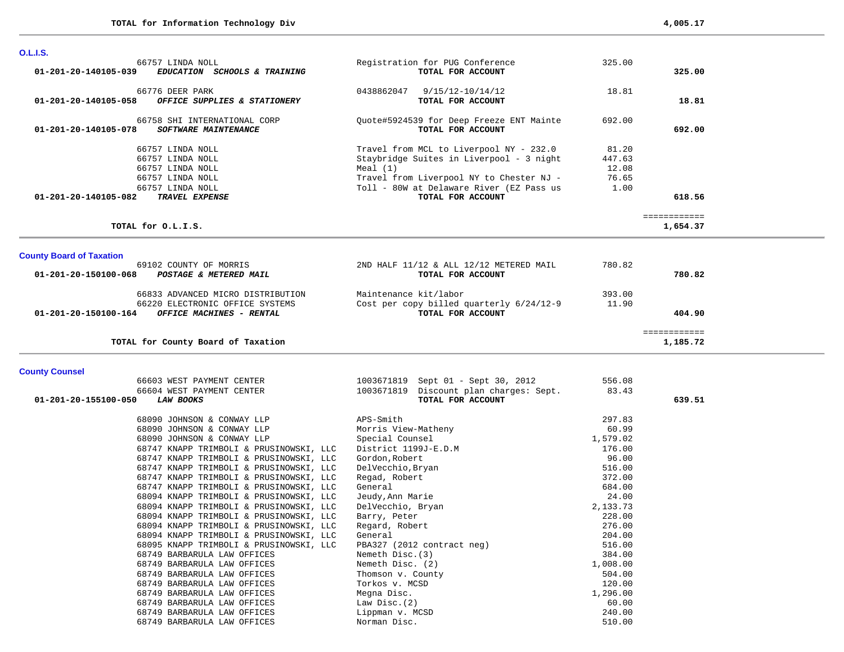| <b>O.L.I.S.</b>                                                                                                                            |                                                                                                                                                                                                                |                                           |                          |  |
|--------------------------------------------------------------------------------------------------------------------------------------------|----------------------------------------------------------------------------------------------------------------------------------------------------------------------------------------------------------------|-------------------------------------------|--------------------------|--|
| 66757 LINDA NOLL<br>$01 - 201 - 20 - 140105 - 039$<br>EDUCATION SCHOOLS & TRAINING                                                         | Registration for PUG Conference<br>TOTAL FOR ACCOUNT                                                                                                                                                           | 325.00                                    | 325.00                   |  |
| 66776 DEER PARK<br>01-201-20-140105-058<br>OFFICE SUPPLIES & STATIONERY                                                                    | 0438862047 9/15/12-10/14/12<br>TOTAL FOR ACCOUNT                                                                                                                                                               | 18.81                                     | 18.81                    |  |
| 66758 SHI INTERNATIONAL CORP<br>01-201-20-140105-078<br><b>SOFTWARE MAINTENANCE</b>                                                        | Quote#5924539 for Deep Freeze ENT Mainte<br>TOTAL FOR ACCOUNT                                                                                                                                                  | 692.00                                    | 692.00                   |  |
| 66757 LINDA NOLL<br>66757 LINDA NOLL<br>66757 LINDA NOLL<br>66757 LINDA NOLL<br>66757 LINDA NOLL<br>01-201-20-140105-082<br>TRAVEL EXPENSE | Travel from MCL to Liverpool NY - 232.0<br>Staybridge Suites in Liverpool - 3 night<br>Meal $(1)$<br>Travel from Liverpool NY to Chester NJ -<br>Toll - 80W at Delaware River (EZ Pass us<br>TOTAL FOR ACCOUNT | 81.20<br>447.63<br>12.08<br>76.65<br>1.00 | 618.56                   |  |
| TOTAL for O.L.I.S.                                                                                                                         |                                                                                                                                                                                                                |                                           | ============<br>1,654.37 |  |
| <b>County Board of Taxation</b>                                                                                                            |                                                                                                                                                                                                                |                                           |                          |  |
| 69102 COUNTY OF MORRIS<br>01-201-20-150100-068<br>POSTAGE & METERED MAIL                                                                   | 2ND HALF 11/12 & ALL 12/12 METERED MAIL<br>TOTAL FOR ACCOUNT                                                                                                                                                   | 780.82                                    | 780.82                   |  |
| 66833 ADVANCED MICRO DISTRIBUTION<br>66220 ELECTRONIC OFFICE SYSTEMS<br>01-201-20-150100-164<br>OFFICE MACHINES - RENTAL                   | Maintenance kit/labor<br>Cost per copy billed quarterly 6/24/12-9<br>TOTAL FOR ACCOUNT                                                                                                                         | 393.00<br>11.90                           | 404.90                   |  |
|                                                                                                                                            |                                                                                                                                                                                                                |                                           |                          |  |

## **County Counsel**

| 1003671819 Sept 01 - Sept 30, 2012<br>556.08  |                                                                                                            |
|-----------------------------------------------|------------------------------------------------------------------------------------------------------------|
| 1003671819 Discount plan charges: Sept. 83.43 |                                                                                                            |
| TOTAL FOR ACCOUNT                             | 639.51                                                                                                     |
|                                               |                                                                                                            |
|                                               |                                                                                                            |
|                                               |                                                                                                            |
|                                               |                                                                                                            |
| 176.00                                        |                                                                                                            |
| 96.00<br>Gordon, Robert                       |                                                                                                            |
| 516.00<br>DelVecchio,Bryan                    |                                                                                                            |
| 372.00<br>Regad, Robert                       |                                                                                                            |
| 684.00<br>General                             |                                                                                                            |
| 24.00<br>Jeudy,Ann Marie                      |                                                                                                            |
| 2,133.73<br>DelVecchio, Bryan                 |                                                                                                            |
| 228.00<br>Barry, Peter                        |                                                                                                            |
| 276.00<br>Regard, Robert                      |                                                                                                            |
| General<br>204.00                             |                                                                                                            |
| 516.00<br>PBA327 (2012 contract neg)          |                                                                                                            |
| 384.00<br>Nemeth Disc.(3)                     |                                                                                                            |
| Nemeth Disc. (2)<br>1,008.00                  |                                                                                                            |
| 504.00<br>Thomson v. County                   |                                                                                                            |
| 120.00<br>Torkos v. MCSD                      |                                                                                                            |
| Megna Disc.<br>1,296.00                       |                                                                                                            |
| 60.00<br>Law Disc.(2)                         |                                                                                                            |
| 240.00<br>Lippman v. MCSD                     |                                                                                                            |
| 510.00<br>Norman Disc.                        |                                                                                                            |
|                                               | 297.83<br>APS-Smith<br>60.99<br>Morris View-Matheny<br>Special Counsel<br>1,579.02<br>District 1199J-E.D.M |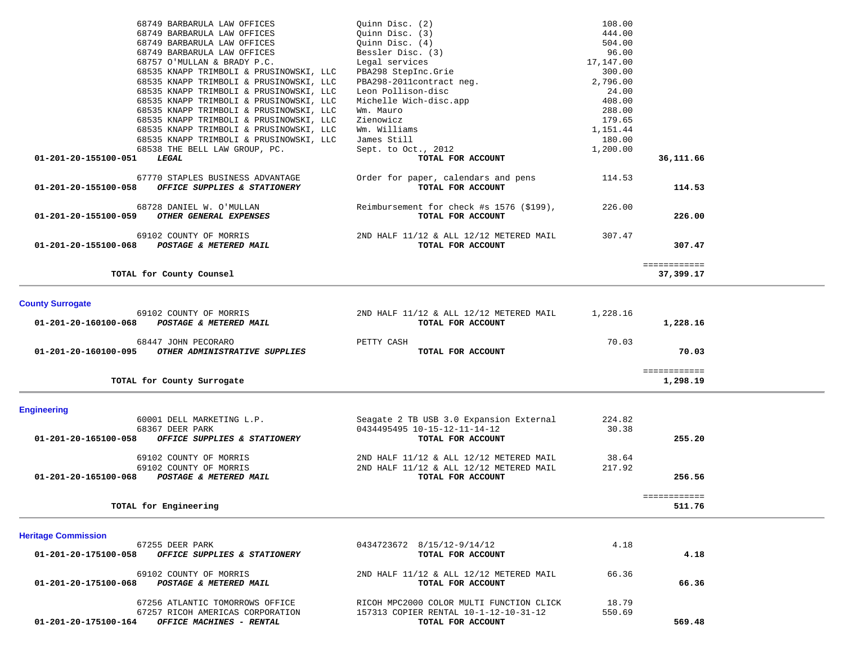| 68749 BARBARULA LAW OFFICES                          | Quinn Disc. (2)                          | 108.00    |              |
|------------------------------------------------------|------------------------------------------|-----------|--------------|
| 68749 BARBARULA LAW OFFICES                          | Ouinn Disc. (3)                          | 444.00    |              |
| 68749 BARBARULA LAW OFFICES                          | Ouinn Disc. (4)                          | 504.00    |              |
| 68749 BARBARULA LAW OFFICES                          | Bessler Disc. (3)                        | 96.00     |              |
| 68757 O'MULLAN & BRADY P.C.                          | Legal services                           | 17,147.00 |              |
| 68535 KNAPP TRIMBOLI & PRUSINOWSKI, LLC              | PBA298 StepInc.Grie                      | 300.00    |              |
| 68535 KNAPP TRIMBOLI & PRUSINOWSKI, LLC              | PBA298-2011contract neg.                 | 2,796.00  |              |
| 68535 KNAPP TRIMBOLI & PRUSINOWSKI, LLC              | Leon Pollison-disc                       | 24.00     |              |
| 68535 KNAPP TRIMBOLI & PRUSINOWSKI, LLC              | Michelle Wich-disc.app                   | 408.00    |              |
| 68535 KNAPP TRIMBOLI & PRUSINOWSKI, LLC              | Wm. Mauro                                | 288.00    |              |
| 68535 KNAPP TRIMBOLI & PRUSINOWSKI, LLC              | Zienowicz                                | 179.65    |              |
| 68535 KNAPP TRIMBOLI & PRUSINOWSKI, LLC              | Wm. Williams                             | 1,151.44  |              |
| 68535 KNAPP TRIMBOLI & PRUSINOWSKI, LLC              | James Still                              | 180.00    |              |
| 68538 THE BELL LAW GROUP, PC.                        | Sept. to Oct., 2012                      | 1,200.00  |              |
| 01-201-20-155100-051<br>LEGAL                        | TOTAL FOR ACCOUNT                        |           | 36,111.66    |
| 67770 STAPLES BUSINESS ADVANTAGE                     | Order for paper, calendars and pens      | 114.53    |              |
| 01-201-20-155100-058<br>OFFICE SUPPLIES & STATIONERY | TOTAL FOR ACCOUNT                        |           | 114.53       |
| 68728 DANIEL W. O'MULLAN                             | Reimbursement for check #s 1576 (\$199), | 226.00    |              |
| 01-201-20-155100-059<br>OTHER GENERAL EXPENSES       | TOTAL FOR ACCOUNT                        |           | 226.00       |
| 69102 COUNTY OF MORRIS                               | 2ND HALF 11/12 & ALL 12/12 METERED MAIL  | 307.47    |              |
| 01-201-20-155100-068 POSTAGE & METERED MAIL          | TOTAL FOR ACCOUNT                        |           | 307.47       |
|                                                      |                                          |           | ============ |
| TOTAL for County Counsel                             |                                          |           | 37,399.17    |

# **County Surrogate**

| 69102 COUNTY OF MORRIS                                                       | 2ND HALF 11/12 & ALL 12/12 METERED MAIL | 1,228.16       |  |
|------------------------------------------------------------------------------|-----------------------------------------|----------------|--|
| 01-201-20-160100-068<br>POSTAGE & METERED MAIL                               | TOTAL FOR ACCOUNT                       | 1,228.16       |  |
| 68447 JOHN PECORARO<br>OTHER ADMINISTRATIVE SUPPLIES<br>01-201-20-160100-095 | PETTY CASH<br>TOTAL FOR ACCOUNT         | 70.03<br>70.03 |  |
| TOTAL for County Surrogate                                                   |                                         | 1,298.19       |  |

# **Engineering**

| 60001 DELL MARKETING L.P.                            | Seagate 2 TB USB 3.0 Expansion External | 224.82 |        |
|------------------------------------------------------|-----------------------------------------|--------|--------|
| 68367 DEER PARK                                      | 0434495495 10-15-12-11-14-12            | 30.38  |        |
| OFFICE SUPPLIES & STATIONERY<br>01-201-20-165100-058 | TOTAL FOR ACCOUNT                       |        | 255.20 |
| 69102 COUNTY OF MORRIS                               | 2ND HALF 11/12 & ALL 12/12 METERED MAIL | 38.64  |        |
| 69102 COUNTY OF MORRIS                               | 2ND HALF 11/12 & ALL 12/12 METERED MAIL | 217.92 |        |
| 01-201-20-165100-068<br>POSTAGE & METERED MAIL       | TOTAL FOR ACCOUNT                       |        | 256.56 |

511.76

**TOTAL for Engineering 511.76**

#### **Heritage Commission**

| 67255 DEER PARK                                                          | 0434723672 8/15/12-9/14/12                                   | 4.18   |        |
|--------------------------------------------------------------------------|--------------------------------------------------------------|--------|--------|
| 01-201-20-175100-058<br>OFFICE SUPPLIES & STATIONERY                     | TOTAL FOR ACCOUNT                                            |        | 4.18   |
| 69102 COUNTY OF MORRIS<br>01-201-20-175100-068<br>POSTAGE & METERED MAIL | 2ND HALF 11/12 & ALL 12/12 METERED MAIL<br>TOTAL FOR ACCOUNT | 66.36  | 66.36  |
| 67256 ATLANTIC TOMORROWS OFFICE                                          | RICOH MPC2000 COLOR MULTI FUNCTION CLICK                     | 18.79  |        |
| 67257 RICOH AMERICAS CORPORATION                                         | 157313 COPIER RENTAL 10-1-12-10-31-12                        | 550.69 |        |
| 01-201-20-175100-164<br><b>OFFICE MACHINES - RENTAL</b>                  | TOTAL FOR ACCOUNT                                            |        | 569.48 |

============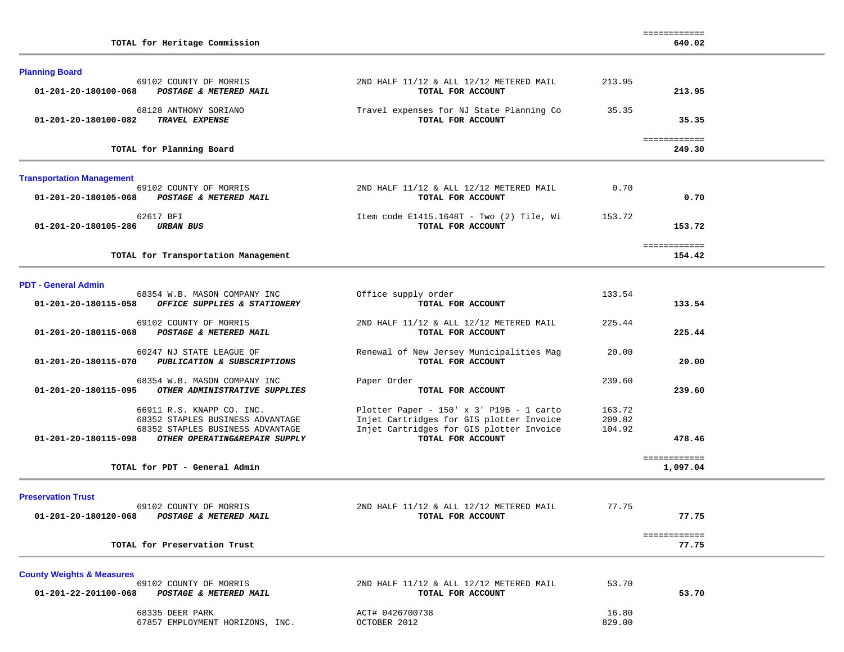| <b>Planning Board</b>                                                                             |                                                                                                                                                       |                            |                        |  |
|---------------------------------------------------------------------------------------------------|-------------------------------------------------------------------------------------------------------------------------------------------------------|----------------------------|------------------------|--|
| 69102 COUNTY OF MORRIS<br>01-201-20-180100-068<br>POSTAGE & METERED MAIL                          | 2ND HALF 11/12 & ALL 12/12 METERED MAIL<br>TOTAL FOR ACCOUNT                                                                                          | 213.95                     | 213.95                 |  |
| 68128 ANTHONY SORIANO<br><b>TRAVEL EXPENSE</b><br>01-201-20-180100-082                            | Travel expenses for NJ State Planning Co<br>TOTAL FOR ACCOUNT                                                                                         | 35.35                      | 35.35                  |  |
| TOTAL for Planning Board                                                                          |                                                                                                                                                       |                            | ============<br>249.30 |  |
| <b>Transportation Management</b>                                                                  |                                                                                                                                                       |                            |                        |  |
| 69102 COUNTY OF MORRIS<br>01-201-20-180105-068<br>POSTAGE & METERED MAIL                          | 2ND HALF 11/12 & ALL 12/12 METERED MAIL<br>TOTAL FOR ACCOUNT                                                                                          | 0.70                       | 0.70                   |  |
| 62617 BFI<br>01-201-20-180105-286<br><b>URBAN BUS</b>                                             | Item code E1415.1648T - Two (2) Tile, Wi<br>TOTAL FOR ACCOUNT                                                                                         | 153.72                     | 153.72                 |  |
| TOTAL for Transportation Management                                                               |                                                                                                                                                       |                            | ============<br>154.42 |  |
| <b>PDT - General Admin</b>                                                                        |                                                                                                                                                       |                            |                        |  |
| 68354 W.B. MASON COMPANY INC<br>OFFICE SUPPLIES & STATIONERY<br>01-201-20-180115-058              | Office supply order<br>TOTAL FOR ACCOUNT                                                                                                              | 133.54                     | 133.54                 |  |
| 69102 COUNTY OF MORRIS<br>POSTAGE & METERED MAIL<br>01-201-20-180115-068                          | 2ND HALF 11/12 & ALL 12/12 METERED MAIL<br>TOTAL FOR ACCOUNT                                                                                          | 225.44                     | 225.44                 |  |
| 60247 NJ STATE LEAGUE OF<br>01-201-20-180115-070<br>PUBLICATION & SUBSCRIPTIONS                   | Renewal of New Jersey Municipalities Mag<br>TOTAL FOR ACCOUNT                                                                                         | 20.00                      | 20.00                  |  |
| 68354 W.B. MASON COMPANY INC<br>OTHER ADMINISTRATIVE SUPPLIES<br>01-201-20-180115-095             | Paper Order<br>TOTAL FOR ACCOUNT                                                                                                                      | 239.60                     | 239.60                 |  |
| 66911 R.S. KNAPP CO. INC.<br>68352 STAPLES BUSINESS ADVANTAGE<br>68352 STAPLES BUSINESS ADVANTAGE | Plotter Paper - 150' x 3' P19B - 1 carto<br>Injet Cartridges for GIS plotter Invoice<br>Injet Cartridges for GIS plotter Invoice<br>TOTAL FOR ACCOUNT | 163.72<br>209.82<br>104.92 |                        |  |
| 01-201-20-180115-098<br>OTHER OPERATING&REPAIR SUPPLY                                             |                                                                                                                                                       |                            | 478.46<br>============ |  |
| TOTAL for PDT - General Admin                                                                     |                                                                                                                                                       |                            | 1,097.04               |  |
| <b>Preservation Trust</b>                                                                         |                                                                                                                                                       |                            |                        |  |
| 69102 COUNTY OF MORRIS<br>01-201-20-180120-068<br>POSTAGE & METERED MAIL                          | 2ND HALF 11/12 & ALL 12/12 METERED MAIL<br>TOTAL FOR ACCOUNT                                                                                          | 77.75                      | 77.75                  |  |
| TOTAL for Preservation Trust                                                                      |                                                                                                                                                       |                            | ============<br>77.75  |  |
| <b>County Weights &amp; Measures</b><br>69102 COUNTY OF MORRIS                                    | 2ND HALF 11/12 & ALL 12/12 METERED MAIL                                                                                                               | 53.70                      |                        |  |
| 01-201-22-201100-068<br>POSTAGE & METERED MAIL                                                    | TOTAL FOR ACCOUNT                                                                                                                                     |                            | 53.70                  |  |
| 68335 DEER PARK<br>67857 EMPLOYMENT HORIZONS, INC.                                                | ACT# 0426700738<br>OCTOBER 2012                                                                                                                       | 16.80<br>829.00            |                        |  |

============

**TOTAL for Heritage Commission 640.02**

640.02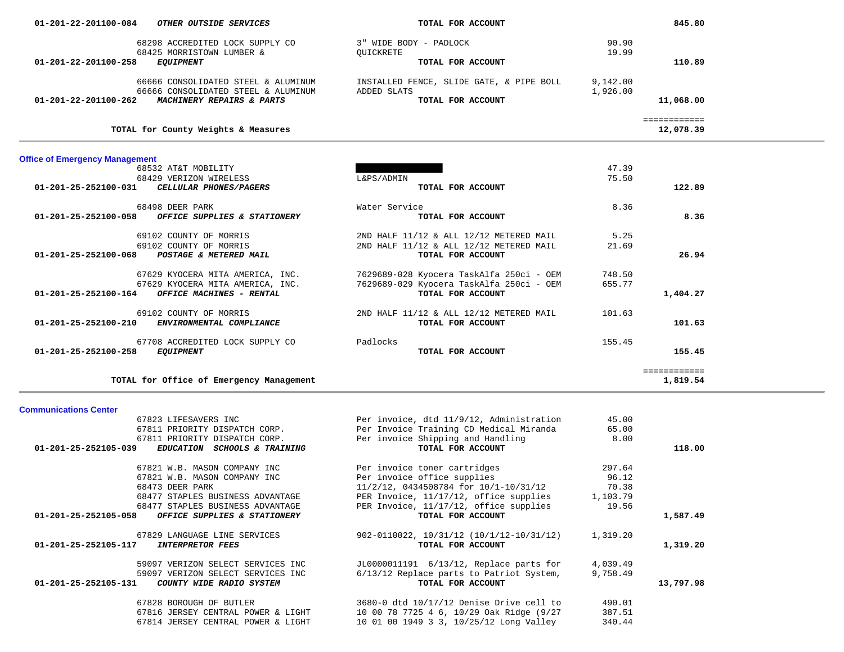| 68298 ACCREDITED LOCK SUPPLY CO<br>68425 MORRISTOWN LUMBER &                             | 3" WIDE BODY - PADLOCK<br>QUICKRETE                                                | 90.90<br>19.99 |                           |  |
|------------------------------------------------------------------------------------------|------------------------------------------------------------------------------------|----------------|---------------------------|--|
| 01-201-22-201100-258<br><b>EQUIPMENT</b>                                                 | TOTAL FOR ACCOUNT                                                                  |                | 110.89                    |  |
| 66666 CONSOLIDATED STEEL & ALUMINUM                                                      | INSTALLED FENCE, SLIDE GATE, & PIPE BOLL                                           | 9,142.00       |                           |  |
| 66666 CONSOLIDATED STEEL & ALUMINUM<br>01-201-22-201100-262 MACHINERY REPAIRS & PARTS    | ADDED SLATS<br>TOTAL FOR ACCOUNT                                                   | 1,926.00       | 11,068.00                 |  |
| TOTAL for County Weights & Measures                                                      |                                                                                    |                | ============<br>12,078.39 |  |
|                                                                                          |                                                                                    |                |                           |  |
| <b>Office of Emergency Management</b><br>68532 AT&T MOBILITY                             |                                                                                    | 47.39          |                           |  |
| 68429 VERIZON WIRELESS<br>CELLULAR PHONES/PAGERS<br>01-201-25-252100-031                 | L&PS/ADMIN<br>TOTAL FOR ACCOUNT                                                    | 75.50          | 122.89                    |  |
|                                                                                          |                                                                                    |                |                           |  |
| 68498 DEER PARK<br>01-201-25-252100-058 OFFICE SUPPLIES & STATIONERY                     | Water Service<br>TOTAL FOR ACCOUNT                                                 | 8.36           | 8.36                      |  |
|                                                                                          |                                                                                    |                |                           |  |
| 69102 COUNTY OF MORRIS<br>69102 COUNTY OF MORRIS                                         | 2ND HALF 11/12 & ALL 12/12 METERED MAIL<br>2ND HALF 11/12 & ALL 12/12 METERED MAIL | 5.25<br>21.69  |                           |  |
| POSTAGE & METERED MAIL<br>01-201-25-252100-068                                           | TOTAL FOR ACCOUNT                                                                  |                | 26.94                     |  |
| 67629 KYOCERA MITA AMERICA, INC.                                                         | 7629689-028 Kyocera TaskAlfa 250ci - OEM                                           | 748.50         |                           |  |
| 67629 KYOCERA MITA AMERICA, INC.                                                         | 7629689-029 Kyocera TaskAlfa 250ci - OEM                                           | 655.77         |                           |  |
| OFFICE MACHINES - RENTAL<br>01-201-25-252100-164                                         | TOTAL FOR ACCOUNT                                                                  |                | 1,404.27                  |  |
| 69102 COUNTY OF MORRIS                                                                   | 2ND HALF 11/12 & ALL 12/12 METERED MAIL                                            | 101.63         |                           |  |
| ENVIRONMENTAL COMPLIANCE<br>01-201-25-252100-210                                         | TOTAL FOR ACCOUNT                                                                  |                | 101.63                    |  |
| 67708 ACCREDITED LOCK SUPPLY CO                                                          | Padlocks                                                                           | 155.45         |                           |  |
|                                                                                          |                                                                                    |                |                           |  |
| 01-201-25-252100-258<br><b>EQUIPMENT</b>                                                 | TOTAL FOR ACCOUNT                                                                  |                | 155.45                    |  |
|                                                                                          |                                                                                    |                | ============              |  |
| TOTAL for Office of Emergency Management                                                 |                                                                                    |                | 1,819.54                  |  |
|                                                                                          |                                                                                    |                |                           |  |
| <b>Communications Center</b><br>67823 LIFESAVERS INC                                     | Per invoice, dtd 11/9/12, Administration                                           | 45.00          |                           |  |
| 67811 PRIORITY DISPATCH CORP.                                                            | Per Invoice Training CD Medical Miranda                                            | 65.00          |                           |  |
| 67811 PRIORITY DISPATCH CORP.<br>EDUCATION SCHOOLS & TRAINING<br>01-201-25-252105-039    | Per invoice Shipping and Handling<br>TOTAL FOR ACCOUNT                             | 8.00           | 118.00                    |  |
|                                                                                          |                                                                                    | 297.64         |                           |  |
| 67821 W.B. MASON COMPANY INC<br>67821 W.B. MASON COMPANY INC                             | Per invoice toner cartridges<br>Per invoice office supplies                        | 96.12          |                           |  |
| 68473 DEER PARK                                                                          | 11/2/12, 0434508784 for 10/1-10/31/12                                              | 70.38          |                           |  |
| 68477 STAPLES BUSINESS ADVANTAGE                                                         | PER Invoice, 11/17/12, office supplies                                             | 1,103.79       |                           |  |
| 68477 STAPLES BUSINESS ADVANTAGE<br>01-201-25-252105-058<br>OFFICE SUPPLIES & STATIONERY | PER Invoice, 11/17/12, office supplies<br>TOTAL FOR ACCOUNT                        | 19.56          | 1,587.49                  |  |
| 67829 LANGUAGE LINE SERVICES                                                             |                                                                                    |                |                           |  |
| <b>INTERPRETOR FEES</b><br>01-201-25-252105-117                                          | $902 - 0110022$ , $10/31/12$ $(10/1/12 - 10/31/12)$<br>TOTAL FOR ACCOUNT           | 1,319.20       | 1,319.20                  |  |
| 59097 VERIZON SELECT SERVICES INC                                                        | JL0000011191 6/13/12, Replace parts for                                            | 4,039.49       |                           |  |
| 59097 VERIZON SELECT SERVICES INC                                                        | 6/13/12 Replace parts to Patriot System,                                           | 9,758.49       |                           |  |
| COUNTY WIDE RADIO SYSTEM<br>01-201-25-252105-131                                         | TOTAL FOR ACCOUNT                                                                  |                | 13,797.98                 |  |
| 67828 BOROUGH OF BUTLER                                                                  | 3680-0 dtd 10/17/12 Denise Drive cell to                                           | 490.01         |                           |  |
| 67816 JERSEY CENTRAL POWER & LIGHT                                                       | 10 00 78 7725 4 6, 10/29 Oak Ridge (9/27                                           | 387.51         |                           |  |
| 67814 JERSEY CENTRAL POWER & LIGHT                                                       | 10 01 00 1949 3 3, 10/25/12 Long Valley                                            | 340.44         |                           |  |

845.80

 **01-201-22-201100-084** *OTHER OUTSIDE SERVICES* **TOTAL FOR ACCOUNT 845.80**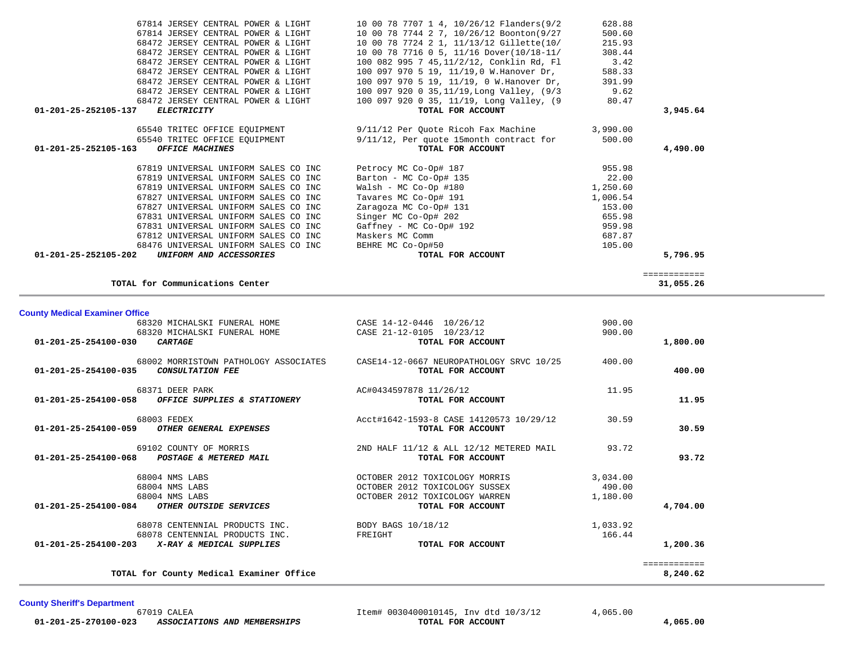| <b>County Medical Examiner Office</b>                                                              |                                                               |          |              |
|----------------------------------------------------------------------------------------------------|---------------------------------------------------------------|----------|--------------|
| 68320 MICHALSKI FUNERAL HOME                                                                       | CASE 14-12-0446 10/26/12                                      | 900.00   |              |
| 68320 MICHALSKI FUNERAL HOME                                                                       | CASE 21-12-0105 10/23/12                                      | 900.00   |              |
| $01 - 201 - 25 - 254100 - 030$<br><b>CARTAGE</b>                                                   | TOTAL FOR ACCOUNT                                             |          | 1,800.00     |
| 68002 MORRISTOWN PATHOLOGY ASSOCIATES<br>$01 - 201 - 25 - 254100 - 035$<br><b>CONSULTATION FEE</b> | CASE14-12-0667 NEUROPATHOLOGY SRVC 10/25<br>TOTAL FOR ACCOUNT | 400.00   | 400.00       |
| 68371 DEER PARK                                                                                    | AC#0434597878 11/26/12                                        | 11.95    |              |
| $01 - 201 - 25 - 254100 - 058$<br>OFFICE SUPPLIES & STATIONERY                                     | TOTAL FOR ACCOUNT                                             |          | 11.95        |
| 68003 FEDEX                                                                                        | Acct#1642-1593-8 CASE 14120573 10/29/12                       | 30.59    |              |
| $01 - 201 - 25 - 254100 - 059$<br>OTHER GENERAL EXPENSES                                           | TOTAL FOR ACCOUNT                                             |          | 30.59        |
| 69102 COUNTY OF MORRIS                                                                             | 2ND HALF 11/12 & ALL 12/12 METERED MAIL                       | 93.72    |              |
| $01 - 201 - 25 - 254100 - 068$<br>POSTAGE & METERED MAIL                                           | TOTAL FOR ACCOUNT                                             |          | 93.72        |
| 68004 NMS LABS                                                                                     | OCTOBER 2012 TOXICOLOGY MORRIS                                | 3,034.00 |              |
| 68004 NMS LABS                                                                                     | OCTOBER 2012 TOXICOLOGY SUSSEX                                | 490.00   |              |
| 68004 NMS LABS                                                                                     | OCTOBER 2012 TOXICOLOGY WARREN                                | 1,180.00 |              |
| $01 - 201 - 25 - 254100 - 084$<br>OTHER OUTSIDE SERVICES                                           | TOTAL FOR ACCOUNT                                             |          | 4,704.00     |
| 68078 CENTENNIAL PRODUCTS INC.                                                                     | BODY BAGS 10/18/12                                            | 1,033.92 |              |
| 68078 CENTENNIAL PRODUCTS INC.                                                                     | FREIGHT                                                       | 166.44   |              |
|                                                                                                    | TOTAL FOR ACCOUNT                                             |          | 1,200.36     |
|                                                                                                    |                                                               |          | ============ |
| TOTAL for County Medical Examiner Office                                                           |                                                               |          | 8,240.62     |

============

|                      | 67812 UNIVERSAL UNIFORM SALES CO INC | Maskers MC Comm   | 687.87   |
|----------------------|--------------------------------------|-------------------|----------|
|                      | 68476 UNIVERSAL UNIFORM SALES CO INC | BEHRE MC Co-Op#50 | 105.00   |
| 01-201-25-252105-202 | <i>UNIFORM AND ACCESSORIES</i>       | TOTAL FOR ACCOUNT | 5,796.95 |

**TOTAL for Communications Center 31,055.26**

| 10 00 78 7707 1 4, 10/26/12 Flanders(9/2                          | 628.88                                                                                                                                                                                                                                                                                                                                                                                                                                                                            |                                                                                                                                                                                                                                                                                                                                                                                                                                                                                                                                                                             |
|-------------------------------------------------------------------|-----------------------------------------------------------------------------------------------------------------------------------------------------------------------------------------------------------------------------------------------------------------------------------------------------------------------------------------------------------------------------------------------------------------------------------------------------------------------------------|-----------------------------------------------------------------------------------------------------------------------------------------------------------------------------------------------------------------------------------------------------------------------------------------------------------------------------------------------------------------------------------------------------------------------------------------------------------------------------------------------------------------------------------------------------------------------------|
|                                                                   | 500.60                                                                                                                                                                                                                                                                                                                                                                                                                                                                            |                                                                                                                                                                                                                                                                                                                                                                                                                                                                                                                                                                             |
|                                                                   | 215.93                                                                                                                                                                                                                                                                                                                                                                                                                                                                            |                                                                                                                                                                                                                                                                                                                                                                                                                                                                                                                                                                             |
|                                                                   | 308.44                                                                                                                                                                                                                                                                                                                                                                                                                                                                            |                                                                                                                                                                                                                                                                                                                                                                                                                                                                                                                                                                             |
|                                                                   | 3.42                                                                                                                                                                                                                                                                                                                                                                                                                                                                              |                                                                                                                                                                                                                                                                                                                                                                                                                                                                                                                                                                             |
|                                                                   | 588.33                                                                                                                                                                                                                                                                                                                                                                                                                                                                            |                                                                                                                                                                                                                                                                                                                                                                                                                                                                                                                                                                             |
|                                                                   | 391.99                                                                                                                                                                                                                                                                                                                                                                                                                                                                            |                                                                                                                                                                                                                                                                                                                                                                                                                                                                                                                                                                             |
|                                                                   | 9.62                                                                                                                                                                                                                                                                                                                                                                                                                                                                              |                                                                                                                                                                                                                                                                                                                                                                                                                                                                                                                                                                             |
|                                                                   | 80.47                                                                                                                                                                                                                                                                                                                                                                                                                                                                             |                                                                                                                                                                                                                                                                                                                                                                                                                                                                                                                                                                             |
| TOTAL FOR ACCOUNT                                                 |                                                                                                                                                                                                                                                                                                                                                                                                                                                                                   | 3,945.64                                                                                                                                                                                                                                                                                                                                                                                                                                                                                                                                                                    |
|                                                                   |                                                                                                                                                                                                                                                                                                                                                                                                                                                                                   |                                                                                                                                                                                                                                                                                                                                                                                                                                                                                                                                                                             |
|                                                                   |                                                                                                                                                                                                                                                                                                                                                                                                                                                                                   |                                                                                                                                                                                                                                                                                                                                                                                                                                                                                                                                                                             |
| TOTAL FOR ACCOUNT                                                 |                                                                                                                                                                                                                                                                                                                                                                                                                                                                                   | 4,490.00                                                                                                                                                                                                                                                                                                                                                                                                                                                                                                                                                                    |
|                                                                   | 955.98                                                                                                                                                                                                                                                                                                                                                                                                                                                                            |                                                                                                                                                                                                                                                                                                                                                                                                                                                                                                                                                                             |
| Barton - MC Co-Op# 135                                            | 22.00                                                                                                                                                                                                                                                                                                                                                                                                                                                                             |                                                                                                                                                                                                                                                                                                                                                                                                                                                                                                                                                                             |
|                                                                   | 1,250.60                                                                                                                                                                                                                                                                                                                                                                                                                                                                          |                                                                                                                                                                                                                                                                                                                                                                                                                                                                                                                                                                             |
|                                                                   |                                                                                                                                                                                                                                                                                                                                                                                                                                                                                   |                                                                                                                                                                                                                                                                                                                                                                                                                                                                                                                                                                             |
|                                                                   |                                                                                                                                                                                                                                                                                                                                                                                                                                                                                   |                                                                                                                                                                                                                                                                                                                                                                                                                                                                                                                                                                             |
| 67827 UNIVERSAL UNIFORM SALES CO INC<br>Zaragoza MC Co-Op# 131    | 153.00                                                                                                                                                                                                                                                                                                                                                                                                                                                                            |                                                                                                                                                                                                                                                                                                                                                                                                                                                                                                                                                                             |
| 67831 UNIVERSAL UNIFORM SALES CO INC<br>Singer MC Co-Op# 202      | 655.98                                                                                                                                                                                                                                                                                                                                                                                                                                                                            |                                                                                                                                                                                                                                                                                                                                                                                                                                                                                                                                                                             |
| 67831 UNIVERSAL UNIFORM SALES CO INC<br>$Gaffney - MC Co-Op# 192$ | 959.98                                                                                                                                                                                                                                                                                                                                                                                                                                                                            |                                                                                                                                                                                                                                                                                                                                                                                                                                                                                                                                                                             |
|                                                                   | 67814 JERSEY CENTRAL POWER & LIGHT<br>68472 JERSEY CENTRAL POWER & LIGHT<br>68472 JERSEY CENTRAL POWER & LIGHT<br>68472 JERSEY CENTRAL POWER & LIGHT<br>68472 JERSEY CENTRAL POWER & LIGHT<br>68472 JERSEY CENTRAL POWER & LIGHT<br>68472 JERSEY CENTRAL POWER & LIGHT<br>65540 TRITEC OFFICE EOUIPMENT<br>67819 UNIVERSAL UNIFORM SALES CO INC<br>Petrocy MC Co-Op# 187<br>67819 UNIVERSAL UNIFORM SALES CO INC<br>67819 UNIVERSAL UNIFORM SALES CO INC<br>Walsh - MC Co-Op #180 | 10 00 78 7744 2 7, 10/26/12 Boonton(9/27<br>10 00 78 7724 2 1, 11/13/12 Gillette(10/<br>10 00 78 7716 0 5, 11/16 Dover(10/18-11/<br>100 082 995 7 45,11/2/12, Conklin Rd, Fl<br>100 097 970 5 19, 11/19,0 W.Hanover Dr,<br>100 097 970 5 19, 11/19, 0 W.Hanover Dr,<br>100 097 920 0 35,11/19,Long Valley, (9/3<br>100 097 920 0 35, 11/19, Long Valley, (9<br>65540 TRITEC OFFICE EQUIPMENT 9/11/12 Per Quote Ricoh Fax Machine 3,990.00<br>9/11/12, Per quote 15month contract for<br>500.00<br>67827 UNIVERSAL UNIFORM SALES CO INC<br>Tavares MC Co-Op# 191<br>1,006.54 |

31,055.26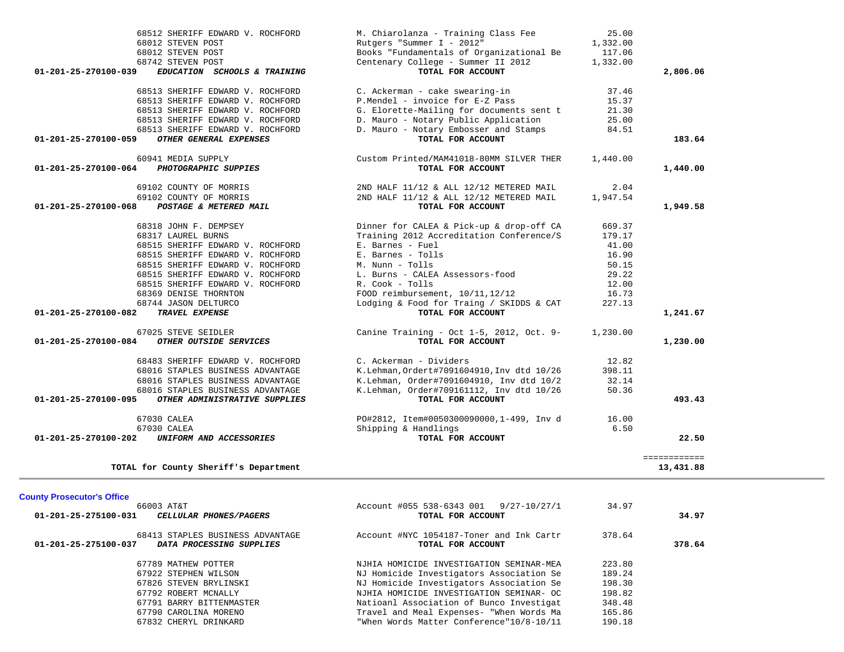| 68512 SHERIFF EDWARD V. ROCHFORD                      | M. Chiarolanza - Training Class Fee         | 25.00    |              |  |
|-------------------------------------------------------|---------------------------------------------|----------|--------------|--|
| 68012 STEVEN POST                                     | Rutgers "Summer I - 2012"                   | 1,332.00 |              |  |
| 68012 STEVEN POST                                     | Books "Fundamentals of Organizational Be    | 117.06   |              |  |
| 68742 STEVEN POST                                     | Centenary College - Summer II 2012          | 1,332.00 |              |  |
| EDUCATION SCHOOLS & TRAINING<br>01-201-25-270100-039  | TOTAL FOR ACCOUNT                           |          | 2,806.06     |  |
| 68513 SHERIFF EDWARD V. ROCHFORD                      | C. Ackerman - cake swearing-in              | 37.46    |              |  |
| 68513 SHERIFF EDWARD V. ROCHFORD                      | P.Mendel - invoice for E-Z Pass             | 15.37    |              |  |
| 68513 SHERIFF EDWARD V. ROCHFORD                      | G. Elorette-Mailing for documents sent t    | 21.30    |              |  |
| 68513 SHERIFF EDWARD V. ROCHFORD                      | D. Mauro - Notary Public Application        | 25.00    |              |  |
| 68513 SHERIFF EDWARD V. ROCHFORD                      | D. Mauro - Notary Embosser and Stamps       | 84.51    |              |  |
| OTHER GENERAL EXPENSES<br>01-201-25-270100-059        | TOTAL FOR ACCOUNT                           |          | 183.64       |  |
| 60941 MEDIA SUPPLY                                    | Custom Printed/MAM41018-80MM SILVER THER    | 1,440.00 |              |  |
| PHOTOGRAPHIC SUPPIES<br>01-201-25-270100-064          | TOTAL FOR ACCOUNT                           |          | 1,440.00     |  |
| 69102 COUNTY OF MORRIS                                | 2ND HALF 11/12 & ALL 12/12 METERED MAIL     | 2.04     |              |  |
| 69102 COUNTY OF MORRIS                                | 2ND HALF 11/12 & ALL 12/12 METERED MAIL     | 1,947.54 |              |  |
| POSTAGE & METERED MAIL<br>01-201-25-270100-068        | TOTAL FOR ACCOUNT                           |          | 1,949.58     |  |
| 68318 JOHN F. DEMPSEY                                 | Dinner for CALEA & Pick-up & drop-off CA    | 669.37   |              |  |
| 68317 LAUREL BURNS                                    | Training 2012 Accreditation Conference/S    | 179.17   |              |  |
| 68515 SHERIFF EDWARD V. ROCHFORD                      | E. Barnes - Fuel                            | 41.00    |              |  |
| 68515 SHERIFF EDWARD V. ROCHFORD                      | E. Barnes - Tolls                           | 16.90    |              |  |
| 68515 SHERIFF EDWARD V. ROCHFORD                      | M. Nunn - Tolls                             | 50.15    |              |  |
| 68515 SHERIFF EDWARD V. ROCHFORD                      | L. Burns - CALEA Assessors-food             | 29.22    |              |  |
| 68515 SHERIFF EDWARD V. ROCHFORD                      | R. Cook - Tolls                             | 12.00    |              |  |
| 68369 DENISE THORNTON                                 | FOOD reimbursement, 10/11, 12/12            | 16.73    |              |  |
| 68744 JASON DELTURCO                                  | Lodging & Food for Traing / SKIDDS & CAT    | 227.13   |              |  |
| 01-201-25-270100-082<br>TRAVEL EXPENSE                | TOTAL FOR ACCOUNT                           |          | 1,241.67     |  |
|                                                       |                                             |          |              |  |
| 67025 STEVE SEIDLER                                   | Canine Training - Oct $1-5$ , 2012, Oct. 9- | 1,230.00 |              |  |
| OTHER OUTSIDE SERVICES<br>01-201-25-270100-084        | TOTAL FOR ACCOUNT                           |          | 1,230.00     |  |
| 68483 SHERIFF EDWARD V. ROCHFORD                      | C. Ackerman - Dividers                      | 12.82    |              |  |
| 68016 STAPLES BUSINESS ADVANTAGE                      | K.Lehman, Ordert#7091604910, Inv dtd 10/26  | 398.11   |              |  |
| 68016 STAPLES BUSINESS ADVANTAGE                      | K.Lehman, Order#7091604910, Inv dtd 10/2    | 32.14    |              |  |
| 68016 STAPLES BUSINESS ADVANTAGE                      | K.Lehman, Order#709161112, Inv dtd 10/26    | 50.36    |              |  |
| 01-201-25-270100-095<br>OTHER ADMINISTRATIVE SUPPLIES | TOTAL FOR ACCOUNT                           |          | 493.43       |  |
| 67030 CALEA                                           | PO#2812, Item#0050300090000,1-499, Inv d    | 16.00    |              |  |
| 67030 CALEA                                           | Shipping & Handlings                        | 6.50     |              |  |
| 01-201-25-270100-202<br>UNIFORM AND ACCESSORIES       | TOTAL FOR ACCOUNT                           |          | 22.50        |  |
|                                                       |                                             |          | ============ |  |
| TOTAL for County Sheriff's Department                 |                                             |          | 13,431.88    |  |
|                                                       |                                             |          |              |  |
| <b>County Prosecutor's Office</b><br>66003 AT&T       | Account #055 538-6343 001 9/27-10/27/1      | 34.97    |              |  |
| 01-201-25-275100-031<br>CELLULAR PHONES/PAGERS        | TOTAL FOR ACCOUNT                           |          | 34.97        |  |
| 68413 STAPLES BUSINESS ADVANTAGE                      | Account #NYC 1054187-Toner and Ink Cartr    | 378.64   |              |  |
| DATA PROCESSING SUPPLIES<br>01-201-25-275100-037      | TOTAL FOR ACCOUNT                           |          | 378.64       |  |
| 67789 MATHEW POTTER                                   | NJHIA HOMICIDE INVESTIGATION SEMINAR-MEA    | 223.80   |              |  |

189.24

348.48

 67922 STEPHEN WILSON NJ Homicide Investigators Association Se 189.24 67826 STEVEN BRYLINSKI NJ Homicide Investigators Association Se 198.30 67792 ROBERT MCNALLY NJHIA HOMICIDE INVESTIGATION SEMINAR- OC 198.82 67791 BARRY BITTENMASTER Natioanl Association of Bunco Investigat 348.48 67790 CAROLINA MORENO Travel and Meal Expenses- "When Words Ma 165.86 "When Words Matter Conference"10/8-10/11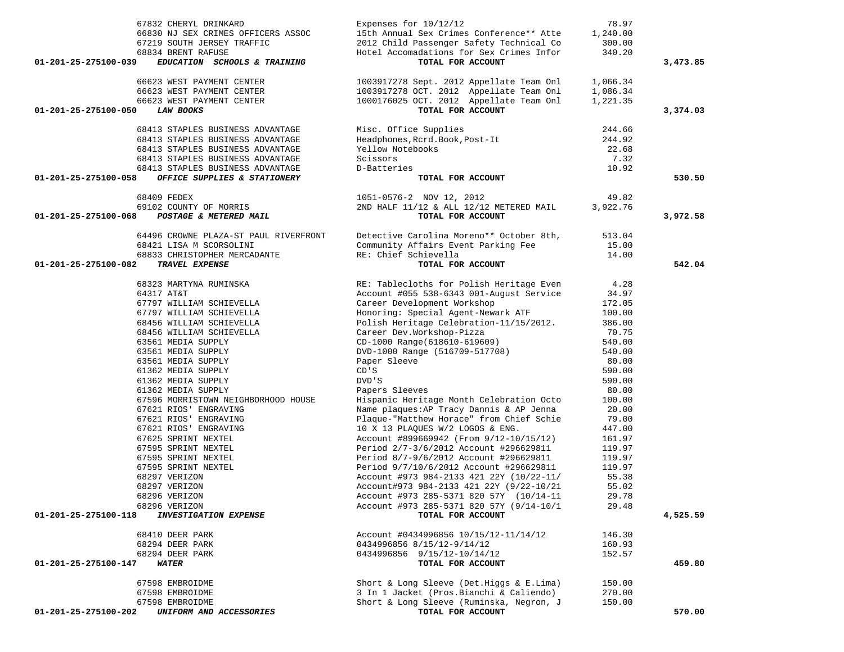| 67832 CHERYL DRINKARD                                | Expenses for 10/12/12                                                               | 78.97    |          |
|------------------------------------------------------|-------------------------------------------------------------------------------------|----------|----------|
| 66830 NJ SEX CRIMES OFFICERS ASSOC                   | 15th Annual Sex Crimes Conference** Atte                                            | 1,240.00 |          |
| 67219 SOUTH JERSEY TRAFFIC                           | 2012 Child Passenger Safety Technical Co                                            | 300.00   |          |
| 68834 BRENT RAFUSE                                   | Hotel Accomadations for Sex Crimes Infor                                            | 340.20   |          |
| 01-201-25-275100-039<br>EDUCATION SCHOOLS & TRAINING | TOTAL FOR ACCOUNT                                                                   |          | 3,473.85 |
|                                                      |                                                                                     |          |          |
| 66623 WEST PAYMENT CENTER                            |                                                                                     | 1,066.34 |          |
| 66623 WEST PAYMENT CENTER                            | 1003917278 Sept. 2012 Appellate Team Onl<br>1003917278 OCT. 2012 Appellate Team Onl | 1,086.34 |          |
| 66623 WEST PAYMENT CENTER                            | 1000176025 OCT. 2012 Appellate Team Onl                                             | 1,221.35 |          |
| 01-201-25-275100-050<br><b>LAW BOOKS</b>             | TOTAL FOR ACCOUNT                                                                   |          | 3,374.03 |
|                                                      |                                                                                     |          |          |
| 68413 STAPLES BUSINESS ADVANTAGE                     | Misc. Office Supplies                                                               | 244.66   |          |
| 68413 STAPLES BUSINESS ADVANTAGE                     | Headphones, Rcrd. Book, Post-It                                                     | 244.92   |          |
| 68413 STAPLES BUSINESS ADVANTAGE                     | Yellow Notebooks                                                                    | 22.68    |          |
| 68413 STAPLES BUSINESS ADVANTAGE                     | Scissors                                                                            | 7.32     |          |
| 68413 STAPLES BUSINESS ADVANTAGE                     | D-Batteries                                                                         | 10.92    |          |
| 01-201-25-275100-058<br>OFFICE SUPPLIES & STATIONERY | TOTAL FOR ACCOUNT                                                                   |          | 530.50   |
|                                                      |                                                                                     |          |          |
| 68409 FEDEX                                          | 1051-0576-2 NOV 12, 2012                                                            | 49.82    |          |
| 69102 COUNTY OF MORRIS                               | 2ND HALF 11/12 & ALL 12/12 METERED MAIL                                             | 3,922.76 |          |
| 01-201-25-275100-068<br>POSTAGE & METERED MAIL       | TOTAL FOR ACCOUNT                                                                   |          | 3,972.58 |
|                                                      |                                                                                     |          |          |
| 64496 CROWNE PLAZA-ST PAUL RIVERFRONT                | Detective Carolina Moreno** October 8th, 513.04                                     |          |          |
| 68421 LISA M SCORSOLINI                              | Community Affairs Event Parking Fee                                                 | 15.00    |          |
| 68833 CHRISTOPHER MERCADANTE                         | RE: Chief Schievella                                                                | 14.00    |          |
| 01-201-25-275100-082<br>TRAVEL EXPENSE               | TOTAL FOR ACCOUNT                                                                   |          | 542.04   |
|                                                      |                                                                                     |          |          |
| 68323 MARTYNA RUMINSKA                               | RE: Tablecloths for Polish Heritage Even                                            | 4.28     |          |
| 64317 AT&T                                           | Account #055 538-6343 001-August Service                                            | 34.97    |          |
| 67797 WILLIAM SCHIEVELLA                             | Career Development Workshop                                                         | 172.05   |          |
| 67797 WILLIAM SCHIEVELLA                             | Honoring: Special Agent-Newark ATF                                                  | 100.00   |          |
| 68456 WILLIAM SCHIEVELLA                             | Polish Heritage Celebration-11/15/2012.                                             | 386.00   |          |
| 68456 WILLIAM SCHIEVELLA                             | Career Dev.Workshop-Pizza                                                           | 70.75    |          |
| 63561 MEDIA SUPPLY                                   | CD-1000 Range(618610-619609)                                                        | 540.00   |          |
| 63561 MEDIA SUPPLY                                   | DVD-1000 Range (516709-517708)                                                      | 540.00   |          |
| 63561 MEDIA SUPPLY                                   | Paper Sleeve                                                                        | 80.00    |          |
| 61362 MEDIA SUPPLY                                   | CD'S                                                                                | 590.00   |          |
| 61362 MEDIA SUPPLY                                   | DVD'S                                                                               | 590.00   |          |
| 61362 MEDIA SUPPLY                                   | Papers Sleeves                                                                      | 80.00    |          |
| 67596 MORRISTOWN NEIGHBORHOOD HOUSE                  | Hispanic Heritage Month Celebration Octo                                            | 100.00   |          |
| 67621 RIOS' ENGRAVING                                | Name plaques: AP Tracy Dannis & AP Jenna                                            | 20.00    |          |
| 67621 RIOS' ENGRAVING                                | Plaque-"Matthew Horace" from Chief Schie                                            | 79.00    |          |
| 67621 RIOS' ENGRAVING                                | 10 X 13 PLAQUES W/2 LOGOS & ENG.                                                    | 447.00   |          |
| 67625 SPRINT NEXTEL                                  | Account #899669942 (From 9/12-10/15/12)                                             | 161.97   |          |
| 67595 SPRINT NEXTEL                                  | Period 2/7-3/6/2012 Account #296629811                                              | 119.97   |          |
| 67595 SPRINT NEXTEL                                  | Period 8/7-9/6/2012 Account #296629811                                              | 119.97   |          |
| 67595 SPRINT NEXTEL                                  | Period 9/7/10/6/2012 Account #296629811                                             | 119.97   |          |
| 68297 VERIZON                                        | Account #973 984-2133 421 22Y (10/22-11/                                            | 55.38    |          |
| 68297 VERIZON                                        | Account#973 984-2133 421 22Y (9/22-10/21                                            | 55.02    |          |
| 68296 VERIZON                                        | Account #973 285-5371 820 57Y (10/14-11                                             | 29.78    |          |
| 68296 VERIZON                                        | Account #973 285-5371 820 57Y (9/14-10/1                                            | 29.48    |          |
| 01-201-25-275100-118<br><b>INVESTIGATION EXPENSE</b> | TOTAL FOR ACCOUNT                                                                   |          | 4,525.59 |
|                                                      |                                                                                     |          |          |
| 68410 DEER PARK                                      | Account #0434996856 10/15/12-11/14/12                                               | 146.30   |          |
| 68294 DEER PARK                                      | 0434996856 8/15/12-9/14/12                                                          | 160.93   |          |
| 68294 DEER PARK                                      | 0434996856 9/15/12-10/14/12                                                         | 152.57   |          |
| 01-201-25-275100-147<br><b>WATER</b>                 | TOTAL FOR ACCOUNT                                                                   |          | 459.80   |
|                                                      |                                                                                     |          |          |
| 67598 EMBROIDME                                      | Short & Long Sleeve (Det. Higgs & E. Lima)                                          | 150.00   |          |
| 67598 EMBROIDME                                      | 3 In 1 Jacket (Pros.Bianchi & Caliendo)                                             | 270.00   |          |
| 67598 EMBROIDME                                      | Short & Long Sleeve (Ruminska, Negron, J                                            | 150.00   |          |
| 01-201-25-275100-202 UNIFORM AND ACCESSORIES         | TOTAL FOR ACCOUNT                                                                   |          | 570.00   |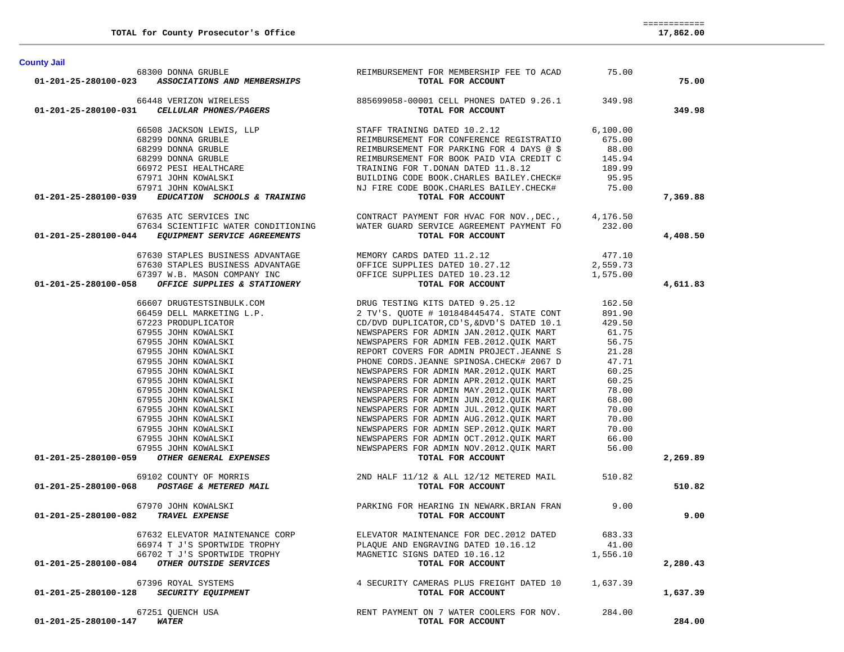|                                     | 68300 DONNA GRUBLE<br>01-201-25-280100-023 ASSOCIATIONS AND MEMBERSHIPS | REIMBURSEMENT FOR MEMBERSHIP FEE TO ACAD 75.00<br>TOTAL FOR ACCOUNT                                                                                                                                                                                                                                                                                                                                                            |          | 75.00    |
|-------------------------------------|-------------------------------------------------------------------------|--------------------------------------------------------------------------------------------------------------------------------------------------------------------------------------------------------------------------------------------------------------------------------------------------------------------------------------------------------------------------------------------------------------------------------|----------|----------|
|                                     |                                                                         | $\begin{array}{cccc} \textbf{6448 VERIZON WIREless} & \textbf{885699058-00001 CEL L PHONES DATED 9.26.1} & \textbf{349.98} \\ \textbf{01-201-25-280100-031} & \textbf{CELLULAR PHONES} & \textbf{585699058-00001 CEL L PHONES DATED 9.26.1} & \textbf{349.98} \\ \textbf{6508 JACKSON LENIS, LLP} & \textbf{STAP} & \textbf{STAPF TRAINING DATED 10.2.12} & \textbf{6,100.00} \\ \textbf{6$                                    |          |          |
|                                     |                                                                         |                                                                                                                                                                                                                                                                                                                                                                                                                                |          | 349.98   |
|                                     |                                                                         |                                                                                                                                                                                                                                                                                                                                                                                                                                |          |          |
|                                     |                                                                         |                                                                                                                                                                                                                                                                                                                                                                                                                                |          |          |
|                                     |                                                                         |                                                                                                                                                                                                                                                                                                                                                                                                                                |          |          |
|                                     |                                                                         |                                                                                                                                                                                                                                                                                                                                                                                                                                |          |          |
|                                     |                                                                         |                                                                                                                                                                                                                                                                                                                                                                                                                                |          |          |
|                                     |                                                                         |                                                                                                                                                                                                                                                                                                                                                                                                                                |          |          |
|                                     |                                                                         |                                                                                                                                                                                                                                                                                                                                                                                                                                |          |          |
|                                     |                                                                         |                                                                                                                                                                                                                                                                                                                                                                                                                                |          | 7,369.88 |
|                                     |                                                                         |                                                                                                                                                                                                                                                                                                                                                                                                                                |          |          |
|                                     |                                                                         | 67635 ATC SERVICES INC<br>67634 SCIENTIFIC WATER CONDITIONING WATER GUARD SERVICE AGREEMENT PAYMENT FO 232.00                                                                                                                                                                                                                                                                                                                  |          |          |
|                                     | 01-201-25-280100-044 EQUIPMENT SERVICE AGREEMENTS                       | TOTAL FOR ACCOUNT                                                                                                                                                                                                                                                                                                                                                                                                              |          |          |
|                                     |                                                                         |                                                                                                                                                                                                                                                                                                                                                                                                                                |          | 4,408.50 |
|                                     |                                                                         |                                                                                                                                                                                                                                                                                                                                                                                                                                |          |          |
|                                     |                                                                         |                                                                                                                                                                                                                                                                                                                                                                                                                                |          |          |
|                                     |                                                                         |                                                                                                                                                                                                                                                                                                                                                                                                                                |          |          |
|                                     |                                                                         | $\begin{array}{cccc} 67630 & \text{STAPLES BUSINES} & \text{ADVANTAGE} \\ 67630 & \text{STAPLES BUSINES} & \text{ADVANTAGE} \\ 67630 & \text{STAPLES BUSINES} & \text{ADVANTAGE} \\ 67397 \text{ W.B. MASON COMPANY INC} & \text{OFFICE SUPPLIES DATED 10.27.12} \\ 67397 \text{ W.B. MASON COMPANY INC} & \text{OFFICE SUPPLIES DATED 10.23.12} \\ 1,575.00 \\ \text{TCTL FOR ACCOUNT} & \text{TCAL FOR ACCOUNT} \end{array}$ |          | 4,611.83 |
|                                     |                                                                         |                                                                                                                                                                                                                                                                                                                                                                                                                                |          |          |
|                                     |                                                                         |                                                                                                                                                                                                                                                                                                                                                                                                                                |          |          |
|                                     |                                                                         |                                                                                                                                                                                                                                                                                                                                                                                                                                |          |          |
|                                     |                                                                         |                                                                                                                                                                                                                                                                                                                                                                                                                                |          |          |
|                                     |                                                                         |                                                                                                                                                                                                                                                                                                                                                                                                                                |          |          |
|                                     |                                                                         |                                                                                                                                                                                                                                                                                                                                                                                                                                |          |          |
|                                     |                                                                         |                                                                                                                                                                                                                                                                                                                                                                                                                                |          |          |
|                                     |                                                                         |                                                                                                                                                                                                                                                                                                                                                                                                                                |          |          |
|                                     |                                                                         |                                                                                                                                                                                                                                                                                                                                                                                                                                |          |          |
|                                     |                                                                         |                                                                                                                                                                                                                                                                                                                                                                                                                                |          |          |
|                                     |                                                                         |                                                                                                                                                                                                                                                                                                                                                                                                                                |          |          |
|                                     |                                                                         |                                                                                                                                                                                                                                                                                                                                                                                                                                |          |          |
|                                     |                                                                         |                                                                                                                                                                                                                                                                                                                                                                                                                                |          |          |
|                                     |                                                                         |                                                                                                                                                                                                                                                                                                                                                                                                                                |          |          |
|                                     |                                                                         |                                                                                                                                                                                                                                                                                                                                                                                                                                |          |          |
|                                     |                                                                         |                                                                                                                                                                                                                                                                                                                                                                                                                                |          |          |
|                                     |                                                                         |                                                                                                                                                                                                                                                                                                                                                                                                                                |          | 2,269.89 |
|                                     |                                                                         |                                                                                                                                                                                                                                                                                                                                                                                                                                |          |          |
|                                     |                                                                         |                                                                                                                                                                                                                                                                                                                                                                                                                                |          | 510.82   |
|                                     | 67970 JOHN KOWALSKI                                                     | PARKING FOR HEARING IN NEWARK.BRIAN FRAN 9.00<br>TOTAL FOR ACCOUNT                                                                                                                                                                                                                                                                                                                                                             |          |          |
| 01-201-25-280100-082 TRAVEL EXPENSE |                                                                         |                                                                                                                                                                                                                                                                                                                                                                                                                                |          | 9.00     |
|                                     |                                                                         | 67632 ELEVATOR MAINTENANCE CORP ELEVATOR MAINTENANCE FOR DEC.2012 DATED 683.33                                                                                                                                                                                                                                                                                                                                                 |          |          |
|                                     | 66974 T J'S SPORTWIDE TROPHY                                            | PLAQUE AND ENGRAVING DATED 10.16.12                                                                                                                                                                                                                                                                                                                                                                                            | 41.00    |          |
|                                     | 66702 T J'S SPORTWIDE TROPHY                                            | MAGNETIC SIGNS DATED 10.16.12                                                                                                                                                                                                                                                                                                                                                                                                  | 1,556.10 |          |
| 01-201-25-280100-084                | OTHER OUTSIDE SERVICES                                                  | TOTAL FOR ACCOUNT                                                                                                                                                                                                                                                                                                                                                                                                              |          | 2,280.43 |
|                                     | 67396 ROYAL SYSTEMS                                                     | 4 SECURITY CAMERAS PLUS FREIGHT DATED 10                                                                                                                                                                                                                                                                                                                                                                                       | 1,637.39 |          |
| 01-201-25-280100-128                | SECURITY EQUIPMENT                                                      | TOTAL FOR ACCOUNT                                                                                                                                                                                                                                                                                                                                                                                                              |          | 1,637.39 |
|                                     | 67251 OUENCH USA                                                        | RENT PAYMENT ON 7 WATER COOLERS FOR NOV.                                                                                                                                                                                                                                                                                                                                                                                       | 284.00   |          |
| 01-201-25-280100-147                | <i><b>WATER</b></i>                                                     | TOTAL FOR ACCOUNT                                                                                                                                                                                                                                                                                                                                                                                                              |          | 284.00   |

**County Jail**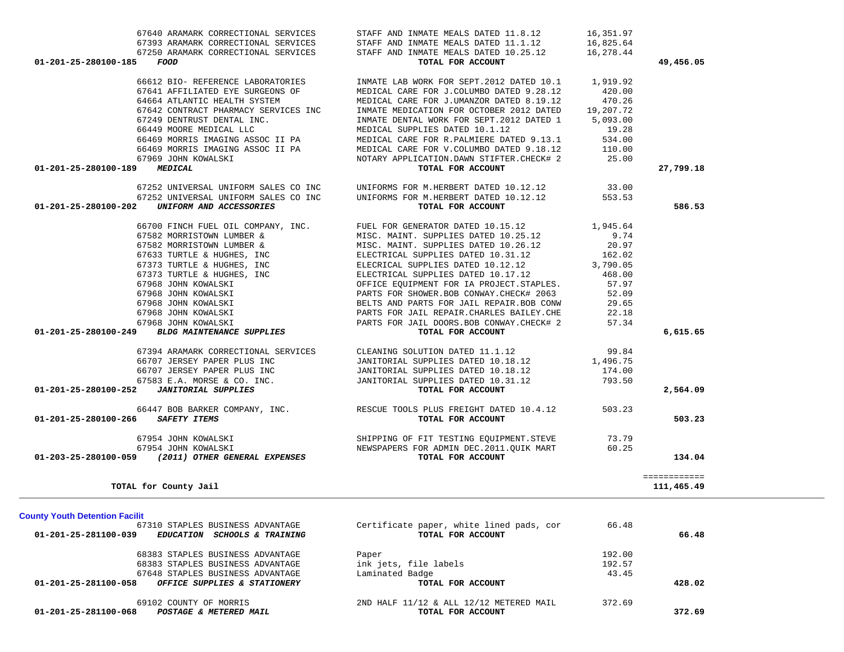| 66449 MOORE MEDICAL LLC<br>66469 MORRIS IMAGING ASSOC II PA<br>66469 MORRIS IMAGING ASSOC II PA<br>67969 JOHN KOWALSKI<br>01-201-25-280100-189<br><b>MEDICAL</b>                                                                                                                   | MEDICAL SUPPLIES DATED 10.1.12<br>MEDICAL CARE FOR R. PALMIERE DATED 9.13.1<br>MEDICAL CARE FOR V.COLUMBO DATED 9.18.12<br>NOTARY APPLICATION.DAWN STIFTER.CHECK# 2<br>TOTAL FOR ACCOUNT                                                                                                                                                                                                                             | 19.28<br>534.00<br>110.00<br>25.00                                                            | 27,799.18                  |
|------------------------------------------------------------------------------------------------------------------------------------------------------------------------------------------------------------------------------------------------------------------------------------|----------------------------------------------------------------------------------------------------------------------------------------------------------------------------------------------------------------------------------------------------------------------------------------------------------------------------------------------------------------------------------------------------------------------|-----------------------------------------------------------------------------------------------|----------------------------|
| 67252 UNIVERSAL UNIFORM SALES CO INC<br>67252 UNIVERSAL UNIFORM SALES CO INC<br>UNIFORM AND ACCESSORIES<br>01-201-25-280100-202                                                                                                                                                    | UNIFORMS FOR M.HERBERT DATED 10.12.12<br>UNIFORMS FOR M.HERBERT DATED 10.12.12<br>TOTAL FOR ACCOUNT                                                                                                                                                                                                                                                                                                                  | 33.00<br>553.53                                                                               | 586.53                     |
| 66700 FINCH FUEL OIL COMPANY, INC.<br>67582 MORRISTOWN LUMBER &<br>67582 MORRISTOWN LUMBER &<br>67633 TURTLE & HUGHES, INC<br>67373 TURTLE & HUGHES, INC<br>67373 TURTLE & HUGHES, INC<br>67968 JOHN KOWALSKI<br>67968 JOHN KOWALSKI<br>67968 JOHN KOWALSKI<br>67968 JOHN KOWALSKI | FUEL FOR GENERATOR DATED 10.15.12<br>MISC. MAINT. SUPPLIES DATED 10.25.12<br>MISC. MAINT. SUPPLIES DATED 10.26.12<br>ELECTRICAL SUPPLIES DATED 10.31.12<br>ELECRICAL SUPPLIES DATED 10.12.12<br>ELECTRICAL SUPPLIES DATED 10.17.12<br>OFFICE EQUIPMENT FOR IA PROJECT.STAPLES.<br>PARTS FOR SHOWER.BOB CONWAY.CHECK# 2063<br>BELTS AND PARTS FOR JAIL REPAIR. BOB CONW<br>PARTS FOR JAIL REPAIR. CHARLES BAILEY. CHE | 1,945.64<br>9.74<br>20.97<br>162.02<br>3,790.05<br>468.00<br>57.97<br>52.09<br>29.65<br>22.18 |                            |
| 67968 JOHN KOWALSKI<br><b>BLDG MAINTENANCE SUPPLIES</b><br>01-201-25-280100-249                                                                                                                                                                                                    | PARTS FOR JAIL DOORS.BOB CONWAY.CHECK# 2<br>TOTAL FOR ACCOUNT                                                                                                                                                                                                                                                                                                                                                        | 57.34                                                                                         | 6,615.65                   |
| 67394 ARAMARK CORRECTIONAL SERVICES<br>66707 JERSEY PAPER PLUS INC<br>66707 JERSEY PAPER PLUS INC<br>67583 E.A. MORSE & CO. INC.<br><b>JANITORIAL SUPPLIES</b><br>01-201-25-280100-252                                                                                             | CLEANING SOLUTION DATED 11.1.12<br>JANITORIAL SUPPLIES DATED 10.18.12<br>JANITORIAL SUPPLIES DATED 10.18.12<br>JANITORIAL SUPPLIES DATED 10.31.12<br>TOTAL FOR ACCOUNT                                                                                                                                                                                                                                               | 99.84<br>1,496.75<br>174.00<br>793.50                                                         | 2,564.09                   |
| 01-201-25-280100-266<br><b>SAFETY ITEMS</b>                                                                                                                                                                                                                                        | 66447 BOB BARKER COMPANY, INC. THE RESCUE TOOLS PLUS FREIGHT DATED 10.4.12<br>TOTAL FOR ACCOUNT                                                                                                                                                                                                                                                                                                                      | 503.23                                                                                        | 503.23                     |
| 67954 JOHN KOWALSKI<br>67954 JOHN KOWALSKI<br>01-203-25-280100-059 (2011) OTHER GENERAL EXPENSES                                                                                                                                                                                   | SHIPPING OF FIT TESTING EQUIPMENT. STEVE<br>NEWSPAPERS FOR ADMIN DEC.2011.OUIK MART<br>TOTAL FOR ACCOUNT                                                                                                                                                                                                                                                                                                             | 73.79<br>60.25                                                                                | 134.04                     |
| TOTAL for County Jail                                                                                                                                                                                                                                                              |                                                                                                                                                                                                                                                                                                                                                                                                                      |                                                                                               | ============<br>111,465.49 |
| <b>County Youth Detention Facilit</b><br>67310 STAPLES BUSINESS ADVANTAGE<br>01-201-25-281100-039<br>EDUCATION SCHOOLS & TRAINING                                                                                                                                                  | Certificate paper, white lined pads, cor<br>TOTAL FOR ACCOUNT                                                                                                                                                                                                                                                                                                                                                        | 66.48                                                                                         | 66.48                      |
| 68383 STAPLES BUSINESS ADVANTAGE<br>68383 STAPLES BUSINESS ADVANTAGE<br>67648 STAPLES BUSINESS ADVANTAGE<br>01-201-25-281100-058 OFFICE SUPPLIES & STATIONERY                                                                                                                      | Paper<br>ink jets, file labels<br>Laminated Badge<br>TOTAL FOR ACCOUNT                                                                                                                                                                                                                                                                                                                                               | 192.00<br>192.57<br>43.45                                                                     | 428.02                     |
| 69102 COUNTY OF MORRIS<br>01-201-25-281100-068<br>POSTAGE & METERED MAIL                                                                                                                                                                                                           | $2ND$ HALF $11/12$ & ALL $12/12$ METERED MAIL<br>TOTAL FOR ACCOUNT                                                                                                                                                                                                                                                                                                                                                   | 372.69                                                                                        | 372.69                     |

66612 BIO- REFERENCE LABORATORIES INMATE LAB WORK FOR SEPT.2012 DATED 10.1 1,919.92

64664 ATLANTIC HEALTH SYSTEM MEDICAL CARE FOR J.UMANZOR DATED 8.19.12 470.26

67641 AFFILIATED EYE SURGEONS OF MEDICAL CARE FOR J.COLUMBO DATED 9.28.12 420.00

 67642 CONTRACT PHARMACY SERVICES INC INMATE MEDICATION FOR OCTOBER 2012 DATED 19,207.72 67249 DENTRUST DENTAL INC. INMATE DENTAL WORK FOR SEPT.2012 DATED 1 5,093.00

 67640 ARAMARK CORRECTIONAL SERVICES STAFF AND INMATE MEALS DATED 11.8.12 16,351.97 67393 ARAMARK CORRECTIONAL SERVICES STAFF AND INMATE MEALS DATED 11.1.12 16,825.64 67250 ARAMARK CORRECTIONAL SERVICES STAFF AND INMATE MEALS DATED 10.25.12 16,278.44  **01-201-25-280100-185** *FOOD* **TOTAL FOR ACCOUNT 49,456.05**

420.00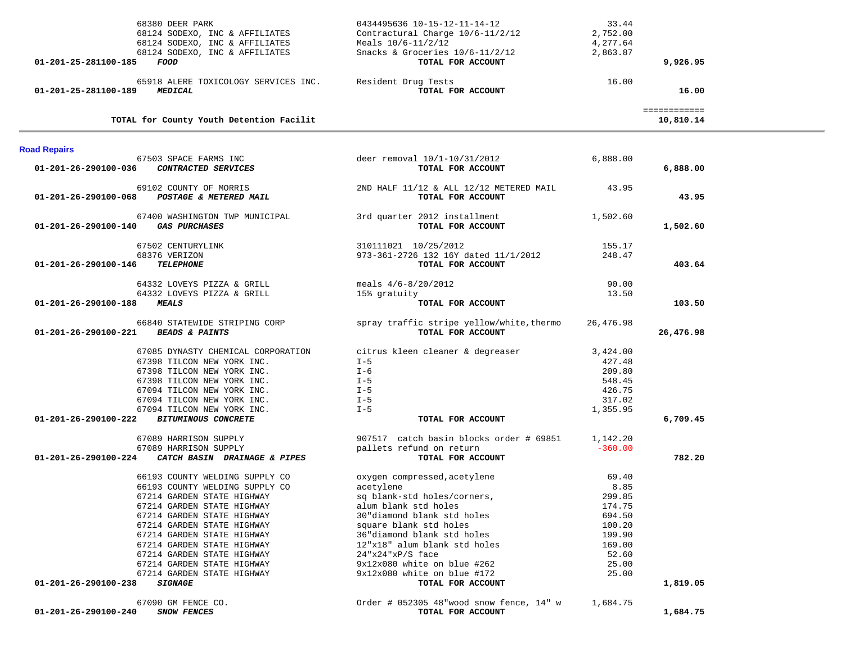| 68380 DEER PARK                                           | 0434495636 10-15-12-11-14-12                                  | 33.44     |              |  |
|-----------------------------------------------------------|---------------------------------------------------------------|-----------|--------------|--|
| 68124 SODEXO, INC & AFFILIATES                            | Contractural Charge 10/6-11/2/12                              | 2,752.00  |              |  |
| 68124 SODEXO, INC & AFFILIATES                            | Meals $10/6 - 11/2/12$                                        | 4,277.64  |              |  |
| 68124 SODEXO, INC & AFFILIATES                            | Snacks & Groceries $10/6 - 11/2/12$                           | 2,863.87  |              |  |
| 01-201-25-281100-185<br>FOOD                              | TOTAL FOR ACCOUNT                                             |           | 9,926.95     |  |
|                                                           |                                                               |           |              |  |
| 65918 ALERE TOXICOLOGY SERVICES INC.                      | Resident Drug Tests                                           | 16.00     |              |  |
| <b>MEDICAL</b><br>01-201-25-281100-189                    | TOTAL FOR ACCOUNT                                             |           | 16.00        |  |
|                                                           |                                                               |           |              |  |
|                                                           |                                                               |           | ============ |  |
| TOTAL for County Youth Detention Facilit                  |                                                               |           | 10,810.14    |  |
|                                                           |                                                               |           |              |  |
|                                                           |                                                               |           |              |  |
| <b>Road Repairs</b>                                       |                                                               |           |              |  |
| 67503 SPACE FARMS INC                                     | deer removal 10/1-10/31/2012                                  | 6,888.00  |              |  |
| 01-201-26-290100-036 CONTRACTED SERVICES                  | TOTAL FOR ACCOUNT                                             |           | 6,888.00     |  |
|                                                           |                                                               |           |              |  |
| 69102 COUNTY OF MORRIS                                    | 2ND HALF 11/12 & ALL 12/12 METERED MAIL                       | 43.95     |              |  |
| 01-201-26-290100-068 POSTAGE & METERED MAIL               | TOTAL FOR ACCOUNT                                             |           | 43.95        |  |
|                                                           |                                                               |           |              |  |
| 67400 WASHINGTON TWP MUNICIPAL                            | 3rd quarter 2012 installment                                  | 1,502.60  |              |  |
| 01-201-26-290100-140 GAS PURCHASES                        | TOTAL FOR ACCOUNT                                             |           | 1,502.60     |  |
|                                                           |                                                               |           |              |  |
| 67502 CENTURYLINK                                         | 310111021 10/25/2012                                          | 155.17    |              |  |
| 68376 VERIZON                                             | 973-361-2726 132 16Y dated 11/1/2012                          | 248.47    |              |  |
| <b>TELEPHONE</b><br>01-201-26-290100-146                  | TOTAL FOR ACCOUNT                                             |           | 403.64       |  |
|                                                           |                                                               |           |              |  |
| 64332 LOVEYS PIZZA & GRILL                                | meals $4/6 - 8/20/2012$                                       | 90.00     |              |  |
| 64332 LOVEYS PIZZA & GRILL                                | 15% gratuity                                                  | 13.50     |              |  |
| 01-201-26-290100-188<br><i><b>MEALS</b></i>               | TOTAL FOR ACCOUNT                                             |           | 103.50       |  |
|                                                           |                                                               |           |              |  |
| 66840 STATEWIDE STRIPING CORP                             | spray traffic stripe yellow/white, thermo                     | 26,476.98 |              |  |
| 01-201-26-290100-221<br><b>BEADS &amp; PAINTS</b>         | TOTAL FOR ACCOUNT                                             |           | 26,476.98    |  |
|                                                           |                                                               |           |              |  |
| 67085 DYNASTY CHEMICAL CORPORATION                        | citrus kleen cleaner & degreaser                              | 3,424.00  |              |  |
| 67398 TILCON NEW YORK INC.                                | $I - 5$                                                       | 427.48    |              |  |
| 67398 TILCON NEW YORK INC.                                | I-6                                                           | 209.80    |              |  |
| 67398 TILCON NEW YORK INC.                                | $I - 5$                                                       | 548.45    |              |  |
| 67094 TILCON NEW YORK INC.                                | $I - 5$                                                       | 426.75    |              |  |
| 67094 TILCON NEW YORK INC.                                | $I - 5$                                                       | 317.02    |              |  |
| 67094 TILCON NEW YORK INC.                                | $I - 5$                                                       | 1,355.95  |              |  |
| <b>BITUMINOUS CONCRETE</b><br>01-201-26-290100-222        | TOTAL FOR ACCOUNT                                             |           | 6,709.45     |  |
| 67089 HARRISON SUPPLY                                     | 907517 catch basin blocks order # 69851                       | 1,142.20  |              |  |
| 67089 HARRISON SUPPLY                                     | pallets refund on return                                      | $-360.00$ |              |  |
| 01-201-26-290100-224<br>CATCH BASIN DRAINAGE & PIPES      | TOTAL FOR ACCOUNT                                             |           | 782.20       |  |
|                                                           |                                                               |           |              |  |
| 66193 COUNTY WELDING SUPPLY CO                            | oxygen compressed, acetylene                                  | 69.40     |              |  |
| 66193 COUNTY WELDING SUPPLY CO                            | acetylene                                                     | 8.85      |              |  |
| 67214 GARDEN STATE HIGHWAY                                | sq blank-std holes/corners,                                   | 299.85    |              |  |
| 67214 GARDEN STATE HIGHWAY                                | alum blank std holes                                          | 174.75    |              |  |
| 67214 GARDEN STATE HIGHWAY                                | 30"diamond blank std holes                                    | 694.50    |              |  |
| 67214 GARDEN STATE HIGHWAY                                | square blank std holes                                        | 100.20    |              |  |
|                                                           |                                                               |           |              |  |
| 67214 GARDEN STATE HIGHWAY                                | 36"diamond blank std holes                                    | 199.90    |              |  |
| 67214 GARDEN STATE HIGHWAY                                | 12"x18" alum blank std holes                                  | 169.00    |              |  |
| 67214 GARDEN STATE HIGHWAY                                | $24$ "x24"xP/S face                                           | 52.60     |              |  |
| 67214 GARDEN STATE HIGHWAY                                | 9x12x080 white on blue #262                                   | 25.00     |              |  |
| 67214 GARDEN STATE HIGHWAY                                | 9x12x080 white on blue #172                                   | 25.00     |              |  |
| 01-201-26-290100-238<br><b>SIGNAGE</b>                    | TOTAL FOR ACCOUNT                                             |           | 1,819.05     |  |
|                                                           |                                                               |           |              |  |
| 67090 GM FENCE CO.<br>SNOW FENCES<br>01-201-26-290100-240 | Order # 052305 48"wood snow fence, 14" w<br>TOTAL FOR ACCOUNT | 1,684.75  |              |  |
|                                                           |                                                               |           | 1,684.75     |  |
|                                                           |                                                               |           |              |  |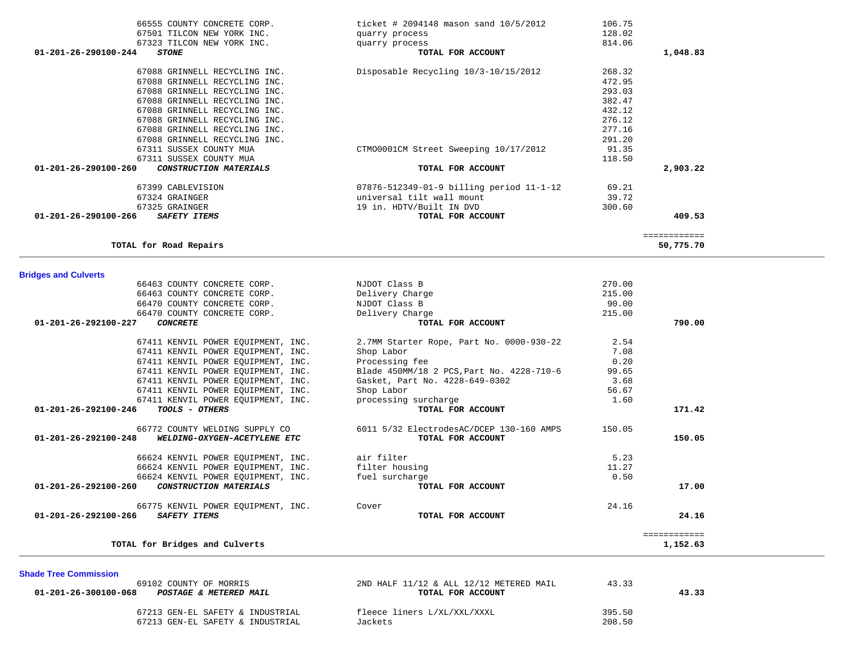| CTM00001CM Street Sweeping 10/17/2012     | 91.35                                                                    |                           |
|-------------------------------------------|--------------------------------------------------------------------------|---------------------------|
|                                           |                                                                          | 2,903.22                  |
|                                           |                                                                          |                           |
| 07876-512349-01-9 billing period 11-1-12  | 69.21                                                                    |                           |
| universal tilt wall mount                 | 39.72                                                                    |                           |
| 19 in. HDTV/Built IN DVD                  | 300.60                                                                   |                           |
| TOTAL FOR ACCOUNT                         |                                                                          | 409.53                    |
|                                           |                                                                          | ============<br>50,775.70 |
|                                           |                                                                          |                           |
|                                           |                                                                          |                           |
| NJDOT Class B                             | 270.00                                                                   |                           |
|                                           | 215.00                                                                   |                           |
|                                           |                                                                          |                           |
|                                           | 215.00                                                                   |                           |
| TOTAL FOR ACCOUNT                         |                                                                          | 790.00                    |
| 2.7MM Starter Rope, Part No. 0000-930-22  | 2.54                                                                     |                           |
| Shop Labor                                |                                                                          |                           |
| Processing fee                            | 0.20                                                                     |                           |
| Blade 450MM/18 2 PCS, Part No. 4228-710-6 | 99.65                                                                    |                           |
| Gasket, Part No. 4228-649-0302            | 3.68                                                                     |                           |
| Shop Labor                                | 56.67                                                                    |                           |
| processing surcharge                      | 1.60                                                                     |                           |
| TOTAL FOR ACCOUNT                         |                                                                          | 171.42                    |
| 6011 5/32 ElectrodesAC/DCEP 130-160 AMPS  | 150.05                                                                   |                           |
| TOTAL FOR ACCOUNT                         |                                                                          | 150.05                    |
| air filter                                | 5.23                                                                     |                           |
| filter housing                            | 11.27                                                                    |                           |
| fuel surcharge                            | 0.50                                                                     |                           |
| TOTAL FOR ACCOUNT                         |                                                                          | 17.00                     |
| Cover                                     | 24.16                                                                    |                           |
| TOTAL FOR ACCOUNT                         |                                                                          | 24.16                     |
|                                           |                                                                          | ============              |
|                                           |                                                                          | 1,152.63                  |
|                                           | TOTAL FOR ACCOUNT<br>Delivery Charge<br>NJDOT Class B<br>Delivery Charge | 118.50<br>90.00<br>7.08   |

## 66555 COUNTY CONCRETE CORP. ticket # 2094148 mason sand 10/5/2012 106.75 67501 TILCON NEW YORK INC. quarry process 128.02 67323 TILCON NEW YORK INC. quarry process 814.06  **01-201-26-290100-244** *STONE* **TOTAL FOR ACCOUNT 1,048.83** 67088 GRINNELL RECYCLING INC. Disposable Recycling 10/3-10/15/2012 268.32 67088 GRINNELL RECYCLING INC. 472.95 67088 GRINNELL RECYCLING INC. 293.03 67088 GRINNELL RECYCLING INC. 382.47 67088 GRINNELL RECYCLING INC. 432.12 67088 GRINNELL RECYCLING INC. 276.12 67088 GRINNELL RECYCLING INC. 67088 GRINNELL RECYCLING INC. 291.20

 69102 COUNTY OF MORRIS 2ND HALF 11/12 & ALL 12/12 METERED MAIL 43.33  **01-201-26-300100-068** *POSTAGE & METERED MAIL* **TOTAL FOR ACCOUNT 43.33** 67213 GEN-EL SAFETY & INDUSTRIAL fleece liners L/XL/XXL/XXXL 395.50 67213 GEN-EL SAFETY & INDUSTRIAL Jackets 208.50

**Shade Tree Commission** 

277.16

91.35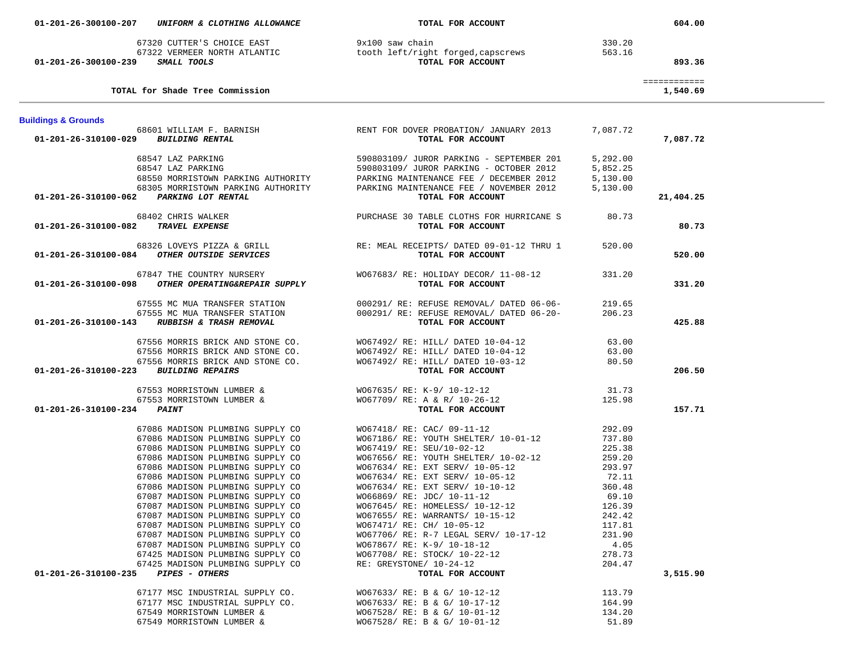| 01-201-26-300100-239           | 67320 CUTTER'S CHOICE EAST<br>SMALL TOOLS                                                                                                                                                                                                                                                                                                                                                                                                                                                                                                                                  | 9x100 saw chain<br>67322 VERMEER NORTH ATLANTIC<br><b>booth left/right forged, capscrews</b><br><b>SMALL TOOLS</b> TOTAL FOR ACCOUNT<br>TOTAL FOR ACCOUNT                                                                                                                                                                                                                                                                                                                                                                              | 330.20<br>563.16                                                                                                                               | 893.36                   |
|--------------------------------|----------------------------------------------------------------------------------------------------------------------------------------------------------------------------------------------------------------------------------------------------------------------------------------------------------------------------------------------------------------------------------------------------------------------------------------------------------------------------------------------------------------------------------------------------------------------------|----------------------------------------------------------------------------------------------------------------------------------------------------------------------------------------------------------------------------------------------------------------------------------------------------------------------------------------------------------------------------------------------------------------------------------------------------------------------------------------------------------------------------------------|------------------------------------------------------------------------------------------------------------------------------------------------|--------------------------|
|                                | TOTAL for Shade Tree Commission                                                                                                                                                                                                                                                                                                                                                                                                                                                                                                                                            |                                                                                                                                                                                                                                                                                                                                                                                                                                                                                                                                        |                                                                                                                                                | ============<br>1,540.69 |
| <b>Buildings &amp; Grounds</b> |                                                                                                                                                                                                                                                                                                                                                                                                                                                                                                                                                                            |                                                                                                                                                                                                                                                                                                                                                                                                                                                                                                                                        |                                                                                                                                                |                          |
| 01-201-26-310100-029           | <b>BUILDING RENTAL</b>                                                                                                                                                                                                                                                                                                                                                                                                                                                                                                                                                     | 68601 WILLIAM F. BARNISH RENT FOR DOVER PROBATION/ JANUARY 2013<br>TOTAL FOR ACCOUNT                                                                                                                                                                                                                                                                                                                                                                                                                                                   | 7,087.72                                                                                                                                       | 7,087.72                 |
|                                | 68547 LAZ PARKING<br>68547 LAZ PARKING<br>68550 MORRISTOWN PARKING AUTHORITY<br>68305 MORRISTOWN PARKING AUTHORITY<br>01-201-26-310100-062 PARKING LOT RENTAL                                                                                                                                                                                                                                                                                                                                                                                                              | 590803109/ JUROR PARKING - SEPTEMBER 201<br>590803109/ JUROR PARKING - OCTOBER 2012<br>PARKING MAINTENANCE FEE / DECEMBER 2012<br>PARKING MAINTENANCE FEE / NOVEMBER 2012<br>TOTAL FOR ACCOUNT                                                                                                                                                                                                                                                                                                                                         | 5,292.00<br>5,852.25<br>5,130.00<br>5,130.00                                                                                                   | 21,404.25                |
|                                | 68402 CHRIS WALKER<br>01-201-26-310100-082 TRAVEL EXPENSE                                                                                                                                                                                                                                                                                                                                                                                                                                                                                                                  | PURCHASE 30 TABLE CLOTHS FOR HURRICANE S<br>TOTAL FOR ACCOUNT                                                                                                                                                                                                                                                                                                                                                                                                                                                                          | 80.73                                                                                                                                          | 80.73                    |
|                                |                                                                                                                                                                                                                                                                                                                                                                                                                                                                                                                                                                            | 68326 LOVEYS PIZZA & GRILL RE: MEAL RECEIPTS/ DATED 09-01-12 THRU 1<br>01-201-26-310100-084 OTHER OUTSIDE SERVICES TOTAL FOR ACCOUNT                                                                                                                                                                                                                                                                                                                                                                                                   | 520.00                                                                                                                                         | 520.00                   |
| 01-201-26-310100-098           | 47 THE COUNTRY NURSERY<br><b>OTHER OPERATING&amp;REPAIR SUPPLY</b><br>67847 THE COUNTRY NURSERY                                                                                                                                                                                                                                                                                                                                                                                                                                                                            | WO67683/RE: HOLIDAY DECOR/11-08-12<br>TOTAL FOR ACCOUNT                                                                                                                                                                                                                                                                                                                                                                                                                                                                                | 331.20                                                                                                                                         | 331.20                   |
| 01-201-26-310100-143           | 67555 MC MUA TRANSFER STATION<br>67555 MC MUA TRANSFER STATION<br>3      RUBBISH & TRASH REMOVAL                                                                                                                                                                                                                                                                                                                                                                                                                                                                           | 000291/ RE: REFUSE REMOVAL/ DATED 06-06-<br>000291/ RE: REFUSE REMOVAL/ DATED 06-20-<br><b>TOTAL FOR ACCOUNT</b><br>TOTAL FOR ACCOUNT                                                                                                                                                                                                                                                                                                                                                                                                  | 219.65<br>206.23                                                                                                                               | 425.88                   |
|                                | 01-201-26-310100-223 BUILDING REPAIRS                                                                                                                                                                                                                                                                                                                                                                                                                                                                                                                                      | 67556 MORRIS BRICK AND STONE CO. WO67492/RE: HILL/DATED 10-04-12<br>67556 MORRIS BRICK AND STONE CO. WO67492/RE: HILL/DATED 10-04-12<br>67556 MORRIS BRICK AND STONE CO. WO67492/RE: HILL/DATED 10-03-12<br>TOTAL FOR ACCOUNT                                                                                                                                                                                                                                                                                                          | 63.00<br>63.00<br>80.50                                                                                                                        | 206.50                   |
| 01-201-26-310100-234           | 67553 MORRISTOWN LUMBER &<br>67553 MORRISTOWN LUMBER &<br><b>PAINT</b>                                                                                                                                                                                                                                                                                                                                                                                                                                                                                                     | W067635/ RE: K-9/ 10-12-12<br>WO67709/ RE: A & R/ 10-26-12<br>TOTAL FOR ACCOUNT                                                                                                                                                                                                                                                                                                                                                                                                                                                        | 31.73<br>125.98                                                                                                                                | 157.71                   |
| 01-201-26-310100-235           | 67086 MADISON PLUMBING SUPPLY CO<br>67086 MADISON PLUMBING SUPPLY CO<br>67086 MADISON PLUMBING SUPPLY CO<br>67086 MADISON PLUMBING SUPPLY CO<br>67086 MADISON PLUMBING SUPPLY CO<br>67086 MADISON PLUMBING SUPPLY CO<br>67086 MADISON PLUMBING SUPPLY CO<br>67087 MADISON PLUMBING SUPPLY CO<br>67087 MADISON PLUMBING SUPPLY CO<br>67087 MADISON PLUMBING SUPPLY CO<br>67087 MADISON PLUMBING SUPPLY CO<br>67087 MADISON PLUMBING SUPPLY CO<br>67087 MADISON PLUMBING SUPPLY CO<br>67425 MADISON PLUMBING SUPPLY CO<br>67425 MADISON PLUMBING SUPPLY CO<br>PIPES - OTHERS | W067418/ RE: CAC/ 09-11-12<br>WO67186/RE: YOUTH SHELTER/ 10-01-12<br>WO67419/ RE: SEU/10-02-12<br>WO67656/RE: YOUTH SHELTER/ 10-02-12<br>WO67634/ RE: EXT SERV/ 10-05-12<br>W067634/ RE: EXT SERV/ 10-05-12<br>WO67634/ RE: EXT SERV/ 10-10-12<br>W066869/ RE: JDC/ 10-11-12<br>W067645/ RE: HOMELESS/ 10-12-12<br>WO67655/ RE: WARRANTS/ 10-15-12<br>WO67471/ RE: CH/ 10-05-12<br>WO67706/ RE: R-7 LEGAL SERV/ 10-17-12<br>W067867/ RE: K-9/ 10-18-12<br>W067708/ RE: STOCK/ 10-22-12<br>RE: GREYSTONE/ 10-24-12<br>TOTAL FOR ACCOUNT | 292.09<br>737.80<br>225.38<br>259.20<br>293.97<br>72.11<br>360.48<br>69.10<br>126.39<br>242.42<br>117.81<br>231.90<br>4.05<br>278.73<br>204.47 | 3,515.90                 |
|                                | 67177 MSC INDUSTRIAL SUPPLY CO.<br>67177 MSC INDUSTRIAL SUPPLY CO.<br>67549 MORRISTOWN LUMBER &<br>67549 MORRISTOWN LUMBER &                                                                                                                                                                                                                                                                                                                                                                                                                                               | WO67633/ RE: B & G/ 10-12-12<br>WO67633/ RE: B & G/ 10-17-12<br>W067528/ RE: B & G/ 10-01-12<br>WO67528/ RE: B & G/ 10-01-12                                                                                                                                                                                                                                                                                                                                                                                                           | 113.79<br>164.99<br>134.20<br>51.89                                                                                                            |                          |

604.00

 **01-201-26-300100-207** *UNIFORM & CLOTHING ALLOWANCE* **TOTAL FOR ACCOUNT 604.00**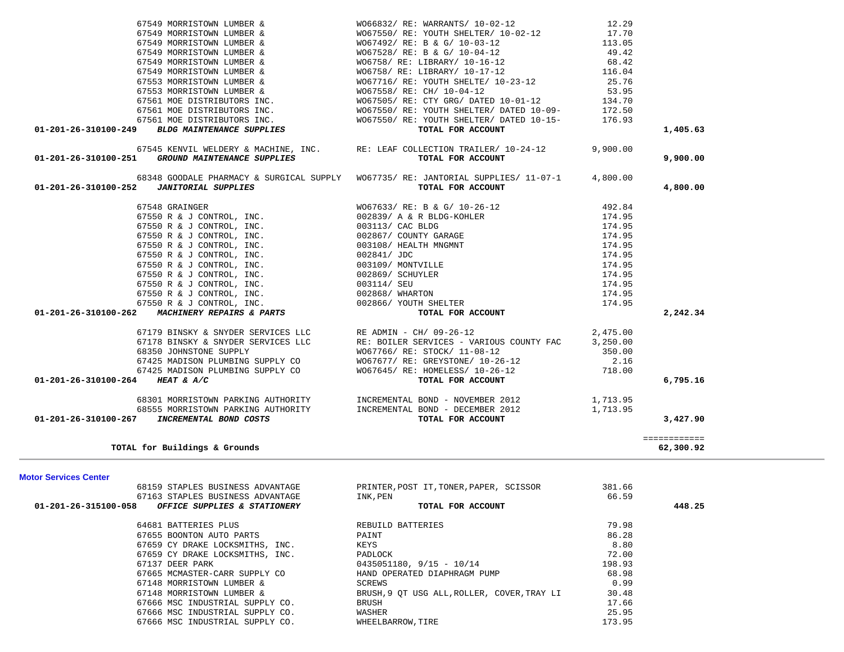| <b>Motor Services Center</b> |                                                   |                                             |        |        |
|------------------------------|---------------------------------------------------|---------------------------------------------|--------|--------|
|                              | 68159 STAPLES BUSINESS ADVANTAGE                  | PRINTER, POST IT, TONER, PAPER, SCISSOR     | 381.66 |        |
|                              | 67163 STAPLES BUSINESS ADVANTAGE                  | INK, PEN                                    | 66.59  |        |
|                              | 01-201-26-315100-058 OFFICE SUPPLIES & STATIONERY | TOTAL FOR ACCOUNT                           |        | 448.25 |
|                              | 64681 BATTERIES PLUS                              | REBUILD BATTERIES                           | 79.98  |        |
|                              | 67655 BOONTON AUTO PARTS                          | PAINT                                       | 86.28  |        |
|                              | 67659 CY DRAKE LOCKSMITHS, INC.                   | KEYS                                        | 8.80   |        |
|                              | 67659 CY DRAKE LOCKSMITHS, INC.                   | PADLOCK                                     | 72.00  |        |
|                              | 67137 DEER PARK                                   | $0435051180, 9/15 - 10/14$                  | 198.93 |        |
|                              | 67665 MCMASTER-CARR SUPPLY CO                     | HAND OPERATED DIAPHRAGM PUMP                | 68.98  |        |
|                              | 67148 MORRISTOWN LUMBER &                         | SCREWS                                      | 0.99   |        |
|                              | 67148 MORRISTOWN LUMBER &                         | BRUSH, 9 OT USG ALL, ROLLER, COVER, TRAY LI | 30.48  |        |
|                              | 67666 MSC INDUSTRIAL SUPPLY CO.                   | BRUSH                                       | 17.66  |        |
|                              | 67666 MSC INDUSTRIAL SUPPLY CO.                   | WASHER                                      | 25.95  |        |
|                              | 67666 MSC INDUSTRIAL SUPPLY CO.                   | WHEELBARROW, TIRE                           | 173.95 |        |

| 3,427.90                                  | TOTAL FOR ACCOUNT | <i>INCREMENTAL BOND COSTS</i> | 01-201-26-310100-267 |
|-------------------------------------------|-------------------|-------------------------------|----------------------|
| ------------<br>. _ _ _ _ _ _ _ _ _ _ _ _ |                   |                               |                      |
| 62,300.92                                 |                   | TOTAL for Buildings & Grounds |                      |

| 67561 MOE DISTRIBUTORS INC.<br>$WO67550/RE: YOUTH SHELTE/ DATED 10-09-172.50$<br>67561 MOE DISTRIBUTORS INC. WO67550/ RE: YOUTH SHELTER/ DATED 10-15-<br>01-201-26-310100-249 BLDG MAINTENANCE SUPPLIES TOTAL FOR ACCOUNT                                                                                                                                                                                                          |          |          |
|------------------------------------------------------------------------------------------------------------------------------------------------------------------------------------------------------------------------------------------------------------------------------------------------------------------------------------------------------------------------------------------------------------------------------------|----------|----------|
|                                                                                                                                                                                                                                                                                                                                                                                                                                    |          | 1,405.63 |
| 67545 KENVIL WELDERY & MACHINE, INC. RE: LEAF COLLECTION TRAILER/ 10-24-12 9,900.00<br>01-201-26-310100-251 GROUND MAINTENANCE SUPPLIES<br>TOTAL FOR ACCOUNT                                                                                                                                                                                                                                                                       |          | 9,900.00 |
| 68348 GOODALE PHARMACY & SURGICAL SUPPLY WO67735/RE: JANTORIAL SUPPLIES/ 11-07-1 4,800.00<br>TOTAL FOR ACCOUNT                                                                                                                                                                                                                                                                                                                     |          | 4,800.00 |
|                                                                                                                                                                                                                                                                                                                                                                                                                                    |          |          |
|                                                                                                                                                                                                                                                                                                                                                                                                                                    |          |          |
|                                                                                                                                                                                                                                                                                                                                                                                                                                    |          |          |
|                                                                                                                                                                                                                                                                                                                                                                                                                                    |          |          |
|                                                                                                                                                                                                                                                                                                                                                                                                                                    |          |          |
|                                                                                                                                                                                                                                                                                                                                                                                                                                    |          |          |
| 67550 R & J CONTROL, INC.<br>67550 R & J CONTROL, INC. $003109/$ MONTVILLE                                                                                                                                                                                                                                                                                                                                                         | 174.95   |          |
| 67550 R & J CONTROL, INC.<br>67550 R & J CONTROL, INC. 002869/ SCHUYLER<br>67550 R & J CONTROL, INC. 003114/ SEU<br>67550 R & J CONTROL, INC. 002868/ WHARTON                                                                                                                                                                                                                                                                      | 174.95   |          |
|                                                                                                                                                                                                                                                                                                                                                                                                                                    | 174.95   |          |
| 174.95                                                                                                                                                                                                                                                                                                                                                                                                                             |          |          |
| 67550 R & J CONTROL, INC. 002866/ YOUTH SHELTER                                                                                                                                                                                                                                                                                                                                                                                    | 174.95   |          |
| TOTAL FOR ACCOUNT<br>01-201-26-310100-262 MACHINERY REPAIRS & PARTS                                                                                                                                                                                                                                                                                                                                                                |          | 2,242.34 |
| 67179 BINSKY & SNYDER SERVICES LLC RE ADMIN - CH/ 09-26-12 $2,475.00$                                                                                                                                                                                                                                                                                                                                                              |          |          |
| 67178 BINSKY & SNYDER SERVICES LLC RE: BOILER SERVICES - VARIOUS COUNTY FAC 3,250.00                                                                                                                                                                                                                                                                                                                                               |          |          |
|                                                                                                                                                                                                                                                                                                                                                                                                                                    |          |          |
|                                                                                                                                                                                                                                                                                                                                                                                                                                    |          |          |
|                                                                                                                                                                                                                                                                                                                                                                                                                                    |          |          |
| $\begin{array}{lllllllllllll} 68350 & \text{JOHNSTONE SUPPLY} & & & & & & & & 350.00 \\ 67425 & \text{MADISON PLUMBING SUPPLY CO} & & & & & & & & 350.00 \\ 67425 & \text{MADISON PLUMBING SUPPLY CO} & & & & & & 9067677/ RE: GREYSTONE/ 10-26-12 & & & & & 2.16 \\ 67425 & \text{MADISON PLUMBING SUPPLY CO} & & & & & & & 9067645/ RE: HOMELES/ 10-26-12 & & & & & 718.00 \\ 4 & \text{HEAT$<br>01-201-26-310100-264 HEAT & A/C |          | 6,795.16 |
| 68301 MORRISTOWN PARKING AUTHORITY          INCREMENTAL BOND - NOVEMBER 2012                1,713.95                                                                                                                                                                                                                                                                                                                               |          |          |
| 68555 MORRISTOWN PARKING AUTHORITY <b>INCREMENTAL BOND - DECEMBER 2012</b>                                                                                                                                                                                                                                                                                                                                                         | 1,713.95 |          |

| 67549 MORRISTOWN LUMBER &                        | WO66832/ RE: WARRANTS/ 10-02-12                                            | 12.29    |  |
|--------------------------------------------------|----------------------------------------------------------------------------|----------|--|
| 67549 MORRISTOWN LUMBER &                        | WO67550/RE: YOUTH SHELTER/10-02-12                                         | 17.70    |  |
| 67549 MORRISTOWN LUMBER &                        | WO67492/ RE: B & G/ 10-03-12                                               | 113.05   |  |
| 67549 MORRISTOWN LUMBER &                        | WO67528/ RE: B & G/ 10-04-12                                               | 49.42    |  |
| 67549 MORRISTOWN LUMBER &                        | WO6758/ RE: LIBRARY/ 10-16-12                                              | 68.42    |  |
| 67549 MORRISTOWN LUMBER &                        | WO6758/ RE: LIBRARY/ 10-17-12                                              | 116.04   |  |
| 67553 MORRISTOWN LUMBER &                        | WO67716/ RE: YOUTH SHELTE/ 10-23-12                                        | 25.76    |  |
| 67553 MORRISTOWN LUMBER &                        | W067558/RE: CH/ 10-04-12                                                   | 53.95    |  |
| 67561 MOE DISTRIBUTORS INC.                      | WO67505/ RE: CTY GRG/ DATED 10-01-12                                       | 134.70   |  |
| 67561 MOE DISTRIBUTORS INC.                      | WO67550/RE: YOUTH SHELTER/ DATED 10-09-                                    | 172.50   |  |
| 67561 MOE DISTRIBUTORS INC.                      | WO67550/ RE: YOUTH SHELTER/ DATED 10-15-                                   | 176.93   |  |
| $01-201-26-310100-249$ BLDG MAINTENANCE SUPPLIES | TOTAL FOR ACCOUNT                                                          |          |  |
|                                                  |                                                                            |          |  |
|                                                  | 67545 KENVIL WELDERY & MACHINE. INC. RE: LEAF COLLECTION TRAILER/ 10-24-12 | 9.900.00 |  |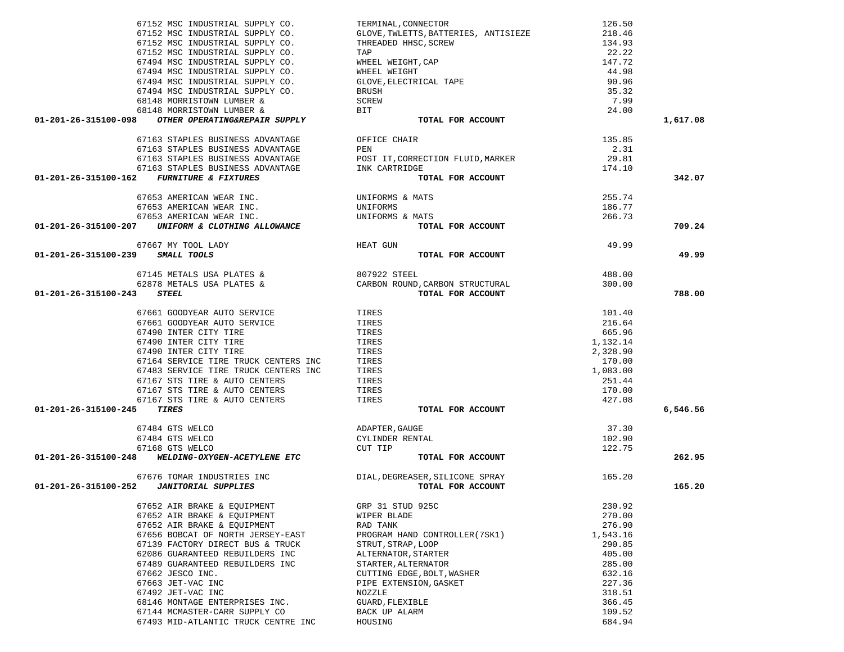| 67152 MSC INDUSTRIAL SUPPLY CO.                                                                                                        | TERMINAL, CONNECTOR                                                                                                                  | 126.50   |          |
|----------------------------------------------------------------------------------------------------------------------------------------|--------------------------------------------------------------------------------------------------------------------------------------|----------|----------|
| 67152 MSC INDUSTRIAL SUPPLY CO.                                                                                                        | GLOVE, TWLETTS, BATTERIES, ANTISIEZE                                                                                                 | 218.46   |          |
| 67152 MSC INDUSTRIAL SUPPLY CO.                                                                                                        |                                                                                                                                      | 134.93   |          |
| 67152 MSC INDUSTRIAL SUPPLY CO.                                                                                                        | GLOVE, INDETES, BATTERIES, ANTISTEER<br>THREADED HHSC, SCREW<br>WHEEL WEIGHT, CAP<br>WHEEL WEIGHT<br>GLOVE, ELECTRICAL TAPE<br>BRUSH | 22.22    |          |
| 67494 MSC INDUSTRIAL SUPPLY CO.                                                                                                        |                                                                                                                                      | 147.72   |          |
|                                                                                                                                        |                                                                                                                                      |          |          |
| 67494 MSC INDUSTRIAL SUPPLY CO.                                                                                                        |                                                                                                                                      | 44.98    |          |
| 67494 MSC INDUSTRIAL SUPPLY CO.                                                                                                        |                                                                                                                                      | 90.96    |          |
| 67494 MSC INDUSTRIAL SUPPLY CO.                                                                                                        | <b>BRUSH</b>                                                                                                                         | 35.32    |          |
| 68148 MORRISTOWN LUMBER &                                                                                                              | SCREW                                                                                                                                | 7.99     |          |
| 68148 MORRISTOWN LUMBER &                                                                                                              | BIT                                                                                                                                  | 24.00    |          |
| 01-201-26-315100-098<br>OTHER OPERATING&REPAIR SUPPLY                                                                                  | TOTAL FOR ACCOUNT                                                                                                                    |          | 1,617.08 |
|                                                                                                                                        |                                                                                                                                      |          |          |
| 67163 STAPLES BUSINESS ADVANTAGE                                                                                                       | OFFICE CHAIR                                                                                                                         | 135.85   |          |
| 67163 STAPLES BUSINESS ADVANTAGE                                                                                                       | PEN                                                                                                                                  | 2.31     |          |
| 67163 STAPLES BUSINESS ADVANTAGE                                                                                                       | POST IT, CORRECTION FLUID, MARKER                                                                                                    | 29.81    |          |
| 67163 STAPLES BUSINESS ADVANTAGE                                                                                                       | INK CARTRIDGE                                                                                                                        | 174.10   |          |
| 01-201-26-315100-162<br><b>FURNITURE &amp; FIXTURES</b>                                                                                | TOTAL FOR ACCOUNT                                                                                                                    |          | 342.07   |
|                                                                                                                                        |                                                                                                                                      |          |          |
| 67653 AMERICAN WEAR INC.                                                                                                               | UNIFORMS & MATS                                                                                                                      | 255.74   |          |
| 67653 AMERICAN WEAR INC.                                                                                                               | UNIFORMS                                                                                                                             | 186.77   |          |
| 67653 AMERICAN WEAR INC.                                                                                                               | UNIFORMS & MATS                                                                                                                      | 266.73   |          |
| 01-201-26-315100-207<br>UNIFORM & CLOTHING ALLOWANCE                                                                                   | TOTAL FOR ACCOUNT                                                                                                                    |          | 709.24   |
|                                                                                                                                        |                                                                                                                                      |          |          |
| 67667 MY TOOL LADY                                                                                                                     | <b>HEAT GUN</b>                                                                                                                      | 49.99    |          |
| 01-201-26-315100-239 SMALL TOOLS                                                                                                       | TOTAL FOR ACCOUNT                                                                                                                    |          | 49.99    |
|                                                                                                                                        |                                                                                                                                      | 488.00   |          |
| 67145 METALS USA PLATES & $\begin{array}{ccccc} 807922 & \text{STEEL} \ 62878 & \text{METALS} & \text{USA PLATES & & & \\ \end{array}$ |                                                                                                                                      |          |          |
|                                                                                                                                        |                                                                                                                                      | 300.00   |          |
| 01-201-26-315100-243<br><i><b>STEEL</b></i>                                                                                            | TOTAL FOR ACCOUNT                                                                                                                    |          | 788.00   |
| 67661 GOODYEAR AUTO SERVICE<br>27221 COODYEAR AUTO SERVICE (TIRES TIRES                                                                |                                                                                                                                      | 101.40   |          |
|                                                                                                                                        |                                                                                                                                      |          |          |
|                                                                                                                                        |                                                                                                                                      | 216.64   |          |
| 67490 INTER CITY TIRE                                                                                                                  | TIRES                                                                                                                                | 665.96   |          |
| 67490 INTER CITY TIRE                                                                                                                  | TIRES                                                                                                                                | 1,132.14 |          |
| 67490 INTER CITY TIRE                                                                                                                  | TIRES                                                                                                                                | 2,328.90 |          |
| 67164 SERVICE TIRE TRUCK CENTERS INC                                                                                                   | TIRES                                                                                                                                | 170.00   |          |
| 67483 SERVICE TIRE TRUCK CENTERS INC                                                                                                   | TIRES                                                                                                                                | 1,083.00 |          |
| 67167 STS TIRE & AUTO CENTERS                                                                                                          | TIRES                                                                                                                                | 251.44   |          |
| 67167 STS TIRE & AUTO CENTERS                                                                                                          | TIRES                                                                                                                                | 170.00   |          |
| 67167 STS TIRE & AUTO CENTERS                                                                                                          | TIRES                                                                                                                                | 427.08   |          |
| 01-201-26-315100-245<br><b>TIRES</b>                                                                                                   | TOTAL FOR ACCOUNT                                                                                                                    |          | 6,546.56 |
|                                                                                                                                        |                                                                                                                                      |          |          |
| 67484 GTS WELCO                                                                                                                        | ADAPTER, GAUGE                                                                                                                       | 37.30    |          |
| 67484 GTS WELCO                                                                                                                        | CYLINDER RENTAL                                                                                                                      | 102.90   |          |
| 67168 GTS WELCO                                                                                                                        | CUT TIP                                                                                                                              | 122.75   |          |
| WELDING-OXYGEN-ACETYLENE ETC<br>01-201-26-315100-248                                                                                   | TOTAL FOR ACCOUNT                                                                                                                    |          | 262.95   |
|                                                                                                                                        |                                                                                                                                      |          |          |
| 67676 TOMAR INDUSTRIES INC                                                                                                             | DIAL, DEGREASER, SILICONE SPRAY                                                                                                      | 165.20   |          |
| 01-201-26-315100-252  JANITORIAL SUPPLIES                                                                                              | TOTAL FOR ACCOUNT                                                                                                                    |          | 165.20   |
| 67652 AIR BRAKE & EQUIPMENT                                                                                                            | GRP 31 STUD 925C                                                                                                                     | 230.92   |          |
| 67652 AIR BRAKE & EQUIPMENT                                                                                                            |                                                                                                                                      |          |          |
|                                                                                                                                        | WIPER BLADE                                                                                                                          | 270.00   |          |
| 67652 AIR BRAKE & EQUIPMENT                                                                                                            | RAD TANK                                                                                                                             | 276.90   |          |
| 67656 BOBCAT OF NORTH JERSEY-EAST                                                                                                      | PROGRAM HAND CONTROLLER (7SK1)                                                                                                       | 1,543.16 |          |
| 67139 FACTORY DIRECT BUS & TRUCK                                                                                                       | STRUT, STRAP, LOOP                                                                                                                   | 290.85   |          |
| 62086 GUARANTEED REBUILDERS INC                                                                                                        | ALTERNATOR, STARTER                                                                                                                  | 405.00   |          |
| 67489 GUARANTEED REBUILDERS INC                                                                                                        | STARTER, ALTERNATOR                                                                                                                  | 285.00   |          |
| 67662 JESCO INC.                                                                                                                       | CUTTING EDGE, BOLT, WASHER                                                                                                           | 632.16   |          |
| 67663 JET-VAC INC                                                                                                                      | PIPE EXTENSION, GASKET                                                                                                               | 227.36   |          |
| 67492 JET-VAC INC                                                                                                                      | NOZZLE                                                                                                                               | 318.51   |          |
| 68146 MONTAGE ENTERPRISES INC.                                                                                                         | GUARD, FLEXIBLE                                                                                                                      | 366.45   |          |
|                                                                                                                                        |                                                                                                                                      |          |          |
| 67144 MCMASTER-CARR SUPPLY CO                                                                                                          | BACK UP ALARM                                                                                                                        | 109.52   |          |
| 67493 MID-ATLANTIC TRUCK CENTRE INC                                                                                                    | HOUSING                                                                                                                              | 684.94   |          |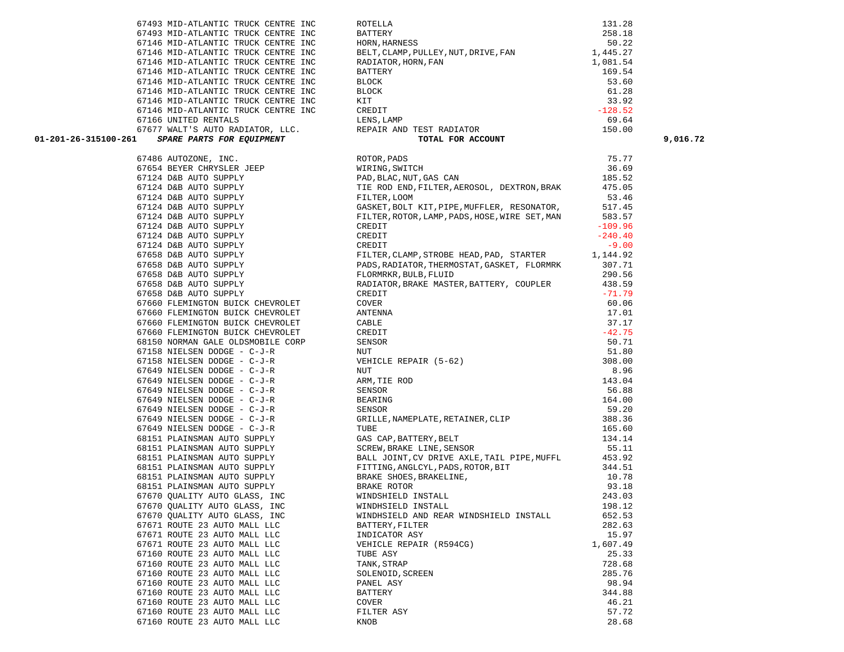| 67146 MID-ATLANTIC TRUCK CENTRE INC. BLOCK CONTRESS (124 DEREVIS TRANSPORT DESCRIPTION CONTRESS)<br>67146 MID-ATLANTIC TRUCK CENTRE INC. INDEEDED TRUCK CONTRESS (124 DEREVIS AND TRISP) 201.52<br>67146 MID-ATLANTIC TRUCK CENTR |                                                                                                                                                                                                                                     |  |
|-----------------------------------------------------------------------------------------------------------------------------------------------------------------------------------------------------------------------------------|-------------------------------------------------------------------------------------------------------------------------------------------------------------------------------------------------------------------------------------|--|
|                                                                                                                                                                                                                                   |                                                                                                                                                                                                                                     |  |
|                                                                                                                                                                                                                                   |                                                                                                                                                                                                                                     |  |
|                                                                                                                                                                                                                                   |                                                                                                                                                                                                                                     |  |
|                                                                                                                                                                                                                                   |                                                                                                                                                                                                                                     |  |
|                                                                                                                                                                                                                                   |                                                                                                                                                                                                                                     |  |
|                                                                                                                                                                                                                                   |                                                                                                                                                                                                                                     |  |
|                                                                                                                                                                                                                                   |                                                                                                                                                                                                                                     |  |
|                                                                                                                                                                                                                                   |                                                                                                                                                                                                                                     |  |
|                                                                                                                                                                                                                                   |                                                                                                                                                                                                                                     |  |
|                                                                                                                                                                                                                                   |                                                                                                                                                                                                                                     |  |
|                                                                                                                                                                                                                                   |                                                                                                                                                                                                                                     |  |
|                                                                                                                                                                                                                                   |                                                                                                                                                                                                                                     |  |
|                                                                                                                                                                                                                                   |                                                                                                                                                                                                                                     |  |
|                                                                                                                                                                                                                                   |                                                                                                                                                                                                                                     |  |
|                                                                                                                                                                                                                                   |                                                                                                                                                                                                                                     |  |
|                                                                                                                                                                                                                                   |                                                                                                                                                                                                                                     |  |
|                                                                                                                                                                                                                                   |                                                                                                                                                                                                                                     |  |
|                                                                                                                                                                                                                                   |                                                                                                                                                                                                                                     |  |
|                                                                                                                                                                                                                                   |                                                                                                                                                                                                                                     |  |
|                                                                                                                                                                                                                                   |                                                                                                                                                                                                                                     |  |
|                                                                                                                                                                                                                                   |                                                                                                                                                                                                                                     |  |
|                                                                                                                                                                                                                                   |                                                                                                                                                                                                                                     |  |
|                                                                                                                                                                                                                                   |                                                                                                                                                                                                                                     |  |
|                                                                                                                                                                                                                                   |                                                                                                                                                                                                                                     |  |
|                                                                                                                                                                                                                                   |                                                                                                                                                                                                                                     |  |
|                                                                                                                                                                                                                                   |                                                                                                                                                                                                                                     |  |
|                                                                                                                                                                                                                                   |                                                                                                                                                                                                                                     |  |
|                                                                                                                                                                                                                                   |                                                                                                                                                                                                                                     |  |
|                                                                                                                                                                                                                                   |                                                                                                                                                                                                                                     |  |
|                                                                                                                                                                                                                                   |                                                                                                                                                                                                                                     |  |
|                                                                                                                                                                                                                                   |                                                                                                                                                                                                                                     |  |
|                                                                                                                                                                                                                                   |                                                                                                                                                                                                                                     |  |
|                                                                                                                                                                                                                                   |                                                                                                                                                                                                                                     |  |
|                                                                                                                                                                                                                                   |                                                                                                                                                                                                                                     |  |
|                                                                                                                                                                                                                                   |                                                                                                                                                                                                                                     |  |
|                                                                                                                                                                                                                                   |                                                                                                                                                                                                                                     |  |
|                                                                                                                                                                                                                                   |                                                                                                                                                                                                                                     |  |
|                                                                                                                                                                                                                                   |                                                                                                                                                                                                                                     |  |
|                                                                                                                                                                                                                                   |                                                                                                                                                                                                                                     |  |
|                                                                                                                                                                                                                                   | 67858 DER AUTOS SUPER (METHOD MINIMUM PROTEINS), ANGELES, BANKI MASTER, BATTERY, COUPLER (15.19)<br>67658 DEB AUTO SUPER CHEVROLET (NEWSOLET (METHOD), INDIANAL (17.19)<br>67669 PERMINISTON SUCK CHEVROLET (NEWSOLET (ANTERNA<br>6 |  |
|                                                                                                                                                                                                                                   |                                                                                                                                                                                                                                     |  |
|                                                                                                                                                                                                                                   |                                                                                                                                                                                                                                     |  |
|                                                                                                                                                                                                                                   |                                                                                                                                                                                                                                     |  |
|                                                                                                                                                                                                                                   |                                                                                                                                                                                                                                     |  |
|                                                                                                                                                                                                                                   |                                                                                                                                                                                                                                     |  |
|                                                                                                                                                                                                                                   |                                                                                                                                                                                                                                     |  |
|                                                                                                                                                                                                                                   |                                                                                                                                                                                                                                     |  |
|                                                                                                                                                                                                                                   |                                                                                                                                                                                                                                     |  |

67493 MID-ATLANTIC TRUCK CENTRE INC BATTERY

| 01-201-26-315100-261         | $\begin{tabular}{lllllllllllllllllllll} \textbf{67146} & \textbf{MID-ATLANTIC TRUCK CENTRE INC} & \textbf{RADIATOR}, \textbf{HORN}, \textbf{FAN} & 1,081.54 \\ \textbf{67146} & \textbf{MID-ATLANTIC TRUCK CENTRE INC} & \textbf{BATTERY} & 169.54 \\ \textbf{67146} & \textbf{MID-ATLANTIC TRUCK CENTRE INC} & \textbf{BLOCK} & 53.60 \\ \textbf{67146} & \textbf{MID-ATLANTIC TRUCK CENTRE INC} & \textbf{EINC} & \textbf{BLOCK} & $ |          | 9,016.72 |
|------------------------------|----------------------------------------------------------------------------------------------------------------------------------------------------------------------------------------------------------------------------------------------------------------------------------------------------------------------------------------------------------------------------------------------------------------------------------------|----------|----------|
|                              | 51 SPART PATTO NATION ILLC. SERVIT NEW PRICE REALIZED 1910.00<br>51 SPART PATTON NATION ILLC. SERVIT MATERIAL CONTROL (1916 ACCOUNT 1920, 001<br>521 SAVIN CHECK DES DES MUNICIPAL CONTROL DE CONTROL DE CONTROL DE CONTROL DE CO                                                                                                                                                                                                      |          |          |
|                              |                                                                                                                                                                                                                                                                                                                                                                                                                                        |          |          |
|                              |                                                                                                                                                                                                                                                                                                                                                                                                                                        |          |          |
|                              |                                                                                                                                                                                                                                                                                                                                                                                                                                        |          |          |
|                              |                                                                                                                                                                                                                                                                                                                                                                                                                                        |          |          |
|                              |                                                                                                                                                                                                                                                                                                                                                                                                                                        |          |          |
|                              |                                                                                                                                                                                                                                                                                                                                                                                                                                        |          |          |
|                              |                                                                                                                                                                                                                                                                                                                                                                                                                                        |          |          |
|                              |                                                                                                                                                                                                                                                                                                                                                                                                                                        |          |          |
|                              |                                                                                                                                                                                                                                                                                                                                                                                                                                        |          |          |
|                              |                                                                                                                                                                                                                                                                                                                                                                                                                                        |          |          |
|                              |                                                                                                                                                                                                                                                                                                                                                                                                                                        |          |          |
|                              |                                                                                                                                                                                                                                                                                                                                                                                                                                        |          |          |
|                              |                                                                                                                                                                                                                                                                                                                                                                                                                                        |          |          |
|                              |                                                                                                                                                                                                                                                                                                                                                                                                                                        |          |          |
|                              |                                                                                                                                                                                                                                                                                                                                                                                                                                        |          |          |
|                              |                                                                                                                                                                                                                                                                                                                                                                                                                                        |          |          |
|                              |                                                                                                                                                                                                                                                                                                                                                                                                                                        |          |          |
|                              |                                                                                                                                                                                                                                                                                                                                                                                                                                        |          |          |
|                              |                                                                                                                                                                                                                                                                                                                                                                                                                                        |          |          |
|                              |                                                                                                                                                                                                                                                                                                                                                                                                                                        |          |          |
|                              |                                                                                                                                                                                                                                                                                                                                                                                                                                        |          |          |
|                              |                                                                                                                                                                                                                                                                                                                                                                                                                                        |          |          |
|                              |                                                                                                                                                                                                                                                                                                                                                                                                                                        |          |          |
|                              |                                                                                                                                                                                                                                                                                                                                                                                                                                        |          |          |
|                              |                                                                                                                                                                                                                                                                                                                                                                                                                                        |          |          |
|                              |                                                                                                                                                                                                                                                                                                                                                                                                                                        |          |          |
|                              |                                                                                                                                                                                                                                                                                                                                                                                                                                        |          |          |
|                              |                                                                                                                                                                                                                                                                                                                                                                                                                                        |          |          |
|                              |                                                                                                                                                                                                                                                                                                                                                                                                                                        |          |          |
|                              |                                                                                                                                                                                                                                                                                                                                                                                                                                        |          |          |
|                              |                                                                                                                                                                                                                                                                                                                                                                                                                                        |          |          |
|                              |                                                                                                                                                                                                                                                                                                                                                                                                                                        |          |          |
|                              |                                                                                                                                                                                                                                                                                                                                                                                                                                        |          |          |
|                              |                                                                                                                                                                                                                                                                                                                                                                                                                                        |          |          |
|                              |                                                                                                                                                                                                                                                                                                                                                                                                                                        |          |          |
|                              |                                                                                                                                                                                                                                                                                                                                                                                                                                        |          |          |
|                              |                                                                                                                                                                                                                                                                                                                                                                                                                                        |          |          |
|                              |                                                                                                                                                                                                                                                                                                                                                                                                                                        |          |          |
| 67671 ROUTE 23 AUTO MALL LLC | INDICATOR ASY                                                                                                                                                                                                                                                                                                                                                                                                                          | 15.97    |          |
| 67671 ROUTE 23 AUTO MALL LLC | VEHICLE REPAIR (R594CG)                                                                                                                                                                                                                                                                                                                                                                                                                | 1,607.49 |          |
| 67160 ROUTE 23 AUTO MALL LLC | TUBE ASY                                                                                                                                                                                                                                                                                                                                                                                                                               | 25.33    |          |
| 67160 ROUTE 23 AUTO MALL LLC | TANK, STRAP                                                                                                                                                                                                                                                                                                                                                                                                                            | 728.68   |          |
| 67160 ROUTE 23 AUTO MALL LLC | SOLENOID, SCREEN                                                                                                                                                                                                                                                                                                                                                                                                                       | 285.76   |          |
| 67160 ROUTE 23 AUTO MALL LLC | PANEL ASY                                                                                                                                                                                                                                                                                                                                                                                                                              | 98.94    |          |
| 67160 ROUTE 23 AUTO MALL LLC | BATTERY                                                                                                                                                                                                                                                                                                                                                                                                                                | 344.88   |          |
| 67160 ROUTE 23 AUTO MALL LLC | COVER                                                                                                                                                                                                                                                                                                                                                                                                                                  | 46.21    |          |
| 67160 ROUTE 23 AUTO MALL LLC | FILTER ASY                                                                                                                                                                                                                                                                                                                                                                                                                             | 57.72    |          |
| 67160 ROUTE 23 AUTO MALL LLC | KNOB                                                                                                                                                                                                                                                                                                                                                                                                                                   | 28.68    |          |

 67493 MID-ATLANTIC TRUCK CENTRE INC ROTELLA 131.28 258.18 50.22 67146 MID-ATLANTIC TRUCK CENTRE INC HORN, HARNESS 67146 MID-ATLANTIC TRUCK CENTRE INC BELT, CLAMP, PULLEY, NUT, DRIVE, FAN 1,445.27 60 .28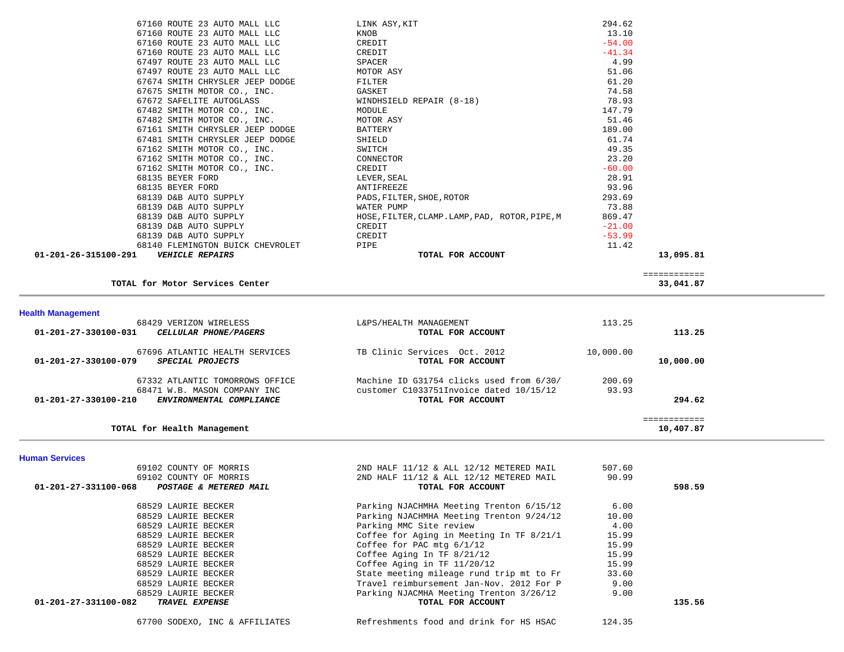| 01-201-26-315100-291    VEHICLE REPAIRS           | TOTAL FOR ACCOUNT                              | 13,095.81 |
|---------------------------------------------------|------------------------------------------------|-----------|
| 68140 FLEMINGTON BUICK CHEVROLET                  | PIPE                                           | 11.42     |
| 68139 D&B AUTO SUPPLY                             | CREDIT                                         | $-53.99$  |
| 68139 D&B AUTO SUPPLY                             | CREDIT                                         | $-21.00$  |
| 68139 D&B AUTO SUPPLY                             | HOSE, FILTER, CLAMP. LAMP, PAD, ROTOR, PIPE, M | 869.47    |
| 68139 D&B AUTO SUPPLY                             | WATER PUMP                                     | 73.88     |
| 68139 D&B AUTO SUPPLY                             | PADS, FILTER, SHOE, ROTOR                      | 293.69    |
| 68135 BEYER FORD                                  | ANTIFREEZE                                     | 93.96     |
| 68135 BEYER FORD                                  | LEVER, SEAL                                    | 28.91     |
| 67162 SMITH MOTOR CO., INC.                       | CREDIT                                         | $-60.00$  |
| 67162 SMITH MOTOR CO., INC. CONNECTOR             |                                                | 23.20     |
| 67162 SMITH MOTOR CO., INC.                       | SWITCH                                         | 49.35     |
| 67481 SMITH CHRYSLER JEEP DODGE                   | SHIELD                                         | 61.74     |
| 67161 SMITH CHRYSLER JEEP DODGE                   | BATTERY                                        | 189.00    |
| 67482 SMITH MOTOR CO., INC.                       | MOTOR ASY                                      | 51.46     |
| 67482 SMITH MOTOR CO., INC.                       | MODULE                                         | 147.79    |
| 67672 SAFELITE AUTOGLASS WINDHSIELD REPAIR (8-18) |                                                | 78.93     |
| 67675 SMITH MOTOR CO., INC.                       | GASKET                                         | 74.58     |
| 67674 SMITH CHRYSLER JEEP DODGE                   | FILTER                                         | 61.20     |
| 67497 ROUTE 23 AUTO MALL LLC                      | MOTOR ASY                                      | 51.06     |
| 67497 ROUTE 23 AUTO MALL LLC                      | SPACER                                         | 4.99      |
| 67160 ROUTE 23 AUTO MALL LLC                      | CREDIT                                         | $-41.34$  |
| 67160 ROUTE 23 AUTO MALL LLC                      | CREDIT                                         | $-54.00$  |
| 67160 ROUTE 23 AUTO MALL LLC                      | KNOB                                           | 13.10     |
| 67160 ROUTE 23 AUTO MALL LLC                      | LINK ASY,KIT                                   | 294.62    |

**TOTAL for Motor Services Center 33,041.87**

 ============ 33,041.87

| <b>Health Management</b>                             |                                          |           |            |
|------------------------------------------------------|------------------------------------------|-----------|------------|
| 68429 VERIZON WIRELESS                               | L&PS/HEALTH MANAGEMENT                   | 113.25    |            |
| 01-201-27-330100-031<br><b>CELLULAR PHONE/PAGERS</b> | TOTAL FOR ACCOUNT                        |           | 113.25     |
| 67696 ATLANTIC HEALTH SERVICES                       | TB Clinic Services Oct. 2012             | 10,000.00 |            |
| 01-201-27-330100-079<br><i>SPECIAL PROJECTS</i>      | TOTAL FOR ACCOUNT                        |           | 10,000.00  |
| 67332 ATLANTIC TOMORROWS OFFICE                      | Machine ID G31754 clicks used from 6/30/ | 200.69    |            |
| 68471 W.B. MASON COMPANY INC                         | customer C1033751Invoice dated 10/15/12  | 93.93     |            |
| 01-201-27-330100-210<br>ENVIRONMENTAL COMPLIANCE     | TOTAL FOR ACCOUNT                        |           | 294.62     |
|                                                      |                                          |           | ---------- |
| TOTAL for Health Management                          |                                          |           | 10,407.87  |

**Human Services** 

| 69102 COUNTY OF MORRIS                         | 2ND HALF 11/12 & ALL 12/12 METERED MAIL  | 507.60 |        |
|------------------------------------------------|------------------------------------------|--------|--------|
| 69102 COUNTY OF MORRIS                         | 2ND HALF 11/12 & ALL 12/12 METERED MAIL  | 90.99  |        |
| 01-201-27-331100-068<br>POSTAGE & METERED MAIL | TOTAL FOR ACCOUNT                        |        | 598.59 |
| 68529 LAURIE BECKER                            | Parking NJACHMHA Meeting Trenton 6/15/12 | 6.00   |        |
| 68529 LAURIE BECKER                            | Parking NJACHMHA Meeting Trenton 9/24/12 | 10.00  |        |
| 68529 LAURIE BECKER                            | Parking MMC Site review                  | 4.00   |        |
| 68529 LAURIE BECKER                            | Coffee for Aging in Meeting In TF 8/21/1 | 15.99  |        |
| 68529 LAURIE BECKER                            | Coffee for PAC mtg $6/1/12$              | 15.99  |        |
| 68529 LAURIE BECKER                            | Coffee Aging In TF $8/21/12$             | 15.99  |        |
| 68529 LAURIE BECKER                            | Coffee Aging in TF $11/20/12$            | 15.99  |        |
| 68529 LAURIE BECKER                            | State meeting mileage rund trip mt to Fr | 33.60  |        |
| 68529 LAURIE BECKER                            | Travel reimbursement Jan-Nov. 2012 For P | 9.00   |        |
| 68529 LAURIE BECKER                            | Parking NJACMHA Meeting Trenton 3/26/12  | 9.00   |        |
| 01-201-27-331100-082<br>TRAVEL EXPENSE         | TOTAL FOR ACCOUNT                        |        | 135.56 |
| 67700 SODEXO, INC & AFFILIATES                 | Refreshments food and drink for HS HSAC  | 124.35 |        |
|                                                |                                          |        |        |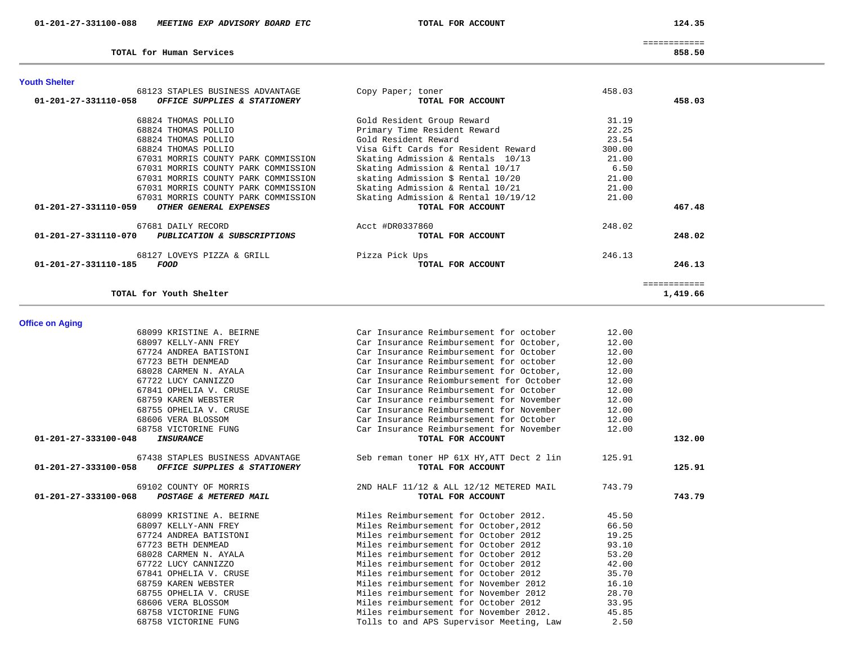TOTAL for Human Services

124.35

============

858.50

| TOTAL for Youth Shelter                                        |                                     |        | ============<br>1,419.66 |
|----------------------------------------------------------------|-------------------------------------|--------|--------------------------|
| 68127 LOVEYS PIZZA & GRILL<br>01-201-27-331110-185<br>FOOD     | Pizza Pick Ups<br>TOTAL FOR ACCOUNT | 246.13 | 246.13                   |
| $01 - 201 - 27 - 331110 - 070$<br>PUBLICATION & SUBSCRIPTIONS  | TOTAL FOR ACCOUNT                   |        | 248.02                   |
| 67681 DAILY RECORD                                             | Acct #DR0337860                     | 248.02 |                          |
| $01 - 201 - 27 - 331110 - 059$<br>OTHER GENERAL EXPENSES       | TOTAL FOR ACCOUNT                   |        | 467.48                   |
| 67031 MORRIS COUNTY PARK COMMISSION                            | Skating Admission & Rental 10/19/12 | 21.00  |                          |
| 67031 MORRIS COUNTY PARK COMMISSION                            | Skating Admission & Rental 10/21    | 21.00  |                          |
| 67031 MORRIS COUNTY PARK COMMISSION                            | skating Admission \$ Rental 10/20   | 21.00  |                          |
| 67031 MORRIS COUNTY PARK COMMISSION                            | Skating Admission & Rental 10/17    | 6.50   |                          |
| 67031 MORRIS COUNTY PARK COMMISSION                            | Skating Admission & Rentals 10/13   | 21.00  |                          |
| 68824 THOMAS POLLIO                                            | Visa Gift Cards for Resident Reward | 300.00 |                          |
| 68824 THOMAS POLLIO                                            | Gold Resident Reward                | 23.54  |                          |
| 68824 THOMAS POLLIO                                            | Primary Time Resident Reward        | 22.25  |                          |
| 68824 THOMAS POLLIO                                            | Gold Resident Group Reward          | 31.19  |                          |
| $01 - 201 - 27 - 331110 - 058$<br>OFFICE SUPPLIES & STATIONERY | TOTAL FOR ACCOUNT                   |        | 458.03                   |
| 68123 STAPLES BUSINESS ADVANTAGE                               | Copy Paper; toner                   | 458.03 |                          |

# **Office on Aging**

| 68099 KRISTINE A. BEIRNE                          | Car Insurance Reimbursement for october   | 12.00  |        |
|---------------------------------------------------|-------------------------------------------|--------|--------|
| 68097 KELLY-ANN FREY                              | Car Insurance Reimbursement for October,  | 12.00  |        |
| 67724 ANDREA BATISTONI                            | Car Insurance Reimbursement for October   | 12.00  |        |
| 67723 BETH DENMEAD                                | Car Insurance Reimbursement for october   | 12.00  |        |
| 68028 CARMEN N. AYALA                             | Car Insurance Reimbursement for October,  | 12.00  |        |
| 67722 LUCY CANNIZZO                               | Car Insurance Reiombursement for October  | 12.00  |        |
| 67841 OPHELIA V. CRUSE                            | Car Insurance Reimbursement for October   | 12.00  |        |
| 68759 KAREN WEBSTER                               | Car Insurance reimbursement for November  | 12.00  |        |
| 68755 OPHELIA V. CRUSE                            | Car Insurance Reimbursement for November  | 12.00  |        |
| 68606 VERA BLOSSOM                                | Car Insurance Reimbursement for October   | 12.00  |        |
| 68758 VICTORINE FUNG                              | Car Insurance Reimbursement for November  | 12.00  |        |
| 01-201-27-333100-048<br>INSURANCE                 | TOTAL FOR ACCOUNT                         |        | 132.00 |
| 67438 STAPLES BUSINESS ADVANTAGE                  | Seb reman toner HP 61X HY, ATT Dect 2 lin | 125.91 |        |
| 01-201-27-333100-058 OFFICE SUPPLIES & STATIONERY | TOTAL FOR ACCOUNT                         |        | 125.91 |
|                                                   |                                           |        |        |
| 69102 COUNTY OF MORRIS                            | 2ND HALF 11/12 & ALL 12/12 METERED MAIL   | 743.79 |        |
| 01-201-27-333100-068<br>POSTAGE & METERED MAIL    | TOTAL FOR ACCOUNT                         |        | 743.79 |
| 68099 KRISTINE A. BEIRNE                          | Miles Reimbursement for October 2012.     | 45.50  |        |
| 68097 KELLY-ANN FREY                              | Miles Reimbursement for October, 2012     | 66.50  |        |
| 67724 ANDREA BATISTONI                            | Miles reimbursement for October 2012      | 19.25  |        |
| 67723 BETH DENMEAD                                | Miles reimbursement for October 2012      | 93.10  |        |
| 68028 CARMEN N. AYALA                             | Miles reimbursement for October 2012      | 53.20  |        |
| 67722 LUCY CANNIZZO                               | Miles reimbursement for October 2012      | 42.00  |        |
| 67841 OPHELIA V. CRUSE                            | Miles reimbursement for October 2012      | 35.70  |        |
| 68759 KAREN WEBSTER                               | Miles reimbursement for November 2012     | 16.10  |        |
| 68755 OPHELIA V. CRUSE                            | Miles reimbursement for November 2012     | 28.70  |        |
| 68606 VERA BLOSSOM                                | Miles reimbursement for October 2012      | 33.95  |        |
| 68758 VICTORINE FUNG                              | Miles reimbursement for November 2012.    | 45.85  |        |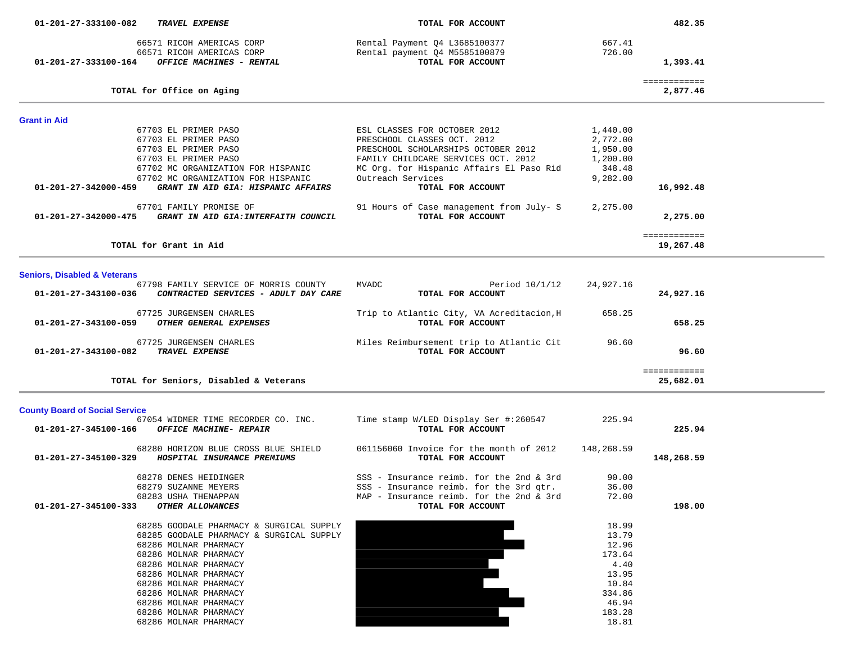| 01-201-27-333100-082                    | TRAVEL EXPENSE                                                                                                                                                                                                                                                                                                        | TOTAL FOR ACCOUNT                                                                                                                                                                                                               |                                                                                                   | 482.35                    |  |
|-----------------------------------------|-----------------------------------------------------------------------------------------------------------------------------------------------------------------------------------------------------------------------------------------------------------------------------------------------------------------------|---------------------------------------------------------------------------------------------------------------------------------------------------------------------------------------------------------------------------------|---------------------------------------------------------------------------------------------------|---------------------------|--|
| 01-201-27-333100-164                    | 66571 RICOH AMERICAS CORP<br>66571 RICOH AMERICAS CORP<br>OFFICE MACHINES - RENTAL                                                                                                                                                                                                                                    | Rental Payment Q4 L3685100377<br>Rental payment Q4 M5585100879<br>TOTAL FOR ACCOUNT                                                                                                                                             | 667.41<br>726.00                                                                                  | 1,393.41                  |  |
|                                         | TOTAL for Office on Aging                                                                                                                                                                                                                                                                                             |                                                                                                                                                                                                                                 |                                                                                                   | ============<br>2,877.46  |  |
| <b>Grant in Aid</b>                     |                                                                                                                                                                                                                                                                                                                       |                                                                                                                                                                                                                                 |                                                                                                   |                           |  |
| 01-201-27-342000-459                    | 67703 EL PRIMER PASO<br>67703 EL PRIMER PASO<br>67703 EL PRIMER PASO<br>67703 EL PRIMER PASO<br>67702 MC ORGANIZATION FOR HISPANIC<br>67702 MC ORGANIZATION FOR HISPANIC<br>GRANT IN AID GIA: HISPANIC AFFAIRS                                                                                                        | ESL CLASSES FOR OCTOBER 2012<br>PRESCHOOL CLASSES OCT. 2012<br>PRESCHOOL SCHOLARSHIPS OCTOBER 2012<br>FAMILY CHILDCARE SERVICES OCT. 2012<br>MC Org. for Hispanic Affairs El Paso Rid<br>Outreach Services<br>TOTAL FOR ACCOUNT | 1,440.00<br>2,772.00<br>1,950.00<br>1,200.00<br>348.48<br>9,282.00                                | 16,992.48                 |  |
|                                         | 67701 FAMILY PROMISE OF<br>01-201-27-342000-475 GRANT IN AID GIA:INTERFAITH COUNCIL                                                                                                                                                                                                                                   | 91 Hours of Case management from July- S<br>TOTAL FOR ACCOUNT                                                                                                                                                                   | 2,275.00                                                                                          | 2,275.00                  |  |
|                                         | TOTAL for Grant in Aid                                                                                                                                                                                                                                                                                                |                                                                                                                                                                                                                                 |                                                                                                   | ============<br>19,267.48 |  |
| <b>Seniors, Disabled &amp; Veterans</b> |                                                                                                                                                                                                                                                                                                                       |                                                                                                                                                                                                                                 |                                                                                                   |                           |  |
| 01-201-27-343100-036                    | 67798 FAMILY SERVICE OF MORRIS COUNTY<br>CONTRACTED SERVICES - ADULT DAY CARE                                                                                                                                                                                                                                         | MVADC<br>Period $10/1/12$<br>TOTAL FOR ACCOUNT                                                                                                                                                                                  | 24,927.16                                                                                         | 24,927.16                 |  |
| 01-201-27-343100-059                    | 67725 JURGENSEN CHARLES<br>OTHER GENERAL EXPENSES                                                                                                                                                                                                                                                                     | Trip to Atlantic City, VA Acreditacion, H<br>TOTAL FOR ACCOUNT                                                                                                                                                                  | 658.25                                                                                            | 658.25                    |  |
| 01-201-27-343100-082 TRAVEL EXPENSE     | 67725 JURGENSEN CHARLES                                                                                                                                                                                                                                                                                               | Miles Reimbursement trip to Atlantic Cit<br>TOTAL FOR ACCOUNT                                                                                                                                                                   | 96.60                                                                                             | 96.60                     |  |
|                                         | TOTAL for Seniors, Disabled & Veterans                                                                                                                                                                                                                                                                                |                                                                                                                                                                                                                                 |                                                                                                   | ============<br>25,682.01 |  |
| <b>County Board of Social Service</b>   |                                                                                                                                                                                                                                                                                                                       |                                                                                                                                                                                                                                 |                                                                                                   |                           |  |
| 01-201-27-345100-166                    | 67054 WIDMER TIME RECORDER CO. INC.<br>OFFICE MACHINE- REPAIR                                                                                                                                                                                                                                                         | Time stamp W/LED Display Ser #:260547<br>TOTAL FOR ACCOUNT                                                                                                                                                                      | 225.94                                                                                            | 225.94                    |  |
| 01-201-27-345100-329                    | 68280 HORIZON BLUE CROSS BLUE SHIELD<br>HOSPITAL INSURANCE PREMIUMS                                                                                                                                                                                                                                                   | 061156060 Invoice for the month of 2012<br>TOTAL FOR ACCOUNT                                                                                                                                                                    | 148,268.59                                                                                        | 148,268.59                |  |
| 01-201-27-345100-333                    | 68278 DENES HEIDINGER<br>68279 SUZANNE MEYERS<br>68283 USHA THENAPPAN<br>OTHER ALLOWANCES                                                                                                                                                                                                                             | SSS - Insurance reimb. for the 2nd & 3rd<br>SSS - Insurance reimb. for the 3rd qtr.<br>MAP - Insurance reimb. for the 2nd & 3rd<br>TOTAL FOR ACCOUNT                                                                            | 90.00<br>36.00<br>72.00                                                                           | 198.00                    |  |
|                                         | 68285 GOODALE PHARMACY & SURGICAL SUPPLY<br>68285 GOODALE PHARMACY & SURGICAL SUPPLY<br>68286 MOLNAR PHARMACY<br>68286 MOLNAR PHARMACY<br>68286 MOLNAR PHARMACY<br>68286 MOLNAR PHARMACY<br>68286 MOLNAR PHARMACY<br>68286 MOLNAR PHARMACY<br>68286 MOLNAR PHARMACY<br>68286 MOLNAR PHARMACY<br>68286 MOLNAR PHARMACY |                                                                                                                                                                                                                                 | 18.99<br>13.79<br>12.96<br>173.64<br>4.40<br>13.95<br>10.84<br>334.86<br>46.94<br>183.28<br>18.81 |                           |  |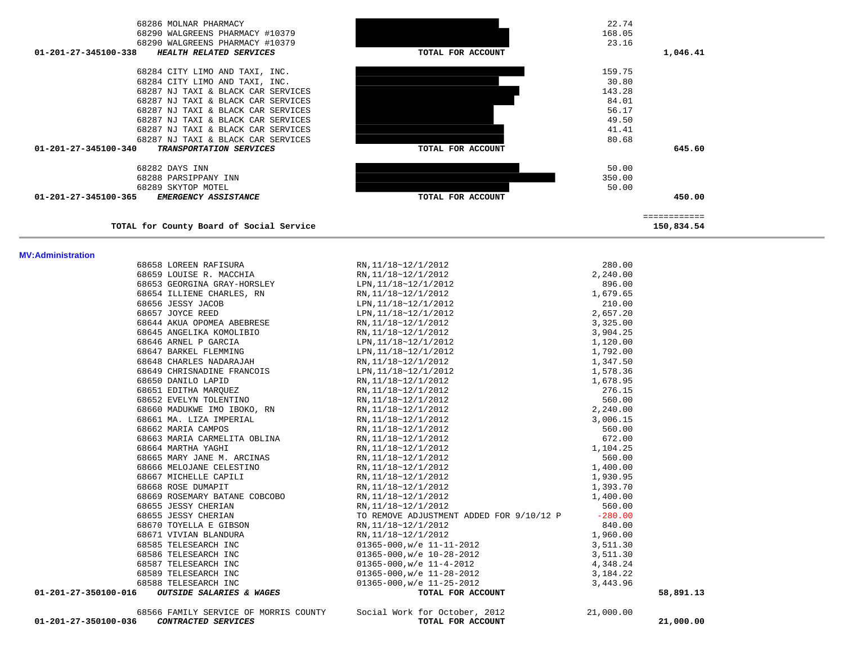| 01-201-27-350100-036<br>CONTRACTED SERVICES      | 68566 FAMILY SERVICE OF MORRIS COUNTY Social Work for October, 2012<br>TOTAL FOR ACCOUNT                                                                                                                                                                                                                     | 21,000.00 | 21,000.00 |
|--------------------------------------------------|--------------------------------------------------------------------------------------------------------------------------------------------------------------------------------------------------------------------------------------------------------------------------------------------------------------|-----------|-----------|
| OUTSIDE SALARIES & WAGES<br>01-201-27-350100-016 | TOTAL FOR ACCOUNT                                                                                                                                                                                                                                                                                            |           | 58,891.13 |
| 68588 TELESEARCH INC                             | EXERCIS AND READ CONTROLL AND READ CONTROLL AND READ CONTROLL AND READ CONTROLL AND READ CONTROLL AND READ CONTROLL AND READ CONTROLL AND READ CONTROLL AND READ CONTROLL AND CONTROLL AND CONTROLL AND CONTROLL AND CONTROLL<br>$01365 - 000$ , w/e $11 - 25 - 2012$                                        | 3,443.96  |           |
|                                                  |                                                                                                                                                                                                                                                                                                              |           |           |
|                                                  |                                                                                                                                                                                                                                                                                                              |           |           |
|                                                  |                                                                                                                                                                                                                                                                                                              |           |           |
|                                                  |                                                                                                                                                                                                                                                                                                              |           |           |
|                                                  |                                                                                                                                                                                                                                                                                                              |           |           |
| 68655 JESSY CHERIAN<br>68670 TOYELLA E GIBSON    |                                                                                                                                                                                                                                                                                                              |           |           |
| 68655 JESSY CHERIAN                              | RN, 11/18~12/1/2012<br>TO REMOVE ADJUSTMENT ADDED FOR 9/10/12 P -280.00                                                                                                                                                                                                                                      |           |           |
|                                                  | 68669 ROSEMARY BATANE COBCOBO $\overline{RN}, 11/18~12/1/2012$                                                                                                                                                                                                                                               |           |           |
| 68668 ROSE DUMAPIT                               | RN, 11/18~12/1/2012                                                                                                                                                                                                                                                                                          |           |           |
| 68667 MICHELLE CAPILI                            | 2<br>2<br>2<br>3,325.00<br>3,904.25<br>2<br>1,120.00<br>3<br>1,792.00<br>1,792.00<br>1,578.35<br>2<br>76.15<br>560.00<br>3,006.15<br>560.00<br>7<br>1,104.25<br>560.00<br>1,930.95<br>1,393.70<br>1,400.00<br>1,393.70<br>1,400.00<br>560.00<br>1,930.95<br>1,393.70<br>1,400.00<br>5<br>RN, 11/18~12/1/2012 |           |           |
| 68666 MELOJANE CELESTINO                         | RN, 11/18~12/1/2012                                                                                                                                                                                                                                                                                          |           |           |
|                                                  | 68665 MARY JANE M. ARCINAS RN, 11/18~12/1/2012                                                                                                                                                                                                                                                               |           |           |
| 68664 MARTHA YAGHI                               | RN, 11/18~12/1/2012                                                                                                                                                                                                                                                                                          |           |           |
| 68663 MARIA CARMELITA OBLINA                     | RN, 11/18~12/1/2012                                                                                                                                                                                                                                                                                          |           |           |
| 68662 MARIA CAMPOS                               | RN, 11/18~12/1/2012                                                                                                                                                                                                                                                                                          |           |           |
| 68661 MA. LIZA IMPERIAL                          | RN, 11/18~12/1/2012                                                                                                                                                                                                                                                                                          |           |           |
|                                                  |                                                                                                                                                                                                                                                                                                              |           |           |
|                                                  |                                                                                                                                                                                                                                                                                                              |           |           |
|                                                  | 00049<br>68650 DANILO LAPID<br>68651 EDITHA MARQUEZ<br>68652 EVELYN TOLENTINO<br>68652 EVELYN TOLENTINO<br>68660 MADUKWE IMO IBOKO, RN<br>RN, 11/18~12/1/2012<br>RN, 11/18~12/1/2012                                                                                                                         |           |           |
|                                                  |                                                                                                                                                                                                                                                                                                              |           |           |
|                                                  | 68649 CHRISNADINE FRANCOIS LPN, 11/18~12/1/2012                                                                                                                                                                                                                                                              |           |           |
|                                                  | 68648 CHARLES NADARAJAH RN, 11/18~12/1/2012                                                                                                                                                                                                                                                                  |           |           |
|                                                  |                                                                                                                                                                                                                                                                                                              |           |           |
|                                                  |                                                                                                                                                                                                                                                                                                              |           |           |
|                                                  | 68645 ANGELIKA KOMOLIBIO<br>68646 ARNEL P GARCIA<br>68647 BARKEL FLEMMING<br>68647 BARKEL FLEMMING<br>11/18~12/1/2012                                                                                                                                                                                        |           |           |
| 68644 AKUA OPOMEA ABEBRESE                       | RN,11/18~12/1/2012                                                                                                                                                                                                                                                                                           |           |           |
| 68657 JOYCE REED                                 | LPN, 11/18~12/1/2012                                                                                                                                                                                                                                                                                         |           |           |

 68658 LOREEN RAFISURA RN,11/18~12/1/2012 280.00 68659 LOUISE R. MACCHIA RN,11/18~12/1/2012 2,240.00 68653 GEORGINA GRAY-HORSLEY LPN,11/18~12/1/2012 896.00 68654 ILLIENE CHARLES, RN RN,11/18~12/1/2012 1,679.65 68656 JESSY JACOB LPN,11/18~12/1/2012 210.00

#### **MV:Administration**

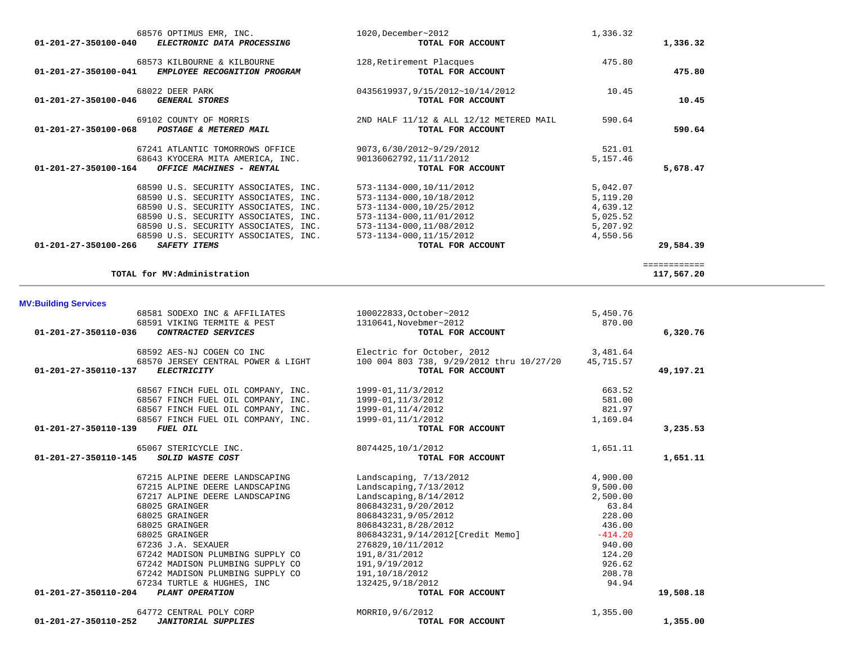| 1,336.32     | 1,336.32 | 1020, December~2012<br>TOTAL FOR ACCOUNT | 68576 OPTIMUS EMR, INC.<br>ELECTRONIC DATA PROCESSING | $01 - 201 - 27 - 350100 - 040$ |
|--------------|----------|------------------------------------------|-------------------------------------------------------|--------------------------------|
|              | 475.80   | 128, Retirement Placques                 | 68573 KILBOURNE & KILBOURNE                           |                                |
| 475.80       |          | TOTAL FOR ACCOUNT                        | EMPLOYEE RECOGNITION PROGRAM                          | 01-201-27-350100-041           |
|              | 10.45    | 0435619937,9/15/2012~10/14/2012          | 68022 DEER PARK                                       |                                |
| 10.45        |          | TOTAL FOR ACCOUNT                        | <b>GENERAL STORES</b>                                 | 01-201-27-350100-046           |
|              | 590.64   | 2ND HALF 11/12 & ALL 12/12 METERED MAIL  | 69102 COUNTY OF MORRIS                                |                                |
| 590.64       |          | TOTAL FOR ACCOUNT                        | POSTAGE & METERED MAIL                                | 01-201-27-350100-068           |
|              | 521.01   | 9073,6/30/2012~9/29/2012                 | 67241 ATLANTIC TOMORROWS OFFICE                       |                                |
|              | 5,157.46 | 90136062792,11/11/2012                   | 68643 KYOCERA MITA AMERICA, INC.                      |                                |
| 5,678.47     |          | TOTAL FOR ACCOUNT                        | OFFICE MACHINES - RENTAL                              | $01 - 201 - 27 - 350100 - 164$ |
|              | 5,042.07 | 573-1134-000,10/11/2012                  | 68590 U.S. SECURITY ASSOCIATES, INC.                  |                                |
|              | 5,119.20 | 573-1134-000, 10/18/2012                 | 68590 U.S. SECURITY ASSOCIATES, INC.                  |                                |
|              | 4,639.12 | 573-1134-000,10/25/2012                  | 68590 U.S. SECURITY ASSOCIATES, INC.                  |                                |
|              | 5,025.52 | 573-1134-000, 11/01/2012                 | 68590 U.S. SECURITY ASSOCIATES, INC.                  |                                |
|              | 5,207.92 | 573-1134-000,11/08/2012                  | 68590 U.S. SECURITY ASSOCIATES, INC.                  |                                |
|              | 4,550.56 | 573-1134-000, 11/15/2012                 | 68590 U.S. SECURITY ASSOCIATES, INC.                  |                                |
| 29,584.39    |          | TOTAL FOR ACCOUNT                        | <b>SAFETY ITEMS</b>                                   | 01-201-27-350100-266           |
| ============ |          |                                          |                                                       |                                |
| 117,567.20   |          |                                          | TOTAL for MV:Administration                           |                                |

| <b>MV:Building Services</b>                                                                                    |                                                                             |           |           |
|----------------------------------------------------------------------------------------------------------------|-----------------------------------------------------------------------------|-----------|-----------|
| 68581 SODEXO INC & AFFILIATES 100022833, October~2012                                                          |                                                                             | 5,450.76  |           |
| 68591 VIKING TERMITE & PEST                                                                                    | 1310641, Novebmer~2012                                                      | 870.00    |           |
| 01-201-27-350110-036<br>CONTRACTED SERVICES                                                                    | TOTAL FOR ACCOUNT                                                           |           | 6,320.76  |
| 68592 AES-NJ COGEN CO INC                                                                                      | Electric for October, 2012<br>3,481.64                                      |           |           |
|                                                                                                                | 68570 JERSEY CENTRAL POWER & LIGHT 100 004 803 738, 9/29/2012 thru 10/27/20 | 45,715.57 |           |
| 01-201-27-350110-137<br><b>ELECTRICITY</b>                                                                     | TOTAL FOR ACCOUNT                                                           |           | 49,197.21 |
| 68567 FINCH FUEL OIL COMPANY, INC. 1999-01, 11/3/2012                                                          |                                                                             | 663.52    |           |
| 68567 FINCH FUEL OIL COMPANY, INC. 1999-01, 11/3/2012                                                          |                                                                             | 581.00    |           |
| 68567 FINCH FUEL OIL COMPANY, INC. 1999-01, 11/4/2012<br>68567 FINCH FUEL OIL COMPANY, INC. 1999-01, 11/1/2012 |                                                                             | 821.97    |           |
|                                                                                                                |                                                                             | 1,169.04  |           |
| <b>FUEL OIL</b><br>01-201-27-350110-139                                                                        | TOTAL FOR ACCOUNT                                                           |           | 3,235.53  |
| 65067 STERICYCLE INC.                                                                                          | 8074425,10/1/2012                                                           | 1,651.11  |           |
| 01-201-27-350110-145<br>SOLID WASTE COST                                                                       | TOTAL FOR ACCOUNT                                                           |           | 1,651.11  |
| 67215 ALPINE DEERE LANDSCAPING                                                                                 | Landscaping, $7/13/2012$                                                    | 4,900.00  |           |
| 67215 ALPINE DEERE LANDSCAPING                                                                                 | Landscaping, $7/13/2012$                                                    | 9,500.00  |           |
| 67217 ALPINE DEERE LANDSCAPING                                                                                 | Landscaping, $8/14/2012$                                                    | 2,500.00  |           |
| 68025 GRAINGER                                                                                                 | 806843231,9/20/2012                                                         | 63.84     |           |
| 68025 GRAINGER                                                                                                 | 806843231,9/05/2012                                                         | 228.00    |           |
| 68025 GRAINGER                                                                                                 | 806843231,8/28/2012                                                         | 436.00    |           |
| 68025 GRAINGER                                                                                                 | 806843231,9/14/2012[Credit Memo]                                            | $-414.20$ |           |
| 67236 J.A. SEXAUER                                                                                             | 276829,10/11/2012                                                           | 940.00    |           |
| 67242 MADISON PLUMBING SUPPLY CO                                                                               | 191,8/31/2012                                                               | 124.20    |           |
| 67242 MADISON PLUMBING SUPPLY CO                                                                               | 191,9/19/2012                                                               | 926.62    |           |
| 67242 MADISON PLUMBING SUPPLY CO                                                                               | 191,10/18/2012                                                              | 208.78    |           |
| 67234 TURTLE & HUGHES, INC                                                                                     | 132425,9/18/2012                                                            | 94.94     |           |
| 01-201-27-350110-204 PLANT OPERATION                                                                           | TOTAL FOR ACCOUNT                                                           |           | 19,508.18 |
| 64772 CENTRAL POLY CORP                                                                                        | MORRI0, 9/6/2012                                                            | 1,355.00  |           |
| 01-201-27-350110-252<br><b>JANITORIAL SUPPLIES</b>                                                             | TOTAL FOR ACCOUNT                                                           |           | 1,355.00  |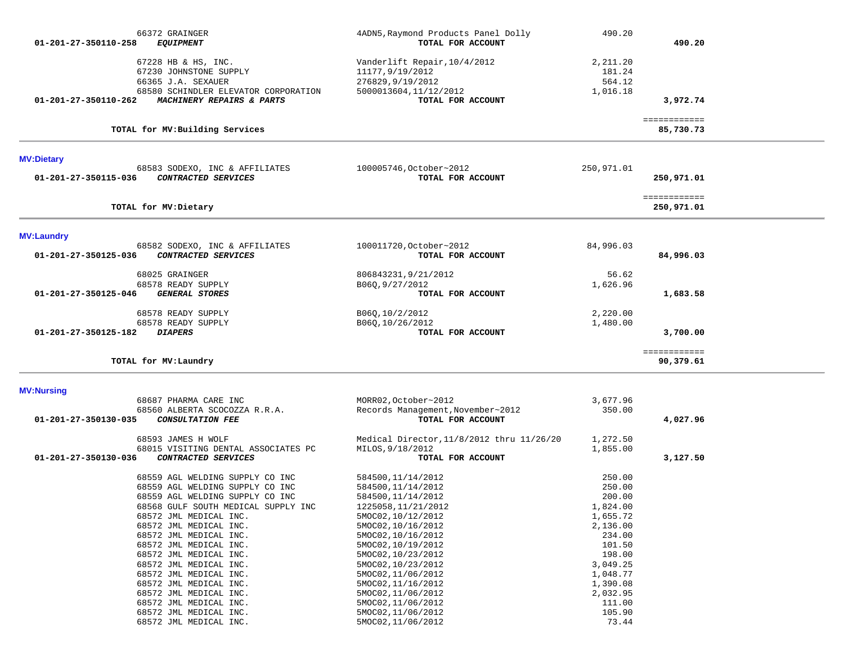| 66372 GRAINGER<br>01-201-27-350110-258<br><b>EQUIPMENT</b>                                                                                                                                                                                                                                                                                      |                                                                   | 4ADN5, Raymond Products Panel Dolly<br>TOTAL FOR ACCOUNT                                                                                                                                                                                                                             | 490.20                                                                                                                                                 | 490.20                     |  |
|-------------------------------------------------------------------------------------------------------------------------------------------------------------------------------------------------------------------------------------------------------------------------------------------------------------------------------------------------|-------------------------------------------------------------------|--------------------------------------------------------------------------------------------------------------------------------------------------------------------------------------------------------------------------------------------------------------------------------------|--------------------------------------------------------------------------------------------------------------------------------------------------------|----------------------------|--|
| 67228 HB & HS, INC.<br>67230 JOHNSTONE SUPPLY<br>66365 J.A. SEXAUER<br>01-201-27-350110-262                                                                                                                                                                                                                                                     | 68580 SCHINDLER ELEVATOR CORPORATION<br>MACHINERY REPAIRS & PARTS | Vanderlift Repair, 10/4/2012<br>11177,9/19/2012<br>276829,9/19/2012<br>5000013604, 11/12/2012<br>TOTAL FOR ACCOUNT                                                                                                                                                                   | 2,211.20<br>181.24<br>564.12<br>1,016.18                                                                                                               | 3,972.74                   |  |
| TOTAL for MV: Building Services                                                                                                                                                                                                                                                                                                                 |                                                                   |                                                                                                                                                                                                                                                                                      |                                                                                                                                                        | ============<br>85,730.73  |  |
| <b>MV:Dietary</b>                                                                                                                                                                                                                                                                                                                               |                                                                   |                                                                                                                                                                                                                                                                                      |                                                                                                                                                        |                            |  |
| 68583 SODEXO, INC & AFFILIATES<br>01-201-27-350115-036<br>CONTRACTED SERVICES                                                                                                                                                                                                                                                                   |                                                                   | 100005746, October~2012<br>TOTAL FOR ACCOUNT                                                                                                                                                                                                                                         | 250,971.01                                                                                                                                             | 250,971.01                 |  |
| TOTAL for MV: Dietary                                                                                                                                                                                                                                                                                                                           |                                                                   |                                                                                                                                                                                                                                                                                      |                                                                                                                                                        | ============<br>250,971.01 |  |
| <b>MV:Laundry</b>                                                                                                                                                                                                                                                                                                                               |                                                                   |                                                                                                                                                                                                                                                                                      |                                                                                                                                                        |                            |  |
| 68582 SODEXO, INC & AFFILIATES<br>CONTRACTED SERVICES<br>01-201-27-350125-036                                                                                                                                                                                                                                                                   |                                                                   | 100011720, October~2012<br>TOTAL FOR ACCOUNT                                                                                                                                                                                                                                         | 84,996.03                                                                                                                                              | 84,996.03                  |  |
| 68025 GRAINGER<br>68578 READY SUPPLY<br>01-201-27-350125-046<br><b>GENERAL STORES</b>                                                                                                                                                                                                                                                           |                                                                   | 806843231, 9/21/2012<br>B060, 9/27/2012<br>TOTAL FOR ACCOUNT                                                                                                                                                                                                                         | 56.62<br>1,626.96                                                                                                                                      | 1,683.58                   |  |
| 68578 READY SUPPLY<br>68578 READY SUPPLY<br>01-201-27-350125-182<br><b>DIAPERS</b>                                                                                                                                                                                                                                                              |                                                                   | B06Q, 10/2/2012<br>B06Q, 10/26/2012<br>TOTAL FOR ACCOUNT                                                                                                                                                                                                                             | 2,220.00<br>1,480.00                                                                                                                                   | 3,700.00                   |  |
|                                                                                                                                                                                                                                                                                                                                                 |                                                                   |                                                                                                                                                                                                                                                                                      |                                                                                                                                                        | ============               |  |
| TOTAL for MV: Laundry                                                                                                                                                                                                                                                                                                                           |                                                                   |                                                                                                                                                                                                                                                                                      |                                                                                                                                                        | 90,379.61                  |  |
| <b>MV:Nursing</b>                                                                                                                                                                                                                                                                                                                               |                                                                   |                                                                                                                                                                                                                                                                                      |                                                                                                                                                        |                            |  |
| 68687 PHARMA CARE INC<br>68560 ALBERTA SCOCOZZA R.R.A.<br>01-201-27-350130-035<br><b>CONSULTATION FEE</b>                                                                                                                                                                                                                                       |                                                                   | MORR02, October~2012<br>Records Management, November~2012<br>TOTAL FOR ACCOUNT                                                                                                                                                                                                       | 3,677.96<br>350.00                                                                                                                                     | 4,027.96                   |  |
| 68593 JAMES H WOLF<br>01-201-27-350130-036<br>CONTRACTED SERVICES                                                                                                                                                                                                                                                                               | 68015 VISITING DENTAL ASSOCIATES PC                               | Medical Director, 11/8/2012 thru 11/26/20<br>MILOS, 9/18/2012<br>TOTAL FOR ACCOUNT                                                                                                                                                                                                   | 1,272.50<br>1,855.00                                                                                                                                   | 3,127.50                   |  |
| 68559 AGL WELDING SUPPLY CO INC<br>68559 AGL WELDING SUPPLY CO INC<br>68559 AGL WELDING SUPPLY CO INC<br>68572 JML MEDICAL INC.<br>68572 JML MEDICAL INC.<br>68572 JML MEDICAL INC.<br>68572 JML MEDICAL INC.<br>68572 JML MEDICAL INC.<br>68572 JML MEDICAL INC.<br>68572 JML MEDICAL INC.<br>68572 JML MEDICAL INC.<br>68572 JML MEDICAL INC. | 68568 GULF SOUTH MEDICAL SUPPLY INC                               | 584500,11/14/2012<br>584500,11/14/2012<br>584500,11/14/2012<br>1225058, 11/21/2012<br>5MOC02, 10/12/2012<br>5MOC02, 10/16/2012<br>5MOC02, 10/16/2012<br>5MOC02,10/19/2012<br>5MOC02,10/23/2012<br>5MOC02,10/23/2012<br>5MOC02, 11/06/2012<br>5MOC02, 11/16/2012<br>5MOC02,11/06/2012 | 250.00<br>250.00<br>200.00<br>1,824.00<br>1,655.72<br>2,136.00<br>234.00<br>101.50<br>198.00<br>3,049.25<br>1,048.77<br>1,390.08<br>2,032.95<br>111.00 |                            |  |
| 68572 JML MEDICAL INC.<br>68572 JML MEDICAL INC.<br>68572 JML MEDICAL INC.                                                                                                                                                                                                                                                                      |                                                                   | 5MOC02,11/06/2012<br>5MOC02,11/06/2012<br>5MOC02, 11/06/2012                                                                                                                                                                                                                         | 105.90<br>73.44                                                                                                                                        |                            |  |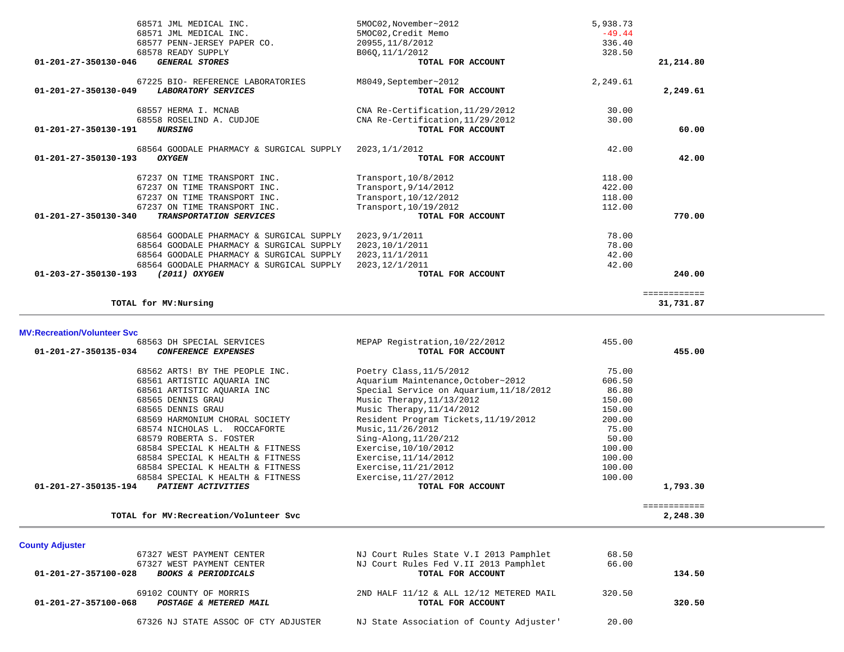| 68571 JML MEDICAL INC.                          | 5MOC02,November~2012             | 5,938.73 |              |
|-------------------------------------------------|----------------------------------|----------|--------------|
| 68571 JML MEDICAL INC.                          | 5MOC02. Credit Memo              | $-49.44$ |              |
| 68577 PENN-JERSEY PAPER CO.                     | 20955, 11/8/2012                 | 336.40   |              |
| 68578 READY SUPPLY                              | B060,11/1/2012                   | 328.50   |              |
| <b>GENERAL STORES</b><br>01-201-27-350130-046   | TOTAL FOR ACCOUNT                |          | 21,214.80    |
| 67225 BIO- REFERENCE LABORATORIES               | M8049, September~2012            | 2,249.61 |              |
| 01-201-27-350130-049<br>LABORATORY SERVICES     | TOTAL FOR ACCOUNT                |          | 2,249.61     |
| 68557 HERMA I. MCNAB                            | CNA Re-Certification, 11/29/2012 | 30.00    |              |
| 68558 ROSELIND A. CUDJOE                        | CNA Re-Certification, 11/29/2012 | 30.00    |              |
| 01-201-27-350130-191<br><i><b>NURSING</b></i>   | TOTAL FOR ACCOUNT                |          | 60.00        |
| 68564 GOODALE PHARMACY & SURGICAL SUPPLY        | 2023, 1/1/2012                   | 42.00    |              |
| 01-201-27-350130-193<br><b>OXYGEN</b>           | TOTAL FOR ACCOUNT                |          | 42.00        |
| 67237 ON TIME TRANSPORT INC.                    | Transport, 10/8/2012             | 118.00   |              |
| 67237 ON TIME TRANSPORT INC.                    | Transport, 9/14/2012             | 422.00   |              |
| 67237 ON TIME TRANSPORT INC.                    | Transport, 10/12/2012            | 118.00   |              |
| 67237 ON TIME TRANSPORT INC.                    | Transport, 10/19/2012            | 112.00   |              |
| 01-201-27-350130-340<br>TRANSPORTATION SERVICES | TOTAL FOR ACCOUNT                |          | 770.00       |
| 68564 GOODALE PHARMACY & SURGICAL SUPPLY        | 2023, 9/1/2011                   | 78.00    |              |
| 68564 GOODALE PHARMACY & SURGICAL SUPPLY        | 2023, 10/1/2011                  | 78.00    |              |
| 68564 GOODALE PHARMACY & SURGICAL SUPPLY        | 2023, 11/1/2011                  | 42.00    |              |
| 68564 GOODALE PHARMACY & SURGICAL SUPPLY        | 2023, 12/1/2011                  | 42.00    |              |
| (2011) OXYGEN<br>01-203-27-350130-193           | TOTAL FOR ACCOUNT                |          | 240.00       |
|                                                 |                                  |          | ============ |
| TOTAL for MV: Nursing                           |                                  |          | 31,731.87    |

| 68563 DH SPECIAL SERVICES                          | MEPAP Registration, 10/22/2012          | 455.00 |          |
|----------------------------------------------------|-----------------------------------------|--------|----------|
| 01-201-27-350135-034<br><b>CONFERENCE EXPENSES</b> | TOTAL FOR ACCOUNT                       |        | 455.00   |
| 68562 ARTS! BY THE PEOPLE INC.                     | Poetry Class, 11/5/2012                 | 75.00  |          |
| 68561 ARTISTIC AOUARIA INC                         | Aquarium Maintenance, October~2012      | 606.50 |          |
| 68561 ARTISTIC AOUARIA INC                         | Special Service on Aquarium, 11/18/2012 | 86.80  |          |
| 68565 DENNIS GRAU                                  | Music Therapy, $11/13/2012$             | 150.00 |          |
| 68565 DENNIS GRAU                                  | Music Therapy, $11/14/2012$             | 150.00 |          |
| 68569 HARMONIUM CHORAL SOCIETY                     | Resident Program Tickets, 11/19/2012    | 200.00 |          |
| 68574 NICHOLAS L. ROCCAFORTE                       | Music, 11/26/2012                       | 75.00  |          |
| 68579 ROBERTA S. FOSTER                            | $Sing-Alonq, 11/20/212$                 | 50.00  |          |
| 68584 SPECIAL K HEALTH & FITNESS                   | Exercise, 10/10/2012                    | 100.00 |          |
| 68584 SPECIAL K HEALTH & FITNESS                   | Exercise, 11/14/2012                    | 100.00 |          |
| 68584 SPECIAL K HEALTH & FITNESS                   | Exercise, 11/21/2012                    | 100.00 |          |
| 68584 SPECIAL K HEALTH & FITNESS                   | Exercise, 11/27/2012                    | 100.00 |          |
| 01-201-27-350135-194<br>PATIENT ACTIVITIES         | TOTAL FOR ACCOUNT                       |        | 1,793.30 |

**TOTAL for MV:Recreation/Volunteer Svc 2,248.30**

**County Adjuster**  67327 WEST PAYMENT CENTER NJ Court Rules State V.I 2013 Pamphlet 68.50 67327 WEST PAYMENT CENTER NJ Court Rules Fed V.II 2013 Pamphlet 66.00  **01-201-27-357100-028** *BOOKS & PERIODICALS* **TOTAL FOR ACCOUNT 134.50** 69102 COUNTY OF MORRIS 2ND HALF 11/12 & ALL 12/12 METERED MAIL 320.50  **01-201-27-357100-068** *POSTAGE & METERED MAIL* **TOTAL FOR ACCOUNT 320.50**67326 NJ STATE ASSOC OF CTY ADJUSTER NJ State Association of County Adjuster' 20.00

============

2,248.30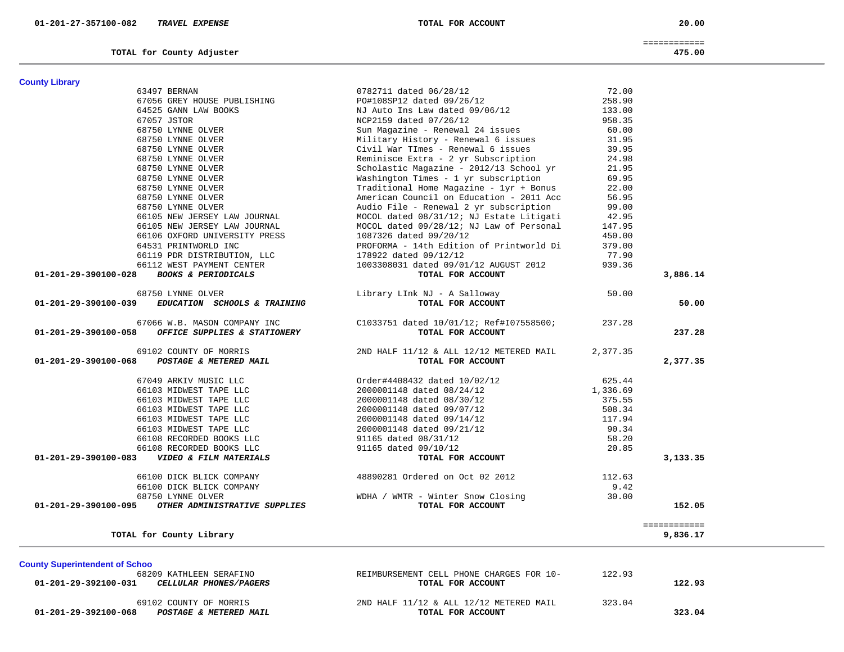| 01-201-29-392100-031 | <i>CELLULAR PHONES/PAGERS</i> | TOTAL FOR ACCOUNT                       |        | 122.93 |
|----------------------|-------------------------------|-----------------------------------------|--------|--------|
|                      | 69102 COUNTY OF MORRIS        | 2ND HALF 11/12 & ALL 12/12 METERED MAIL | 323.04 |        |
| 01-201-29-392100-068 | POSTAGE & METERED MAIL        | TOTAL FOR ACCOUNT                       |        | 323.04 |

| TOTAL for County Library                                                                                                  |                                                               |        | 9,836.17 |
|---------------------------------------------------------------------------------------------------------------------------|---------------------------------------------------------------|--------|----------|
| <b>County Superintendent of Schoo</b><br>68209 KATHLEEN SERAFINO<br>01-201-29-392100-031<br><i>CELLULAR PHONES/PAGERS</i> | REIMBURSEMENT CELL PHONE CHARGES FOR 10-<br>TOTAL FOR ACCOUNT | 122.93 | 122.93   |

| 66103 MIDWEST TAPE LLC                                           | 2000001148 dated 09/14/12            | 117.94 |
|------------------------------------------------------------------|--------------------------------------|--------|
| 66103 MIDWEST TAPE LLC                                           | 2000001148 dated 09/21/12            | 90.34  |
| 66108 RECORDED BOOKS LLC                                         | 91165 dated 08/31/12                 | 58.20  |
| 66108 RECORDED BOOKS LLC                                         | 91165 dated 09/10/12                 | 20.85  |
| 01-201-29-390100-083<br><i><b>VIDEO &amp; FILM MATERIALS</b></i> | TOTAL FOR ACCOUNT                    |        |
|                                                                  |                                      |        |
| 66100 DICK BLICK COMPANY                                         | 48890281 Ordered on Oct 02 2012      | 112.63 |
| 66100 DICK BLICK COMPANY                                         |                                      | 9.42   |
| 68750 LYNNE OLVER                                                | WMTR - Winter Snow Closing<br>WDHA , | 30.00  |
| 01-201-29-390100-095<br>OTHER ADMINISTRATIVE SUPPLIES            | TOTAL FOR ACCOUNT                    |        |
|                                                                  |                                      |        |

| - 201 202 202 202 202 |  | <u>UIIIUM DUIIMUU A DIAII</u> |  |
|-----------------------|--|-------------------------------|--|
|                       |  |                               |  |
|                       |  | 69102 COUNTY OF MORRIS        |  |
| 01-201-29-390100-068  |  | POSTAGE & METERED MAIL        |  |

|                      |  | 67066 W.B. MASON COMPANY INC |  |                                         |  |
|----------------------|--|------------------------------|--|-----------------------------------------|--|
| 01-201-29-390100-058 |  |                              |  | <i>OFFICE SUPPLIES &amp; STATIONERY</i> |  |

|                      | 68750 LYNNE OLVER |  |                              |
|----------------------|-------------------|--|------------------------------|
| 01-201-29-390100-039 |                   |  | EDUCATION SCHOOLS & TRAINING |

|                       | TOTAL for County Adjuster      |                                          |        | 475.00   |
|-----------------------|--------------------------------|------------------------------------------|--------|----------|
| <b>County Library</b> |                                |                                          |        |          |
|                       | 63497 BERNAN                   | 0782711 dated 06/28/12                   | 72.00  |          |
|                       | 67056 GREY HOUSE PUBLISHING    | PO#108SP12 dated 09/26/12                | 258.90 |          |
|                       | 64525 GANN LAW BOOKS           | NJ Auto Ins Law dated 09/06/12           | 133.00 |          |
|                       | 67057 JSTOR                    | NCP2159 dated 07/26/12                   | 958.35 |          |
|                       | 68750 LYNNE OLVER              | Sun Magazine - Renewal 24 issues         | 60.00  |          |
|                       | 68750 LYNNE OLVER              | Military History - Renewal 6 issues      | 31.95  |          |
|                       | 68750 LYNNE OLVER              | Civil War TImes - Renewal 6 issues       | 39.95  |          |
|                       | 68750 LYNNE OLVER              | Reminisce Extra - 2 yr Subscription      | 24.98  |          |
|                       | 68750 LYNNE OLVER              | Scholastic Magazine - 2012/13 School yr  | 21.95  |          |
|                       | 68750 LYNNE OLVER              | Washington Times - 1 yr subscription     | 69.95  |          |
|                       | 68750 LYNNE OLVER              | Traditional Home Magazine - 1yr + Bonus  | 22.00  |          |
|                       | 68750 LYNNE OLVER              | American Council on Education - 2011 Acc | 56.95  |          |
|                       | 68750 LYNNE OLVER              | Audio File - Renewal 2 yr subscription   | 99.00  |          |
|                       | 66105 NEW JERSEY LAW JOURNAL   | MOCOL dated 08/31/12; NJ Estate Litigati | 42.95  |          |
|                       | 66105 NEW JERSEY LAW JOURNAL   | MOCOL dated 09/28/12; NJ Law of Personal | 147.95 |          |
|                       | 66106 OXFORD UNIVERSITY PRESS  | 1087326 dated 09/20/12                   | 450.00 |          |
|                       | 64531 PRINTWORLD INC           | PROFORMA - 14th Edition of Printworld Di | 379.00 |          |
|                       | 66119 PDR DISTRIBUTION, LLC    | 178922 dated 09/12/12                    | 77.90  |          |
|                       | 66112 WEST PAYMENT CENTER      | 1003308031 dated 09/01/12 AUGUST 2012    | 939.36 |          |
| 01-201-29-390100-028  | <b>BOOKS &amp; PERIODICALS</b> | TOTAL FOR ACCOUNT                        |        | 3,886.14 |

| 67056 GREY HOUSE PUBLISHING                         | PO#108SP12 dated 09/26/12                                                                   | 258.90         |          |
|-----------------------------------------------------|---------------------------------------------------------------------------------------------|----------------|----------|
| 64525 GANN LAW BOOKS                                |                                                                                             | 133.00         |          |
| 67057 JSTOR                                         | NJ Auto Ins Law dated 09/06/12<br>NCP2159 dated 07/26/12                                    | 958.35         |          |
| 68750 LYNNE OLVER                                   | Sun Magazine - Renewal 24 issues 60.00                                                      |                |          |
| 68750 LYNNE OLVER                                   |                                                                                             |                |          |
| 68750 LYNNE OLVER                                   | Military History - Renewal 6 issues<br>Civil War TImes - Renewal 6 issues                   | 31.95<br>39.95 |          |
| 68750 LYNNE OLVER                                   | Reminisce Extra - 2 yr Subscription 24.98                                                   |                |          |
| 68750 LYNNE OLVER                                   |                                                                                             |                |          |
| 68750 LYNNE OLVER                                   | Scholastic Magazine - 2012/13 School yr 21.95<br>Washington Times - 1 yr subscription 69.95 |                |          |
| 68750 LYNNE OLVER                                   | Traditional Home Magazine - $1yr$ + Bonus                                                   | 22.00          |          |
| 68750 LYNNE OLVER                                   | American Council on Education - 2011 Acc                                                    | 56.95          |          |
| 68750 LYNNE OLVER                                   | Audio File - Renewal 2 yr subscription                                                      | 99.00          |          |
| 68750 LYNNE OLVER<br>66105 NEW JERSEY LAW JOURNAL   | MOCOL dated 08/31/12; NJ Estate Litigati 42.95                                              |                |          |
| 66105 NEW JERSEY LAW JOURNAL                        | MOCOL dated 09/28/12; NJ Law of Personal 147.95                                             |                |          |
| 66106 OXFORD UNIVERSITY PRESS                       | 1087326 dated 09/20/12                                                                      | 450.00         |          |
| 64531 PRINTWORLD INC                                | PROFORMA - 14th Edition of Printworld Di 379.00                                             |                |          |
| 66119 PDR DISTRIBUTION, LLC                         | 178922 dated 09/12/12                                                                       | 77.90          |          |
| 66112 WEST PAYMENT CENTER                           | 1003308031 dated 09/01/12 AUGUST 2012                                                       | 939.36         |          |
| 01-201-29-390100-028 BOOKS & PERIODICALS            | TOTAL FOR ACCOUNT                                                                           |                | 3,886.14 |
|                                                     |                                                                                             |                |          |
| 68750 LYNNE OLVER                                   | Library LInk NJ - A Salloway                                                                | 50.00          |          |
| 01-201-29-390100-039 EDUCATION SCHOOLS & TRAINING   | TOTAL FOR ACCOUNT                                                                           |                | 50.00    |
|                                                     |                                                                                             |                |          |
| 67066 W.B. MASON COMPANY INC                        | C1033751 dated 10/01/12; Ref#I07558500;                                                     | 237.28         |          |
| $01-201-29-390100-058$ OFFICE SUPPLIES & STATIONERY | TOTAL FOR ACCOUNT                                                                           |                | 237.28   |
|                                                     |                                                                                             |                |          |
| 69102 COUNTY OF MORRIS                              | 2ND HALF $11/12$ & ALL $12/12$ METERED MAIL                                                 | 2,377.35       |          |
| 01-201-29-390100-068 POSTAGE & METERED MAIL         | TOTAL FOR ACCOUNT                                                                           |                | 2,377.35 |
|                                                     |                                                                                             |                |          |
| 67049 ARKIV MUSIC LLC                               | Order#4408432 dated 10/02/12                                                                | 625.44         |          |
| 66103 MIDWEST TAPE LLC                              | 2000001148 dated 08/24/12                                                                   | 1,336.69       |          |
| 66103 MIDWEST TAPE LLC                              | 2000001148 dated 08/30/12<br>2000001148 dated 09/07/12                                      | 375.55         |          |
| 66103 MIDWEST TAPE LLC                              |                                                                                             | 508.34         |          |
| 66103 MIDWEST TAPE LLC                              | 2000001148 dated 09/14/12                                                                   | 117.94         |          |
| 66103 MIDWEST TAPE LLC                              | 2000001148 dated 09/21/12                                                                   | 90.34          |          |
| 66108 RECORDED BOOKS LLC                            | 91165 dated 08/31/12                                                                        | 58.20          |          |
| 66108 RECORDED BOOKS LLC                            | 91165 dated 09/10/12                                                                        | 20.85          |          |
| 01-201-29-390100-083    VIDEO & FILM MATERIALS      | TOTAL FOR ACCOUNT                                                                           |                | 3,133.35 |
|                                                     |                                                                                             |                |          |
| 66100 DICK BLICK COMPANY                            | 48890281 Ordered on Oct 02 2012                                                             | 112.63         |          |
| 66100 DICK BLICK COMPANY                            |                                                                                             | 9.42           |          |
| 68750 LYNNE OLVER                                   | WDHA / WMTR - Winter Snow Closing                                                           | 30.00          |          |
| 01-201-29-390100-095 OTHER ADMINISTRATIVE SUPPLIES  | TOTAL FOR ACCOUNT                                                                           |                | 152.05   |
|                                                     |                                                                                             |                |          |

============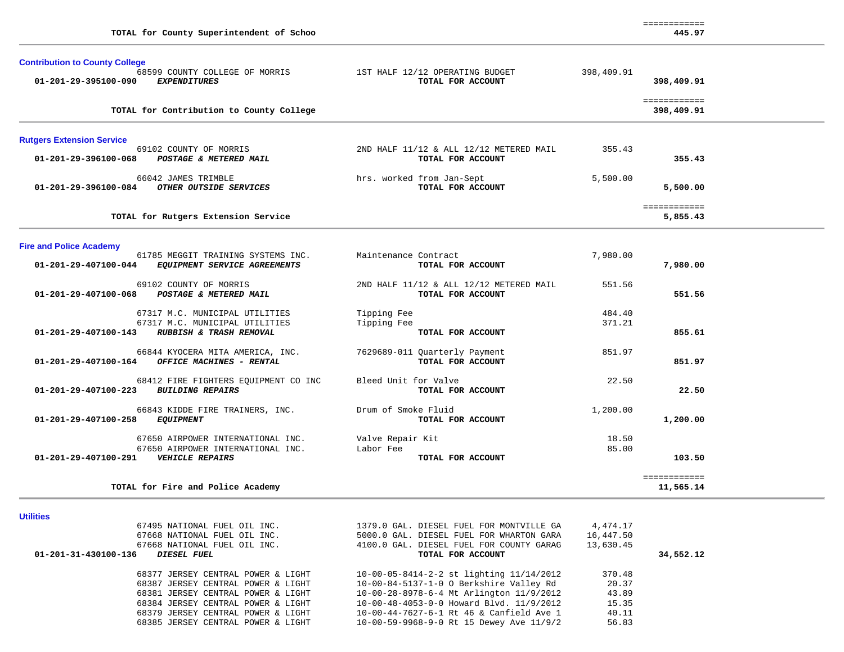| TOTAL for County Superintendent of Schoo                                                                                 |                                                              |                  | 445.97                     |  |
|--------------------------------------------------------------------------------------------------------------------------|--------------------------------------------------------------|------------------|----------------------------|--|
| <b>Contribution to County College</b><br>68599 COUNTY COLLEGE OF MORRIS<br><b>EXPENDITURES</b><br>01-201-29-395100-090   | 1ST HALF 12/12 OPERATING BUDGET<br>TOTAL FOR ACCOUNT         | 398,409.91       | 398,409.91                 |  |
| TOTAL for Contribution to County College                                                                                 |                                                              |                  | ============<br>398,409.91 |  |
| <b>Rutgers Extension Service</b>                                                                                         |                                                              |                  |                            |  |
| 69102 COUNTY OF MORRIS<br>POSTAGE & METERED MAIL<br>01-201-29-396100-068                                                 | 2ND HALF 11/12 & ALL 12/12 METERED MAIL<br>TOTAL FOR ACCOUNT | 355.43           | 355.43                     |  |
| 66042 JAMES TRIMBLE<br>01-201-29-396100-084 OTHER OUTSIDE SERVICES                                                       | hrs. worked from Jan-Sept<br>TOTAL FOR ACCOUNT               | 5,500.00         | 5,500.00                   |  |
| TOTAL for Rutgers Extension Service                                                                                      |                                                              |                  | ============<br>5,855.43   |  |
| <b>Fire and Police Academy</b>                                                                                           |                                                              |                  |                            |  |
| 61785 MEGGIT TRAINING SYSTEMS INC.<br>EQUIPMENT SERVICE AGREEMENTS<br>01-201-29-407100-044                               | Maintenance Contract<br>TOTAL FOR ACCOUNT                    | 7,980.00         | 7,980.00                   |  |
| 69102 COUNTY OF MORRIS<br>POSTAGE & METERED MAIL<br>01-201-29-407100-068                                                 | 2ND HALF 11/12 & ALL 12/12 METERED MAIL<br>TOTAL FOR ACCOUNT | 551.56           | 551.56                     |  |
| 67317 M.C. MUNICIPAL UTILITIES<br>67317 M.C. MUNICIPAL UTILITIES<br>01-201-29-407100-143<br>RUBBISH & TRASH REMOVAL      | Tipping Fee<br>Tipping Fee<br>TOTAL FOR ACCOUNT              | 484.40<br>371.21 | 855.61                     |  |
| 66844 KYOCERA MITA AMERICA, INC.<br>01-201-29-407100-164 OFFICE MACHINES - RENTAL                                        | 7629689-011 Quarterly Payment<br>TOTAL FOR ACCOUNT           | 851.97           | 851.97                     |  |
| 68412 FIRE FIGHTERS EQUIPMENT CO INC<br>01-201-29-407100-223<br><b>BUILDING REPAIRS</b>                                  | Bleed Unit for Valve<br>TOTAL FOR ACCOUNT                    | 22.50            | 22.50                      |  |
| 66843 KIDDE FIRE TRAINERS, INC.<br>01-201-29-407100-258<br><b>EQUIPMENT</b>                                              | Drum of Smoke Fluid<br>TOTAL FOR ACCOUNT                     | 1,200.00         | 1,200.00                   |  |
| 67650 AIRPOWER INTERNATIONAL INC.<br>67650 AIRPOWER INTERNATIONAL INC.<br>01-201-29-407100-291<br><b>VEHICLE REPAIRS</b> | Valve Repair Kit<br>Labor Fee<br>TOTAL FOR ACCOUNT           | 18.50<br>85.00   | 103.50                     |  |
| TOTAL for Fire and Police Academy                                                                                        |                                                              |                  | ============<br>11,565.14  |  |

|  | tılıt |  |
|--|-------|--|
|  |       |  |

| 67495 NATIONAL FUEL OIL INC.        | 1379.0 GAL. DIESEL FUEL FOR MONTVILLE GA | 4,474.17  |           |
|-------------------------------------|------------------------------------------|-----------|-----------|
| 67668 NATIONAL FUEL OIL INC.        | 5000.0 GAL. DIESEL FUEL FOR WHARTON GARA | 16,447.50 |           |
| 67668 NATIONAL FUEL OIL INC.        | 4100.0 GAL. DIESEL FUEL FOR COUNTY GARAG | 13,630.45 |           |
| 01-201-31-430100-136<br>DIESEL FUEL | TOTAL FOR ACCOUNT                        |           | 34,552.12 |
| 68377 JERSEY CENTRAL POWER & LIGHT  | 10-00-05-8414-2-2 st lighting 11/14/2012 | 370.48    |           |
| 68387 JERSEY CENTRAL POWER & LIGHT  | 10-00-84-5137-1-0 O Berkshire Valley Rd  | 20.37     |           |
| 68381 JERSEY CENTRAL POWER & LIGHT  | 10-00-28-8978-6-4 Mt Arlington 11/9/2012 | 43.89     |           |
| 68384 JERSEY CENTRAL POWER & LIGHT  | 10-00-48-4053-0-0 Howard Blvd. 11/9/2012 | 15.35     |           |
| 68379 JERSEY CENTRAL POWER & LIGHT  | 10-00-44-7627-6-1 Rt 46 & Canfield Ave 1 | 40.11     |           |
| 68385 JERSEY CENTRAL POWER & LIGHT  | 10-00-59-9968-9-0 Rt 15 Dewey Ave 11/9/2 | 56.83     |           |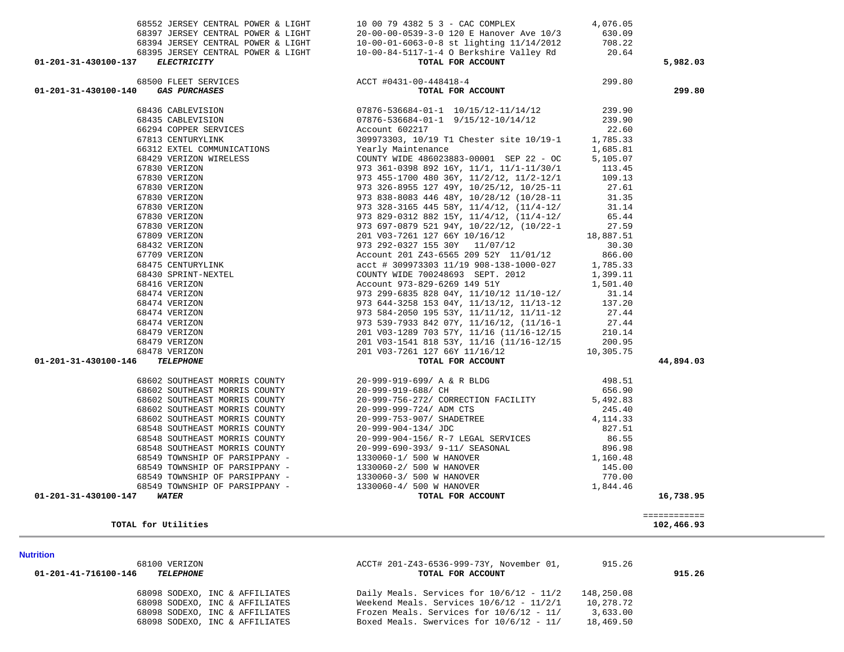| 68098 SODEXO, INC & AFFILIATES | Daily Meals. Services for $10/6/12 - 11/2$ | 148,250.08 |
|--------------------------------|--------------------------------------------|------------|
| 68098 SODEXO, INC & AFFILIATES | Weekend Meals. Services $10/6/12 - 11/2/1$ | 10,278.72  |
| 68098 SODEXO, INC & AFFILIATES | Frozen Meals. Services for $10/6/12 - 11/$ | 3,633.00   |
| 68098 SODEXO, INC & AFFILIATES | Boxed Meals. Swervices for 10/6/12 - 11/   | 18,469.50  |

#### **Nutrition**

| <b>Nutrition</b>                                   |                                                                     |                 |
|----------------------------------------------------|---------------------------------------------------------------------|-----------------|
| VERIZON<br>81 N N<br>5 d                           | ACCT# 201-Z43-6536-999-73Y,<br>November<br>$\overline{\phantom{a}}$ | $\sim$<br>15.26 |
| 1-201-41-716100-146<br>^1<br><b>TRI.RPHONR</b><br> | . FOR ACCOUNT<br>TOTAL                                              | 915.26          |

| utrition |               |
|----------|---------------|
|          | 68100 VERIZON |

**TOTAL for Utilities 102,466.93**

| T# 201-Z43-6536-999-73Y, November 01, |  |
|---------------------------------------|--|
| <b>MORAT DOD ACCOUNT</b>              |  |

============

102,466.93

| 67830 VERIZON                                    | 973 326-8955 127 49Y, 10/25/12, 10/25-11                                                                                                                                                                                                           | 27.61     |           |
|--------------------------------------------------|----------------------------------------------------------------------------------------------------------------------------------------------------------------------------------------------------------------------------------------------------|-----------|-----------|
| 67830 VERIZON                                    | 973 838-8083 446 48Y, 10/28/12 (10/28-11 31.35                                                                                                                                                                                                     |           |           |
| 67830 VERIZON                                    | 973 328-3165 445 58Y, 11/4/12, (11/4-12/                                                                                                                                                                                                           | 31.14     |           |
| 67830 VERIZON                                    | 973 829-0312 882 15Y, 11/4/12, (11/4-12/                                                                                                                                                                                                           | 65.44     |           |
| 67830 VERIZON                                    | 973 697-0879 521 94Y, 10/22/12, (10/22-1 27.59                                                                                                                                                                                                     |           |           |
| 67809 VERIZON                                    | 201 V03-7261 127 66Y 10/16/12 18,887.51                                                                                                                                                                                                            |           |           |
| 68432 VERIZON                                    | 973 292-0327 155 30Y 11/07/12                                                                                                                                                                                                                      | 30.30     |           |
| 67709 VERIZON                                    | Account 201 Z43-6565 209 52Y 11/01/12 866.00                                                                                                                                                                                                       |           |           |
| 68475 CENTURYLINK                                | acct # 309973303 11/19 908-138-1000-027 1,785.33                                                                                                                                                                                                   |           |           |
|                                                  |                                                                                                                                                                                                                                                    |           |           |
|                                                  |                                                                                                                                                                                                                                                    |           |           |
|                                                  |                                                                                                                                                                                                                                                    |           |           |
|                                                  |                                                                                                                                                                                                                                                    |           |           |
|                                                  |                                                                                                                                                                                                                                                    |           |           |
|                                                  |                                                                                                                                                                                                                                                    |           |           |
|                                                  |                                                                                                                                                                                                                                                    |           |           |
|                                                  |                                                                                                                                                                                                                                                    |           |           |
|                                                  | 68475 CENTURYLINK<br>68430 SPRINT-NEXTEL<br>68430 SPRINT-NEXTEL<br>68476 VERIZON<br>68474 VERIZON<br>68474 VERIZON<br>68474 VERIZON<br>68474 VERIZON<br>68474 VERIZON<br>973 644-3258 153 04Y, 11/13/12, 11/13-12<br>973 644-3258 153 04Y, 11/13/1 |           |           |
| 01-201-31-430100-146<br><b>TELEPHONE</b>         | TOTAL FOR ACCOUNT                                                                                                                                                                                                                                  |           | 44,894.03 |
|                                                  | 68602 SOUTHEAST MORRIS COUNTY 20-999-919-699/ A & R BLDG 498.51                                                                                                                                                                                    |           |           |
| 68602 SOUTHEAST MORRIS COUNTY 20-999-919-688/ CH | 656.90                                                                                                                                                                                                                                             |           |           |
|                                                  | 68602 SOUTHEAST MORRIS COUNTY 20-999-756-272/ CORRECTION FACILITY 5,492.83                                                                                                                                                                         |           |           |
| 68602 SOUTHEAST MORRIS COUNTY                    | 20-999-999-724/ ADM CTS                                                                                                                                                                                                                            | 245.40    |           |
| 68602 SOUTHEAST MORRIS COUNTY                    | 20-999-753-907/ SHADETREE                                                                                                                                                                                                                          | 4, 114.33 |           |
|                                                  | 68548 SOUTHEAST MORRIS COUNTY 20-999-904-134/ JDC                                                                                                                                                                                                  | 827.51    |           |
|                                                  | 68548 SOUTHEAST MORRIS COUNTY<br>68548 SOUTHEAST MORRIS COUNTY 20-999-690-393/ 9-11/ SEASONAL 896.98                                                                                                                                               |           |           |
|                                                  |                                                                                                                                                                                                                                                    |           |           |
|                                                  | 68549 TOWNSHIP OF PARSIPPANY - 1330060-1/500 W HANOVER 1,160.48                                                                                                                                                                                    |           |           |
|                                                  | 68549 TOWNSHIP OF PARSIPPANY - 1330060-2/ 500 W HANOVER                                                                                                                                                                                            | 145.00    |           |
|                                                  | 68549 TOWNSHIP OF PARSIPPANY - 1330060-3/ 500 W HANOVER 770.00                                                                                                                                                                                     |           |           |
|                                                  | 68549 TOWNSHIP OF PARSIPPANY - 1330060-4/ 500 W HANOVER                                                                                                                                                                                            | 1,844.46  |           |
| 01-201-31-430100-147<br><b>WATER</b>             | TOTAL FOR ACCOUNT                                                                                                                                                                                                                                  |           | 16,738.95 |
|                                                  |                                                                                                                                                                                                                                                    |           |           |

 68436 CABLEVISION 07876-536684-01-1 10/15/12-11/14/12 239.90 68435 CABLEVISION 07876-536684-01-1 9/15/12-10/14/12 239.90 66294 COPPER SERVICES Account 602217 22.60 67813 CENTURYLINK 309973303, 10/19 T1 Chester site 10/19-1 1,785.33 66312 EXTEL COMMUNICATIONS Yearly Maintenance 1,685.81 68429 VERIZON WIRELESS COUNTY WIDE 486023883-00001 SEP 22 - OC 5,105.07 67830 VERIZON 973 361-0398 892 16Y, 11/1, 11/1-11/30/1 113.45 67830 VERIZON 973 455-1700 480 36Y, 11/2/12, 11/2-12/1 109.13

# **01-201-31-430100-140** *GAS PURCHASES* **TOTAL FOR ACCOUNT 299.80**

 68552 JERSEY CENTRAL POWER & LIGHT 10 00 79 4382 5 3 - CAC COMPLEX 4,076.05 68397 JERSEY CENTRAL POWER & LIGHT 20-00-00-0539-3-0 120 E Hanover Ave 10/3 630.09 68394 JERSEY CENTRAL POWER & LIGHT 10-00-01-6063-0-8 st lighting 11/14/2012 708.22 68395 JERSEY CENTRAL POWER & LIGHT  $10-00-84-5117-1-4$  O Berkshire Valley Rd  $20.64$ <br> **FLECTRICITY TOTAL FOR ACCOUNT 01-201-31-430100-137** *ELECTRICITY* **TOTAL FOR ACCOUNT 5,982.03** 68500 FLEET SERVICES ACCT #0431-00-448418-4 299.80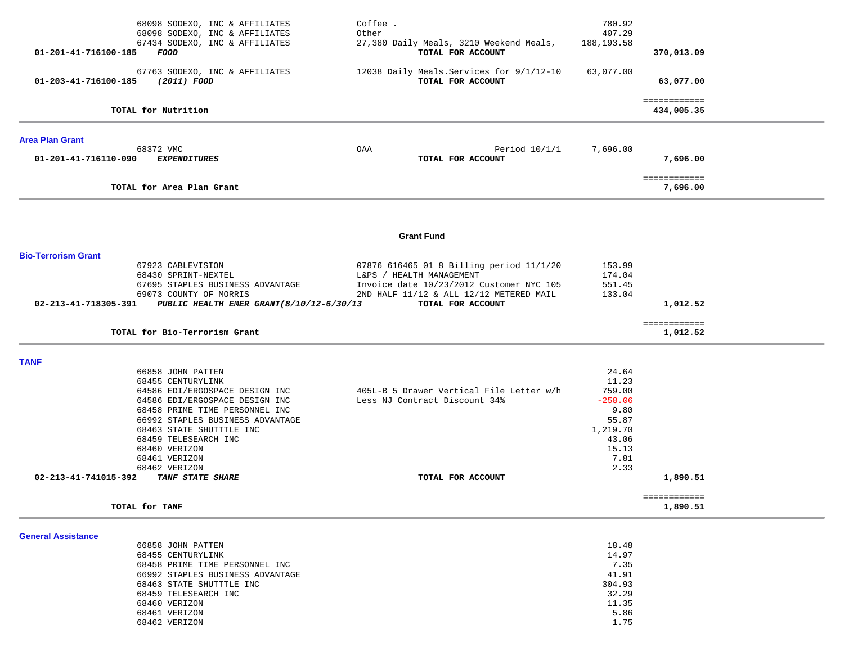| 68098 SODEXO, INC & AFFILIATES                                    | Coffee.                                   | 780.92      |                            |  |
|-------------------------------------------------------------------|-------------------------------------------|-------------|----------------------------|--|
| 68098 SODEXO, INC & AFFILIATES                                    | Other                                     | 407.29      |                            |  |
| 67434 SODEXO, INC & AFFILIATES                                    | 27,380 Daily Meals, 3210 Weekend Meals,   | 188, 193.58 |                            |  |
| 01-201-41-716100-185<br>FOOD                                      | TOTAL FOR ACCOUNT                         |             | 370,013.09                 |  |
| 67763 SODEXO, INC & AFFILIATES                                    | 12038 Daily Meals. Services for 9/1/12-10 | 63,077.00   |                            |  |
| 01-203-41-716100-185<br>(2011) FOOD                               | TOTAL FOR ACCOUNT                         |             | 63,077.00                  |  |
|                                                                   |                                           |             |                            |  |
| TOTAL for Nutrition                                               |                                           |             | ============<br>434,005.35 |  |
|                                                                   |                                           |             |                            |  |
| <b>Area Plan Grant</b>                                            |                                           |             |                            |  |
| 68372 VMC                                                         | OAA<br>Period $10/1/1$                    | 7,696.00    |                            |  |
| 01-201-41-716110-090<br><i>EXPENDITURES</i>                       | TOTAL FOR ACCOUNT                         |             | 7,696.00                   |  |
|                                                                   |                                           |             | ============               |  |
| TOTAL for Area Plan Grant                                         |                                           |             | 7,696.00                   |  |
|                                                                   |                                           |             |                            |  |
|                                                                   |                                           |             |                            |  |
|                                                                   | <b>Grant Fund</b>                         |             |                            |  |
| <b>Bio-Terrorism Grant</b>                                        |                                           |             |                            |  |
| 67923 CABLEVISION                                                 | 07876 616465 01 8 Billing period 11/1/20  | 153.99      |                            |  |
| 68430 SPRINT-NEXTEL                                               | L&PS / HEALTH MANAGEMENT                  | 174.04      |                            |  |
| 67695 STAPLES BUSINESS ADVANTAGE                                  | Invoice date 10/23/2012 Customer NYC 105  | 551.45      |                            |  |
| 69073 COUNTY OF MORRIS                                            | 2ND HALF 11/12 & ALL 12/12 METERED MAIL   | 133.04      |                            |  |
| PUBLIC HEALTH EMER GRANT (8/10/12-6/30/13<br>02-213-41-718305-391 | TOTAL FOR ACCOUNT                         |             | 1,012.52                   |  |
|                                                                   |                                           |             | ============               |  |
| TOTAL for Bio-Terrorism Grant                                     |                                           |             | 1,012.52                   |  |
|                                                                   |                                           |             |                            |  |
| <b>TANF</b><br>66858 JOHN PATTEN                                  |                                           | 24.64       |                            |  |
| 68455 CENTURYLINK                                                 |                                           | 11.23       |                            |  |
| 64586 EDI/ERGOSPACE DESIGN INC                                    | 405L-B 5 Drawer Vertical File Letter w/h  | 759.00      |                            |  |
| 64586 EDI/ERGOSPACE DESIGN INC                                    | Less NJ Contract Discount 34%             | $-258.06$   |                            |  |
| 68458 PRIME TIME PERSONNEL INC                                    |                                           | 9.80        |                            |  |
| 66992 STAPLES BUSINESS ADVANTAGE                                  |                                           | 55.87       |                            |  |
| 68463 STATE SHUTTTLE INC                                          |                                           | 1,219.70    |                            |  |
| 68459 TELESEARCH INC                                              |                                           | 43.06       |                            |  |
| 68460 VERIZON                                                     |                                           | 15.13       |                            |  |
| 68461 VERIZON                                                     |                                           | 7.81        |                            |  |
| 68462 VERIZON                                                     |                                           | 2.33        |                            |  |
| 02-213-41-741015-392<br>TANF STATE SHARE                          | TOTAL FOR ACCOUNT                         |             | 1,890.51                   |  |
|                                                                   |                                           |             | <b>EEEEEEEEEEE</b>         |  |
| TOTAL for TANF                                                    |                                           |             | 1,890.51                   |  |
|                                                                   |                                           |             |                            |  |
| <b>General Assistance</b>                                         |                                           |             |                            |  |
| 66858 JOHN PATTEN                                                 |                                           | 18.48       |                            |  |
| 68455 CENTURYLINK                                                 |                                           | 14.97       |                            |  |
| 68458 PRIME TIME PERSONNEL INC                                    |                                           | 7.35        |                            |  |
| 66992 STAPLES BUSINESS ADVANTAGE                                  |                                           | 41.91       |                            |  |
| 68463 STATE SHUTTTLE INC                                          |                                           | 304.93      |                            |  |
| 68459 TELESEARCH INC                                              |                                           | 32.29       |                            |  |
| 68460 VERIZON                                                     |                                           | 11.35       |                            |  |
| 68461 VERIZON                                                     |                                           | 5.86        |                            |  |
| 68462 VERIZON                                                     |                                           | 1.75        |                            |  |
|                                                                   |                                           |             |                            |  |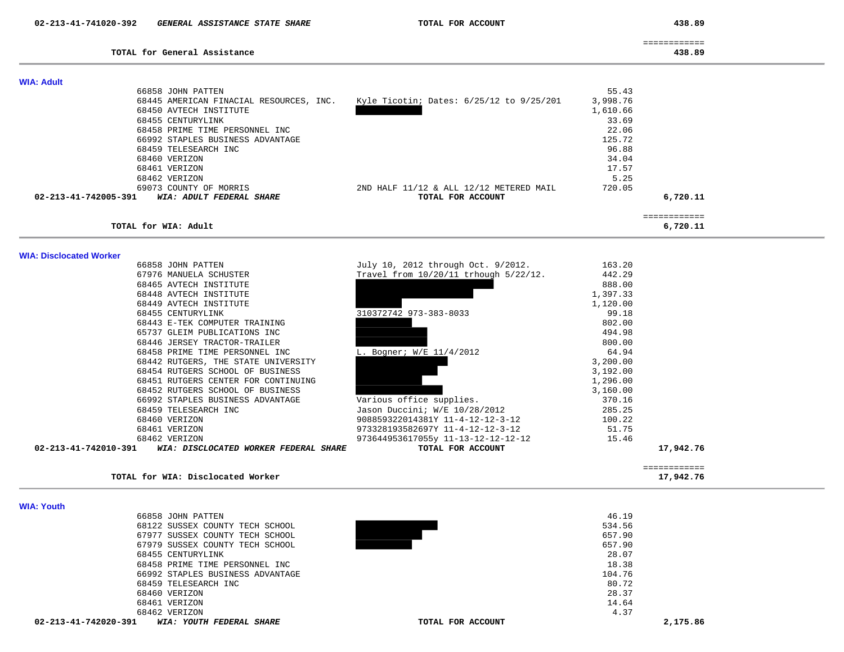438.89

| TOTAL for General Assistance | 438.89 |
|------------------------------|--------|
|                              |        |

**TOTAL for WIA: Disclocated Worker 17,942.76**

17,942.76

| <b>WIA: Adult</b>                                |                                              |          |          |
|--------------------------------------------------|----------------------------------------------|----------|----------|
| 66858 JOHN PATTEN                                |                                              | 55.43    |          |
| 68445 AMERICAN FINACIAL RESOURCES, INC.          | Kyle Ticotin; Dates: $6/25/12$ to $9/25/201$ | 3,998.76 |          |
| 68450 AVTECH INSTITUTE                           |                                              | 1,610.66 |          |
| 68455 CENTURYLINK                                |                                              | 33.69    |          |
| 68458 PRIME TIME PERSONNEL INC                   |                                              | 22.06    |          |
| 66992 STAPLES BUSINESS ADVANTAGE                 |                                              | 125.72   |          |
| 68459 TELESEARCH INC                             |                                              | 96.88    |          |
| 68460 VERIZON                                    |                                              | 34.04    |          |
| 68461 VERIZON                                    |                                              | 17.57    |          |
| 68462 VERIZON                                    |                                              | 5.25     |          |
| 69073 COUNTY OF MORRIS                           | 2ND HALF 11/12 & ALL 12/12 METERED MAIL      | 720.05   |          |
| 02-213-41-742005-391<br>WIA: ADULT FEDERAL SHARE | TOTAL FOR ACCOUNT                            |          | 6,720.11 |
|                                                  |                                              |          |          |
| TOTAL for WIA: Adult                             |                                              |          | 6,720.11 |

============

**WIA: Disclocated Worker** 

| 66858 JOHN PATTEN                                             | July 10, 2012 through Oct. 9/2012.    | 163.20   |              |
|---------------------------------------------------------------|---------------------------------------|----------|--------------|
| 67976 MANUELA SCHUSTER                                        | Travel from 10/20/11 trhough 5/22/12. | 442.29   |              |
| 68465 AVTECH INSTITUTE                                        |                                       | 888.00   |              |
| 68448 AVTECH INSTITUTE                                        |                                       | 1,397.33 |              |
| 68449 AVTECH INSTITUTE                                        |                                       | 1,120.00 |              |
| 68455 CENTURYLINK                                             | 310372742 973-383-8033                | 99.18    |              |
| 68443 E-TEK COMPUTER TRAINING                                 |                                       | 802.00   |              |
| 65737 GLEIM PUBLICATIONS INC                                  |                                       | 494.98   |              |
| 68446 JERSEY TRACTOR-TRAILER                                  |                                       | 800.00   |              |
| 68458 PRIME TIME PERSONNEL INC                                | L. Bogner; W/E 11/4/2012              | 64.94    |              |
| 68442 RUTGERS, THE STATE UNIVERSITY                           |                                       | 3,200.00 |              |
| 68454 RUTGERS SCHOOL OF BUSINESS                              |                                       | 3,192.00 |              |
| 68451 RUTGERS CENTER FOR CONTINUING                           |                                       | 1,296.00 |              |
| 68452 RUTGERS SCHOOL OF BUSINESS                              |                                       | 3,160.00 |              |
|                                                               |                                       |          |              |
| 66992 STAPLES BUSINESS ADVANTAGE                              | Various office supplies.              | 370.16   |              |
| 68459 TELESEARCH INC                                          | Jason Duccini; W/E 10/28/2012         | 285.25   |              |
| 68460 VERIZON                                                 | 908859322014381Y 11-4-12-12-3-12      | 100.22   |              |
| 68461 VERIZON                                                 | 973328193582697Y 11-4-12-12-3-12      | 51.75    |              |
| 68462 VERIZON                                                 | 973644953617055y 11-13-12-12-12-12    | 15.46    |              |
| 02-213-41-742010-391<br>WIA: DISCLOCATED WORKER FEDERAL SHARE | TOTAL FOR ACCOUNT                     |          | 17,942.76    |
|                                                               |                                       |          |              |
|                                                               |                                       |          | ============ |

|  | WIA: Youth |
|--|------------|
|  |            |

|                      | 66858 JOHN PATTEN                |                   | 46.19  |          |
|----------------------|----------------------------------|-------------------|--------|----------|
|                      | 68122 SUSSEX COUNTY TECH SCHOOL  |                   | 534.56 |          |
|                      | 67977 SUSSEX COUNTY TECH SCHOOL  |                   | 657.90 |          |
|                      | 67979 SUSSEX COUNTY TECH SCHOOL  |                   | 657.90 |          |
|                      | 68455 CENTURYLINK                |                   | 28.07  |          |
|                      | 68458 PRIME TIME PERSONNEL INC   |                   | 18.38  |          |
|                      | 66992 STAPLES BUSINESS ADVANTAGE |                   | 104.76 |          |
|                      | 68459 TELESEARCH INC             |                   | 80.72  |          |
|                      | 68460 VERIZON                    |                   | 28.37  |          |
|                      | 68461 VERIZON                    |                   | 14.64  |          |
|                      | 68462 VERIZON                    |                   | 4.37   |          |
| 02-213-41-742020-391 | WIA: YOUTH FEDERAL SHARE         | TOTAL FOR ACCOUNT |        | 2,175.86 |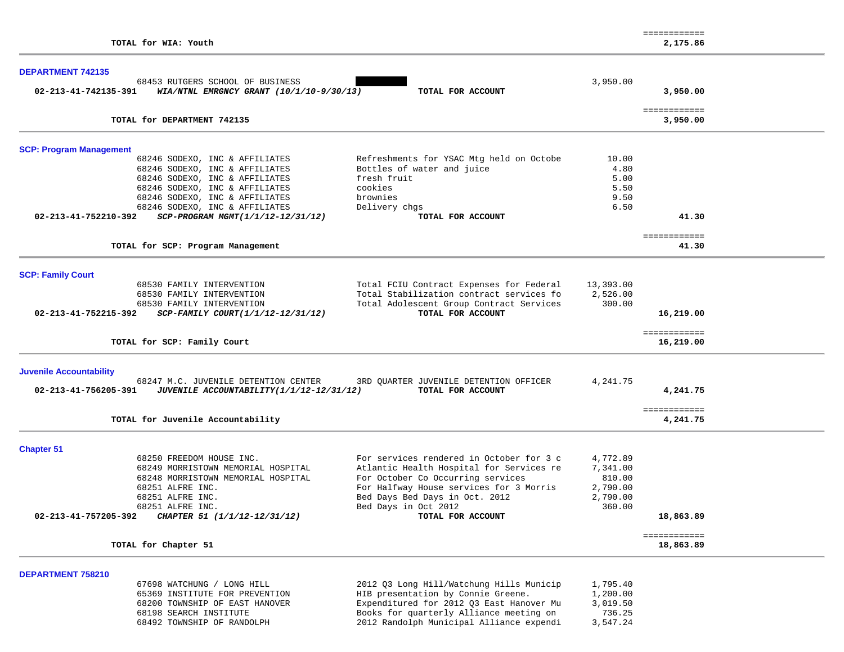|                                                                    |                                          |           | ============             |  |
|--------------------------------------------------------------------|------------------------------------------|-----------|--------------------------|--|
| TOTAL for WIA: Youth                                               |                                          |           | 2,175.86                 |  |
|                                                                    |                                          |           |                          |  |
| <b>DEPARTMENT 742135</b>                                           |                                          |           |                          |  |
| 68453 RUTGERS SCHOOL OF BUSINESS                                   |                                          | 3,950.00  |                          |  |
| 02-213-41-742135-391<br>WIA/NTNL EMRGNCY GRANT $(10/1/10-9/30/13)$ | TOTAL FOR ACCOUNT                        |           | 3,950.00                 |  |
| TOTAL for DEPARTMENT 742135                                        |                                          |           | ============<br>3,950.00 |  |
|                                                                    |                                          |           |                          |  |
| <b>SCP: Program Management</b>                                     |                                          |           |                          |  |
| 68246 SODEXO, INC & AFFILIATES                                     | Refreshments for YSAC Mtg held on Octobe | 10.00     |                          |  |
| 68246 SODEXO, INC & AFFILIATES                                     | Bottles of water and juice               | 4.80      |                          |  |
| 68246 SODEXO, INC & AFFILIATES                                     | fresh fruit                              | 5.00      |                          |  |
| 68246 SODEXO, INC & AFFILIATES                                     | cookies                                  | 5.50      |                          |  |
| 68246 SODEXO, INC & AFFILIATES                                     | brownies                                 | 9.50      |                          |  |
| 68246 SODEXO, INC & AFFILIATES                                     | Delivery chgs                            | 6.50      |                          |  |
| 02-213-41-752210-392<br>SCP-PROGRAM MGMT(1/1/12-12/31/12)          | TOTAL FOR ACCOUNT                        |           | 41.30                    |  |
| TOTAL for SCP: Program Management                                  |                                          |           | ============<br>41.30    |  |
|                                                                    |                                          |           |                          |  |
| <b>SCP: Family Court</b>                                           |                                          |           |                          |  |
| 68530 FAMILY INTERVENTION                                          | Total FCIU Contract Expenses for Federal | 13,393.00 |                          |  |
| 68530 FAMILY INTERVENTION                                          | Total Stabilization contract services fo | 2,526.00  |                          |  |
| 68530 FAMILY INTERVENTION                                          | Total Adolescent Group Contract Services | 300.00    |                          |  |
| 02-213-41-752215-392<br>SCP-FAMILY COURT(1/1/12-12/31/12)          | TOTAL FOR ACCOUNT                        |           | 16,219.00                |  |
|                                                                    |                                          |           | ============             |  |
| TOTAL for SCP: Family Court                                        |                                          |           | 16,219.00                |  |
| <b>Juvenile Accountability</b>                                     |                                          |           |                          |  |
| 68247 M.C. JUVENILE DETENTION CENTER                               | 3RD QUARTER JUVENILE DETENTION OFFICER   | 4,241.75  |                          |  |
| 02-213-41-756205-391<br>JUVENILE ACCOUNTABILITY(1/1/12-12/31/12)   | TOTAL FOR ACCOUNT                        |           | 4,241.75                 |  |
|                                                                    |                                          |           | ============             |  |
| TOTAL for Juvenile Accountability                                  |                                          |           | 4,241.75                 |  |
| <b>Chapter 51</b>                                                  |                                          |           |                          |  |
| 68250 FREEDOM HOUSE INC.                                           | For services rendered in October for 3 c | 4,772.89  |                          |  |
| 68249 MORRISTOWN MEMORIAL HOSPITAL                                 | Atlantic Health Hospital for Services re | 7,341.00  |                          |  |
| 68248 MORRISTOWN MEMORIAL HOSPITAL                                 | For October Co Occurring services        | 810.00    |                          |  |
| 68251 ALFRE INC.                                                   | For Halfway House services for 3 Morris  | 2,790.00  |                          |  |
| 68251 ALFRE INC.                                                   | Bed Days Bed Days in Oct. 2012           | 2,790.00  |                          |  |
| 68251 ALFRE INC.                                                   | Bed Days in Oct 2012                     | 360.00    |                          |  |
| 02-213-41-757205-392<br>CHAPTER 51 (1/1/12-12/31/12)               | TOTAL FOR ACCOUNT                        |           | 18,863.89                |  |
|                                                                    |                                          |           | ============             |  |
| TOTAL for Chapter 51                                               |                                          |           | 18,863.89                |  |
|                                                                    |                                          |           |                          |  |
| <b>DEPARTMENT 758210</b><br>67698 WATCHUNG / LONG HILL             | 2012 Q3 Long Hill/Watchung Hills Municip | 1,795.40  |                          |  |
| 65369 INSTITUTE FOR PREVENTION                                     | HIB presentation by Connie Greene.       | 1,200.00  |                          |  |
| 68200 TOWNSHIP OF EAST HANOVER                                     | Expenditured for 2012 Q3 East Hanover Mu | 3,019.50  |                          |  |
| 68198 SEARCH INSTITUTE                                             | Books for quarterly Alliance meeting on  | 736.25    |                          |  |
| 68492 TOWNSHIP OF RANDOLPH                                         | 2012 Randolph Municipal Alliance expendi | 3,547.24  |                          |  |
|                                                                    |                                          |           |                          |  |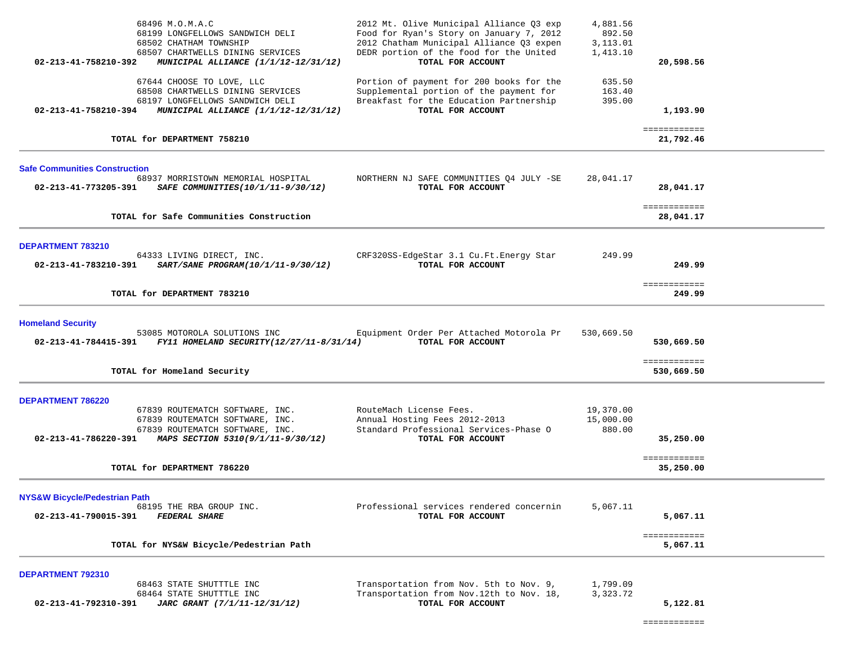| 68496 M.O.M.A.C<br>68199 LONGFELLOWS SANDWICH DELI<br>68502 CHATHAM TOWNSHIP<br>68507 CHARTWELLS DINING SERVICES<br>02-213-41-758210-392<br>MUNICIPAL ALLIANCE (1/1/12-12/31/12)        | 2012 Mt. Olive Municipal Alliance Q3 exp<br>Food for Ryan's Story on January 7, 2012<br>2012 Chatham Municipal Alliance Q3 expen<br>DEDR portion of the food for the United<br>TOTAL FOR ACCOUNT | 4,881.56<br>892.50<br>3,113.01<br>1,413.10 | 20,598.56                  |  |
|-----------------------------------------------------------------------------------------------------------------------------------------------------------------------------------------|--------------------------------------------------------------------------------------------------------------------------------------------------------------------------------------------------|--------------------------------------------|----------------------------|--|
| 67644 CHOOSE TO LOVE, LLC<br>68508 CHARTWELLS DINING SERVICES<br>68197 LONGFELLOWS SANDWICH DELI<br>02-213-41-758210-394<br>MUNICIPAL ALLIANCE (1/1/12-12/31/12)                        | Portion of payment for 200 books for the<br>Supplemental portion of the payment for<br>Breakfast for the Education Partnership<br>TOTAL FOR ACCOUNT                                              | 635.50<br>163.40<br>395.00                 | 1,193.90                   |  |
| TOTAL for DEPARTMENT 758210                                                                                                                                                             |                                                                                                                                                                                                  |                                            | ============<br>21,792.46  |  |
| <b>Safe Communities Construction</b><br>68937 MORRISTOWN MEMORIAL HOSPITAL<br>02-213-41-773205-391<br>SAFE COMMUNITIES(10/1/11-9/30/12)                                                 | NORTHERN NJ SAFE COMMUNITIES Q4 JULY -SE<br>TOTAL FOR ACCOUNT                                                                                                                                    | 28,041.17                                  | 28,041.17                  |  |
| TOTAL for Safe Communities Construction                                                                                                                                                 |                                                                                                                                                                                                  |                                            | ============<br>28,041.17  |  |
| DEPARTMENT 783210<br>64333 LIVING DIRECT, INC.<br>02-213-41-783210-391<br>SART/SANE PROGRAM(10/1/11-9/30/12)                                                                            | CRF320SS-EdgeStar 3.1 Cu.Ft.Energy Star<br>TOTAL FOR ACCOUNT                                                                                                                                     | 249.99                                     | 249.99                     |  |
| TOTAL for DEPARTMENT 783210                                                                                                                                                             |                                                                                                                                                                                                  |                                            | ============<br>249.99     |  |
| <b>Homeland Security</b><br>53085 MOTOROLA SOLUTIONS INC<br>FY11 HOMELAND SECURITY(12/27/11-8/31/14)<br>02-213-41-784415-391                                                            | Equipment Order Per Attached Motorola Pr<br>TOTAL FOR ACCOUNT                                                                                                                                    | 530,669.50                                 | 530,669.50                 |  |
| TOTAL for Homeland Security                                                                                                                                                             |                                                                                                                                                                                                  |                                            | ============<br>530,669.50 |  |
| DEPARTMENT 786220<br>67839 ROUTEMATCH SOFTWARE, INC.<br>67839 ROUTEMATCH SOFTWARE, INC.<br>67839 ROUTEMATCH SOFTWARE, INC.<br>MAPS SECTION 5310(9/1/11-9/30/12)<br>02-213-41-786220-391 | RouteMach License Fees.<br>Annual Hosting Fees 2012-2013<br>Standard Professional Services-Phase O<br>TOTAL FOR ACCOUNT                                                                          | 19,370.00<br>15,000.00<br>880.00           | 35,250.00                  |  |
| TOTAL for DEPARTMENT 786220                                                                                                                                                             |                                                                                                                                                                                                  |                                            | ============<br>35,250.00  |  |
| <b>NYS&amp;W Bicycle/Pedestrian Path</b><br>68195 THE RBA GROUP INC.<br><b>FEDERAL SHARE</b><br>02-213-41-790015-391                                                                    | Professional services rendered concernin<br>TOTAL FOR ACCOUNT                                                                                                                                    | 5,067.11                                   | 5,067.11                   |  |
| TOTAL for NYS&W Bicycle/Pedestrian Path                                                                                                                                                 |                                                                                                                                                                                                  |                                            | ============<br>5,067.11   |  |
| DEPARTMENT 792310<br>68463 STATE SHUTTTLE INC<br>68464 STATE SHUTTTLE INC<br>02-213-41-792310-391<br>JARC GRANT (7/1/11-12/31/12)                                                       | Transportation from Nov. 5th to Nov. 9,<br>Transportation from Nov. 12th to Nov. 18,<br>TOTAL FOR ACCOUNT                                                                                        | 1,799.09<br>3,323.72                       | 5,122.81                   |  |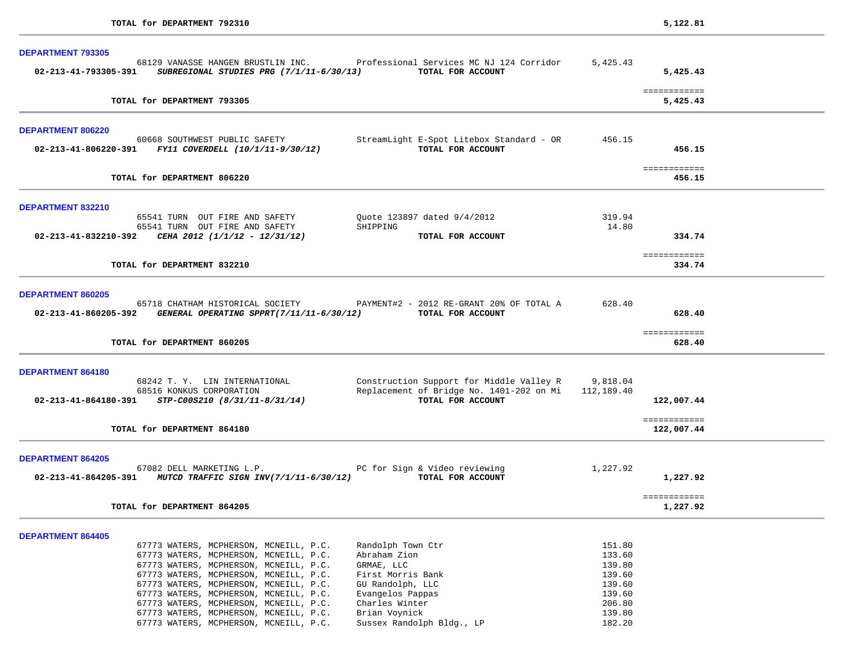| <b>DEPARTMENT 793305</b>                                                                                                                                                          |                                                                                                          |                  |                            |
|-----------------------------------------------------------------------------------------------------------------------------------------------------------------------------------|----------------------------------------------------------------------------------------------------------|------------------|----------------------------|
| 68129 VANASSE HANGEN BRUSTLIN INC. Professional Services MC NJ 124 Corridor<br>02-213-41-793305-391 SUBREGIONAL STUDIES PRG (7/1/11-6/30/13)                                      | TOTAL FOR ACCOUNT                                                                                        | 5,425.43         | 5,425.43                   |
| TOTAL for DEPARTMENT 793305                                                                                                                                                       |                                                                                                          |                  | ============<br>5,425.43   |
| <b>DEPARTMENT 806220</b>                                                                                                                                                          |                                                                                                          |                  |                            |
| 60668 SOUTHWEST PUBLIC SAFETY<br>$02 - 213 - 41 - 806220 - 391$ FY11 COVERDELL (10/1/11-9/30/12)                                                                                  | StreamLight E-Spot Litebox Standard - OR 456.15<br>TOTAL FOR ACCOUNT                                     |                  | 456.15                     |
| TOTAL for DEPARTMENT 806220                                                                                                                                                       |                                                                                                          |                  | ============<br>456.15     |
| <b>DEPARTMENT 832210</b>                                                                                                                                                          |                                                                                                          |                  |                            |
| 65541 TURN OUT FIRE AND SAFETY                                                                                                                                                    | Ouote 123897 dated 9/4/2012                                                                              | 319.94           |                            |
| 65541 TURN OUT FIRE AND SAFETY<br>SHIPPING<br>02-213-41-832210-392 CEHA 2012 (1/1/12 - 12/31/12)                                                                                  | TOTAL FOR ACCOUNT                                                                                        | 14.80            | 334.74                     |
|                                                                                                                                                                                   |                                                                                                          |                  | ============               |
| TOTAL for DEPARTMENT 832210                                                                                                                                                       |                                                                                                          |                  | 334.74                     |
| DEPARTMENT 860205<br>65718 CHATHAM HISTORICAL SOCIETY PAYMENT#2 - 2012 RE-GRANT 20% OF TOTAL A<br>02-213-41-860205-392 GENERAL OPERATING SPPRT(7/11/11-6/30/12) TOTAL FOR ACCOUNT |                                                                                                          | 628.40           | 628.40                     |
| TOTAL for DEPARTMENT 860205                                                                                                                                                       |                                                                                                          |                  | ============<br>628.40     |
| <b>DEPARTMENT 864180</b>                                                                                                                                                          |                                                                                                          |                  |                            |
| 68242 T.Y. LIN INTERNATIONAL<br>68516 KONKUS CORPORATION                                                                                                                          | Construction Support for Middle Valley R 9,818.04<br>Replacement of Bridge No. 1401-202 on Mi 112,189.40 |                  |                            |
| $02 - 213 - 41 - 864180 - 391$ STP-C00S210 (8/31/11-8/31/14)                                                                                                                      | TOTAL FOR ACCOUNT                                                                                        |                  | 122,007.44                 |
| TOTAL for DEPARTMENT 864180                                                                                                                                                       |                                                                                                          |                  | ============<br>122,007.44 |
| <b>DEPARTMENT 864205</b>                                                                                                                                                          |                                                                                                          |                  |                            |
| 67082 DELL MARKETING L.P. The Second PC for Sign & Video reviewing<br>02-213-41-864205-391 MUTCD TRAFFIC SIGN INV(7/1/11-6/30/12) TOTAL FOR ACCOUNT                               |                                                                                                          | 1,227.92         | 1,227.92                   |
| TOTAL for DEPARTMENT 864205                                                                                                                                                       |                                                                                                          |                  | ============<br>1,227.92   |
|                                                                                                                                                                                   |                                                                                                          |                  |                            |
| <b>DEPARTMENT 864405</b><br>67773 WATERS, MCPHERSON, MCNEILL, P.C.<br>Randolph Town Ctr                                                                                           |                                                                                                          | 151.80           |                            |
| 67773 WATERS, MCPHERSON, MCNEILL, P.C.<br>Abraham Zion                                                                                                                            |                                                                                                          | 133.60           |                            |
| 67773 WATERS, MCPHERSON, MCNEILL, P.C.<br>GRMAE, LLC                                                                                                                              |                                                                                                          | 139.80           |                            |
| 67773 WATERS, MCPHERSON, MCNEILL, P.C.<br>First Morris Bank<br>67773 WATERS, MCPHERSON, MCNEILL, P.C.<br>GU Randolph, LLC                                                         |                                                                                                          | 139.60<br>139.60 |                            |
| 67773 WATERS, MCPHERSON, MCNEILL, P.C.<br>Evangelos Pappas                                                                                                                        |                                                                                                          | 139.60           |                            |
| 67773 WATERS, MCPHERSON, MCNEILL, P.C.<br>Charles Winter                                                                                                                          |                                                                                                          | 206.80           |                            |
| 67773 WATERS, MCPHERSON, MCNEILL, P.C.<br>Brian Voynick                                                                                                                           |                                                                                                          | 139.80           |                            |
| 67773 WATERS, MCPHERSON, MCNEILL, P.C.                                                                                                                                            | Sussex Randolph Bldg., LP                                                                                | 182.20           |                            |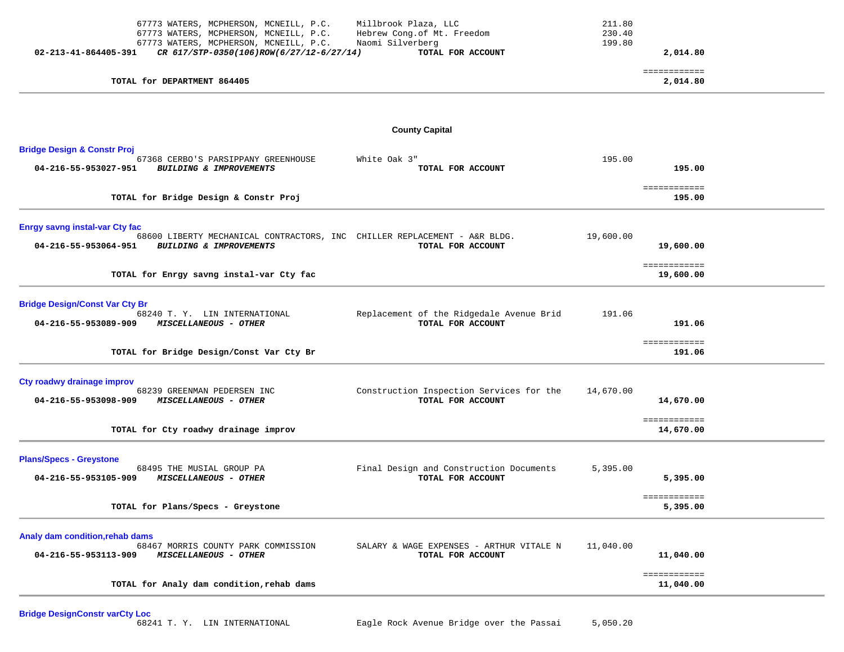| 67773 WATERS, MCPHERSON, MCNEILL, P.C.<br>67773 WATERS, MCPHERSON, MCNEILL, P.C.<br>67773 WATERS, MCPHERSON, MCNEILL, P.C.<br>02-213-41-864405-391<br>CR 617/STP-0350(106)ROW(6/27/12-6/27/14) | Millbrook Plaza, LLC<br>Hebrew Cong.of Mt. Freedom<br>Naomi Silverberg<br>TOTAL FOR ACCOUNT | 211.80<br>230.40<br>199.80 | 2,014.80                               |  |
|------------------------------------------------------------------------------------------------------------------------------------------------------------------------------------------------|---------------------------------------------------------------------------------------------|----------------------------|----------------------------------------|--|
| TOTAL for DEPARTMENT 864405                                                                                                                                                                    |                                                                                             |                            | ============<br>2,014.80               |  |
|                                                                                                                                                                                                | <b>County Capital</b>                                                                       |                            |                                        |  |
| <b>Bridge Design &amp; Constr Proj</b><br>67368 CERBO'S PARSIPPANY GREENHOUSE<br>04-216-55-953027-951<br>BUILDING & IMPROVEMENTS                                                               | White Oak 3"<br>TOTAL FOR ACCOUNT                                                           | 195.00                     | 195.00                                 |  |
| TOTAL for Bridge Design & Constr Proj                                                                                                                                                          |                                                                                             |                            | ============<br>195.00                 |  |
| <b>Enrgy savng instal-var Cty fac</b><br>68600 LIBERTY MECHANICAL CONTRACTORS, INC CHILLER REPLACEMENT - A&R BLDG.<br>04-216-55-953064-951<br>BUILDING & IMPROVEMENTS                          | TOTAL FOR ACCOUNT                                                                           | 19,600.00                  | 19,600.00                              |  |
| TOTAL for Enrgy savng instal-var Cty fac                                                                                                                                                       |                                                                                             |                            | ============<br>19,600.00              |  |
| <b>Bridge Design/Const Var Cty Br</b><br>68240 T. Y. LIN INTERNATIONAL<br>MISCELLANEOUS - OTHER<br>04-216-55-953089-909                                                                        | Replacement of the Ridgedale Avenue Brid<br>TOTAL FOR ACCOUNT                               | 191.06                     | 191.06                                 |  |
| TOTAL for Bridge Design/Const Var Cty Br                                                                                                                                                       |                                                                                             |                            | ============<br>191.06                 |  |
| Cty roadwy drainage improv<br>68239 GREENMAN PEDERSEN INC<br>04-216-55-953098-909<br>MISCELLANEOUS - OTHER<br>TOTAL for Cty roadwy drainage improv                                             | Construction Inspection Services for the<br>TOTAL FOR ACCOUNT                               | 14,670.00                  | 14,670.00<br>============<br>14,670.00 |  |
| <b>Plans/Specs - Greystone</b><br>68495 THE MUSIAL GROUP PA<br>04-216-55-953105-909<br>MISCELLANEOUS - OTHER<br>TOTAL for Plans/Specs - Greystone                                              | Final Design and Construction Documents<br>TOTAL FOR ACCOUNT                                | 5,395.00                   | 5,395.00<br>============<br>5,395.00   |  |
| Analy dam condition, rehab dams<br>68467 MORRIS COUNTY PARK COMMISSION<br>04-216-55-953113-909<br>MISCELLANEOUS - OTHER                                                                        | SALARY & WAGE EXPENSES - ARTHUR VITALE N<br>TOTAL FOR ACCOUNT                               | 11,040.00                  | 11,040.00<br>============              |  |
| TOTAL for Analy dam condition, rehab dams                                                                                                                                                      |                                                                                             |                            | 11,040.00                              |  |

**Bridge DesignConstr varCty Loc**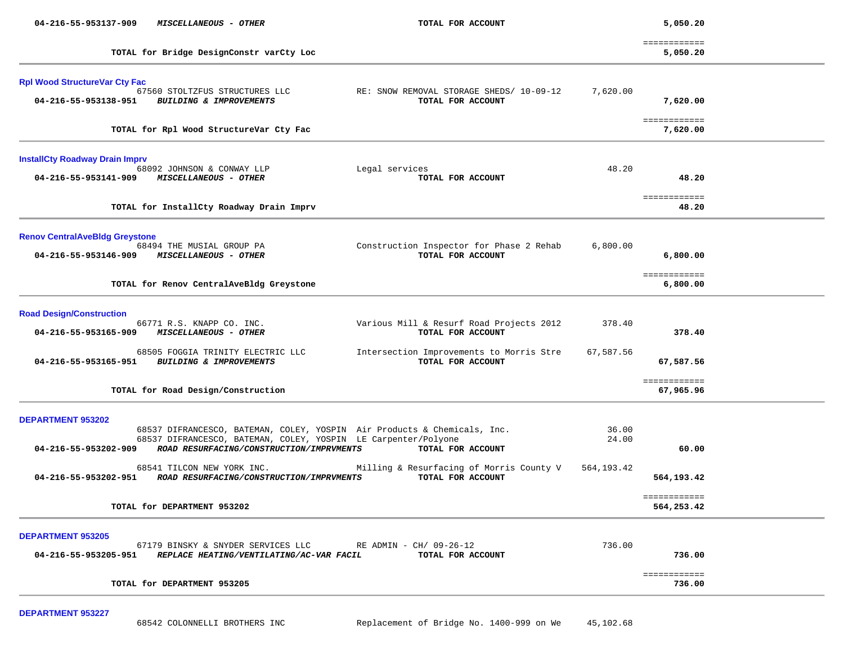| 04-216-55-953137-909                                         | MISCELLANEOUS - OTHER                                                                                                                                                                  | TOTAL FOR ACCOUNT                                             |                | 5,050.20                   |  |
|--------------------------------------------------------------|----------------------------------------------------------------------------------------------------------------------------------------------------------------------------------------|---------------------------------------------------------------|----------------|----------------------------|--|
|                                                              | TOTAL for Bridge DesignConstr varCty Loc                                                                                                                                               |                                                               |                | ============<br>5,050.20   |  |
| <b>Rpl Wood StructureVar Cty Fac</b><br>04-216-55-953138-951 | 67560 STOLTZFUS STRUCTURES LLC<br>BUILDING & IMPROVEMENTS                                                                                                                              | RE: SNOW REMOVAL STORAGE SHEDS/ 10-09-12<br>TOTAL FOR ACCOUNT | 7,620.00       | 7,620.00                   |  |
|                                                              | TOTAL for Rpl Wood StructureVar Cty Fac                                                                                                                                                |                                                               |                | ============<br>7,620.00   |  |
| <b>InstallCty Roadway Drain Imprv</b>                        |                                                                                                                                                                                        |                                                               |                |                            |  |
| 04-216-55-953141-909                                         | 68092 JOHNSON & CONWAY LLP<br><i>MISCELLANEOUS - OTHER</i>                                                                                                                             | Legal services<br>TOTAL FOR ACCOUNT                           | 48.20          | 48.20                      |  |
|                                                              | TOTAL for InstallCty Roadway Drain Imprv                                                                                                                                               |                                                               |                | ============<br>48.20      |  |
| <b>Renov CentralAveBldg Greystone</b>                        | 68494 THE MUSIAL GROUP PA<br>04-216-55-953146-909 MISCELLANEOUS - OTHER                                                                                                                | Construction Inspector for Phase 2 Rehab<br>TOTAL FOR ACCOUNT | 6,800.00       | 6,800.00                   |  |
|                                                              | TOTAL for Renov CentralAveBldg Greystone                                                                                                                                               |                                                               |                | ============<br>6,800.00   |  |
| <b>Road Design/Construction</b>                              |                                                                                                                                                                                        |                                                               |                |                            |  |
| 04-216-55-953165-909                                         | 66771 R.S. KNAPP CO. INC.<br>MISCELLANEOUS - OTHER                                                                                                                                     | Various Mill & Resurf Road Projects 2012<br>TOTAL FOR ACCOUNT | 378.40         | 378.40                     |  |
|                                                              | 68505 FOGGIA TRINITY ELECTRIC LLC<br>04-216-55-953165-951 BUILDING & IMPROVEMENTS                                                                                                      | Intersection Improvements to Morris Stre<br>TOTAL FOR ACCOUNT | 67,587.56      | 67,587.56                  |  |
|                                                              | TOTAL for Road Design/Construction                                                                                                                                                     |                                                               |                | ============<br>67,965.96  |  |
| <b>DEPARTMENT 953202</b>                                     |                                                                                                                                                                                        |                                                               |                |                            |  |
| 04-216-55-953202-909                                         | 68537 DIFRANCESCO, BATEMAN, COLEY, YOSPIN Air Products & Chemicals, Inc.<br>68537 DIFRANCESCO, BATEMAN, COLEY, YOSPIN LE Carpenter/Polyone<br>ROAD RESURFACING/CONSTRUCTION/IMPRVMENTS | TOTAL FOR ACCOUNT                                             | 36.00<br>24.00 | 60.00                      |  |
| 04-216-55-953202-951                                         | 68541 TILCON NEW YORK INC.<br>ROAD RESURFACING/CONSTRUCTION/IMPRVMENTS                                                                                                                 | Milling & Resurfacing of Morris County V<br>TOTAL FOR ACCOUNT | 564, 193.42    | 564,193.42                 |  |
|                                                              | TOTAL for DEPARTMENT 953202                                                                                                                                                            |                                                               |                | ============<br>564,253.42 |  |
| <b>DEPARTMENT 953205</b><br>04-216-55-953205-951             | 67179 BINSKY & SNYDER SERVICES LLC RE ADMIN - CH/ 09-26-12<br>REPLACE HEATING/VENTILATING/AC-VAR FACIL                                                                                 | TOTAL FOR ACCOUNT                                             | 736.00         | 736.00                     |  |
|                                                              | TOTAL for DEPARTMENT 953205                                                                                                                                                            |                                                               |                | ============<br>736.00     |  |

**DEPARTMENT 953227**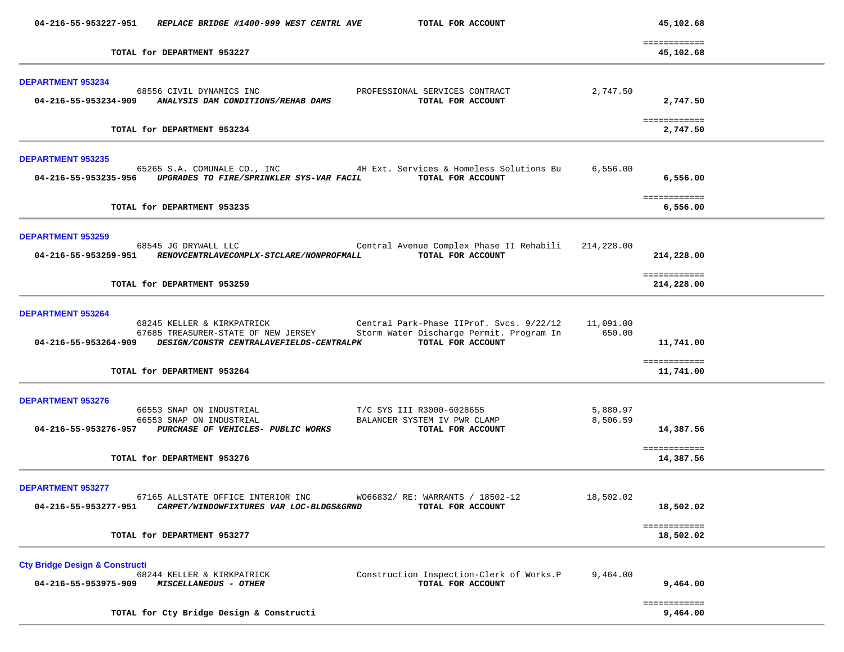|                                                                   | 04-216-55-953227-951 REPLACE BRIDGE #1400-999 WEST CENTRL AVE                                                                                                                                              | TOTAL FOR ACCOUNT                                                              |                      | 45,102.68                              |  |
|-------------------------------------------------------------------|------------------------------------------------------------------------------------------------------------------------------------------------------------------------------------------------------------|--------------------------------------------------------------------------------|----------------------|----------------------------------------|--|
|                                                                   | TOTAL for DEPARTMENT 953227                                                                                                                                                                                |                                                                                |                      | ============<br>45,102.68              |  |
| <b>DEPARTMENT 953234</b>                                          | 68556 CIVIL DYNAMICS INC<br>04-216-55-953234-909 ANALYSIS DAM CONDITIONS/REHAB DAMS                                                                                                                        | PROFESSIONAL SERVICES CONTRACT<br>TOTAL FOR ACCOUNT                            | 2,747.50             | 2,747.50                               |  |
|                                                                   | TOTAL for DEPARTMENT 953234                                                                                                                                                                                |                                                                                |                      | ============<br>2,747.50               |  |
| <b>DEPARTMENT 953235</b>                                          | 65265 S.A. COMUNALE CO., INC 4H Ext. Services & Homeless Solutions Bu<br>04-216-55-953235-956 UPGRADES TO FIRE/SPRINKLER SYS-VAR FACIL TOTAL FOR ACCOUNT                                                   |                                                                                | 6,556.00             | 6,556.00                               |  |
|                                                                   | TOTAL for DEPARTMENT 953235                                                                                                                                                                                |                                                                                |                      | ============<br>6,556.00               |  |
| <b>DEPARTMENT 953259</b>                                          | 68545 JG DRYWALL LLC<br>04-216-55-953259-951 RENOVCENTRLAVECOMPLX-STCLARE/NONPROFMALL                                                                                                                      | Central Avenue Complex Phase II Rehabili 214,228.00<br>TOTAL FOR ACCOUNT       |                      | 214,228.00                             |  |
|                                                                   | TOTAL for DEPARTMENT 953259                                                                                                                                                                                |                                                                                |                      | ============<br>214,228.00             |  |
| <b>DEPARTMENT 953264</b>                                          | 68245 KELLER & KIRKPATRICK<br>67685 TREASURER-STATE OF NEW JERSEY Storm Water Discharge Permit. Program In<br>04-216-55-953264-909 DESIGN/CONSTR CENTRALAVEFIELDS-CENTRALPK<br>TOTAL for DEPARTMENT 953264 | Central Park-Phase IIProf. Svcs. 9/22/12<br>TOTAL FOR ACCOUNT                  | 11,091.00<br>650.00  | 11,741.00<br>============<br>11,741.00 |  |
| <b>DEPARTMENT 953276</b>                                          | 66553 SNAP ON INDUSTRIAL<br>66553 SNAP ON INDUSTRIAL<br>04-216-55-953276-957 PURCHASE OF VEHICLES- PUBLIC WORKS<br>TOTAL for DEPARTMENT 953276                                                             | T/C SYS III R3000-6028655<br>BALANCER SYSTEM IV PWR CLAMP<br>TOTAL FOR ACCOUNT | 5,880.97<br>8,506.59 | 14,387.56<br>============<br>14,387.56 |  |
| <b>DEPARTMENT 953277</b><br>04-216-55-953277-951                  | 67165 ALLSTATE OFFICE INTERIOR INC<br>CARPET/WINDOWFIXTURES VAR LOC-BLDGS&GRND                                                                                                                             | W066832/RE: WARRANTS / 18502-12<br>TOTAL FOR ACCOUNT                           | 18,502.02            | 18,502.02<br>============              |  |
|                                                                   | TOTAL for DEPARTMENT 953277                                                                                                                                                                                |                                                                                |                      | 18,502.02                              |  |
| <b>Cty Bridge Design &amp; Constructi</b><br>04-216-55-953975-909 | 68244 KELLER & KIRKPATRICK<br>MISCELLANEOUS - OTHER                                                                                                                                                        | Construction Inspection-Clerk of Works.P<br>TOTAL FOR ACCOUNT                  | 9,464.00             | 9,464.00                               |  |
|                                                                   | TOTAL for Cty Bridge Design & Constructi                                                                                                                                                                   |                                                                                |                      | ============<br>9,464.00               |  |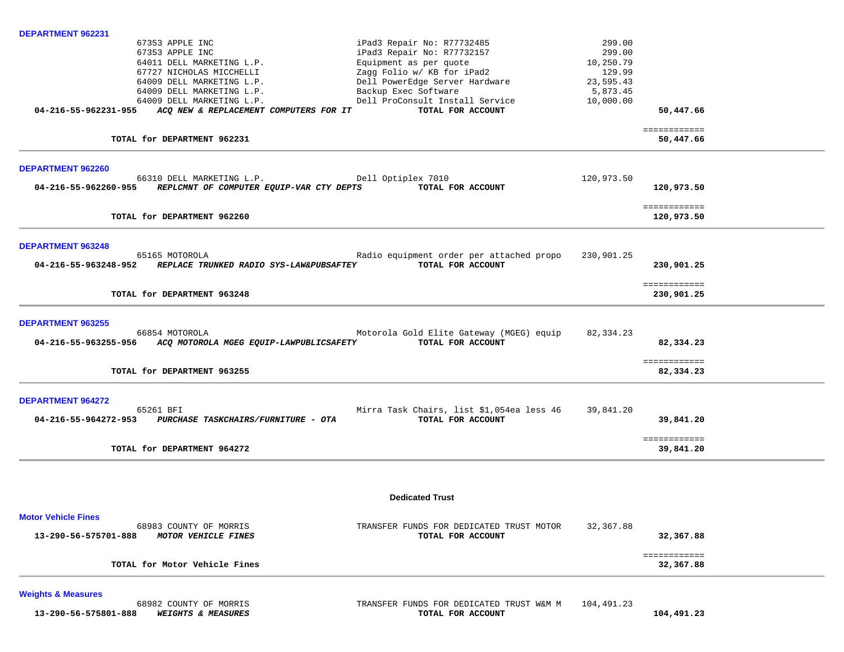| <b>DEPARTMENT 962231</b>                                         |                                           |            |                            |  |
|------------------------------------------------------------------|-------------------------------------------|------------|----------------------------|--|
| 67353 APPLE INC                                                  | iPad3 Repair No: R77732485                | 299.00     |                            |  |
| 67353 APPLE INC                                                  | iPad3 Repair No: R77732157                | 299.00     |                            |  |
| 64011 DELL MARKETING L.P.                                        | Equipment as per quote                    | 10,250.79  |                            |  |
| 67727 NICHOLAS MICCHELLI                                         | Zagg Folio w/ KB for iPad2                | 129.99     |                            |  |
| 64009 DELL MARKETING L.P.                                        | Dell PowerEdge Server Hardware            | 23,595.43  |                            |  |
| 64009 DELL MARKETING L.P.                                        | Backup Exec Software                      | 5,873.45   |                            |  |
| 64009 DELL MARKETING L.P.                                        | Dell ProConsult Install Service           | 10,000.00  |                            |  |
| 04-216-55-962231-955<br>ACQ NEW & REPLACEMENT COMPUTERS FOR IT   | TOTAL FOR ACCOUNT                         |            | 50,447.66                  |  |
| TOTAL for DEPARTMENT 962231                                      |                                           |            | ============<br>50,447.66  |  |
| DEPARTMENT 962260                                                |                                           |            |                            |  |
| 66310 DELL MARKETING L.P.                                        | Dell Optiplex 7010                        | 120,973.50 |                            |  |
| REPLCMNT OF COMPUTER EQUIP-VAR CTY DEPTS<br>04-216-55-962260-955 | TOTAL FOR ACCOUNT                         |            | 120,973.50                 |  |
|                                                                  |                                           |            | ============               |  |
| TOTAL for DEPARTMENT 962260                                      |                                           |            | 120,973.50                 |  |
|                                                                  |                                           |            |                            |  |
| <b>DEPARTMENT 963248</b>                                         |                                           |            |                            |  |
| 65165 MOTOROLA                                                   | Radio equipment order per attached propo  | 230,901.25 |                            |  |
| 04-216-55-963248-952 REPLACE TRUNKED RADIO SYS-LAW&PUBSAFTEY     | TOTAL FOR ACCOUNT                         |            | 230,901.25                 |  |
|                                                                  |                                           |            |                            |  |
| TOTAL for DEPARTMENT 963248                                      |                                           |            | ============<br>230,901.25 |  |
|                                                                  |                                           |            |                            |  |
| <b>DEPARTMENT 963255</b>                                         |                                           |            |                            |  |
| 66854 MOTOROLA                                                   | Motorola Gold Elite Gateway (MGEG) equip  | 82,334.23  |                            |  |
| 04-216-55-963255-956 ACQ MOTOROLA MGEG EQUIP-LAWPUBLICSAFETY     | TOTAL FOR ACCOUNT                         |            | 82,334.23                  |  |
|                                                                  |                                           |            |                            |  |
| TOTAL for DEPARTMENT 963255                                      |                                           |            | ============<br>82,334.23  |  |
|                                                                  |                                           |            |                            |  |
| <b>DEPARTMENT 964272</b>                                         |                                           |            |                            |  |
| 65261 BFI                                                        | Mirra Task Chairs, list \$1,054ea less 46 | 39,841.20  |                            |  |
| 04-216-55-964272-953 PURCHASE TASKCHAIRS/FURNITURE - OTA         | TOTAL FOR ACCOUNT                         |            | 39,841.20                  |  |
|                                                                  |                                           |            |                            |  |
|                                                                  |                                           |            | ============               |  |
| TOTAL for DEPARTMENT 964272                                      |                                           |            | 39,841.20                  |  |
|                                                                  |                                           |            |                            |  |
|                                                                  | <b>Dedicated Trust</b>                    |            |                            |  |
|                                                                  |                                           |            |                            |  |
| <b>Motor Vehicle Fines</b>                                       |                                           |            |                            |  |
| 68983 COUNTY OF MORRIS                                           | TRANSFER FUNDS FOR DEDICATED TRUST MOTOR  | 32,367.88  |                            |  |
| 13-290-56-575701-888<br>MOTOR VEHICLE FINES                      | TOTAL FOR ACCOUNT                         |            | 32,367.88                  |  |
|                                                                  |                                           |            | ============               |  |
| TOTAL for Motor Vehicle Fines                                    |                                           |            | 32,367.88                  |  |
|                                                                  |                                           |            |                            |  |
| <b>Weights &amp; Measures</b>                                    |                                           |            |                            |  |
| 68982 COUNTY OF MORRIS                                           | TRANSFER FUNDS FOR DEDICATED TRUST W&M M  | 104,491.23 |                            |  |

|                      |  | 00902 COUNTI OF MORRIS        |
|----------------------|--|-------------------------------|
| 13-290-56-575801-888 |  | <b>WEIGHTS &amp; MEASURES</b> |